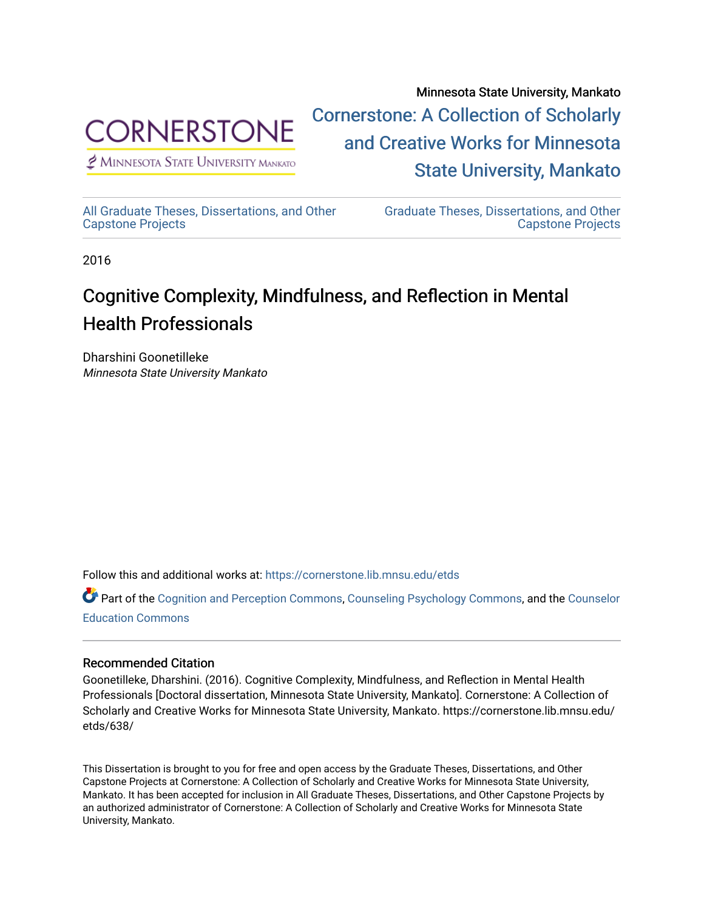

 $<sup>2</sup>$  Minnesota State University Mankato</sup>

Minnesota State University, Mankato [Cornerstone: A Collection of Scholarly](https://cornerstone.lib.mnsu.edu/)  [and Creative Works for Minnesota](https://cornerstone.lib.mnsu.edu/)  [State University, Mankato](https://cornerstone.lib.mnsu.edu/) 

[All Graduate Theses, Dissertations, and Other](https://cornerstone.lib.mnsu.edu/etds)  [Capstone Projects](https://cornerstone.lib.mnsu.edu/etds) 

[Graduate Theses, Dissertations, and Other](https://cornerstone.lib.mnsu.edu/theses_dissertations-capstone)  [Capstone Projects](https://cornerstone.lib.mnsu.edu/theses_dissertations-capstone) 

2016

# Cognitive Complexity, Mindfulness, and Reflection in Mental Health Professionals

Dharshini Goonetilleke Minnesota State University Mankato

Follow this and additional works at: [https://cornerstone.lib.mnsu.edu/etds](https://cornerstone.lib.mnsu.edu/etds?utm_source=cornerstone.lib.mnsu.edu%2Fetds%2F638&utm_medium=PDF&utm_campaign=PDFCoverPages) 

Part of the [Cognition and Perception Commons,](http://network.bepress.com/hgg/discipline/407?utm_source=cornerstone.lib.mnsu.edu%2Fetds%2F638&utm_medium=PDF&utm_campaign=PDFCoverPages) [Counseling Psychology Commons](http://network.bepress.com/hgg/discipline/1044?utm_source=cornerstone.lib.mnsu.edu%2Fetds%2F638&utm_medium=PDF&utm_campaign=PDFCoverPages), and the [Counselor](http://network.bepress.com/hgg/discipline/1278?utm_source=cornerstone.lib.mnsu.edu%2Fetds%2F638&utm_medium=PDF&utm_campaign=PDFCoverPages) [Education Commons](http://network.bepress.com/hgg/discipline/1278?utm_source=cornerstone.lib.mnsu.edu%2Fetds%2F638&utm_medium=PDF&utm_campaign=PDFCoverPages) 

#### Recommended Citation

Goonetilleke, Dharshini. (2016). Cognitive Complexity, Mindfulness, and Reflection in Mental Health Professionals [Doctoral dissertation, Minnesota State University, Mankato]. Cornerstone: A Collection of Scholarly and Creative Works for Minnesota State University, Mankato. https://cornerstone.lib.mnsu.edu/ etds/638/

This Dissertation is brought to you for free and open access by the Graduate Theses, Dissertations, and Other Capstone Projects at Cornerstone: A Collection of Scholarly and Creative Works for Minnesota State University, Mankato. It has been accepted for inclusion in All Graduate Theses, Dissertations, and Other Capstone Projects by an authorized administrator of Cornerstone: A Collection of Scholarly and Creative Works for Minnesota State University, Mankato.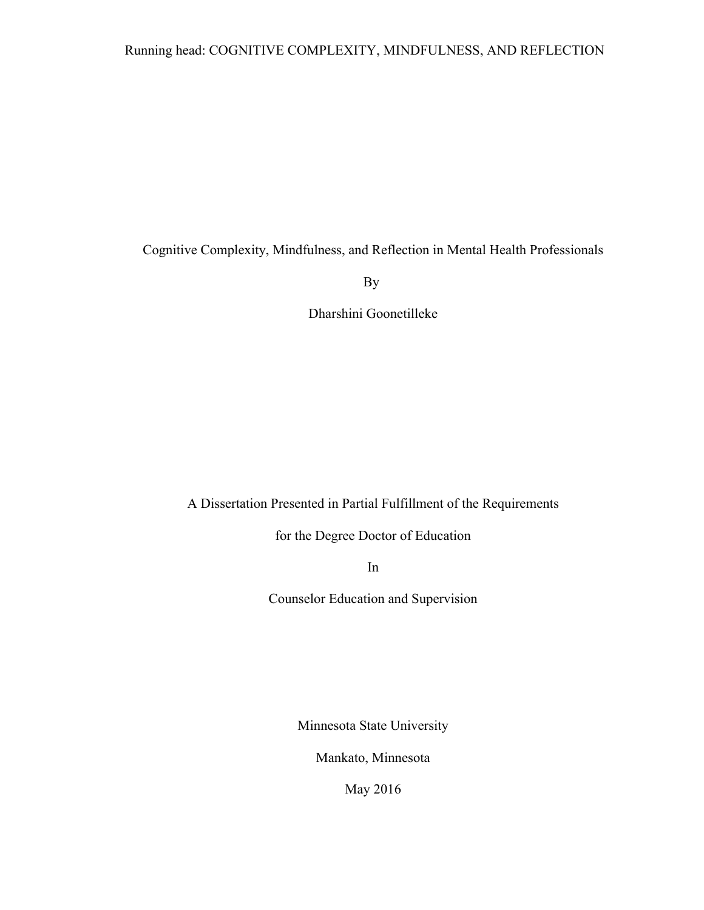Cognitive Complexity, Mindfulness, and Reflection in Mental Health Professionals

By

Dharshini Goonetilleke

A Dissertation Presented in Partial Fulfillment of the Requirements

for the Degree Doctor of Education

In

Counselor Education and Supervision

Minnesota State University

Mankato, Minnesota

May 2016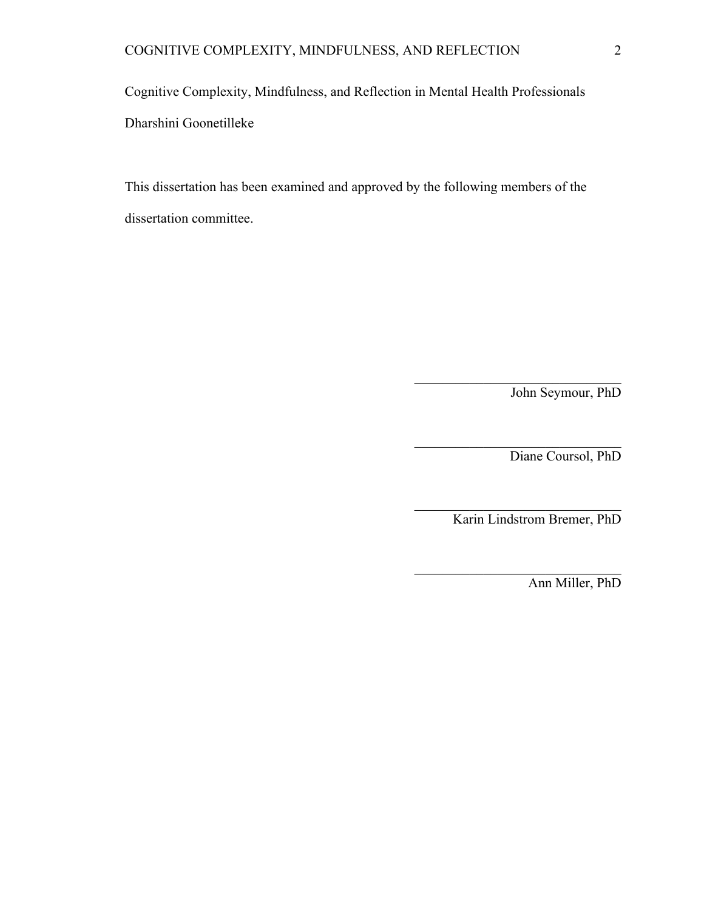Cognitive Complexity, Mindfulness, and Reflection in Mental Health Professionals Dharshini Goonetilleke

This dissertation has been examined and approved by the following members of the dissertation committee.

John Seymour, PhD

Diane Coursol, PhD

Karin Lindstrom Bremer, PhD

 $\mathcal{L}_\text{max}$  , where  $\mathcal{L}_\text{max}$  and  $\mathcal{L}_\text{max}$  and  $\mathcal{L}_\text{max}$ 

 $\mathcal{L}_\text{max}$ 

 $\mathcal{L}_\text{max}$  , where  $\mathcal{L}_\text{max}$  and  $\mathcal{L}_\text{max}$  and  $\mathcal{L}_\text{max}$ 

 $\mathcal{L}_\text{max}$  , where  $\mathcal{L}_\text{max}$  and  $\mathcal{L}_\text{max}$  and  $\mathcal{L}_\text{max}$ 

Ann Miller, PhD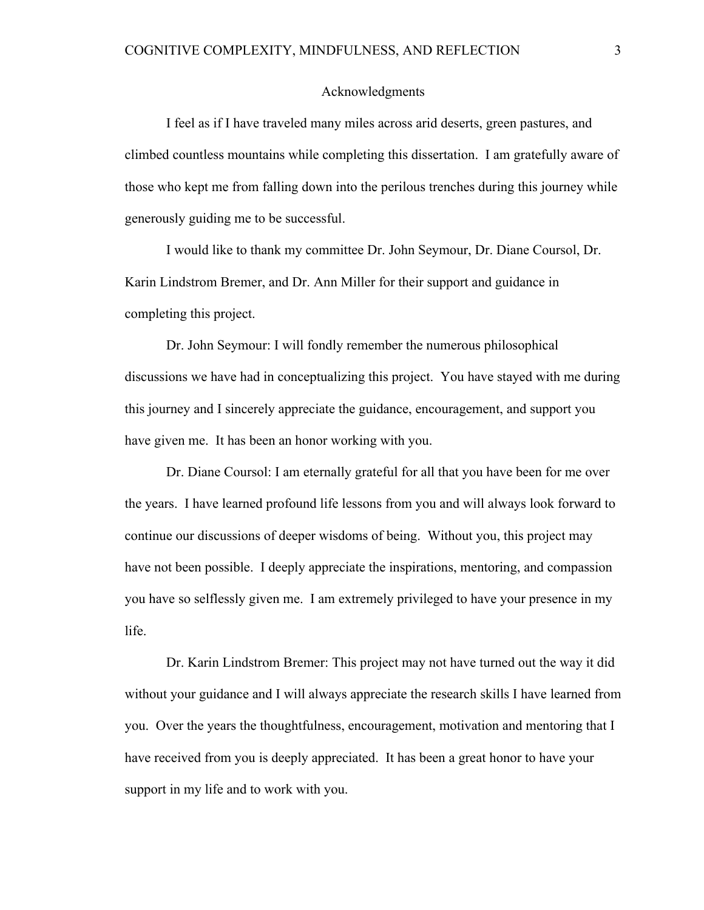#### Acknowledgments

I feel as if I have traveled many miles across arid deserts, green pastures, and climbed countless mountains while completing this dissertation. I am gratefully aware of those who kept me from falling down into the perilous trenches during this journey while generously guiding me to be successful.

I would like to thank my committee Dr. John Seymour, Dr. Diane Coursol, Dr. Karin Lindstrom Bremer, and Dr. Ann Miller for their support and guidance in completing this project.

Dr. John Seymour: I will fondly remember the numerous philosophical discussions we have had in conceptualizing this project. You have stayed with me during this journey and I sincerely appreciate the guidance, encouragement, and support you have given me. It has been an honor working with you.

Dr. Diane Coursol: I am eternally grateful for all that you have been for me over the years. I have learned profound life lessons from you and will always look forward to continue our discussions of deeper wisdoms of being. Without you, this project may have not been possible. I deeply appreciate the inspirations, mentoring, and compassion you have so selflessly given me. I am extremely privileged to have your presence in my life.

Dr. Karin Lindstrom Bremer: This project may not have turned out the way it did without your guidance and I will always appreciate the research skills I have learned from you. Over the years the thoughtfulness, encouragement, motivation and mentoring that I have received from you is deeply appreciated. It has been a great honor to have your support in my life and to work with you.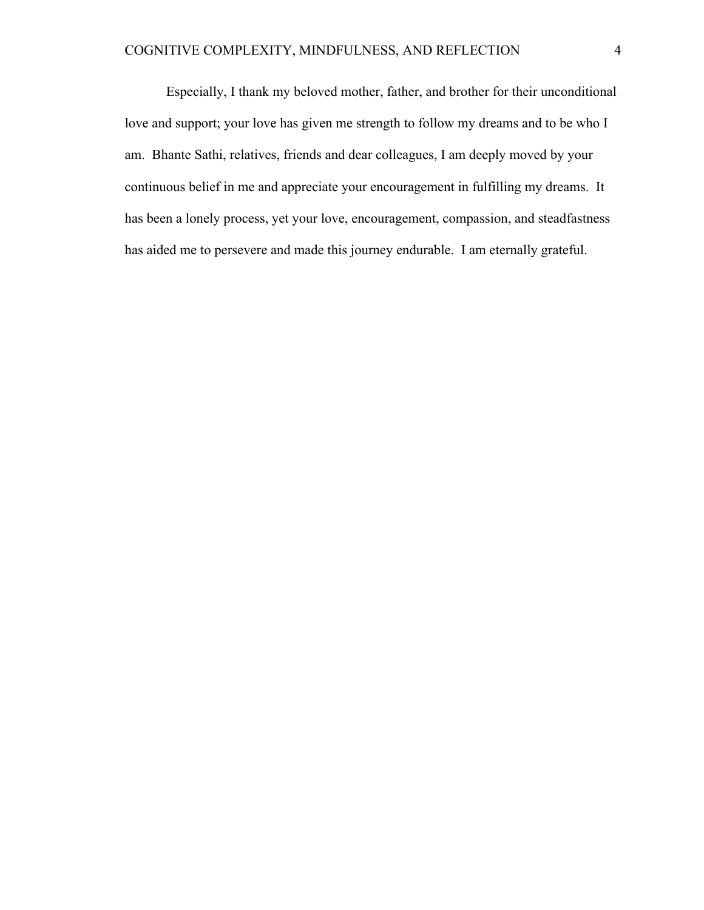Especially, I thank my beloved mother, father, and brother for their unconditional love and support; your love has given me strength to follow my dreams and to be who I am. Bhante Sathi, relatives, friends and dear colleagues, I am deeply moved by your continuous belief in me and appreciate your encouragement in fulfilling my dreams. It has been a lonely process, yet your love, encouragement, compassion, and steadfastness has aided me to persevere and made this journey endurable. I am eternally grateful.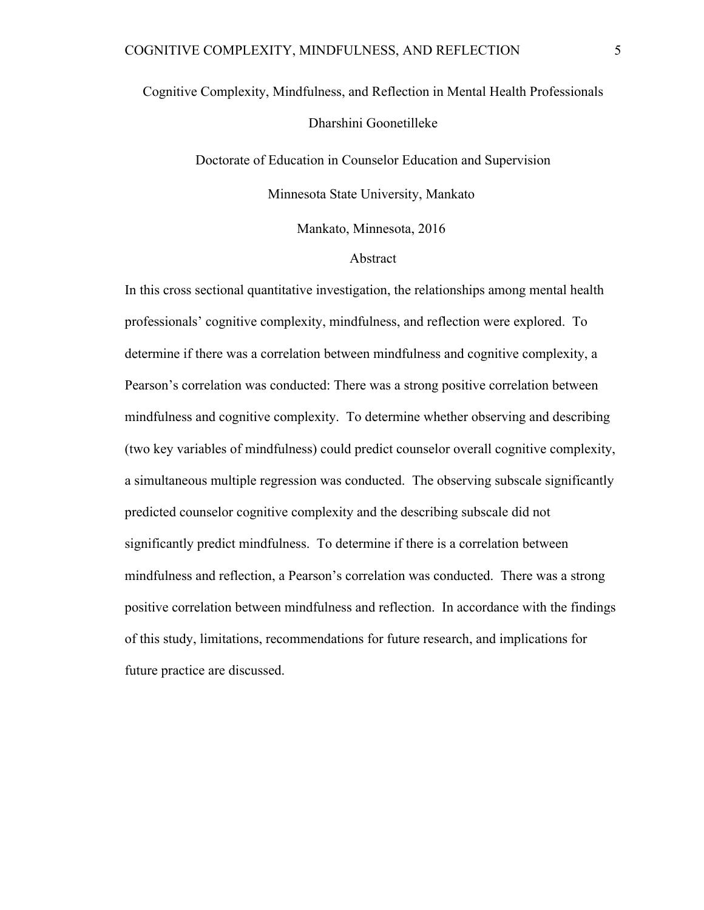# Cognitive Complexity, Mindfulness, and Reflection in Mental Health Professionals Dharshini Goonetilleke

Doctorate of Education in Counselor Education and Supervision Minnesota State University, Mankato Mankato, Minnesota, 2016

#### Abstract

In this cross sectional quantitative investigation, the relationships among mental health professionals' cognitive complexity, mindfulness, and reflection were explored. To determine if there was a correlation between mindfulness and cognitive complexity, a Pearson's correlation was conducted: There was a strong positive correlation between mindfulness and cognitive complexity. To determine whether observing and describing (two key variables of mindfulness) could predict counselor overall cognitive complexity, a simultaneous multiple regression was conducted. The observing subscale significantly predicted counselor cognitive complexity and the describing subscale did not significantly predict mindfulness. To determine if there is a correlation between mindfulness and reflection, a Pearson's correlation was conducted. There was a strong positive correlation between mindfulness and reflection. In accordance with the findings of this study, limitations, recommendations for future research, and implications for future practice are discussed.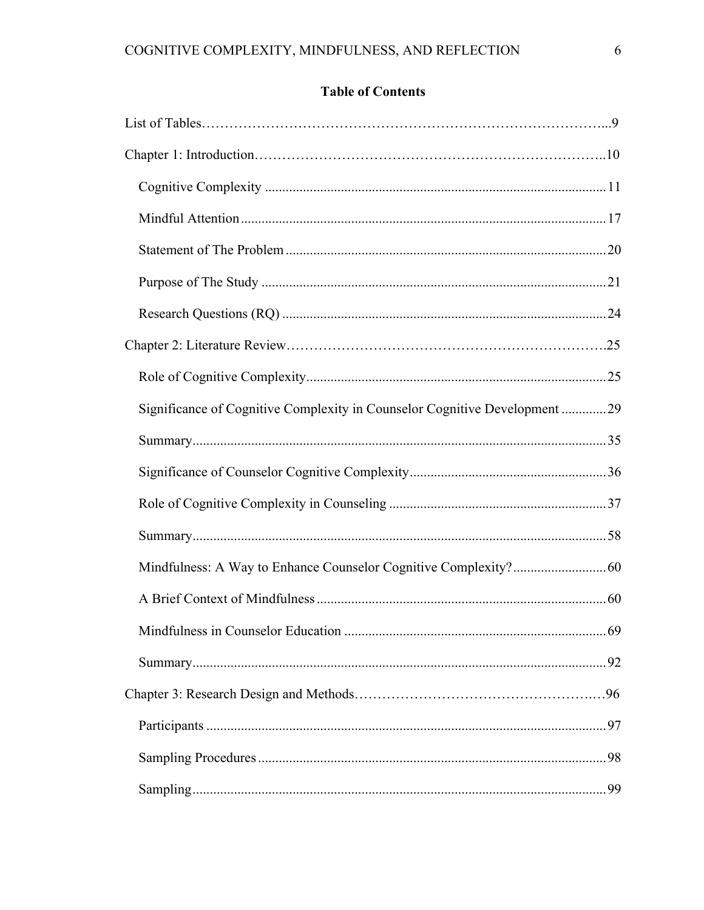## **Table of Contents**

| Significance of Cognitive Complexity in Counselor Cognitive Development 29 |  |
|----------------------------------------------------------------------------|--|
|                                                                            |  |
|                                                                            |  |
|                                                                            |  |
|                                                                            |  |
|                                                                            |  |
|                                                                            |  |
|                                                                            |  |
|                                                                            |  |
|                                                                            |  |
|                                                                            |  |
|                                                                            |  |
|                                                                            |  |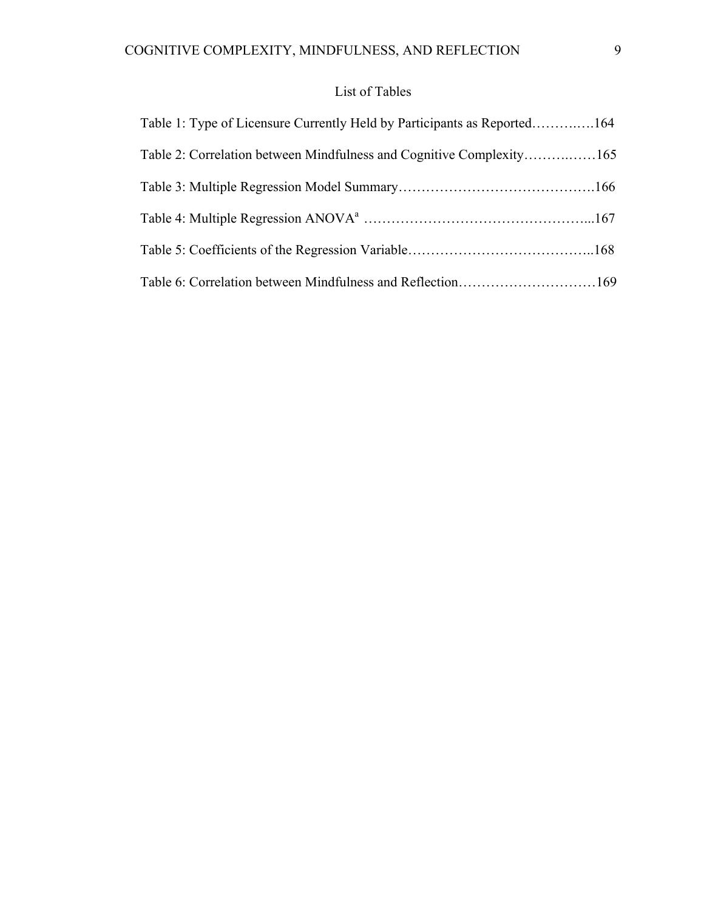## List of Tables

| Table 1: Type of Licensure Currently Held by Participants as Reported164 |  |
|--------------------------------------------------------------------------|--|
| Table 2: Correlation between Mindfulness and Cognitive Complexity165     |  |
|                                                                          |  |
|                                                                          |  |
|                                                                          |  |
| Table 6: Correlation between Mindfulness and Reflection169               |  |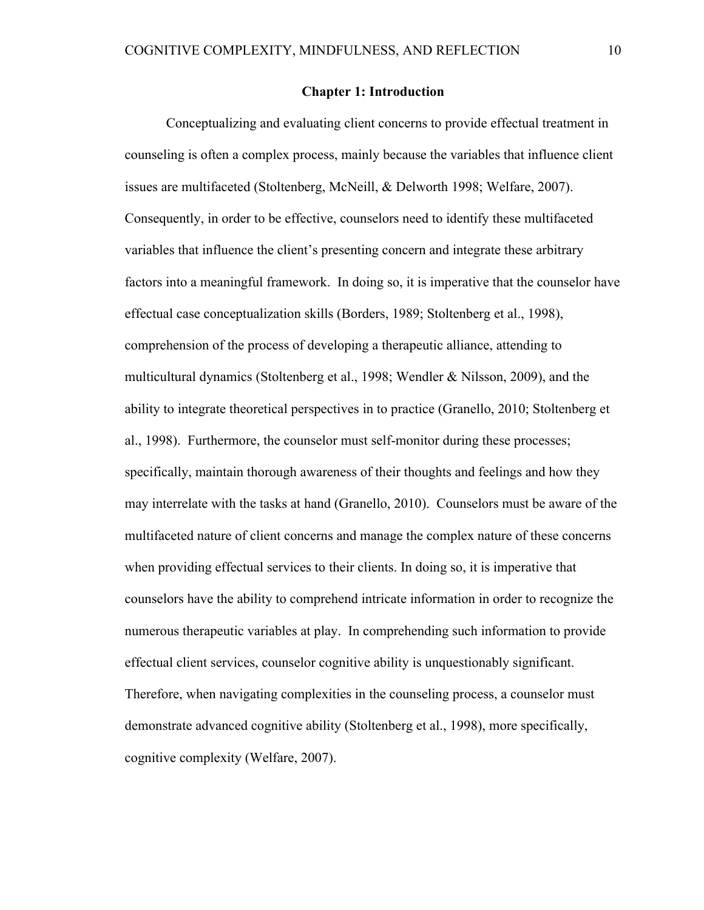#### **Chapter 1: Introduction**

Conceptualizing and evaluating client concerns to provide effectual treatment in counseling is often a complex process, mainly because the variables that influence client issues are multifaceted (Stoltenberg, McNeill, & Delworth 1998; Welfare, 2007). Consequently, in order to be effective, counselors need to identify these multifaceted variables that influence the client's presenting concern and integrate these arbitrary factors into a meaningful framework. In doing so, it is imperative that the counselor have effectual case conceptualization skills (Borders, 1989; Stoltenberg et al., 1998), comprehension of the process of developing a therapeutic alliance, attending to multicultural dynamics (Stoltenberg et al., 1998; Wendler & Nilsson, 2009), and the ability to integrate theoretical perspectives in to practice (Granello, 2010; Stoltenberg et al., 1998). Furthermore, the counselor must self-monitor during these processes; specifically, maintain thorough awareness of their thoughts and feelings and how they may interrelate with the tasks at hand (Granello, 2010). Counselors must be aware of the multifaceted nature of client concerns and manage the complex nature of these concerns when providing effectual services to their clients. In doing so, it is imperative that counselors have the ability to comprehend intricate information in order to recognize the numerous therapeutic variables at play. In comprehending such information to provide effectual client services, counselor cognitive ability is unquestionably significant. Therefore, when navigating complexities in the counseling process, a counselor must demonstrate advanced cognitive ability (Stoltenberg et al., 1998), more specifically, cognitive complexity (Welfare, 2007).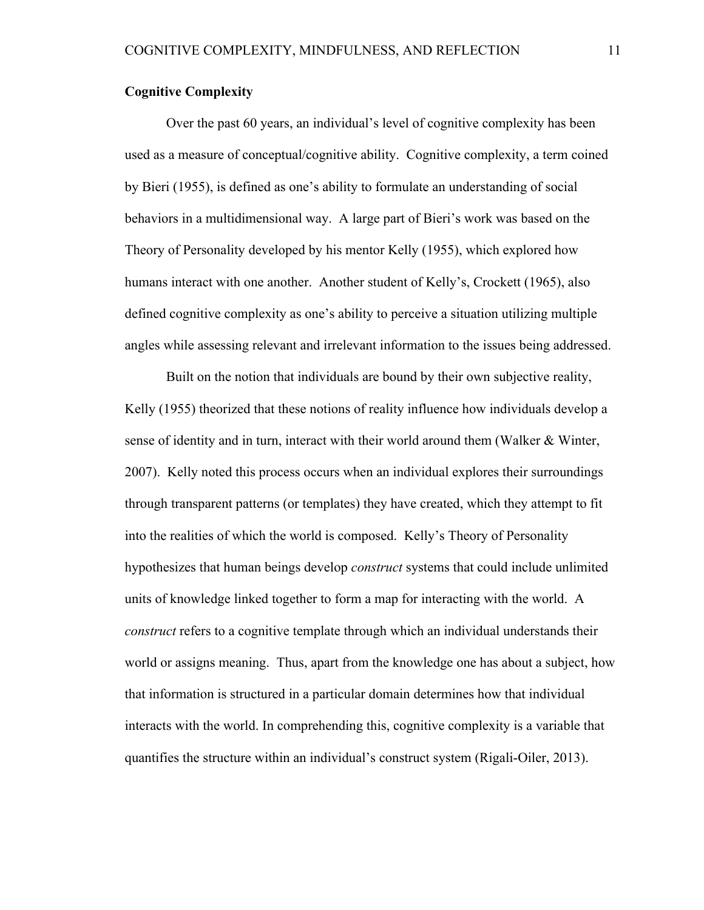#### **Cognitive Complexity**

Over the past 60 years, an individual's level of cognitive complexity has been used as a measure of conceptual/cognitive ability. Cognitive complexity, a term coined by Bieri (1955), is defined as one's ability to formulate an understanding of social behaviors in a multidimensional way. A large part of Bieri's work was based on the Theory of Personality developed by his mentor Kelly (1955), which explored how humans interact with one another. Another student of Kelly's, Crockett (1965), also defined cognitive complexity as one's ability to perceive a situation utilizing multiple angles while assessing relevant and irrelevant information to the issues being addressed.

Built on the notion that individuals are bound by their own subjective reality, Kelly (1955) theorized that these notions of reality influence how individuals develop a sense of identity and in turn, interact with their world around them (Walker & Winter, 2007). Kelly noted this process occurs when an individual explores their surroundings through transparent patterns (or templates) they have created, which they attempt to fit into the realities of which the world is composed. Kelly's Theory of Personality hypothesizes that human beings develop *construct* systems that could include unlimited units of knowledge linked together to form a map for interacting with the world. A *construct* refers to a cognitive template through which an individual understands their world or assigns meaning. Thus, apart from the knowledge one has about a subject, how that information is structured in a particular domain determines how that individual interacts with the world. In comprehending this, cognitive complexity is a variable that quantifies the structure within an individual's construct system (Rigali-Oiler, 2013).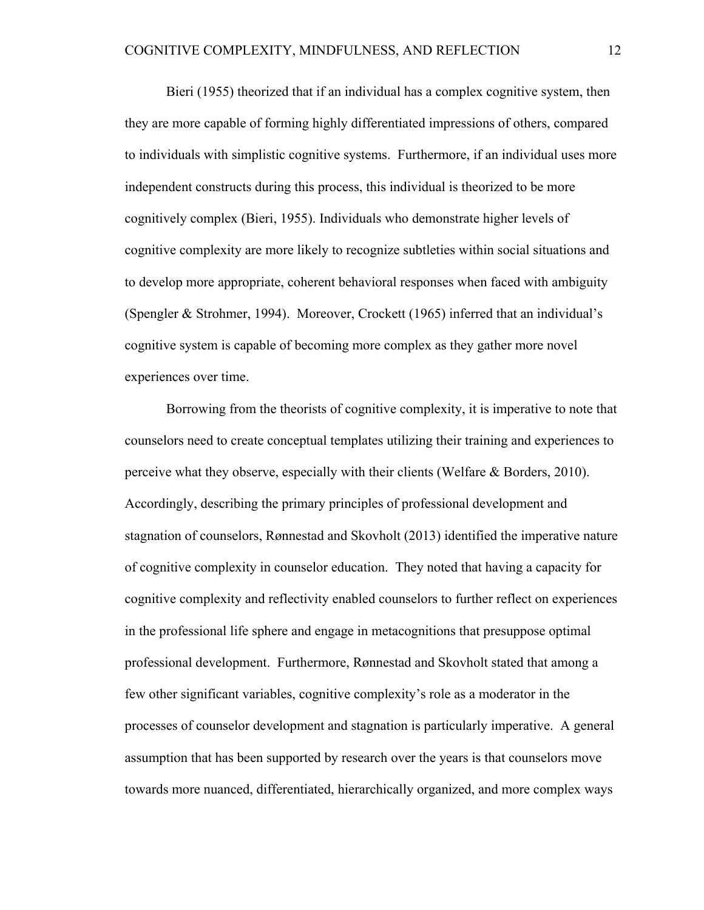Bieri (1955) theorized that if an individual has a complex cognitive system, then they are more capable of forming highly differentiated impressions of others, compared to individuals with simplistic cognitive systems. Furthermore, if an individual uses more independent constructs during this process, this individual is theorized to be more cognitively complex (Bieri, 1955). Individuals who demonstrate higher levels of cognitive complexity are more likely to recognize subtleties within social situations and to develop more appropriate, coherent behavioral responses when faced with ambiguity (Spengler & Strohmer, 1994). Moreover, Crockett (1965) inferred that an individual's cognitive system is capable of becoming more complex as they gather more novel experiences over time.

Borrowing from the theorists of cognitive complexity, it is imperative to note that counselors need to create conceptual templates utilizing their training and experiences to perceive what they observe, especially with their clients (Welfare & Borders, 2010). Accordingly, describing the primary principles of professional development and stagnation of counselors, Rønnestad and Skovholt (2013) identified the imperative nature of cognitive complexity in counselor education. They noted that having a capacity for cognitive complexity and reflectivity enabled counselors to further reflect on experiences in the professional life sphere and engage in metacognitions that presuppose optimal professional development. Furthermore, Rønnestad and Skovholt stated that among a few other significant variables, cognitive complexity's role as a moderator in the processes of counselor development and stagnation is particularly imperative. A general assumption that has been supported by research over the years is that counselors move towards more nuanced, differentiated, hierarchically organized, and more complex ways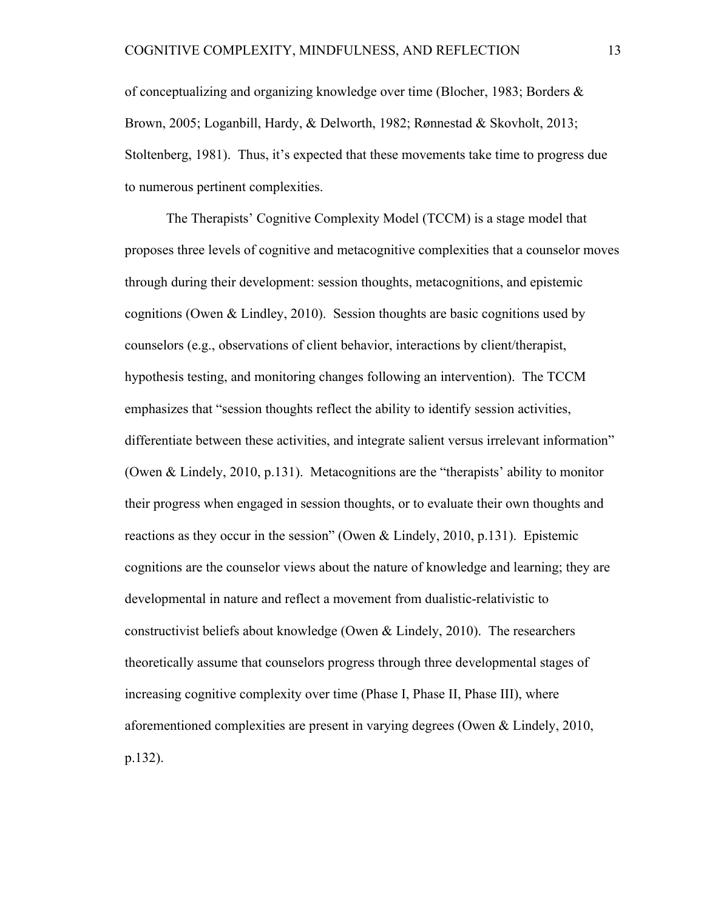of conceptualizing and organizing knowledge over time (Blocher, 1983; Borders  $\&$ Brown, 2005; Loganbill, Hardy, & Delworth, 1982; Rønnestad & Skovholt, 2013; Stoltenberg, 1981). Thus, it's expected that these movements take time to progress due to numerous pertinent complexities.

The Therapists' Cognitive Complexity Model (TCCM) is a stage model that proposes three levels of cognitive and metacognitive complexities that a counselor moves through during their development: session thoughts, metacognitions, and epistemic cognitions (Owen & Lindley, 2010). Session thoughts are basic cognitions used by counselors (e.g., observations of client behavior, interactions by client/therapist, hypothesis testing, and monitoring changes following an intervention). The TCCM emphasizes that "session thoughts reflect the ability to identify session activities, differentiate between these activities, and integrate salient versus irrelevant information" (Owen & Lindely, 2010, p.131). Metacognitions are the "therapists' ability to monitor their progress when engaged in session thoughts, or to evaluate their own thoughts and reactions as they occur in the session" (Owen & Lindely, 2010, p.131). Epistemic cognitions are the counselor views about the nature of knowledge and learning; they are developmental in nature and reflect a movement from dualistic-relativistic to constructivist beliefs about knowledge (Owen & Lindely, 2010). The researchers theoretically assume that counselors progress through three developmental stages of increasing cognitive complexity over time (Phase I, Phase II, Phase III), where aforementioned complexities are present in varying degrees (Owen & Lindely, 2010, p.132).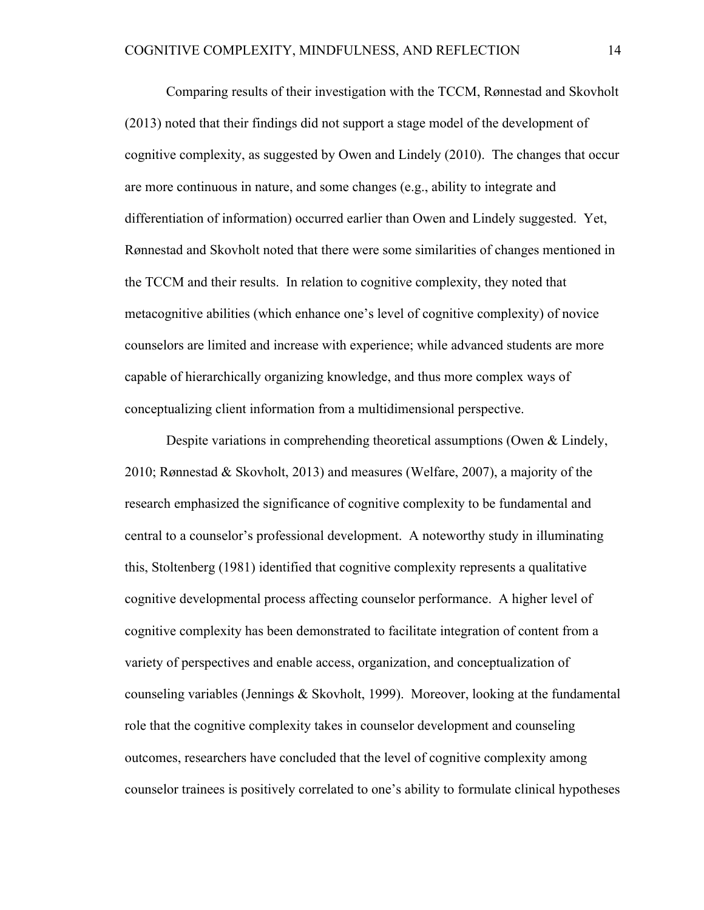Comparing results of their investigation with the TCCM, Rønnestad and Skovholt (2013) noted that their findings did not support a stage model of the development of cognitive complexity, as suggested by Owen and Lindely (2010). The changes that occur are more continuous in nature, and some changes (e.g., ability to integrate and differentiation of information) occurred earlier than Owen and Lindely suggested. Yet, Rønnestad and Skovholt noted that there were some similarities of changes mentioned in the TCCM and their results. In relation to cognitive complexity, they noted that metacognitive abilities (which enhance one's level of cognitive complexity) of novice counselors are limited and increase with experience; while advanced students are more capable of hierarchically organizing knowledge, and thus more complex ways of conceptualizing client information from a multidimensional perspective.

Despite variations in comprehending theoretical assumptions (Owen & Lindely, 2010; Rønnestad & Skovholt, 2013) and measures (Welfare, 2007), a majority of the research emphasized the significance of cognitive complexity to be fundamental and central to a counselor's professional development. A noteworthy study in illuminating this, Stoltenberg (1981) identified that cognitive complexity represents a qualitative cognitive developmental process affecting counselor performance. A higher level of cognitive complexity has been demonstrated to facilitate integration of content from a variety of perspectives and enable access, organization, and conceptualization of counseling variables (Jennings & Skovholt, 1999). Moreover, looking at the fundamental role that the cognitive complexity takes in counselor development and counseling outcomes, researchers have concluded that the level of cognitive complexity among counselor trainees is positively correlated to one's ability to formulate clinical hypotheses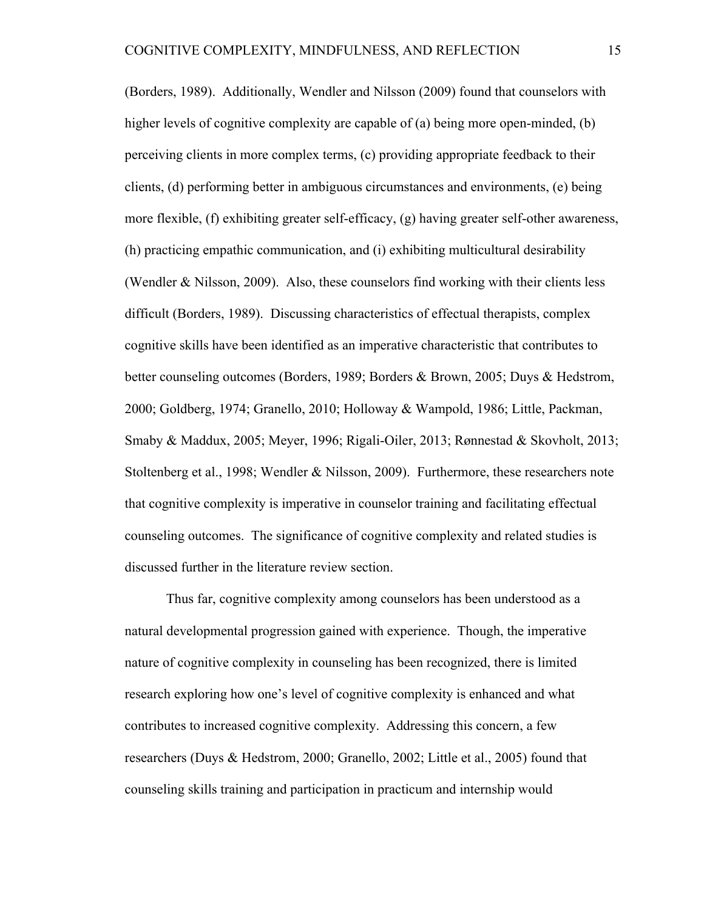(Borders, 1989). Additionally, Wendler and Nilsson (2009) found that counselors with higher levels of cognitive complexity are capable of (a) being more open-minded, (b) perceiving clients in more complex terms, (c) providing appropriate feedback to their clients, (d) performing better in ambiguous circumstances and environments, (e) being more flexible, (f) exhibiting greater self-efficacy, (g) having greater self-other awareness, (h) practicing empathic communication, and (i) exhibiting multicultural desirability (Wendler & Nilsson, 2009). Also, these counselors find working with their clients less difficult (Borders, 1989). Discussing characteristics of effectual therapists, complex cognitive skills have been identified as an imperative characteristic that contributes to better counseling outcomes (Borders, 1989; Borders & Brown, 2005; Duys & Hedstrom, 2000; Goldberg, 1974; Granello, 2010; Holloway & Wampold, 1986; Little, Packman, Smaby & Maddux, 2005; Meyer, 1996; Rigali-Oiler, 2013; Rønnestad & Skovholt, 2013; Stoltenberg et al., 1998; Wendler & Nilsson, 2009). Furthermore, these researchers note that cognitive complexity is imperative in counselor training and facilitating effectual counseling outcomes. The significance of cognitive complexity and related studies is discussed further in the literature review section.

Thus far, cognitive complexity among counselors has been understood as a natural developmental progression gained with experience. Though, the imperative nature of cognitive complexity in counseling has been recognized, there is limited research exploring how one's level of cognitive complexity is enhanced and what contributes to increased cognitive complexity. Addressing this concern, a few researchers (Duys & Hedstrom, 2000; Granello, 2002; Little et al., 2005) found that counseling skills training and participation in practicum and internship would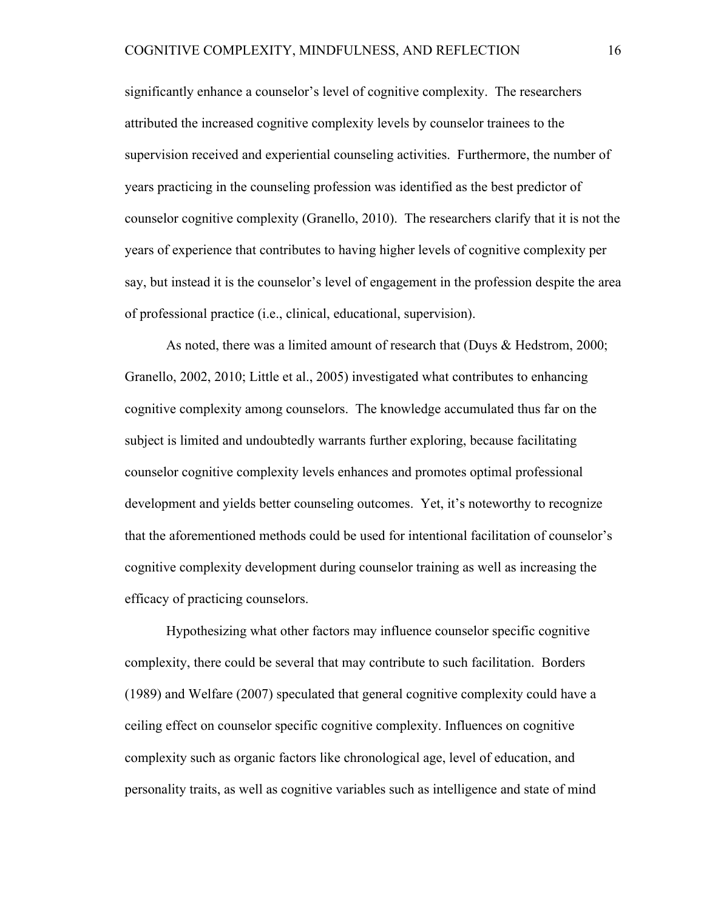significantly enhance a counselor's level of cognitive complexity. The researchers attributed the increased cognitive complexity levels by counselor trainees to the supervision received and experiential counseling activities. Furthermore, the number of years practicing in the counseling profession was identified as the best predictor of counselor cognitive complexity (Granello, 2010). The researchers clarify that it is not the years of experience that contributes to having higher levels of cognitive complexity per say, but instead it is the counselor's level of engagement in the profession despite the area of professional practice (i.e., clinical, educational, supervision).

As noted, there was a limited amount of research that (Duys & Hedstrom, 2000; Granello, 2002, 2010; Little et al., 2005) investigated what contributes to enhancing cognitive complexity among counselors. The knowledge accumulated thus far on the subject is limited and undoubtedly warrants further exploring, because facilitating counselor cognitive complexity levels enhances and promotes optimal professional development and yields better counseling outcomes. Yet, it's noteworthy to recognize that the aforementioned methods could be used for intentional facilitation of counselor's cognitive complexity development during counselor training as well as increasing the efficacy of practicing counselors.

Hypothesizing what other factors may influence counselor specific cognitive complexity, there could be several that may contribute to such facilitation. Borders (1989) and Welfare (2007) speculated that general cognitive complexity could have a ceiling effect on counselor specific cognitive complexity. Influences on cognitive complexity such as organic factors like chronological age, level of education, and personality traits, as well as cognitive variables such as intelligence and state of mind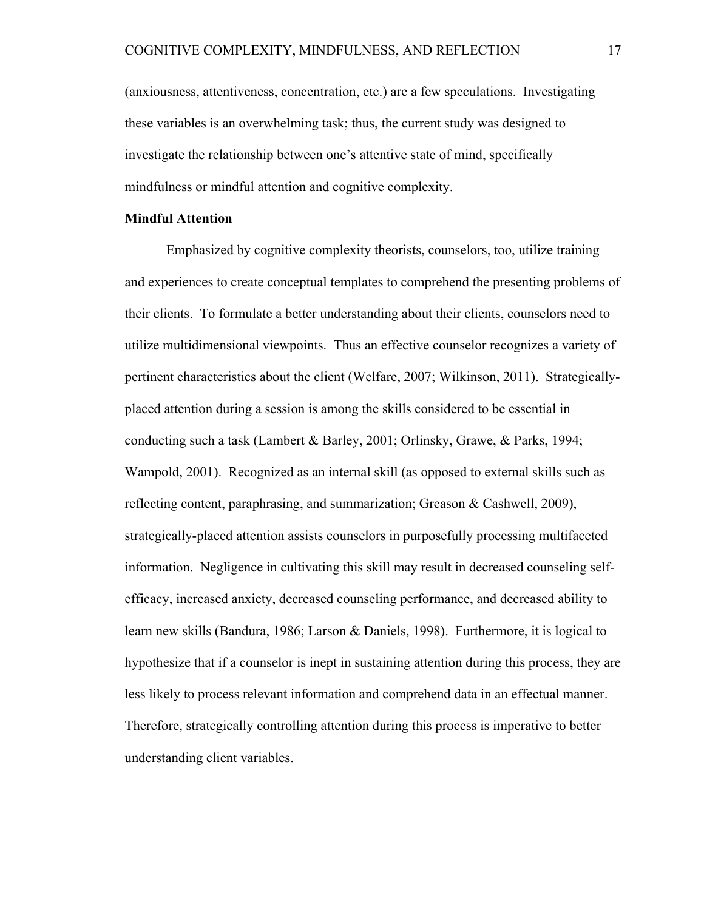(anxiousness, attentiveness, concentration, etc.) are a few speculations. Investigating these variables is an overwhelming task; thus, the current study was designed to investigate the relationship between one's attentive state of mind, specifically mindfulness or mindful attention and cognitive complexity.

#### **Mindful Attention**

Emphasized by cognitive complexity theorists, counselors, too, utilize training and experiences to create conceptual templates to comprehend the presenting problems of their clients. To formulate a better understanding about their clients, counselors need to utilize multidimensional viewpoints. Thus an effective counselor recognizes a variety of pertinent characteristics about the client (Welfare, 2007; Wilkinson, 2011). Strategicallyplaced attention during a session is among the skills considered to be essential in conducting such a task (Lambert & Barley, 2001; Orlinsky, Grawe, & Parks, 1994; Wampold, 2001). Recognized as an internal skill (as opposed to external skills such as reflecting content, paraphrasing, and summarization; Greason & Cashwell, 2009), strategically-placed attention assists counselors in purposefully processing multifaceted information. Negligence in cultivating this skill may result in decreased counseling selfefficacy, increased anxiety, decreased counseling performance, and decreased ability to learn new skills (Bandura, 1986; Larson & Daniels, 1998). Furthermore, it is logical to hypothesize that if a counselor is inept in sustaining attention during this process, they are less likely to process relevant information and comprehend data in an effectual manner. Therefore, strategically controlling attention during this process is imperative to better understanding client variables.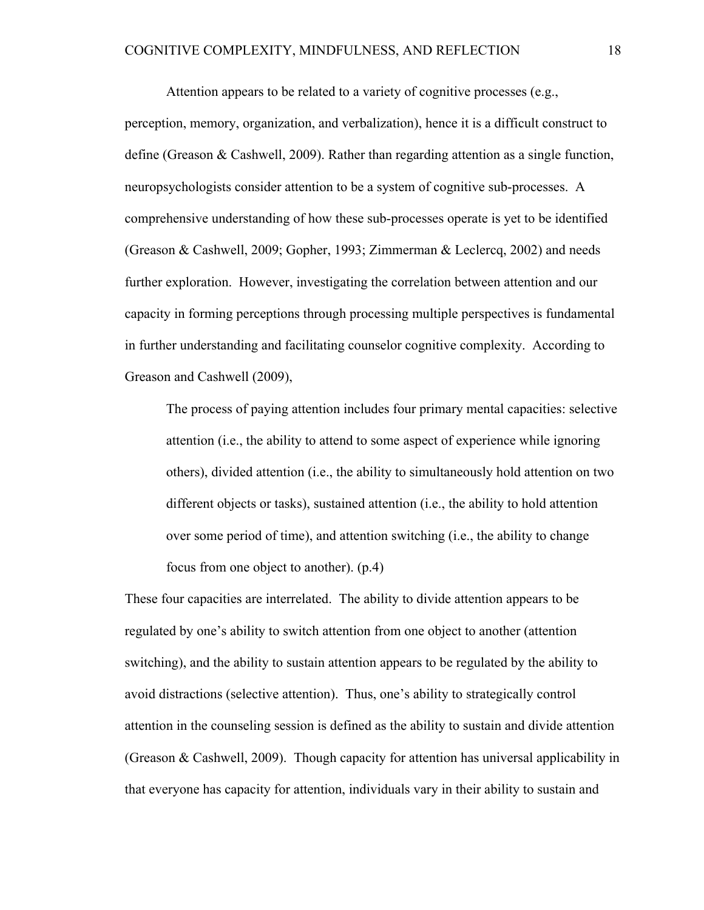Attention appears to be related to a variety of cognitive processes (e.g., perception, memory, organization, and verbalization), hence it is a difficult construct to define (Greason & Cashwell, 2009). Rather than regarding attention as a single function, neuropsychologists consider attention to be a system of cognitive sub-processes. A comprehensive understanding of how these sub-processes operate is yet to be identified (Greason & Cashwell, 2009; Gopher, 1993; Zimmerman & Leclercq, 2002) and needs further exploration. However, investigating the correlation between attention and our capacity in forming perceptions through processing multiple perspectives is fundamental in further understanding and facilitating counselor cognitive complexity. According to Greason and Cashwell (2009),

The process of paying attention includes four primary mental capacities: selective attention (i.e., the ability to attend to some aspect of experience while ignoring others), divided attention (i.e., the ability to simultaneously hold attention on two different objects or tasks), sustained attention (i.e., the ability to hold attention over some period of time), and attention switching (i.e., the ability to change focus from one object to another). (p.4)

These four capacities are interrelated. The ability to divide attention appears to be regulated by one's ability to switch attention from one object to another (attention switching), and the ability to sustain attention appears to be regulated by the ability to avoid distractions (selective attention). Thus, one's ability to strategically control attention in the counseling session is defined as the ability to sustain and divide attention (Greason & Cashwell, 2009). Though capacity for attention has universal applicability in that everyone has capacity for attention, individuals vary in their ability to sustain and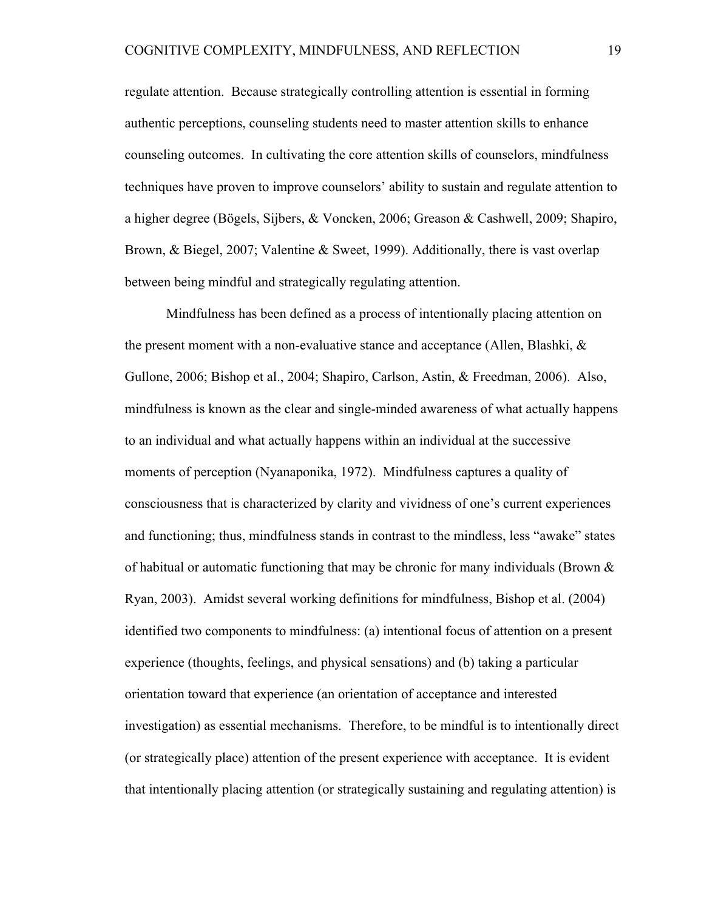regulate attention. Because strategically controlling attention is essential in forming authentic perceptions, counseling students need to master attention skills to enhance counseling outcomes. In cultivating the core attention skills of counselors, mindfulness techniques have proven to improve counselors' ability to sustain and regulate attention to a higher degree (Bögels, Sijbers, & Voncken, 2006; Greason & Cashwell, 2009; Shapiro, Brown, & Biegel, 2007; Valentine & Sweet, 1999). Additionally, there is vast overlap between being mindful and strategically regulating attention.

Mindfulness has been defined as a process of intentionally placing attention on the present moment with a non-evaluative stance and acceptance (Allen, Blashki,  $\&$ Gullone, 2006; Bishop et al., 2004; Shapiro, Carlson, Astin, & Freedman, 2006). Also, mindfulness is known as the clear and single-minded awareness of what actually happens to an individual and what actually happens within an individual at the successive moments of perception (Nyanaponika, 1972). Mindfulness captures a quality of consciousness that is characterized by clarity and vividness of one's current experiences and functioning; thus, mindfulness stands in contrast to the mindless, less "awake" states of habitual or automatic functioning that may be chronic for many individuals (Brown  $\&$ Ryan, 2003). Amidst several working definitions for mindfulness, Bishop et al. (2004) identified two components to mindfulness: (a) intentional focus of attention on a present experience (thoughts, feelings, and physical sensations) and (b) taking a particular orientation toward that experience (an orientation of acceptance and interested investigation) as essential mechanisms. Therefore, to be mindful is to intentionally direct (or strategically place) attention of the present experience with acceptance. It is evident that intentionally placing attention (or strategically sustaining and regulating attention) is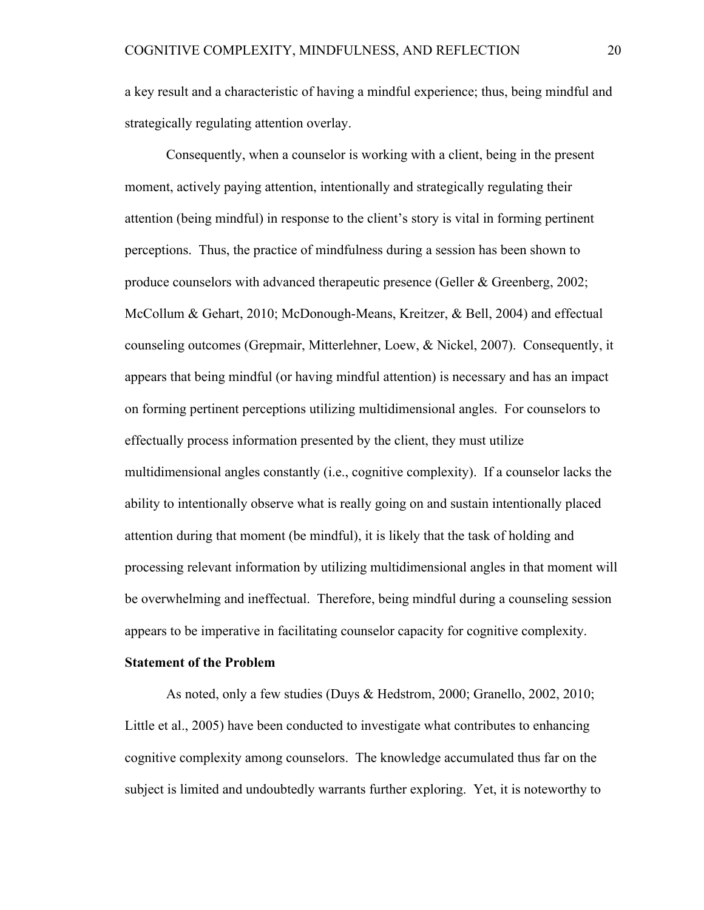a key result and a characteristic of having a mindful experience; thus, being mindful and strategically regulating attention overlay.

Consequently, when a counselor is working with a client, being in the present moment, actively paying attention, intentionally and strategically regulating their attention (being mindful) in response to the client's story is vital in forming pertinent perceptions. Thus, the practice of mindfulness during a session has been shown to produce counselors with advanced therapeutic presence (Geller & Greenberg, 2002; McCollum & Gehart, 2010; McDonough-Means, Kreitzer, & Bell, 2004) and effectual counseling outcomes (Grepmair, Mitterlehner, Loew, & Nickel, 2007). Consequently, it appears that being mindful (or having mindful attention) is necessary and has an impact on forming pertinent perceptions utilizing multidimensional angles. For counselors to effectually process information presented by the client, they must utilize multidimensional angles constantly (i.e., cognitive complexity). If a counselor lacks the ability to intentionally observe what is really going on and sustain intentionally placed attention during that moment (be mindful), it is likely that the task of holding and processing relevant information by utilizing multidimensional angles in that moment will be overwhelming and ineffectual. Therefore, being mindful during a counseling session appears to be imperative in facilitating counselor capacity for cognitive complexity.

#### **Statement of the Problem**

As noted, only a few studies (Duys & Hedstrom, 2000; Granello, 2002, 2010; Little et al., 2005) have been conducted to investigate what contributes to enhancing cognitive complexity among counselors. The knowledge accumulated thus far on the subject is limited and undoubtedly warrants further exploring. Yet, it is noteworthy to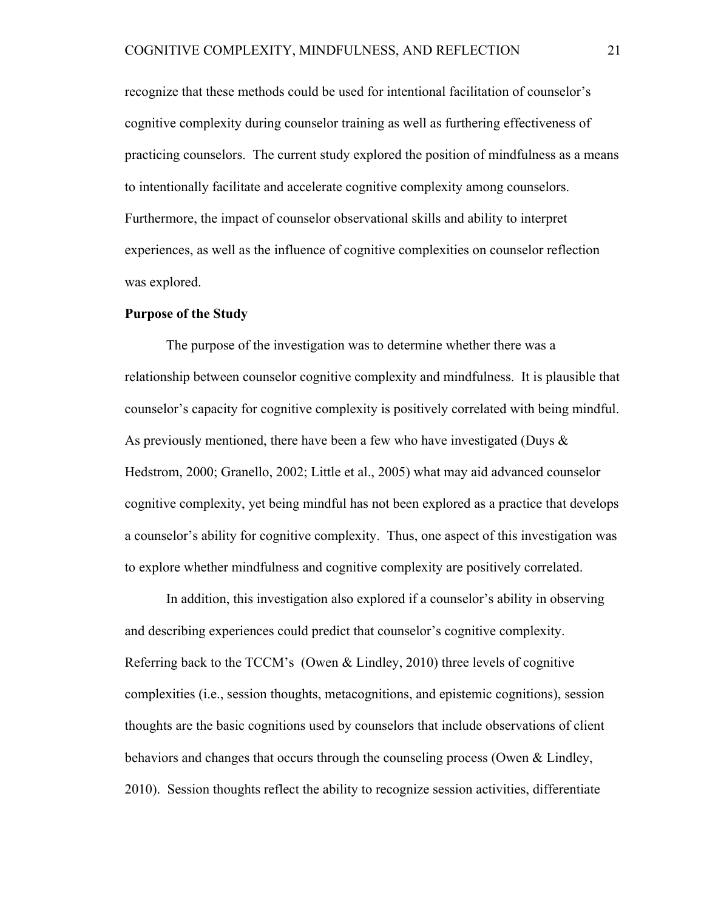recognize that these methods could be used for intentional facilitation of counselor's cognitive complexity during counselor training as well as furthering effectiveness of practicing counselors. The current study explored the position of mindfulness as a means to intentionally facilitate and accelerate cognitive complexity among counselors. Furthermore, the impact of counselor observational skills and ability to interpret experiences, as well as the influence of cognitive complexities on counselor reflection was explored.

#### **Purpose of the Study**

The purpose of the investigation was to determine whether there was a relationship between counselor cognitive complexity and mindfulness. It is plausible that counselor's capacity for cognitive complexity is positively correlated with being mindful. As previously mentioned, there have been a few who have investigated (Duys  $\&$ Hedstrom, 2000; Granello, 2002; Little et al., 2005) what may aid advanced counselor cognitive complexity, yet being mindful has not been explored as a practice that develops a counselor's ability for cognitive complexity. Thus, one aspect of this investigation was to explore whether mindfulness and cognitive complexity are positively correlated.

In addition, this investigation also explored if a counselor's ability in observing and describing experiences could predict that counselor's cognitive complexity. Referring back to the TCCM's (Owen  $\&$  Lindley, 2010) three levels of cognitive complexities (i.e., session thoughts, metacognitions, and epistemic cognitions), session thoughts are the basic cognitions used by counselors that include observations of client behaviors and changes that occurs through the counseling process (Owen & Lindley, 2010). Session thoughts reflect the ability to recognize session activities, differentiate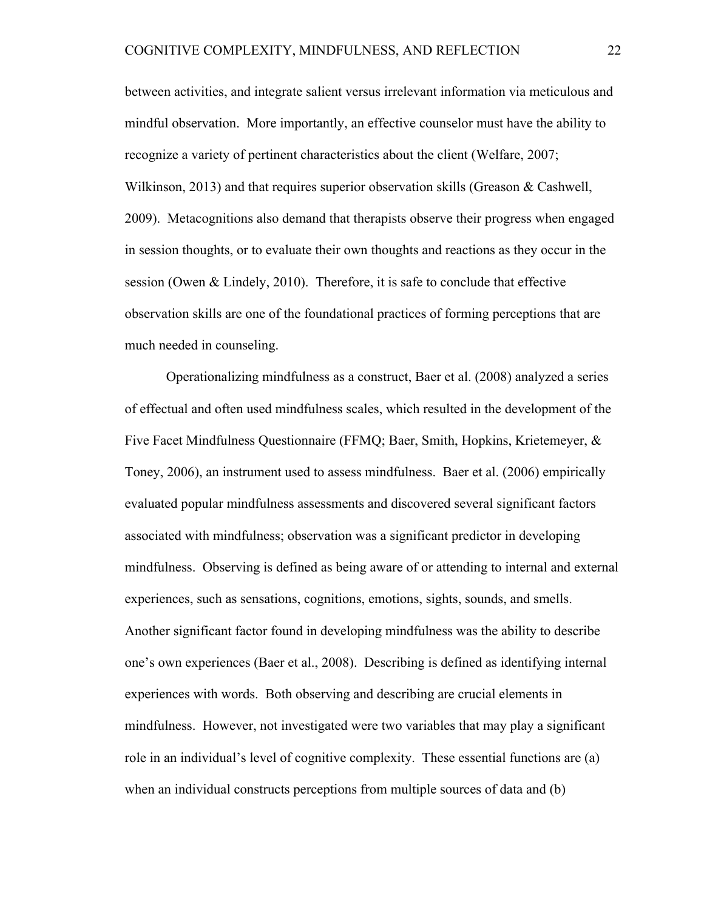between activities, and integrate salient versus irrelevant information via meticulous and mindful observation. More importantly, an effective counselor must have the ability to recognize a variety of pertinent characteristics about the client (Welfare, 2007; Wilkinson, 2013) and that requires superior observation skills (Greason & Cashwell, 2009). Metacognitions also demand that therapists observe their progress when engaged in session thoughts, or to evaluate their own thoughts and reactions as they occur in the session (Owen & Lindely, 2010). Therefore, it is safe to conclude that effective observation skills are one of the foundational practices of forming perceptions that are much needed in counseling.

Operationalizing mindfulness as a construct, Baer et al. (2008) analyzed a series of effectual and often used mindfulness scales, which resulted in the development of the Five Facet Mindfulness Questionnaire (FFMQ; Baer, Smith, Hopkins, Krietemeyer, & Toney, 2006), an instrument used to assess mindfulness. Baer et al. (2006) empirically evaluated popular mindfulness assessments and discovered several significant factors associated with mindfulness; observation was a significant predictor in developing mindfulness. Observing is defined as being aware of or attending to internal and external experiences, such as sensations, cognitions, emotions, sights, sounds, and smells. Another significant factor found in developing mindfulness was the ability to describe one's own experiences (Baer et al., 2008). Describing is defined as identifying internal experiences with words. Both observing and describing are crucial elements in mindfulness. However, not investigated were two variables that may play a significant role in an individual's level of cognitive complexity. These essential functions are (a) when an individual constructs perceptions from multiple sources of data and (b)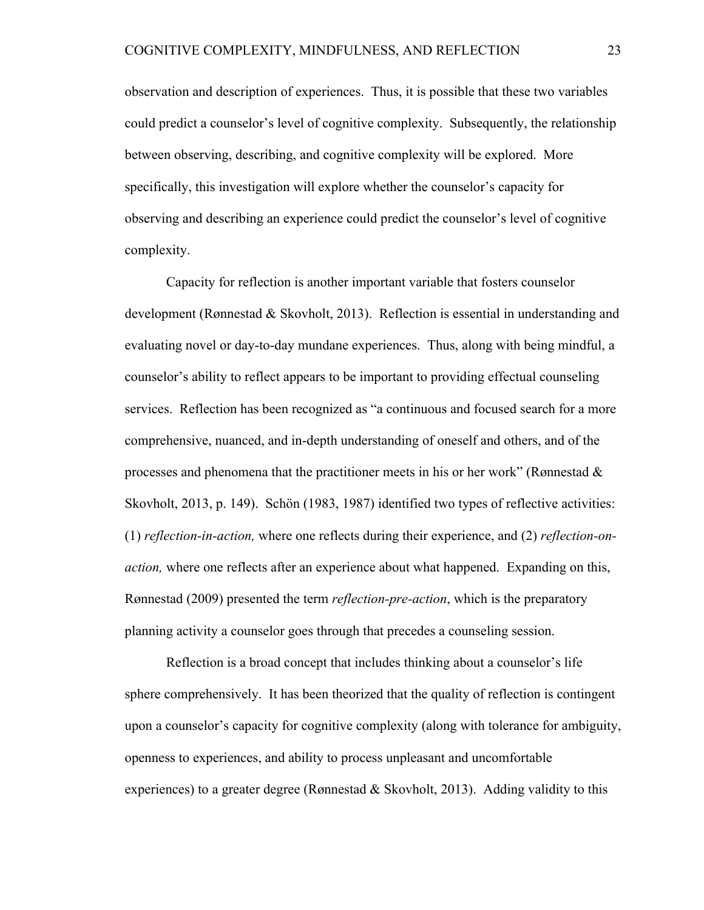observation and description of experiences. Thus, it is possible that these two variables could predict a counselor's level of cognitive complexity. Subsequently, the relationship between observing, describing, and cognitive complexity will be explored. More specifically, this investigation will explore whether the counselor's capacity for observing and describing an experience could predict the counselor's level of cognitive complexity.

Capacity for reflection is another important variable that fosters counselor development (Rønnestad & Skovholt, 2013). Reflection is essential in understanding and evaluating novel or day-to-day mundane experiences. Thus, along with being mindful, a counselor's ability to reflect appears to be important to providing effectual counseling services. Reflection has been recognized as "a continuous and focused search for a more comprehensive, nuanced, and in-depth understanding of oneself and others, and of the processes and phenomena that the practitioner meets in his or her work" (Rønnestad  $\&$ Skovholt, 2013, p. 149). Schön (1983, 1987) identified two types of reflective activities: (1) *reflection-in-action,* where one reflects during their experience, and (2) *reflection-onaction,* where one reflects after an experience about what happened. Expanding on this, Rønnestad (2009) presented the term *reflection-pre-action*, which is the preparatory planning activity a counselor goes through that precedes a counseling session.

Reflection is a broad concept that includes thinking about a counselor's life sphere comprehensively. It has been theorized that the quality of reflection is contingent upon a counselor's capacity for cognitive complexity (along with tolerance for ambiguity, openness to experiences, and ability to process unpleasant and uncomfortable experiences) to a greater degree (Rønnestad & Skovholt, 2013). Adding validity to this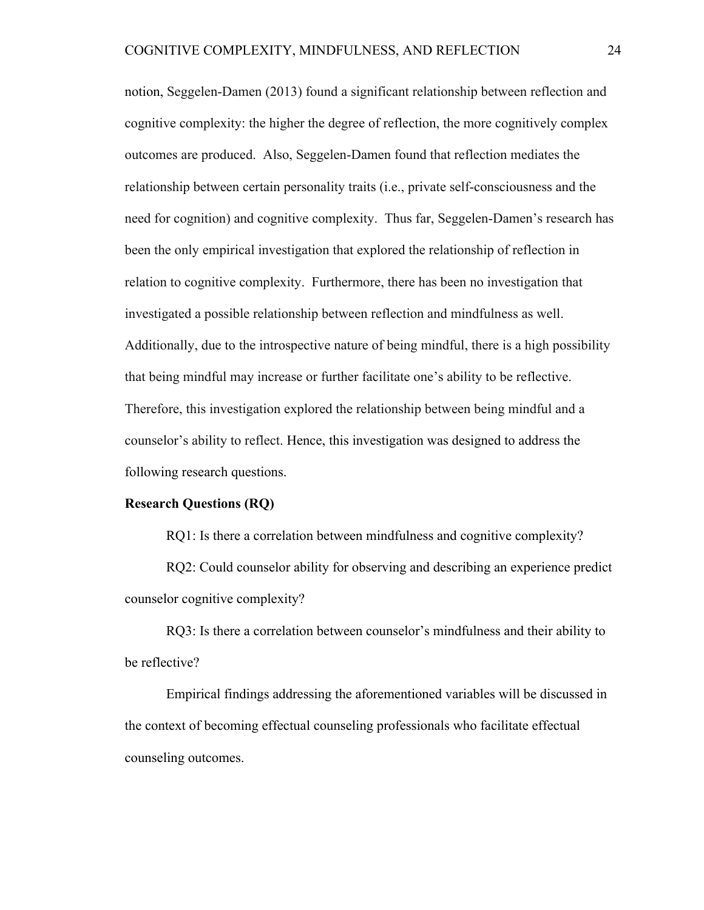notion, Seggelen-Damen (2013) found a significant relationship between reflection and cognitive complexity: the higher the degree of reflection, the more cognitively complex outcomes are produced. Also, Seggelen-Damen found that reflection mediates the relationship between certain personality traits (i.e., private self-consciousness and the need for cognition) and cognitive complexity. Thus far, Seggelen-Damen's research has been the only empirical investigation that explored the relationship of reflection in relation to cognitive complexity. Furthermore, there has been no investigation that investigated a possible relationship between reflection and mindfulness as well. Additionally, due to the introspective nature of being mindful, there is a high possibility that being mindful may increase or further facilitate one's ability to be reflective. Therefore, this investigation explored the relationship between being mindful and a counselor's ability to reflect. Hence, this investigation was designed to address the following research questions.

#### **Research Questions (RQ)**

RQ1: Is there a correlation between mindfulness and cognitive complexity?

RQ2: Could counselor ability for observing and describing an experience predict counselor cognitive complexity?

RQ3: Is there a correlation between counselor's mindfulness and their ability to be reflective?

Empirical findings addressing the aforementioned variables will be discussed in the context of becoming effectual counseling professionals who facilitate effectual counseling outcomes.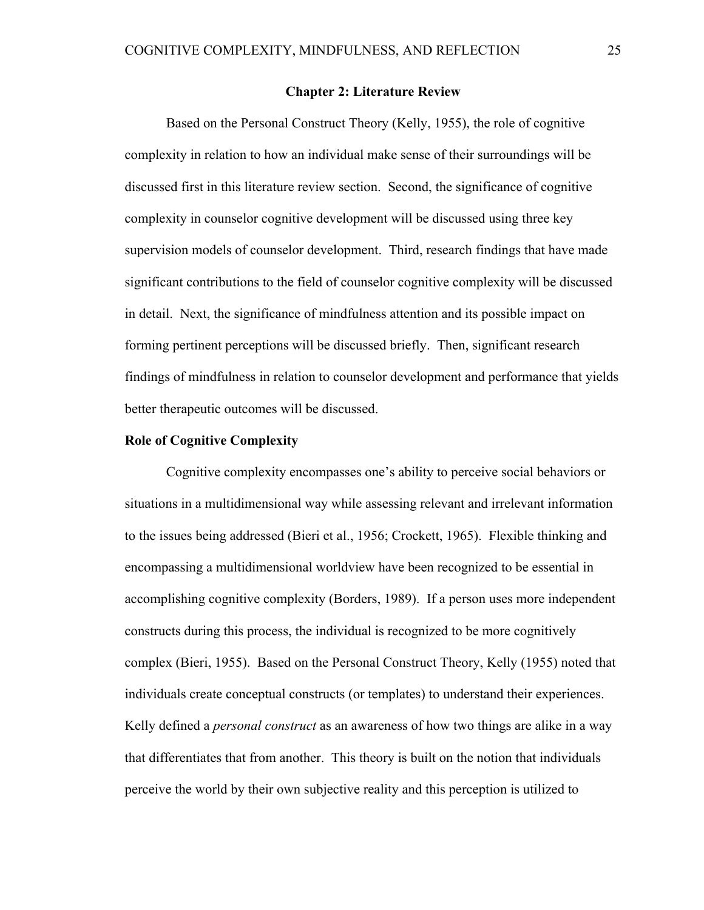#### **Chapter 2: Literature Review**

Based on the Personal Construct Theory (Kelly, 1955), the role of cognitive complexity in relation to how an individual make sense of their surroundings will be discussed first in this literature review section. Second, the significance of cognitive complexity in counselor cognitive development will be discussed using three key supervision models of counselor development. Third, research findings that have made significant contributions to the field of counselor cognitive complexity will be discussed in detail. Next, the significance of mindfulness attention and its possible impact on forming pertinent perceptions will be discussed briefly. Then, significant research findings of mindfulness in relation to counselor development and performance that yields better therapeutic outcomes will be discussed.

#### **Role of Cognitive Complexity**

Cognitive complexity encompasses one's ability to perceive social behaviors or situations in a multidimensional way while assessing relevant and irrelevant information to the issues being addressed (Bieri et al., 1956; Crockett, 1965). Flexible thinking and encompassing a multidimensional worldview have been recognized to be essential in accomplishing cognitive complexity (Borders, 1989). If a person uses more independent constructs during this process, the individual is recognized to be more cognitively complex (Bieri, 1955). Based on the Personal Construct Theory, Kelly (1955) noted that individuals create conceptual constructs (or templates) to understand their experiences. Kelly defined a *personal construct* as an awareness of how two things are alike in a way that differentiates that from another. This theory is built on the notion that individuals perceive the world by their own subjective reality and this perception is utilized to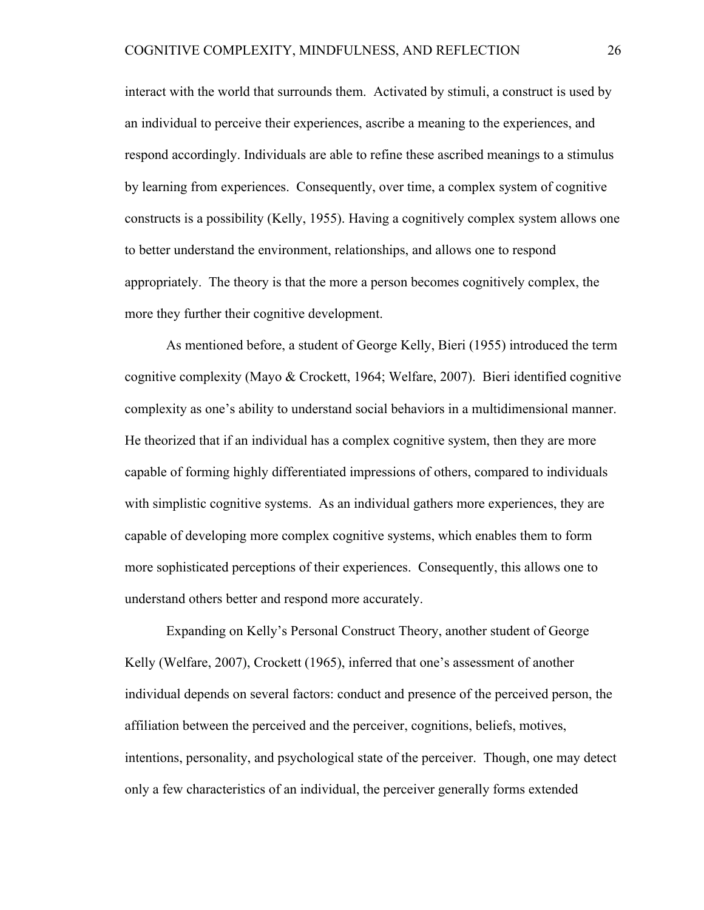interact with the world that surrounds them. Activated by stimuli, a construct is used by an individual to perceive their experiences, ascribe a meaning to the experiences, and respond accordingly. Individuals are able to refine these ascribed meanings to a stimulus by learning from experiences. Consequently, over time, a complex system of cognitive constructs is a possibility (Kelly, 1955). Having a cognitively complex system allows one to better understand the environment, relationships, and allows one to respond appropriately. The theory is that the more a person becomes cognitively complex, the more they further their cognitive development.

As mentioned before, a student of George Kelly, Bieri (1955) introduced the term cognitive complexity (Mayo & Crockett, 1964; Welfare, 2007). Bieri identified cognitive complexity as one's ability to understand social behaviors in a multidimensional manner. He theorized that if an individual has a complex cognitive system, then they are more capable of forming highly differentiated impressions of others, compared to individuals with simplistic cognitive systems. As an individual gathers more experiences, they are capable of developing more complex cognitive systems, which enables them to form more sophisticated perceptions of their experiences. Consequently, this allows one to understand others better and respond more accurately.

Expanding on Kelly's Personal Construct Theory, another student of George Kelly (Welfare, 2007), Crockett (1965), inferred that one's assessment of another individual depends on several factors: conduct and presence of the perceived person, the affiliation between the perceived and the perceiver, cognitions, beliefs, motives, intentions, personality, and psychological state of the perceiver. Though, one may detect only a few characteristics of an individual, the perceiver generally forms extended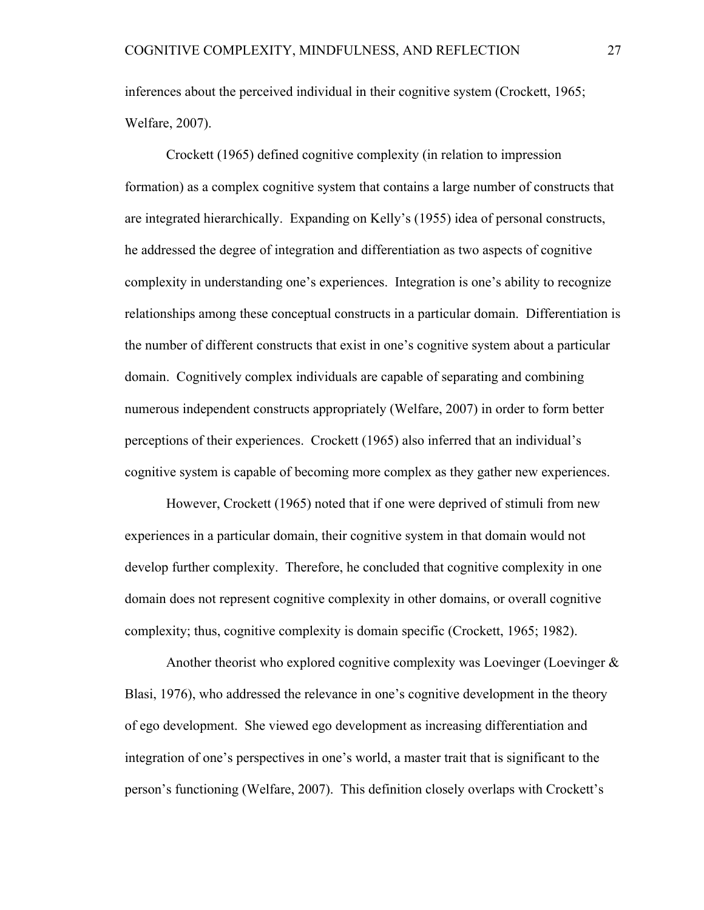inferences about the perceived individual in their cognitive system (Crockett, 1965; Welfare, 2007).

Crockett (1965) defined cognitive complexity (in relation to impression formation) as a complex cognitive system that contains a large number of constructs that are integrated hierarchically. Expanding on Kelly's (1955) idea of personal constructs, he addressed the degree of integration and differentiation as two aspects of cognitive complexity in understanding one's experiences. Integration is one's ability to recognize relationships among these conceptual constructs in a particular domain. Differentiation is the number of different constructs that exist in one's cognitive system about a particular domain. Cognitively complex individuals are capable of separating and combining numerous independent constructs appropriately (Welfare, 2007) in order to form better perceptions of their experiences. Crockett (1965) also inferred that an individual's cognitive system is capable of becoming more complex as they gather new experiences.

However, Crockett (1965) noted that if one were deprived of stimuli from new experiences in a particular domain, their cognitive system in that domain would not develop further complexity. Therefore, he concluded that cognitive complexity in one domain does not represent cognitive complexity in other domains, or overall cognitive complexity; thus, cognitive complexity is domain specific (Crockett, 1965; 1982).

Another theorist who explored cognitive complexity was Loevinger (Loevinger & Blasi, 1976), who addressed the relevance in one's cognitive development in the theory of ego development. She viewed ego development as increasing differentiation and integration of one's perspectives in one's world, a master trait that is significant to the person's functioning (Welfare, 2007). This definition closely overlaps with Crockett's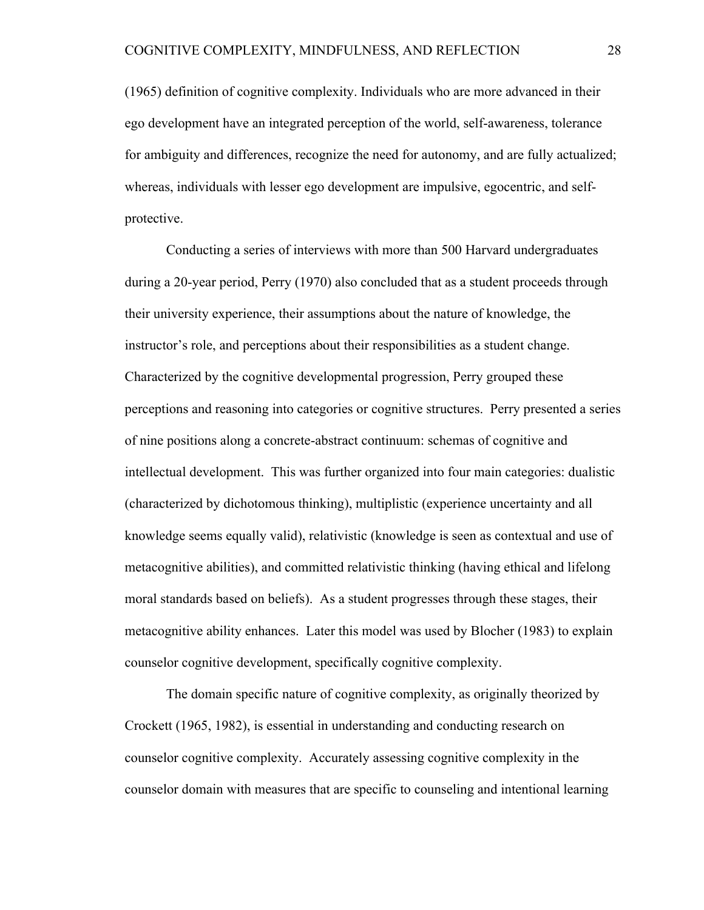(1965) definition of cognitive complexity. Individuals who are more advanced in their ego development have an integrated perception of the world, self-awareness, tolerance for ambiguity and differences, recognize the need for autonomy, and are fully actualized; whereas, individuals with lesser ego development are impulsive, egocentric, and selfprotective.

Conducting a series of interviews with more than 500 Harvard undergraduates during a 20-year period, Perry (1970) also concluded that as a student proceeds through their university experience, their assumptions about the nature of knowledge, the instructor's role, and perceptions about their responsibilities as a student change. Characterized by the cognitive developmental progression, Perry grouped these perceptions and reasoning into categories or cognitive structures. Perry presented a series of nine positions along a concrete-abstract continuum: schemas of cognitive and intellectual development. This was further organized into four main categories: dualistic (characterized by dichotomous thinking), multiplistic (experience uncertainty and all knowledge seems equally valid), relativistic (knowledge is seen as contextual and use of metacognitive abilities), and committed relativistic thinking (having ethical and lifelong moral standards based on beliefs). As a student progresses through these stages, their metacognitive ability enhances. Later this model was used by Blocher (1983) to explain counselor cognitive development, specifically cognitive complexity.

The domain specific nature of cognitive complexity, as originally theorized by Crockett (1965, 1982), is essential in understanding and conducting research on counselor cognitive complexity. Accurately assessing cognitive complexity in the counselor domain with measures that are specific to counseling and intentional learning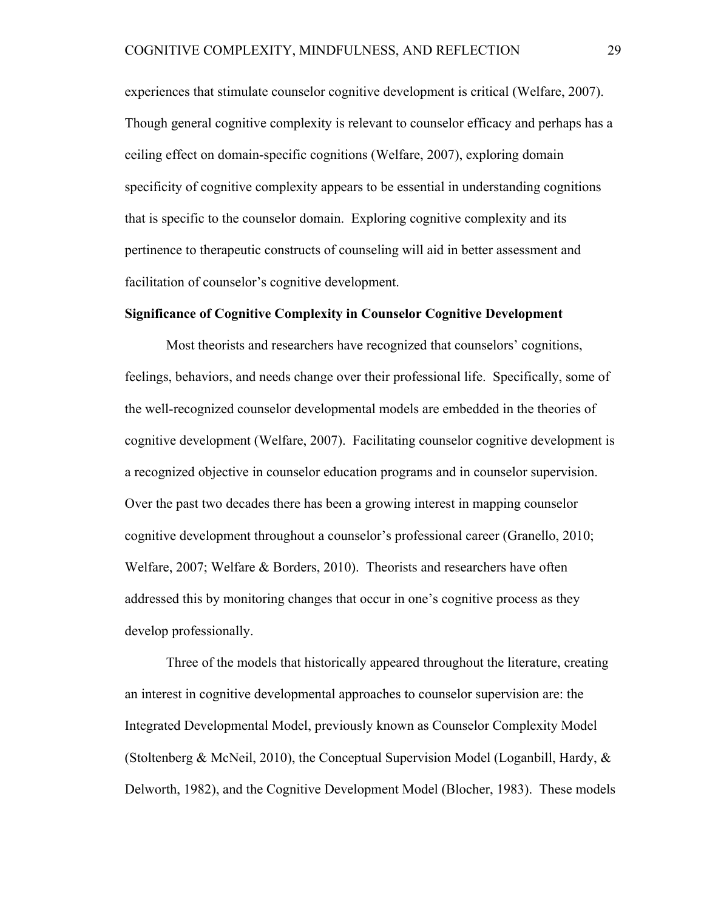experiences that stimulate counselor cognitive development is critical (Welfare, 2007). Though general cognitive complexity is relevant to counselor efficacy and perhaps has a ceiling effect on domain-specific cognitions (Welfare, 2007), exploring domain specificity of cognitive complexity appears to be essential in understanding cognitions that is specific to the counselor domain. Exploring cognitive complexity and its pertinence to therapeutic constructs of counseling will aid in better assessment and facilitation of counselor's cognitive development.

#### **Significance of Cognitive Complexity in Counselor Cognitive Development**

Most theorists and researchers have recognized that counselors' cognitions, feelings, behaviors, and needs change over their professional life. Specifically, some of the well-recognized counselor developmental models are embedded in the theories of cognitive development (Welfare, 2007). Facilitating counselor cognitive development is a recognized objective in counselor education programs and in counselor supervision. Over the past two decades there has been a growing interest in mapping counselor cognitive development throughout a counselor's professional career (Granello, 2010; Welfare, 2007; Welfare & Borders, 2010). Theorists and researchers have often addressed this by monitoring changes that occur in one's cognitive process as they develop professionally.

Three of the models that historically appeared throughout the literature, creating an interest in cognitive developmental approaches to counselor supervision are: the Integrated Developmental Model, previously known as Counselor Complexity Model (Stoltenberg & McNeil, 2010), the Conceptual Supervision Model (Loganbill, Hardy, & Delworth, 1982), and the Cognitive Development Model (Blocher, 1983). These models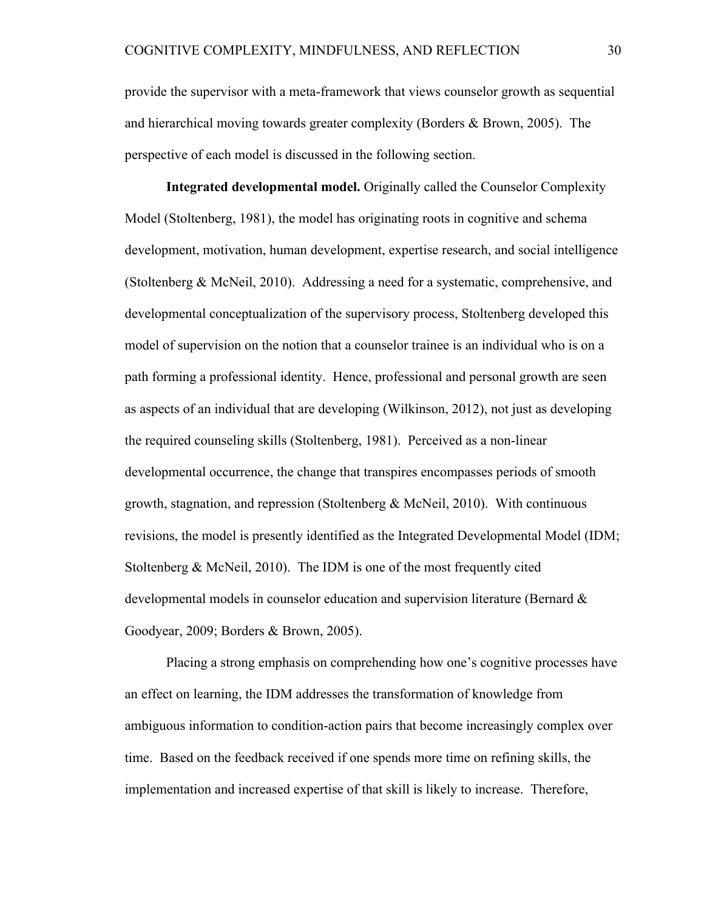provide the supervisor with a meta-framework that views counselor growth as sequential and hierarchical moving towards greater complexity (Borders & Brown, 2005). The perspective of each model is discussed in the following section.

**Integrated developmental model.** Originally called the Counselor Complexity Model (Stoltenberg, 1981), the model has originating roots in cognitive and schema development, motivation, human development, expertise research, and social intelligence (Stoltenberg & McNeil, 2010). Addressing a need for a systematic, comprehensive, and developmental conceptualization of the supervisory process, Stoltenberg developed this model of supervision on the notion that a counselor trainee is an individual who is on a path forming a professional identity. Hence, professional and personal growth are seen as aspects of an individual that are developing (Wilkinson, 2012), not just as developing the required counseling skills (Stoltenberg, 1981). Perceived as a non-linear developmental occurrence, the change that transpires encompasses periods of smooth growth, stagnation, and repression (Stoltenberg  $\&$  McNeil, 2010). With continuous revisions, the model is presently identified as the Integrated Developmental Model (IDM; Stoltenberg & McNeil, 2010). The IDM is one of the most frequently cited developmental models in counselor education and supervision literature (Bernard & Goodyear, 2009; Borders & Brown, 2005).

Placing a strong emphasis on comprehending how one's cognitive processes have an effect on learning, the IDM addresses the transformation of knowledge from ambiguous information to condition-action pairs that become increasingly complex over time. Based on the feedback received if one spends more time on refining skills, the implementation and increased expertise of that skill is likely to increase. Therefore,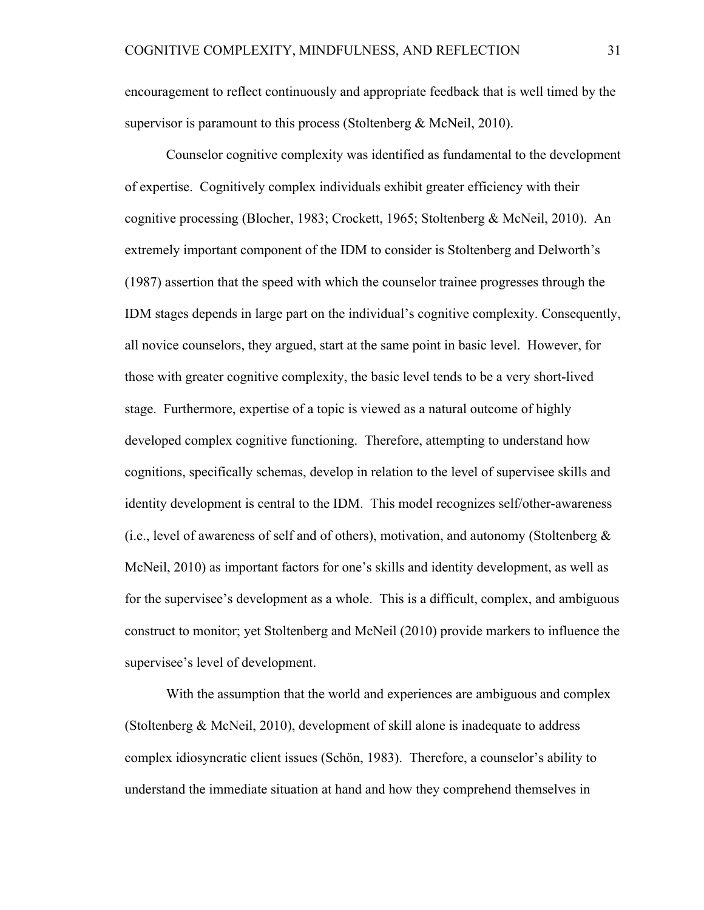encouragement to reflect continuously and appropriate feedback that is well timed by the supervisor is paramount to this process (Stoltenberg & McNeil, 2010).

Counselor cognitive complexity was identified as fundamental to the development of expertise. Cognitively complex individuals exhibit greater efficiency with their cognitive processing (Blocher, 1983; Crockett, 1965; Stoltenberg & McNeil, 2010). An extremely important component of the IDM to consider is Stoltenberg and Delworth's (1987) assertion that the speed with which the counselor trainee progresses through the IDM stages depends in large part on the individual's cognitive complexity. Consequently, all novice counselors, they argued, start at the same point in basic level. However, for those with greater cognitive complexity, the basic level tends to be a very short-lived stage. Furthermore, expertise of a topic is viewed as a natural outcome of highly developed complex cognitive functioning. Therefore, attempting to understand how cognitions, specifically schemas, develop in relation to the level of supervisee skills and identity development is central to the IDM. This model recognizes self/other-awareness (i.e., level of awareness of self and of others), motivation, and autonomy (Stoltenberg  $\&$ McNeil, 2010) as important factors for one's skills and identity development, as well as for the supervisee's development as a whole. This is a difficult, complex, and ambiguous construct to monitor; yet Stoltenberg and McNeil (2010) provide markers to influence the supervisee's level of development.

With the assumption that the world and experiences are ambiguous and complex (Stoltenberg & McNeil, 2010), development of skill alone is inadequate to address complex idiosyncratic client issues (Schön, 1983). Therefore, a counselor's ability to understand the immediate situation at hand and how they comprehend themselves in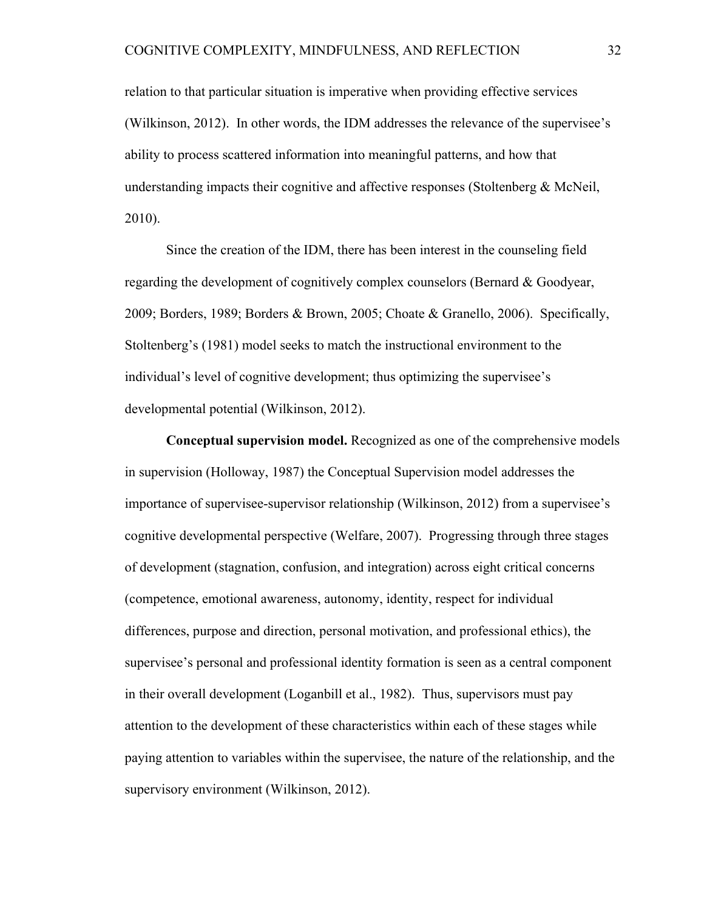relation to that particular situation is imperative when providing effective services (Wilkinson, 2012). In other words, the IDM addresses the relevance of the supervisee's ability to process scattered information into meaningful patterns, and how that understanding impacts their cognitive and affective responses (Stoltenberg  $\&$  McNeil, 2010).

Since the creation of the IDM, there has been interest in the counseling field regarding the development of cognitively complex counselors (Bernard & Goodyear, 2009; Borders, 1989; Borders & Brown, 2005; Choate & Granello, 2006). Specifically, Stoltenberg's (1981) model seeks to match the instructional environment to the individual's level of cognitive development; thus optimizing the supervisee's developmental potential (Wilkinson, 2012).

**Conceptual supervision model.** Recognized as one of the comprehensive models in supervision (Holloway, 1987) the Conceptual Supervision model addresses the importance of supervisee-supervisor relationship (Wilkinson, 2012) from a supervisee's cognitive developmental perspective (Welfare, 2007). Progressing through three stages of development (stagnation, confusion, and integration) across eight critical concerns (competence, emotional awareness, autonomy, identity, respect for individual differences, purpose and direction, personal motivation, and professional ethics), the supervisee's personal and professional identity formation is seen as a central component in their overall development (Loganbill et al., 1982). Thus, supervisors must pay attention to the development of these characteristics within each of these stages while paying attention to variables within the supervisee, the nature of the relationship, and the supervisory environment (Wilkinson, 2012).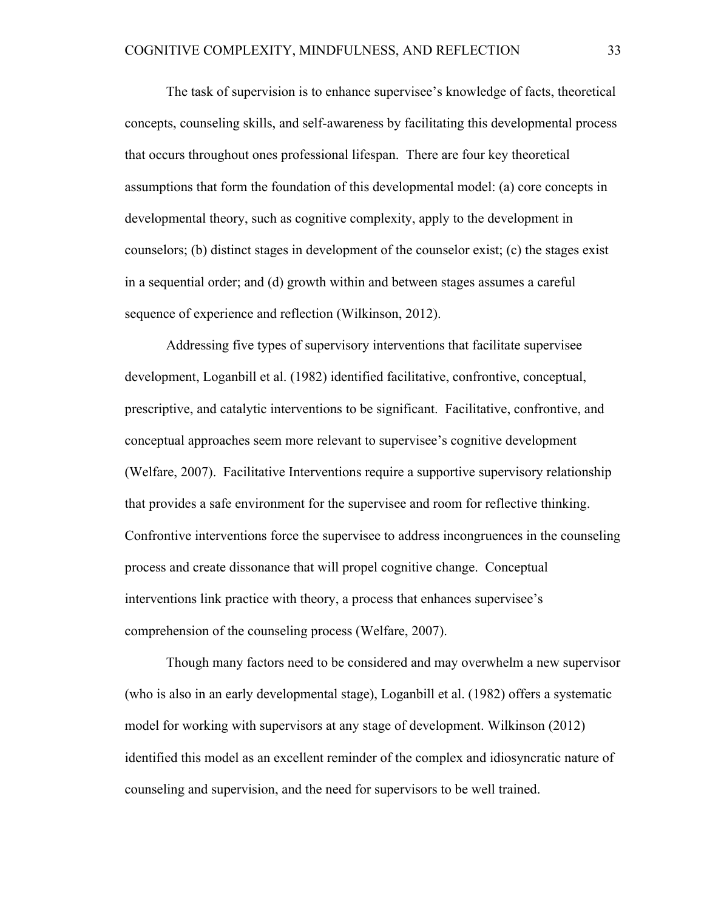The task of supervision is to enhance supervisee's knowledge of facts, theoretical concepts, counseling skills, and self-awareness by facilitating this developmental process that occurs throughout ones professional lifespan. There are four key theoretical assumptions that form the foundation of this developmental model: (a) core concepts in developmental theory, such as cognitive complexity, apply to the development in counselors; (b) distinct stages in development of the counselor exist; (c) the stages exist in a sequential order; and (d) growth within and between stages assumes a careful sequence of experience and reflection (Wilkinson, 2012).

Addressing five types of supervisory interventions that facilitate supervisee development, Loganbill et al. (1982) identified facilitative, confrontive, conceptual, prescriptive, and catalytic interventions to be significant. Facilitative, confrontive, and conceptual approaches seem more relevant to supervisee's cognitive development (Welfare, 2007). Facilitative Interventions require a supportive supervisory relationship that provides a safe environment for the supervisee and room for reflective thinking. Confrontive interventions force the supervisee to address incongruences in the counseling process and create dissonance that will propel cognitive change. Conceptual interventions link practice with theory, a process that enhances supervisee's comprehension of the counseling process (Welfare, 2007).

Though many factors need to be considered and may overwhelm a new supervisor (who is also in an early developmental stage), Loganbill et al. (1982) offers a systematic model for working with supervisors at any stage of development. Wilkinson (2012) identified this model as an excellent reminder of the complex and idiosyncratic nature of counseling and supervision, and the need for supervisors to be well trained.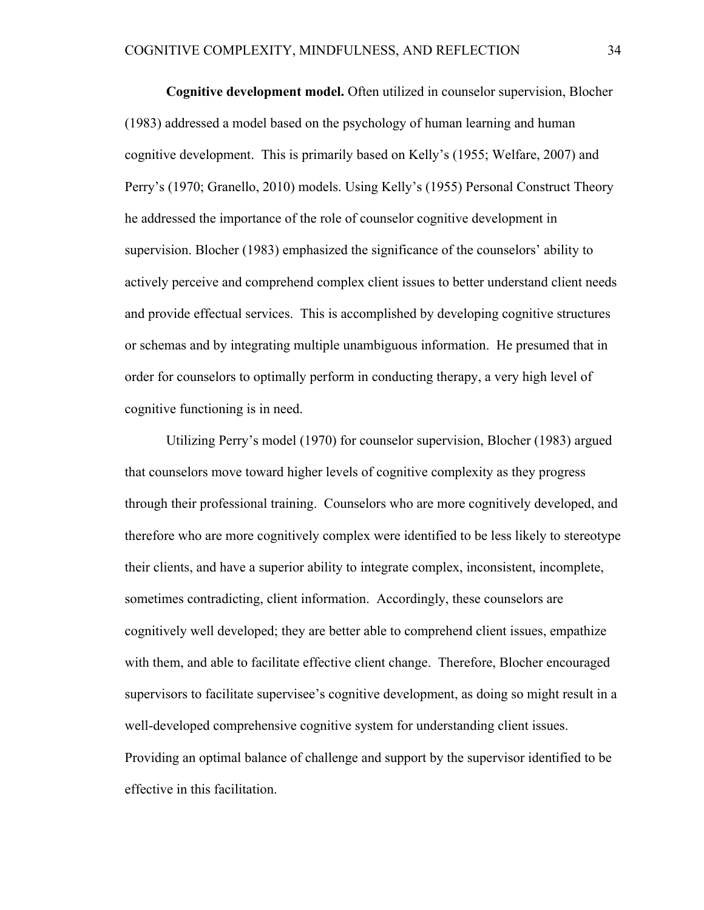**Cognitive development model.** Often utilized in counselor supervision, Blocher (1983) addressed a model based on the psychology of human learning and human cognitive development. This is primarily based on Kelly's (1955; Welfare, 2007) and Perry's (1970; Granello, 2010) models. Using Kelly's (1955) Personal Construct Theory he addressed the importance of the role of counselor cognitive development in supervision. Blocher (1983) emphasized the significance of the counselors' ability to actively perceive and comprehend complex client issues to better understand client needs and provide effectual services. This is accomplished by developing cognitive structures or schemas and by integrating multiple unambiguous information. He presumed that in order for counselors to optimally perform in conducting therapy, a very high level of cognitive functioning is in need.

Utilizing Perry's model (1970) for counselor supervision, Blocher (1983) argued that counselors move toward higher levels of cognitive complexity as they progress through their professional training. Counselors who are more cognitively developed, and therefore who are more cognitively complex were identified to be less likely to stereotype their clients, and have a superior ability to integrate complex, inconsistent, incomplete, sometimes contradicting, client information. Accordingly, these counselors are cognitively well developed; they are better able to comprehend client issues, empathize with them, and able to facilitate effective client change. Therefore, Blocher encouraged supervisors to facilitate supervisee's cognitive development, as doing so might result in a well-developed comprehensive cognitive system for understanding client issues. Providing an optimal balance of challenge and support by the supervisor identified to be effective in this facilitation.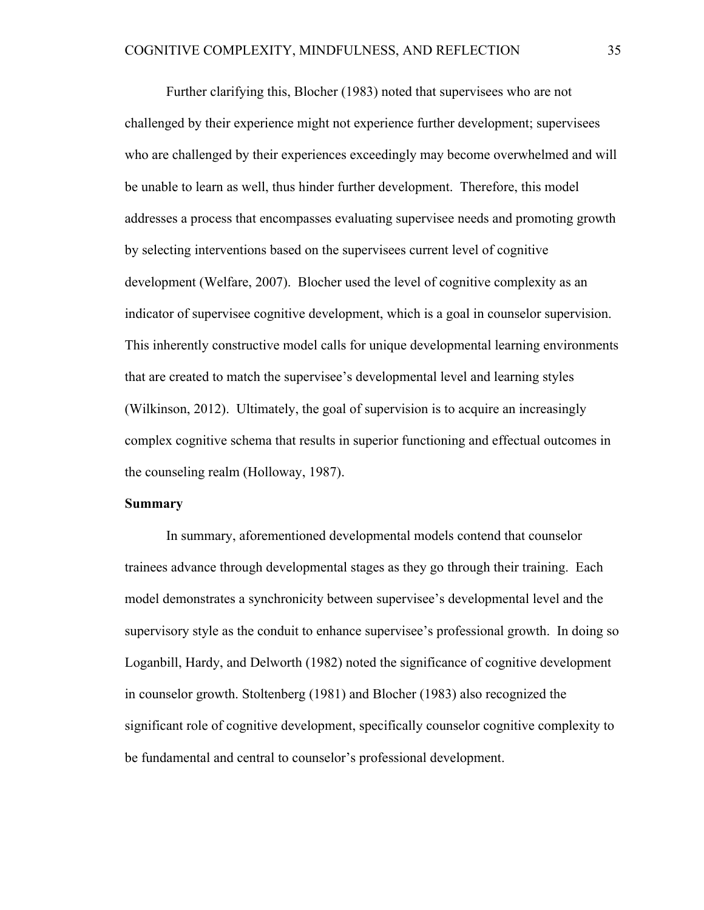Further clarifying this, Blocher (1983) noted that supervisees who are not challenged by their experience might not experience further development; supervisees who are challenged by their experiences exceedingly may become overwhelmed and will be unable to learn as well, thus hinder further development. Therefore, this model addresses a process that encompasses evaluating supervisee needs and promoting growth by selecting interventions based on the supervisees current level of cognitive development (Welfare, 2007). Blocher used the level of cognitive complexity as an indicator of supervisee cognitive development, which is a goal in counselor supervision. This inherently constructive model calls for unique developmental learning environments that are created to match the supervisee's developmental level and learning styles (Wilkinson, 2012). Ultimately, the goal of supervision is to acquire an increasingly complex cognitive schema that results in superior functioning and effectual outcomes in the counseling realm (Holloway, 1987).

#### **Summary**

In summary, aforementioned developmental models contend that counselor trainees advance through developmental stages as they go through their training. Each model demonstrates a synchronicity between supervisee's developmental level and the supervisory style as the conduit to enhance supervisee's professional growth. In doing so Loganbill, Hardy, and Delworth (1982) noted the significance of cognitive development in counselor growth. Stoltenberg (1981) and Blocher (1983) also recognized the significant role of cognitive development, specifically counselor cognitive complexity to be fundamental and central to counselor's professional development.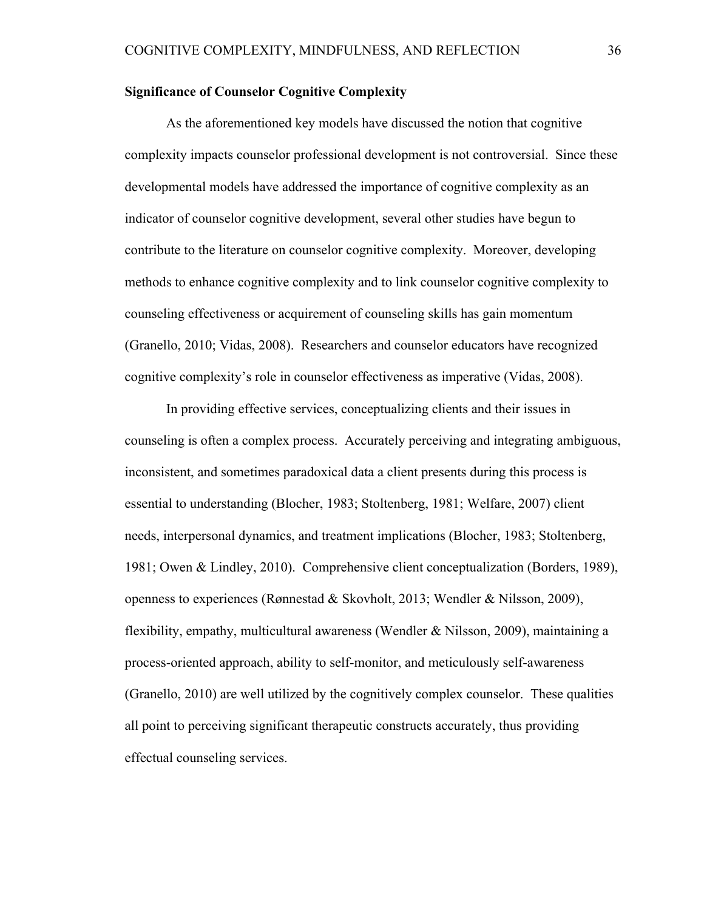# **Significance of Counselor Cognitive Complexity**

As the aforementioned key models have discussed the notion that cognitive complexity impacts counselor professional development is not controversial. Since these developmental models have addressed the importance of cognitive complexity as an indicator of counselor cognitive development, several other studies have begun to contribute to the literature on counselor cognitive complexity. Moreover, developing methods to enhance cognitive complexity and to link counselor cognitive complexity to counseling effectiveness or acquirement of counseling skills has gain momentum (Granello, 2010; Vidas, 2008). Researchers and counselor educators have recognized cognitive complexity's role in counselor effectiveness as imperative (Vidas, 2008).

In providing effective services, conceptualizing clients and their issues in counseling is often a complex process. Accurately perceiving and integrating ambiguous, inconsistent, and sometimes paradoxical data a client presents during this process is essential to understanding (Blocher, 1983; Stoltenberg, 1981; Welfare, 2007) client needs, interpersonal dynamics, and treatment implications (Blocher, 1983; Stoltenberg, 1981; Owen & Lindley, 2010). Comprehensive client conceptualization (Borders, 1989), openness to experiences (Rønnestad & Skovholt, 2013; Wendler & Nilsson, 2009), flexibility, empathy, multicultural awareness (Wendler & Nilsson, 2009), maintaining a process-oriented approach, ability to self-monitor, and meticulously self-awareness (Granello, 2010) are well utilized by the cognitively complex counselor. These qualities all point to perceiving significant therapeutic constructs accurately, thus providing effectual counseling services.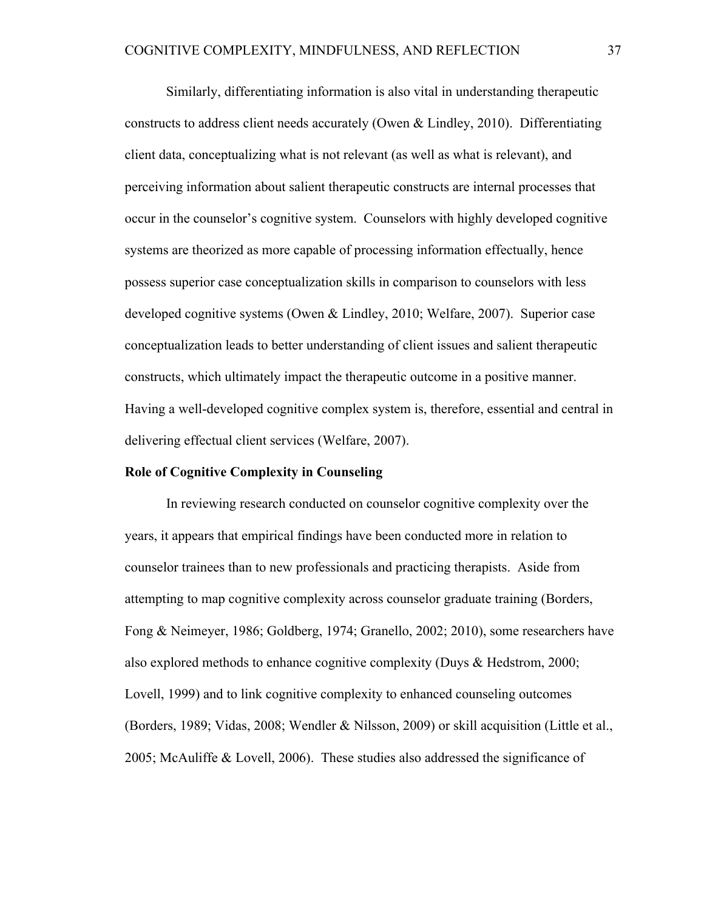Similarly, differentiating information is also vital in understanding therapeutic constructs to address client needs accurately (Owen & Lindley, 2010). Differentiating client data, conceptualizing what is not relevant (as well as what is relevant), and perceiving information about salient therapeutic constructs are internal processes that occur in the counselor's cognitive system. Counselors with highly developed cognitive systems are theorized as more capable of processing information effectually, hence possess superior case conceptualization skills in comparison to counselors with less developed cognitive systems (Owen & Lindley, 2010; Welfare, 2007). Superior case conceptualization leads to better understanding of client issues and salient therapeutic constructs, which ultimately impact the therapeutic outcome in a positive manner. Having a well-developed cognitive complex system is, therefore, essential and central in delivering effectual client services (Welfare, 2007).

#### **Role of Cognitive Complexity in Counseling**

In reviewing research conducted on counselor cognitive complexity over the years, it appears that empirical findings have been conducted more in relation to counselor trainees than to new professionals and practicing therapists. Aside from attempting to map cognitive complexity across counselor graduate training (Borders, Fong & Neimeyer, 1986; Goldberg, 1974; Granello, 2002; 2010), some researchers have also explored methods to enhance cognitive complexity (Duys & Hedstrom, 2000; Lovell, 1999) and to link cognitive complexity to enhanced counseling outcomes (Borders, 1989; Vidas, 2008; Wendler & Nilsson, 2009) or skill acquisition (Little et al., 2005; McAuliffe & Lovell, 2006). These studies also addressed the significance of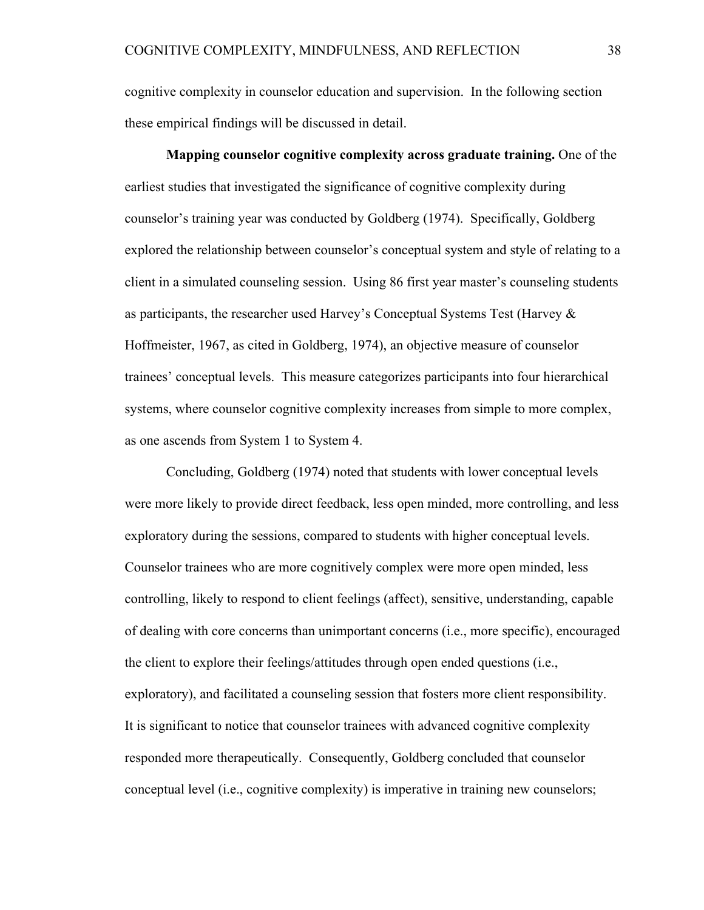cognitive complexity in counselor education and supervision. In the following section these empirical findings will be discussed in detail.

**Mapping counselor cognitive complexity across graduate training.** One of the earliest studies that investigated the significance of cognitive complexity during counselor's training year was conducted by Goldberg (1974). Specifically, Goldberg explored the relationship between counselor's conceptual system and style of relating to a client in a simulated counseling session. Using 86 first year master's counseling students as participants, the researcher used Harvey's Conceptual Systems Test (Harvey & Hoffmeister, 1967, as cited in Goldberg, 1974), an objective measure of counselor trainees' conceptual levels. This measure categorizes participants into four hierarchical systems, where counselor cognitive complexity increases from simple to more complex, as one ascends from System 1 to System 4.

Concluding, Goldberg (1974) noted that students with lower conceptual levels were more likely to provide direct feedback, less open minded, more controlling, and less exploratory during the sessions, compared to students with higher conceptual levels. Counselor trainees who are more cognitively complex were more open minded, less controlling, likely to respond to client feelings (affect), sensitive, understanding, capable of dealing with core concerns than unimportant concerns (i.e., more specific), encouraged the client to explore their feelings/attitudes through open ended questions (i.e., exploratory), and facilitated a counseling session that fosters more client responsibility. It is significant to notice that counselor trainees with advanced cognitive complexity responded more therapeutically. Consequently, Goldberg concluded that counselor conceptual level (i.e., cognitive complexity) is imperative in training new counselors;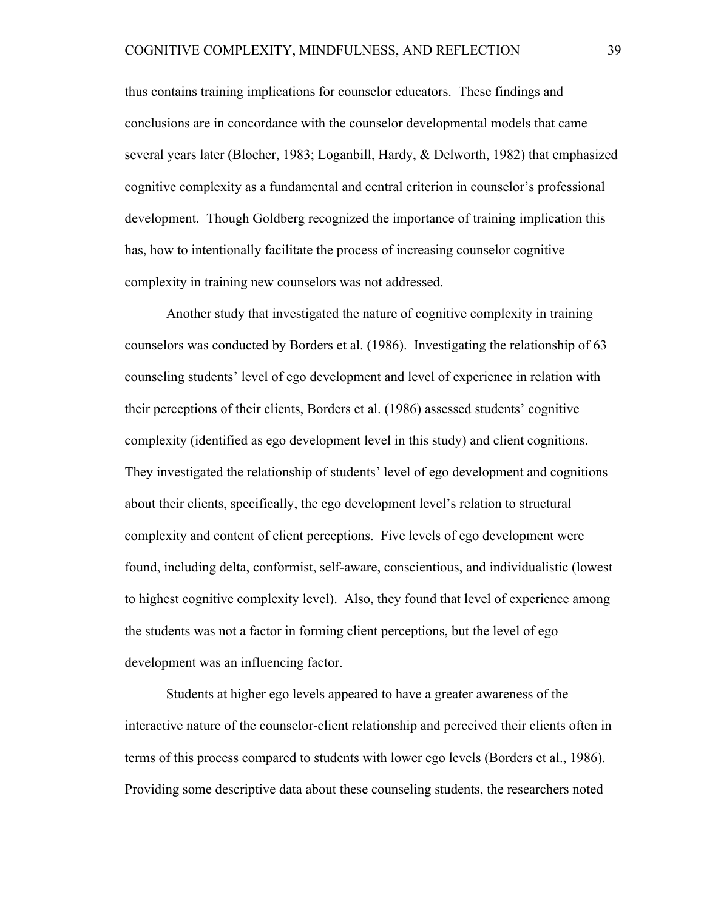thus contains training implications for counselor educators. These findings and conclusions are in concordance with the counselor developmental models that came several years later (Blocher, 1983; Loganbill, Hardy, & Delworth, 1982) that emphasized cognitive complexity as a fundamental and central criterion in counselor's professional development. Though Goldberg recognized the importance of training implication this has, how to intentionally facilitate the process of increasing counselor cognitive complexity in training new counselors was not addressed.

Another study that investigated the nature of cognitive complexity in training counselors was conducted by Borders et al. (1986). Investigating the relationship of 63 counseling students' level of ego development and level of experience in relation with their perceptions of their clients, Borders et al. (1986) assessed students' cognitive complexity (identified as ego development level in this study) and client cognitions. They investigated the relationship of students' level of ego development and cognitions about their clients, specifically, the ego development level's relation to structural complexity and content of client perceptions. Five levels of ego development were found, including delta, conformist, self-aware, conscientious, and individualistic (lowest to highest cognitive complexity level). Also, they found that level of experience among the students was not a factor in forming client perceptions, but the level of ego development was an influencing factor.

Students at higher ego levels appeared to have a greater awareness of the interactive nature of the counselor-client relationship and perceived their clients often in terms of this process compared to students with lower ego levels (Borders et al., 1986). Providing some descriptive data about these counseling students, the researchers noted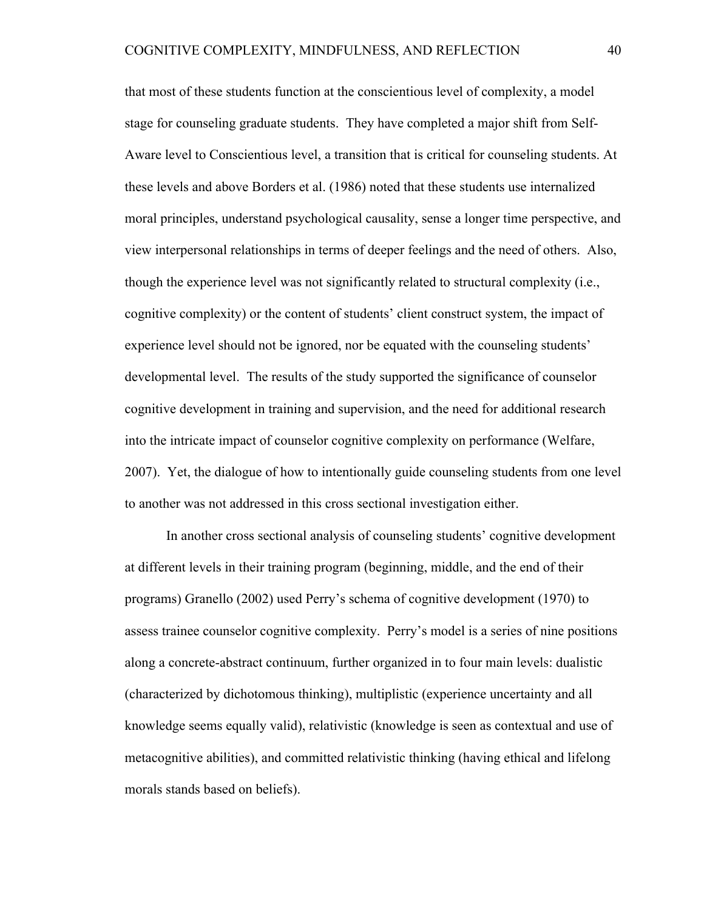that most of these students function at the conscientious level of complexity, a model stage for counseling graduate students. They have completed a major shift from Self-Aware level to Conscientious level, a transition that is critical for counseling students. At these levels and above Borders et al. (1986) noted that these students use internalized moral principles, understand psychological causality, sense a longer time perspective, and view interpersonal relationships in terms of deeper feelings and the need of others. Also, though the experience level was not significantly related to structural complexity (i.e., cognitive complexity) or the content of students' client construct system, the impact of experience level should not be ignored, nor be equated with the counseling students' developmental level. The results of the study supported the significance of counselor cognitive development in training and supervision, and the need for additional research into the intricate impact of counselor cognitive complexity on performance (Welfare, 2007). Yet, the dialogue of how to intentionally guide counseling students from one level to another was not addressed in this cross sectional investigation either.

In another cross sectional analysis of counseling students' cognitive development at different levels in their training program (beginning, middle, and the end of their programs) Granello (2002) used Perry's schema of cognitive development (1970) to assess trainee counselor cognitive complexity. Perry's model is a series of nine positions along a concrete-abstract continuum, further organized in to four main levels: dualistic (characterized by dichotomous thinking), multiplistic (experience uncertainty and all knowledge seems equally valid), relativistic (knowledge is seen as contextual and use of metacognitive abilities), and committed relativistic thinking (having ethical and lifelong morals stands based on beliefs).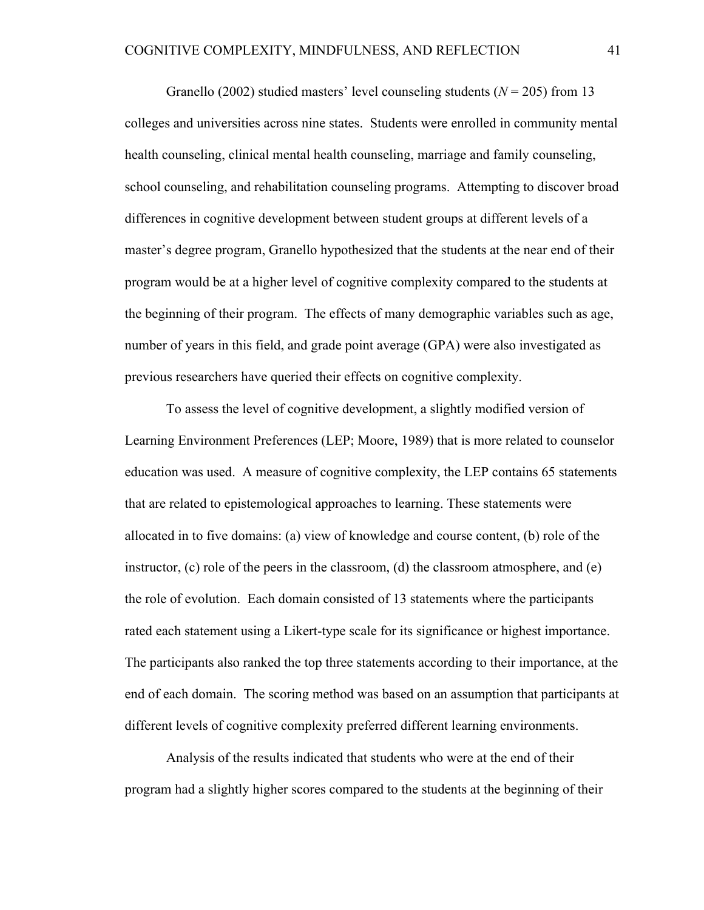Granello (2002) studied masters' level counseling students (*N* = 205) from 13 colleges and universities across nine states. Students were enrolled in community mental health counseling, clinical mental health counseling, marriage and family counseling, school counseling, and rehabilitation counseling programs. Attempting to discover broad differences in cognitive development between student groups at different levels of a master's degree program, Granello hypothesized that the students at the near end of their program would be at a higher level of cognitive complexity compared to the students at the beginning of their program. The effects of many demographic variables such as age, number of years in this field, and grade point average (GPA) were also investigated as previous researchers have queried their effects on cognitive complexity.

To assess the level of cognitive development, a slightly modified version of Learning Environment Preferences (LEP; Moore, 1989) that is more related to counselor education was used. A measure of cognitive complexity, the LEP contains 65 statements that are related to epistemological approaches to learning. These statements were allocated in to five domains: (a) view of knowledge and course content, (b) role of the instructor,  $(c)$  role of the peers in the classroom,  $(d)$  the classroom atmosphere, and  $(e)$ the role of evolution. Each domain consisted of 13 statements where the participants rated each statement using a Likert-type scale for its significance or highest importance. The participants also ranked the top three statements according to their importance, at the end of each domain. The scoring method was based on an assumption that participants at different levels of cognitive complexity preferred different learning environments.

Analysis of the results indicated that students who were at the end of their program had a slightly higher scores compared to the students at the beginning of their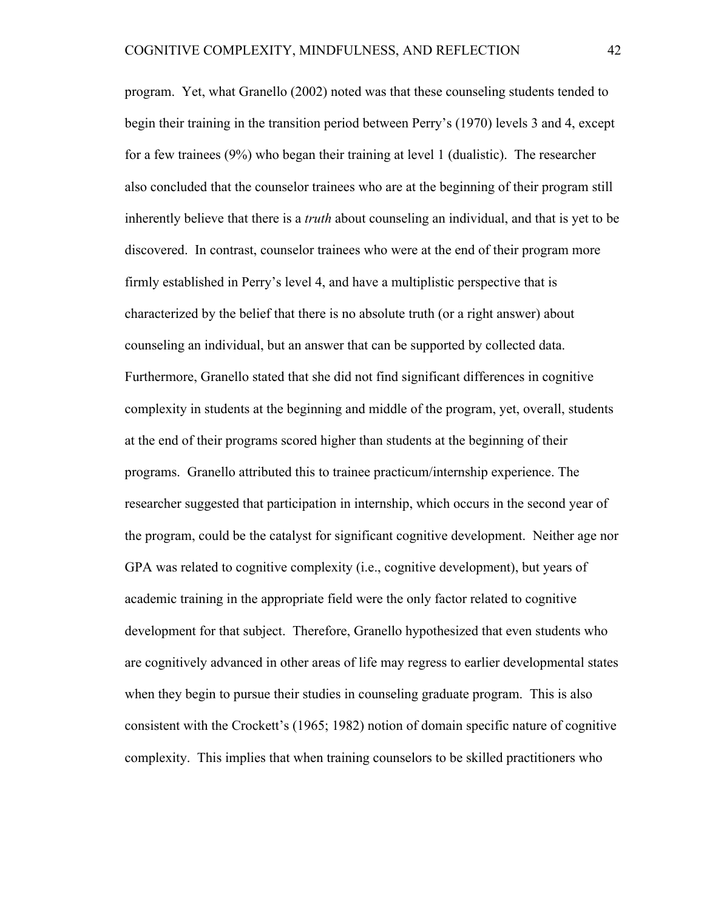program. Yet, what Granello (2002) noted was that these counseling students tended to begin their training in the transition period between Perry's (1970) levels 3 and 4, except for a few trainees (9%) who began their training at level 1 (dualistic). The researcher also concluded that the counselor trainees who are at the beginning of their program still inherently believe that there is a *truth* about counseling an individual, and that is yet to be discovered. In contrast, counselor trainees who were at the end of their program more firmly established in Perry's level 4, and have a multiplistic perspective that is characterized by the belief that there is no absolute truth (or a right answer) about counseling an individual, but an answer that can be supported by collected data. Furthermore, Granello stated that she did not find significant differences in cognitive complexity in students at the beginning and middle of the program, yet, overall, students at the end of their programs scored higher than students at the beginning of their programs. Granello attributed this to trainee practicum/internship experience. The researcher suggested that participation in internship, which occurs in the second year of the program, could be the catalyst for significant cognitive development. Neither age nor GPA was related to cognitive complexity (i.e., cognitive development), but years of academic training in the appropriate field were the only factor related to cognitive development for that subject. Therefore, Granello hypothesized that even students who are cognitively advanced in other areas of life may regress to earlier developmental states when they begin to pursue their studies in counseling graduate program. This is also consistent with the Crockett's (1965; 1982) notion of domain specific nature of cognitive complexity. This implies that when training counselors to be skilled practitioners who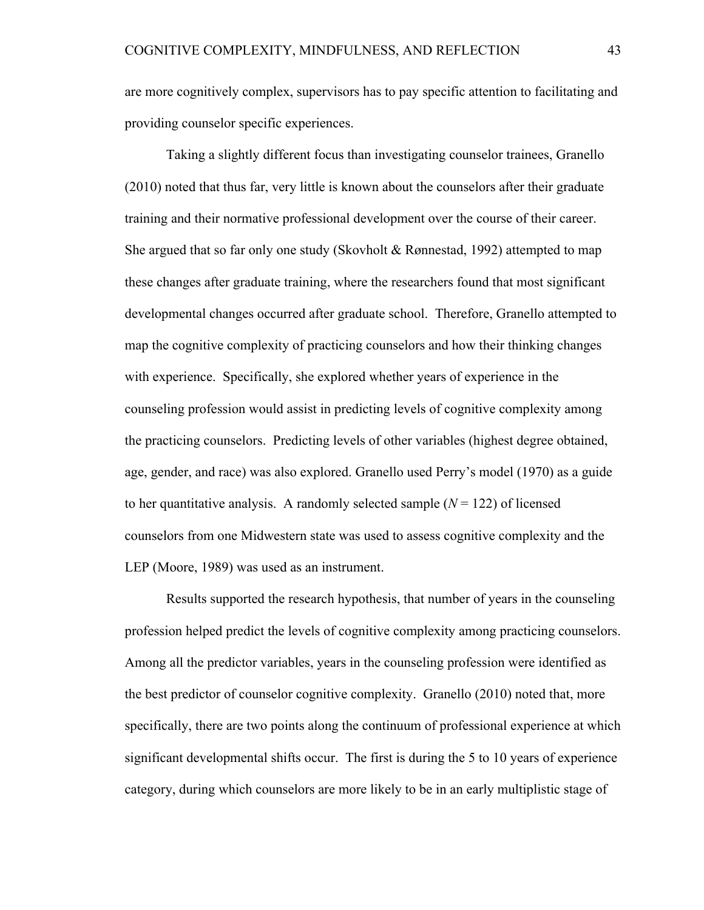are more cognitively complex, supervisors has to pay specific attention to facilitating and providing counselor specific experiences.

Taking a slightly different focus than investigating counselor trainees, Granello (2010) noted that thus far, very little is known about the counselors after their graduate training and their normative professional development over the course of their career. She argued that so far only one study (Skovholt & Rønnestad, 1992) attempted to map these changes after graduate training, where the researchers found that most significant developmental changes occurred after graduate school. Therefore, Granello attempted to map the cognitive complexity of practicing counselors and how their thinking changes with experience. Specifically, she explored whether years of experience in the counseling profession would assist in predicting levels of cognitive complexity among the practicing counselors. Predicting levels of other variables (highest degree obtained, age, gender, and race) was also explored. Granello used Perry's model (1970) as a guide to her quantitative analysis. A randomly selected sample  $(N = 122)$  of licensed counselors from one Midwestern state was used to assess cognitive complexity and the LEP (Moore, 1989) was used as an instrument.

Results supported the research hypothesis, that number of years in the counseling profession helped predict the levels of cognitive complexity among practicing counselors. Among all the predictor variables, years in the counseling profession were identified as the best predictor of counselor cognitive complexity. Granello (2010) noted that, more specifically, there are two points along the continuum of professional experience at which significant developmental shifts occur. The first is during the 5 to 10 years of experience category, during which counselors are more likely to be in an early multiplistic stage of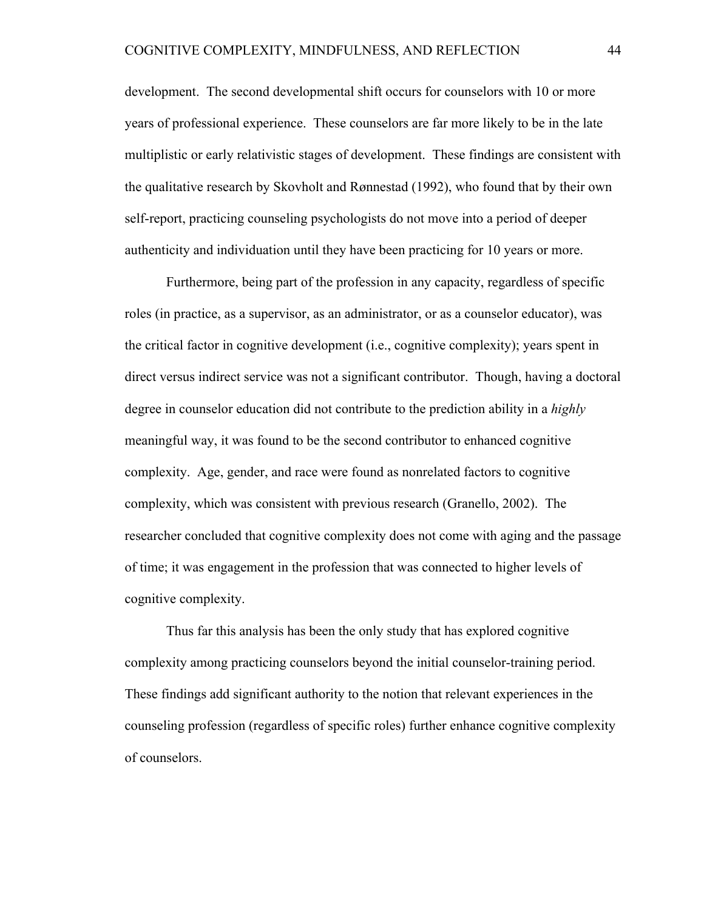development. The second developmental shift occurs for counselors with 10 or more years of professional experience. These counselors are far more likely to be in the late multiplistic or early relativistic stages of development. These findings are consistent with the qualitative research by Skovholt and Rønnestad (1992), who found that by their own self-report, practicing counseling psychologists do not move into a period of deeper authenticity and individuation until they have been practicing for 10 years or more.

Furthermore, being part of the profession in any capacity, regardless of specific roles (in practice, as a supervisor, as an administrator, or as a counselor educator), was the critical factor in cognitive development (i.e., cognitive complexity); years spent in direct versus indirect service was not a significant contributor. Though, having a doctoral degree in counselor education did not contribute to the prediction ability in a *highly* meaningful way, it was found to be the second contributor to enhanced cognitive complexity. Age, gender, and race were found as nonrelated factors to cognitive complexity, which was consistent with previous research (Granello, 2002). The researcher concluded that cognitive complexity does not come with aging and the passage of time; it was engagement in the profession that was connected to higher levels of cognitive complexity.

Thus far this analysis has been the only study that has explored cognitive complexity among practicing counselors beyond the initial counselor-training period. These findings add significant authority to the notion that relevant experiences in the counseling profession (regardless of specific roles) further enhance cognitive complexity of counselors.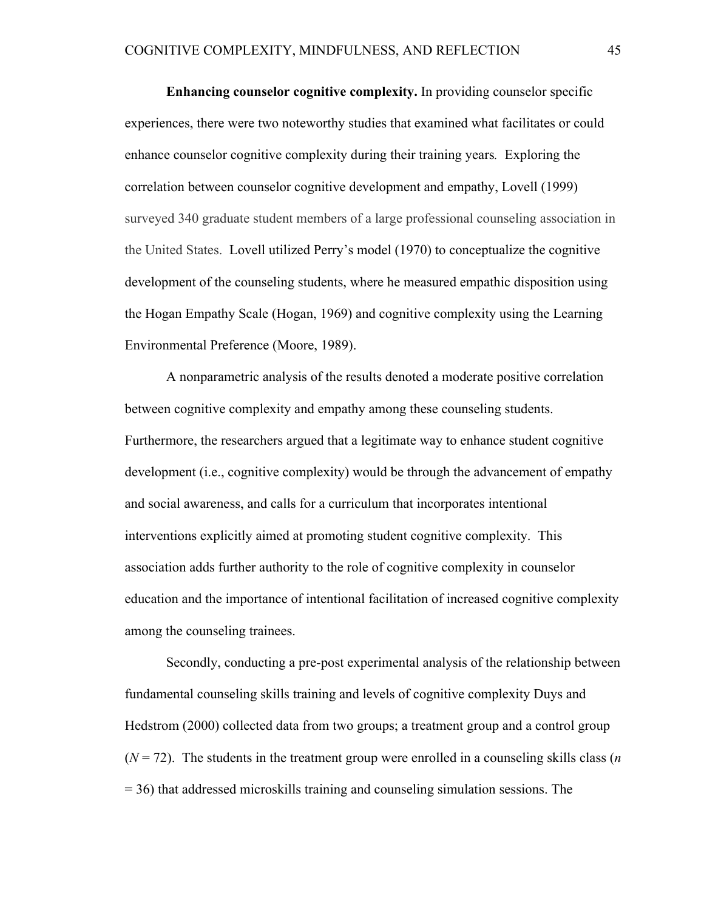**Enhancing counselor cognitive complexity.** In providing counselor specific experiences, there were two noteworthy studies that examined what facilitates or could enhance counselor cognitive complexity during their training years*.* Exploring the correlation between counselor cognitive development and empathy, Lovell (1999) surveyed 340 graduate student members of a large professional counseling association in the United States. Lovell utilized Perry's model (1970) to conceptualize the cognitive development of the counseling students, where he measured empathic disposition using the Hogan Empathy Scale (Hogan, 1969) and cognitive complexity using the Learning Environmental Preference (Moore, 1989).

A nonparametric analysis of the results denoted a moderate positive correlation between cognitive complexity and empathy among these counseling students. Furthermore, the researchers argued that a legitimate way to enhance student cognitive development (i.e., cognitive complexity) would be through the advancement of empathy and social awareness, and calls for a curriculum that incorporates intentional interventions explicitly aimed at promoting student cognitive complexity. This association adds further authority to the role of cognitive complexity in counselor education and the importance of intentional facilitation of increased cognitive complexity among the counseling trainees.

Secondly, conducting a pre-post experimental analysis of the relationship between fundamental counseling skills training and levels of cognitive complexity Duys and Hedstrom (2000) collected data from two groups; a treatment group and a control group  $(N = 72)$ . The students in the treatment group were enrolled in a counseling skills class (*n* = 36) that addressed microskills training and counseling simulation sessions. The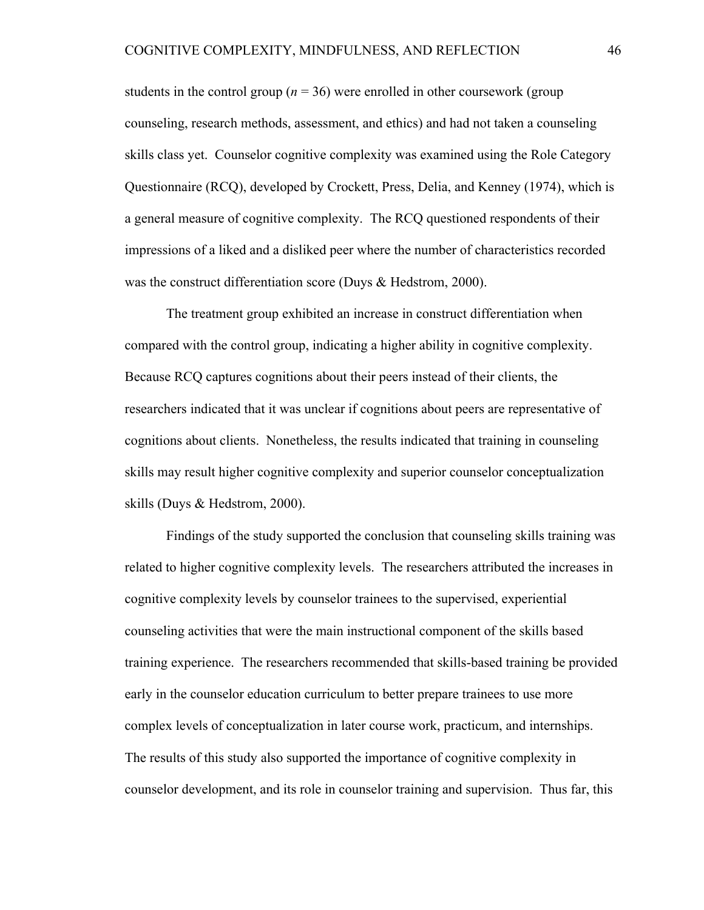students in the control group ( $n = 36$ ) were enrolled in other coursework (group counseling, research methods, assessment, and ethics) and had not taken a counseling skills class yet. Counselor cognitive complexity was examined using the Role Category Questionnaire (RCQ), developed by Crockett, Press, Delia, and Kenney (1974), which is a general measure of cognitive complexity. The RCQ questioned respondents of their impressions of a liked and a disliked peer where the number of characteristics recorded was the construct differentiation score (Duys & Hedstrom, 2000).

The treatment group exhibited an increase in construct differentiation when compared with the control group, indicating a higher ability in cognitive complexity. Because RCQ captures cognitions about their peers instead of their clients, the researchers indicated that it was unclear if cognitions about peers are representative of cognitions about clients. Nonetheless, the results indicated that training in counseling skills may result higher cognitive complexity and superior counselor conceptualization skills (Duys & Hedstrom, 2000).

Findings of the study supported the conclusion that counseling skills training was related to higher cognitive complexity levels. The researchers attributed the increases in cognitive complexity levels by counselor trainees to the supervised, experiential counseling activities that were the main instructional component of the skills based training experience. The researchers recommended that skills-based training be provided early in the counselor education curriculum to better prepare trainees to use more complex levels of conceptualization in later course work, practicum, and internships. The results of this study also supported the importance of cognitive complexity in counselor development, and its role in counselor training and supervision. Thus far, this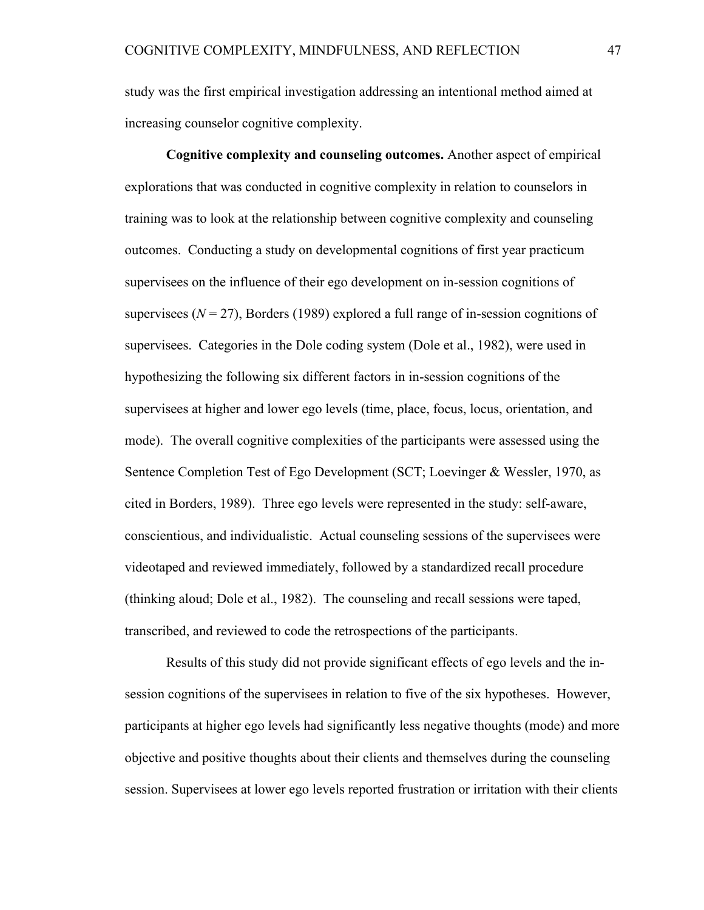study was the first empirical investigation addressing an intentional method aimed at increasing counselor cognitive complexity.

**Cognitive complexity and counseling outcomes.** Another aspect of empirical explorations that was conducted in cognitive complexity in relation to counselors in training was to look at the relationship between cognitive complexity and counseling outcomes. Conducting a study on developmental cognitions of first year practicum supervisees on the influence of their ego development on in-session cognitions of supervisees ( $N = 27$ ), Borders (1989) explored a full range of in-session cognitions of supervisees. Categories in the Dole coding system (Dole et al., 1982), were used in hypothesizing the following six different factors in in-session cognitions of the supervisees at higher and lower ego levels (time, place, focus, locus, orientation, and mode). The overall cognitive complexities of the participants were assessed using the Sentence Completion Test of Ego Development (SCT; Loevinger & Wessler, 1970, as cited in Borders, 1989). Three ego levels were represented in the study: self-aware, conscientious, and individualistic. Actual counseling sessions of the supervisees were videotaped and reviewed immediately, followed by a standardized recall procedure (thinking aloud; Dole et al., 1982). The counseling and recall sessions were taped, transcribed, and reviewed to code the retrospections of the participants.

Results of this study did not provide significant effects of ego levels and the insession cognitions of the supervisees in relation to five of the six hypotheses. However, participants at higher ego levels had significantly less negative thoughts (mode) and more objective and positive thoughts about their clients and themselves during the counseling session. Supervisees at lower ego levels reported frustration or irritation with their clients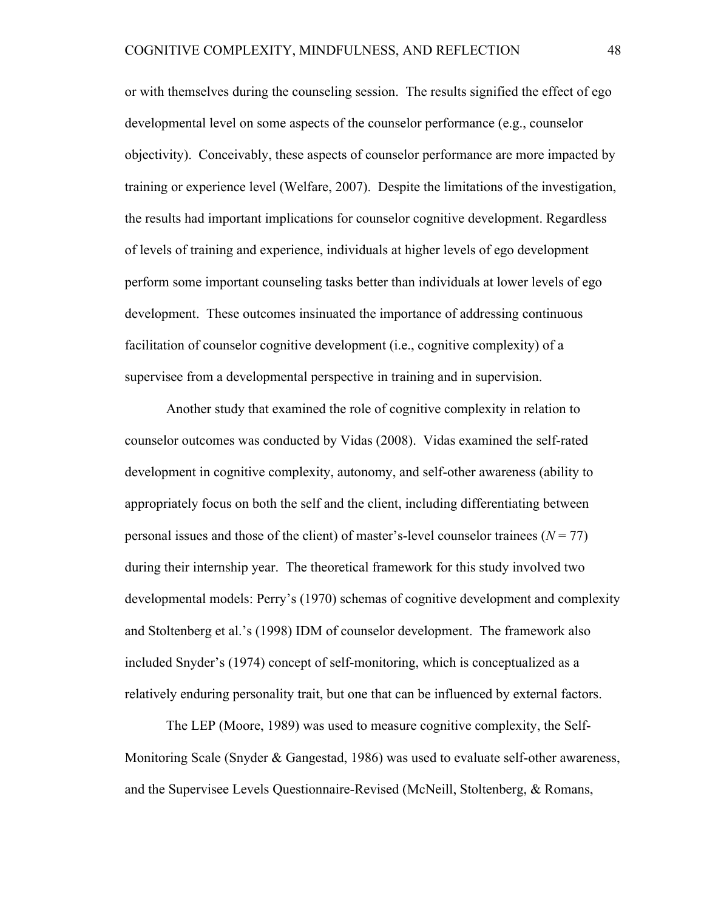or with themselves during the counseling session. The results signified the effect of ego developmental level on some aspects of the counselor performance (e.g., counselor objectivity). Conceivably, these aspects of counselor performance are more impacted by training or experience level (Welfare, 2007). Despite the limitations of the investigation, the results had important implications for counselor cognitive development. Regardless of levels of training and experience, individuals at higher levels of ego development perform some important counseling tasks better than individuals at lower levels of ego development. These outcomes insinuated the importance of addressing continuous facilitation of counselor cognitive development (i.e., cognitive complexity) of a supervisee from a developmental perspective in training and in supervision.

Another study that examined the role of cognitive complexity in relation to counselor outcomes was conducted by Vidas (2008). Vidas examined the self-rated development in cognitive complexity, autonomy, and self-other awareness (ability to appropriately focus on both the self and the client, including differentiating between personal issues and those of the client) of master's-level counselor trainees  $(N = 77)$ during their internship year. The theoretical framework for this study involved two developmental models: Perry's (1970) schemas of cognitive development and complexity and Stoltenberg et al.'s (1998) IDM of counselor development. The framework also included Snyder's (1974) concept of self-monitoring, which is conceptualized as a relatively enduring personality trait, but one that can be influenced by external factors.

The LEP (Moore, 1989) was used to measure cognitive complexity, the Self-Monitoring Scale (Snyder & Gangestad, 1986) was used to evaluate self-other awareness, and the Supervisee Levels Questionnaire-Revised (McNeill, Stoltenberg, & Romans,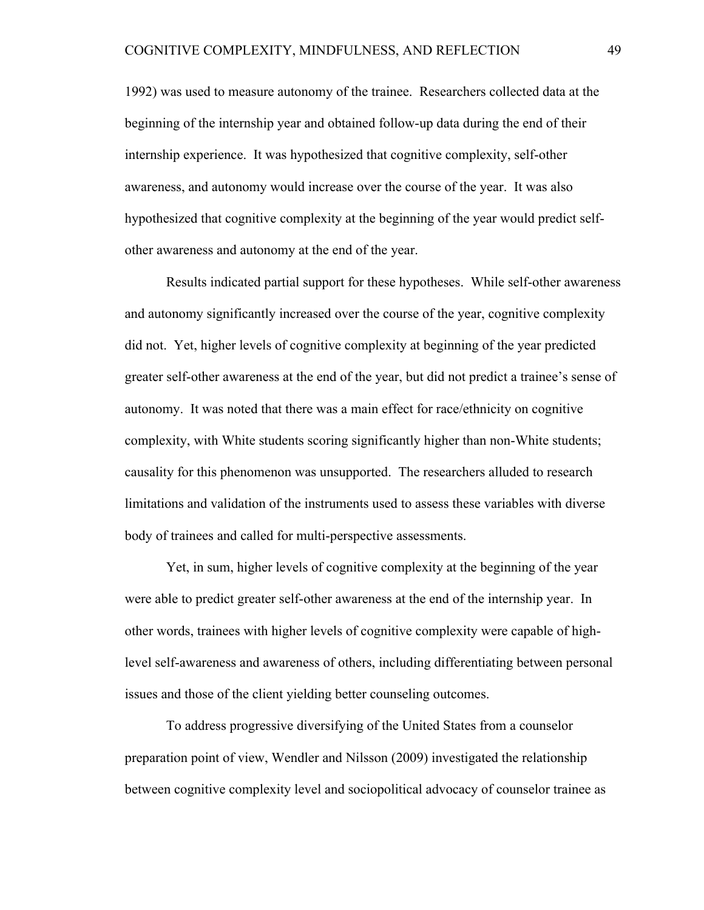1992) was used to measure autonomy of the trainee. Researchers collected data at the beginning of the internship year and obtained follow-up data during the end of their internship experience. It was hypothesized that cognitive complexity, self-other awareness, and autonomy would increase over the course of the year. It was also hypothesized that cognitive complexity at the beginning of the year would predict selfother awareness and autonomy at the end of the year.

Results indicated partial support for these hypotheses. While self-other awareness and autonomy significantly increased over the course of the year, cognitive complexity did not. Yet, higher levels of cognitive complexity at beginning of the year predicted greater self-other awareness at the end of the year, but did not predict a trainee's sense of autonomy. It was noted that there was a main effect for race/ethnicity on cognitive complexity, with White students scoring significantly higher than non-White students; causality for this phenomenon was unsupported. The researchers alluded to research limitations and validation of the instruments used to assess these variables with diverse body of trainees and called for multi-perspective assessments.

Yet, in sum, higher levels of cognitive complexity at the beginning of the year were able to predict greater self-other awareness at the end of the internship year. In other words, trainees with higher levels of cognitive complexity were capable of highlevel self-awareness and awareness of others, including differentiating between personal issues and those of the client yielding better counseling outcomes.

To address progressive diversifying of the United States from a counselor preparation point of view, Wendler and Nilsson (2009) investigated the relationship between cognitive complexity level and sociopolitical advocacy of counselor trainee as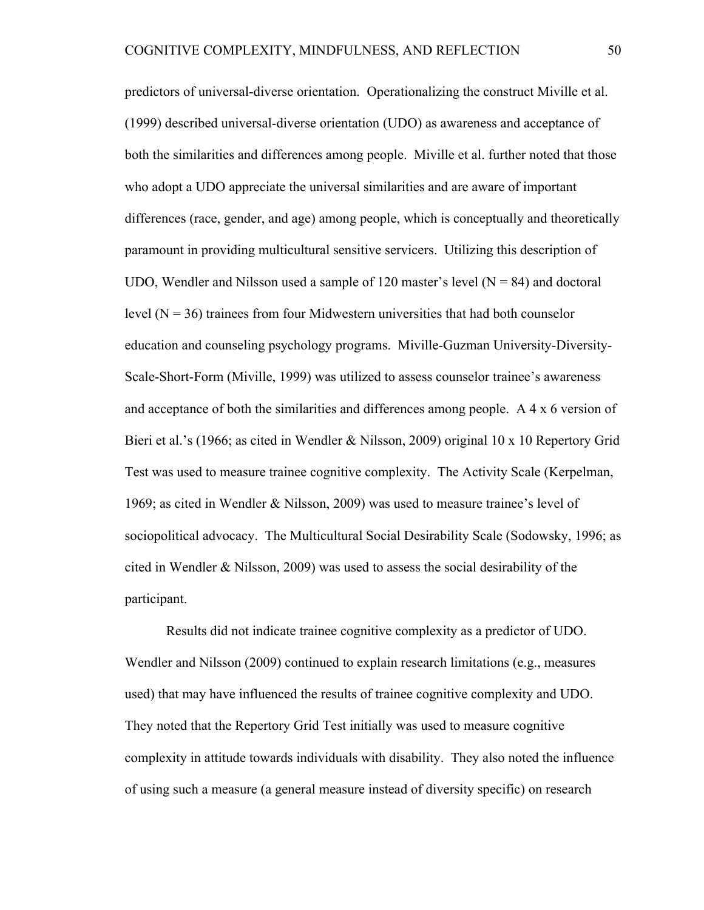predictors of universal-diverse orientation. Operationalizing the construct Miville et al. (1999) described universal-diverse orientation (UDO) as awareness and acceptance of both the similarities and differences among people. Miville et al. further noted that those who adopt a UDO appreciate the universal similarities and are aware of important differences (race, gender, and age) among people, which is conceptually and theoretically paramount in providing multicultural sensitive servicers. Utilizing this description of UDO, Wendler and Nilsson used a sample of 120 master's level  $(N = 84)$  and doctoral level  $(N = 36)$  trainees from four Midwestern universities that had both counselor education and counseling psychology programs. Miville-Guzman University-Diversity-Scale-Short-Form (Miville, 1999) was utilized to assess counselor trainee's awareness and acceptance of both the similarities and differences among people. A 4 x 6 version of Bieri et al.'s (1966; as cited in Wendler & Nilsson, 2009) original 10 x 10 Repertory Grid Test was used to measure trainee cognitive complexity. The Activity Scale (Kerpelman, 1969; as cited in Wendler & Nilsson, 2009) was used to measure trainee's level of sociopolitical advocacy. The Multicultural Social Desirability Scale (Sodowsky, 1996; as cited in Wendler & Nilsson, 2009) was used to assess the social desirability of the participant.

Results did not indicate trainee cognitive complexity as a predictor of UDO. Wendler and Nilsson (2009) continued to explain research limitations (e.g., measures used) that may have influenced the results of trainee cognitive complexity and UDO. They noted that the Repertory Grid Test initially was used to measure cognitive complexity in attitude towards individuals with disability. They also noted the influence of using such a measure (a general measure instead of diversity specific) on research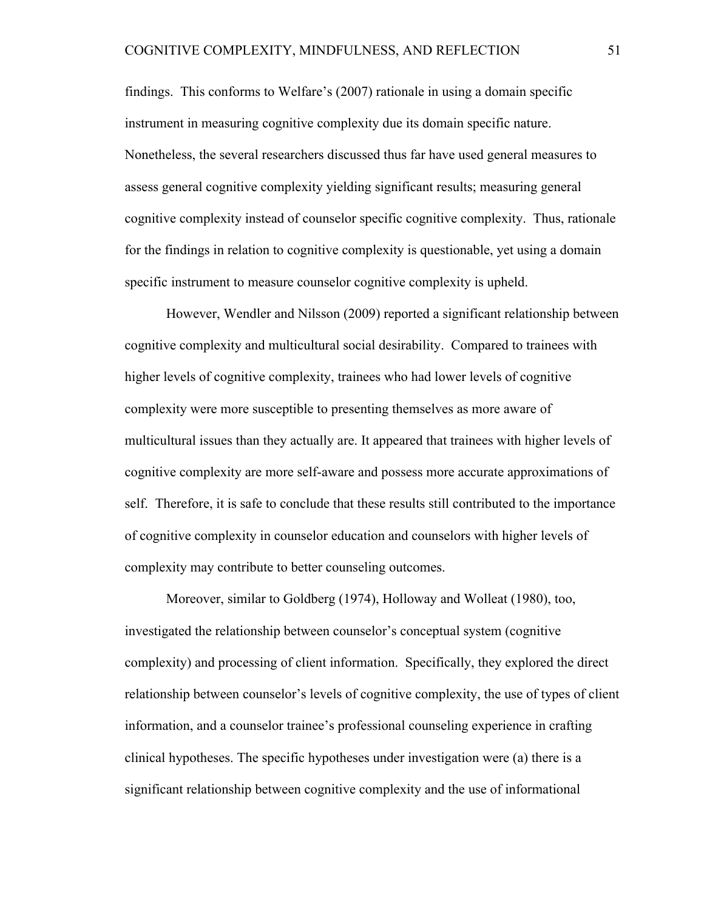findings. This conforms to Welfare's (2007) rationale in using a domain specific instrument in measuring cognitive complexity due its domain specific nature. Nonetheless, the several researchers discussed thus far have used general measures to assess general cognitive complexity yielding significant results; measuring general cognitive complexity instead of counselor specific cognitive complexity. Thus, rationale for the findings in relation to cognitive complexity is questionable, yet using a domain specific instrument to measure counselor cognitive complexity is upheld.

However, Wendler and Nilsson (2009) reported a significant relationship between cognitive complexity and multicultural social desirability. Compared to trainees with higher levels of cognitive complexity, trainees who had lower levels of cognitive complexity were more susceptible to presenting themselves as more aware of multicultural issues than they actually are. It appeared that trainees with higher levels of cognitive complexity are more self-aware and possess more accurate approximations of self. Therefore, it is safe to conclude that these results still contributed to the importance of cognitive complexity in counselor education and counselors with higher levels of complexity may contribute to better counseling outcomes.

Moreover, similar to Goldberg (1974), Holloway and Wolleat (1980), too, investigated the relationship between counselor's conceptual system (cognitive complexity) and processing of client information. Specifically, they explored the direct relationship between counselor's levels of cognitive complexity, the use of types of client information, and a counselor trainee's professional counseling experience in crafting clinical hypotheses. The specific hypotheses under investigation were (a) there is a significant relationship between cognitive complexity and the use of informational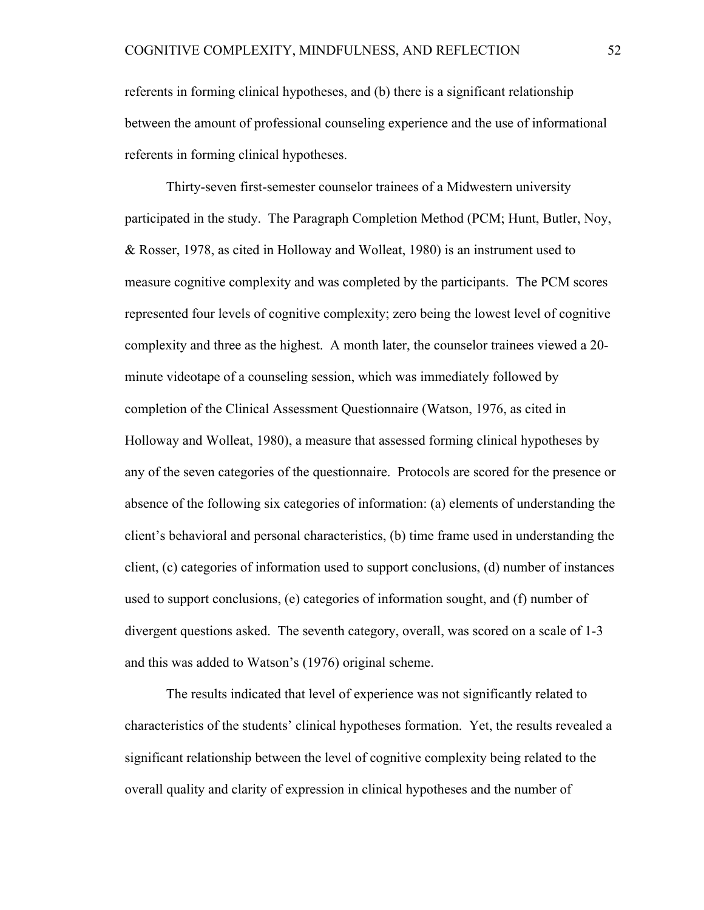referents in forming clinical hypotheses, and (b) there is a significant relationship between the amount of professional counseling experience and the use of informational referents in forming clinical hypotheses.

Thirty-seven first-semester counselor trainees of a Midwestern university participated in the study. The Paragraph Completion Method (PCM; Hunt, Butler, Noy, & Rosser, 1978, as cited in Holloway and Wolleat, 1980) is an instrument used to measure cognitive complexity and was completed by the participants. The PCM scores represented four levels of cognitive complexity; zero being the lowest level of cognitive complexity and three as the highest. A month later, the counselor trainees viewed a 20 minute videotape of a counseling session, which was immediately followed by completion of the Clinical Assessment Questionnaire (Watson, 1976, as cited in Holloway and Wolleat, 1980), a measure that assessed forming clinical hypotheses by any of the seven categories of the questionnaire. Protocols are scored for the presence or absence of the following six categories of information: (a) elements of understanding the client's behavioral and personal characteristics, (b) time frame used in understanding the client, (c) categories of information used to support conclusions, (d) number of instances used to support conclusions, (e) categories of information sought, and (f) number of divergent questions asked. The seventh category, overall, was scored on a scale of 1-3 and this was added to Watson's (1976) original scheme.

The results indicated that level of experience was not significantly related to characteristics of the students' clinical hypotheses formation. Yet, the results revealed a significant relationship between the level of cognitive complexity being related to the overall quality and clarity of expression in clinical hypotheses and the number of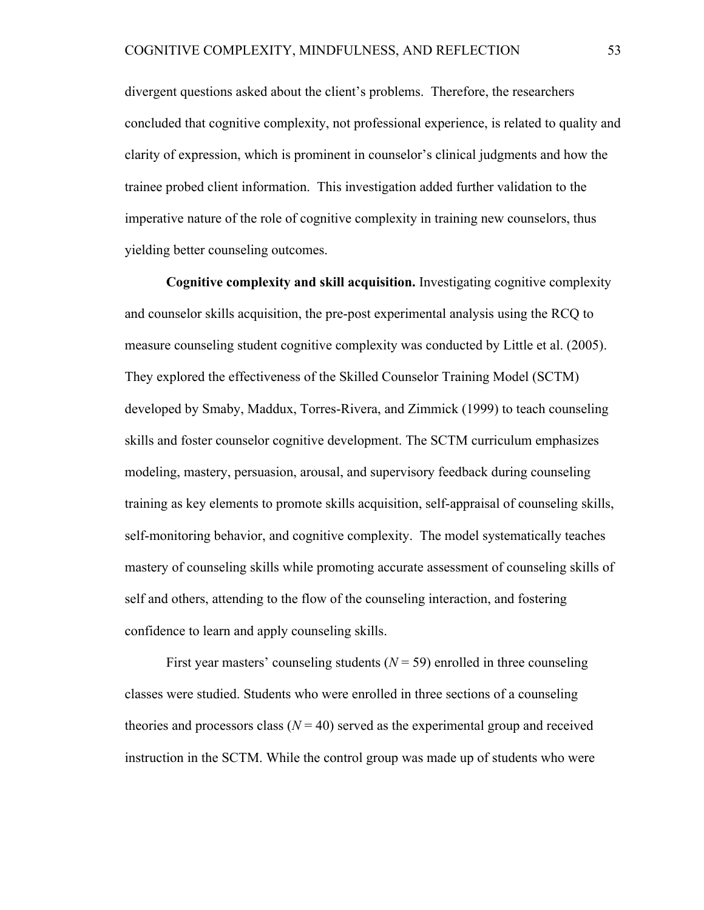divergent questions asked about the client's problems. Therefore, the researchers concluded that cognitive complexity, not professional experience, is related to quality and clarity of expression, which is prominent in counselor's clinical judgments and how the trainee probed client information. This investigation added further validation to the imperative nature of the role of cognitive complexity in training new counselors, thus yielding better counseling outcomes.

**Cognitive complexity and skill acquisition.** Investigating cognitive complexity and counselor skills acquisition, the pre-post experimental analysis using the RCQ to measure counseling student cognitive complexity was conducted by Little et al. (2005). They explored the effectiveness of the Skilled Counselor Training Model (SCTM) developed by Smaby, Maddux, Torres-Rivera, and Zimmick (1999) to teach counseling skills and foster counselor cognitive development. The SCTM curriculum emphasizes modeling, mastery, persuasion, arousal, and supervisory feedback during counseling training as key elements to promote skills acquisition, self-appraisal of counseling skills, self-monitoring behavior, and cognitive complexity. The model systematically teaches mastery of counseling skills while promoting accurate assessment of counseling skills of self and others, attending to the flow of the counseling interaction, and fostering confidence to learn and apply counseling skills.

First year masters' counseling students  $(N = 59)$  enrolled in three counseling classes were studied. Students who were enrolled in three sections of a counseling theories and processors class  $(N = 40)$  served as the experimental group and received instruction in the SCTM. While the control group was made up of students who were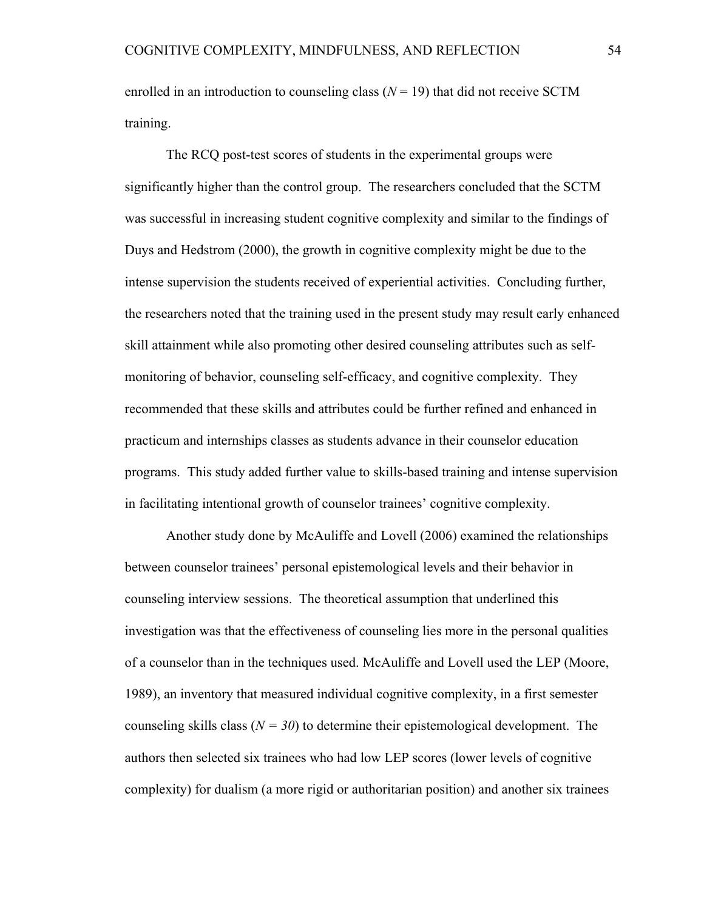enrolled in an introduction to counseling class  $(N = 19)$  that did not receive SCTM training.

The RCQ post-test scores of students in the experimental groups were significantly higher than the control group. The researchers concluded that the SCTM was successful in increasing student cognitive complexity and similar to the findings of Duys and Hedstrom (2000), the growth in cognitive complexity might be due to the intense supervision the students received of experiential activities. Concluding further, the researchers noted that the training used in the present study may result early enhanced skill attainment while also promoting other desired counseling attributes such as selfmonitoring of behavior, counseling self-efficacy, and cognitive complexity. They recommended that these skills and attributes could be further refined and enhanced in practicum and internships classes as students advance in their counselor education programs. This study added further value to skills-based training and intense supervision in facilitating intentional growth of counselor trainees' cognitive complexity.

Another study done by McAuliffe and Lovell (2006) examined the relationships between counselor trainees' personal epistemological levels and their behavior in counseling interview sessions. The theoretical assumption that underlined this investigation was that the effectiveness of counseling lies more in the personal qualities of a counselor than in the techniques used. McAuliffe and Lovell used the LEP (Moore, 1989), an inventory that measured individual cognitive complexity, in a first semester counseling skills class  $(N = 30)$  to determine their epistemological development. The authors then selected six trainees who had low LEP scores (lower levels of cognitive complexity) for dualism (a more rigid or authoritarian position) and another six trainees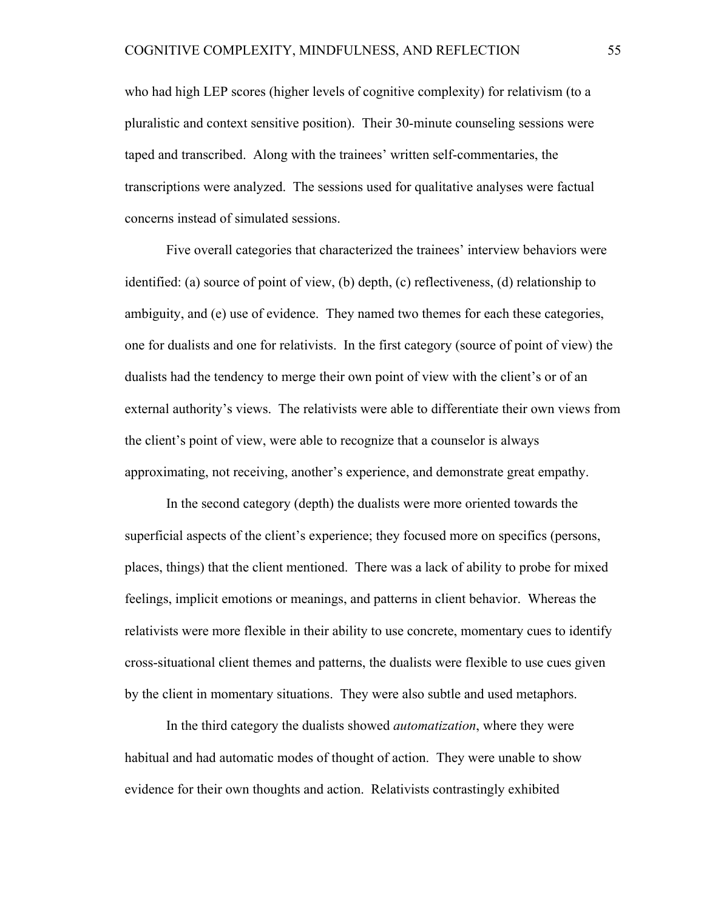who had high LEP scores (higher levels of cognitive complexity) for relativism (to a pluralistic and context sensitive position). Their 30-minute counseling sessions were taped and transcribed. Along with the trainees' written self-commentaries, the transcriptions were analyzed. The sessions used for qualitative analyses were factual concerns instead of simulated sessions.

Five overall categories that characterized the trainees' interview behaviors were identified: (a) source of point of view, (b) depth, (c) reflectiveness, (d) relationship to ambiguity, and (e) use of evidence. They named two themes for each these categories, one for dualists and one for relativists. In the first category (source of point of view) the dualists had the tendency to merge their own point of view with the client's or of an external authority's views. The relativists were able to differentiate their own views from the client's point of view, were able to recognize that a counselor is always approximating, not receiving, another's experience, and demonstrate great empathy.

In the second category (depth) the dualists were more oriented towards the superficial aspects of the client's experience; they focused more on specifics (persons, places, things) that the client mentioned. There was a lack of ability to probe for mixed feelings, implicit emotions or meanings, and patterns in client behavior. Whereas the relativists were more flexible in their ability to use concrete, momentary cues to identify cross-situational client themes and patterns, the dualists were flexible to use cues given by the client in momentary situations. They were also subtle and used metaphors.

In the third category the dualists showed *automatization*, where they were habitual and had automatic modes of thought of action. They were unable to show evidence for their own thoughts and action. Relativists contrastingly exhibited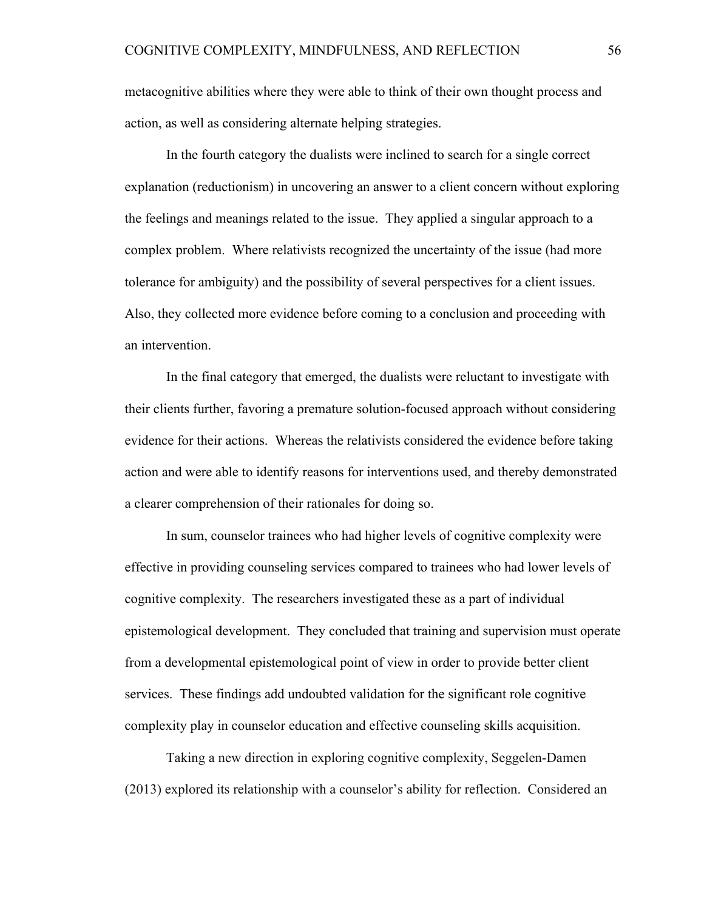metacognitive abilities where they were able to think of their own thought process and action, as well as considering alternate helping strategies.

In the fourth category the dualists were inclined to search for a single correct explanation (reductionism) in uncovering an answer to a client concern without exploring the feelings and meanings related to the issue. They applied a singular approach to a complex problem. Where relativists recognized the uncertainty of the issue (had more tolerance for ambiguity) and the possibility of several perspectives for a client issues. Also, they collected more evidence before coming to a conclusion and proceeding with an intervention.

In the final category that emerged, the dualists were reluctant to investigate with their clients further, favoring a premature solution-focused approach without considering evidence for their actions. Whereas the relativists considered the evidence before taking action and were able to identify reasons for interventions used, and thereby demonstrated a clearer comprehension of their rationales for doing so.

In sum, counselor trainees who had higher levels of cognitive complexity were effective in providing counseling services compared to trainees who had lower levels of cognitive complexity. The researchers investigated these as a part of individual epistemological development. They concluded that training and supervision must operate from a developmental epistemological point of view in order to provide better client services. These findings add undoubted validation for the significant role cognitive complexity play in counselor education and effective counseling skills acquisition.

Taking a new direction in exploring cognitive complexity, Seggelen-Damen (2013) explored its relationship with a counselor's ability for reflection. Considered an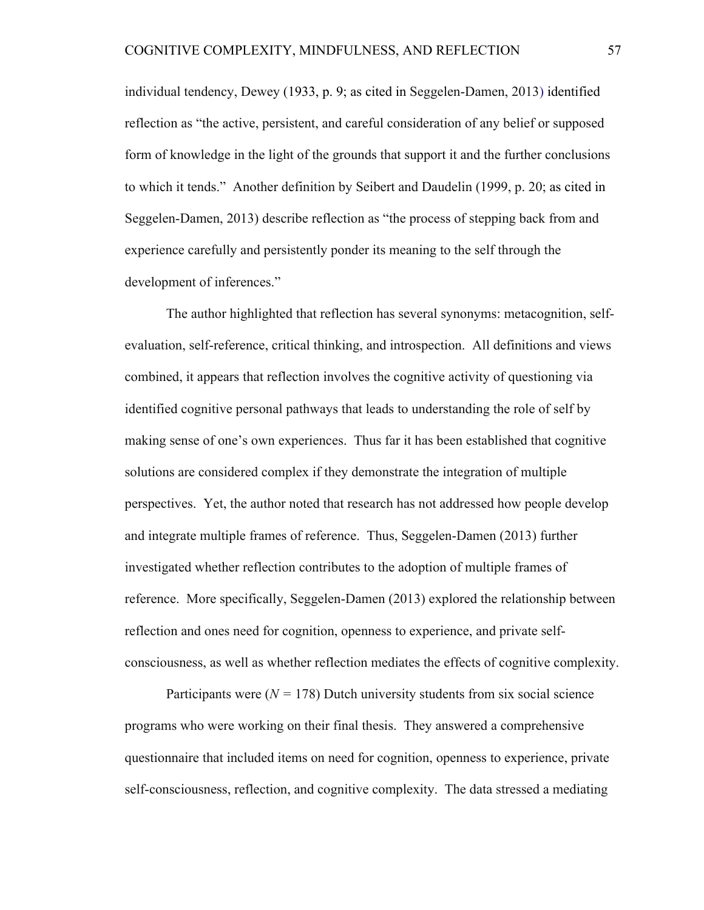individual tendency, Dewey (1933, p. 9; as cited in Seggelen-Damen, 2013) identified reflection as "the active, persistent, and careful consideration of any belief or supposed form of knowledge in the light of the grounds that support it and the further conclusions to which it tends." Another definition by Seibert and Daudelin (1999, p. 20; as cited in Seggelen-Damen, 2013) describe reflection as "the process of stepping back from and experience carefully and persistently ponder its meaning to the self through the development of inferences."

The author highlighted that reflection has several synonyms: metacognition, selfevaluation, self-reference, critical thinking, and introspection. All definitions and views combined, it appears that reflection involves the cognitive activity of questioning via identified cognitive personal pathways that leads to understanding the role of self by making sense of one's own experiences. Thus far it has been established that cognitive solutions are considered complex if they demonstrate the integration of multiple perspectives. Yet, the author noted that research has not addressed how people develop and integrate multiple frames of reference. Thus, Seggelen-Damen (2013) further investigated whether reflection contributes to the adoption of multiple frames of reference. More specifically, Seggelen-Damen (2013) explored the relationship between reflection and ones need for cognition, openness to experience, and private selfconsciousness, as well as whether reflection mediates the effects of cognitive complexity.

Participants were  $(N = 178)$  Dutch university students from six social science programs who were working on their final thesis. They answered a comprehensive questionnaire that included items on need for cognition, openness to experience, private self-consciousness, reflection, and cognitive complexity. The data stressed a mediating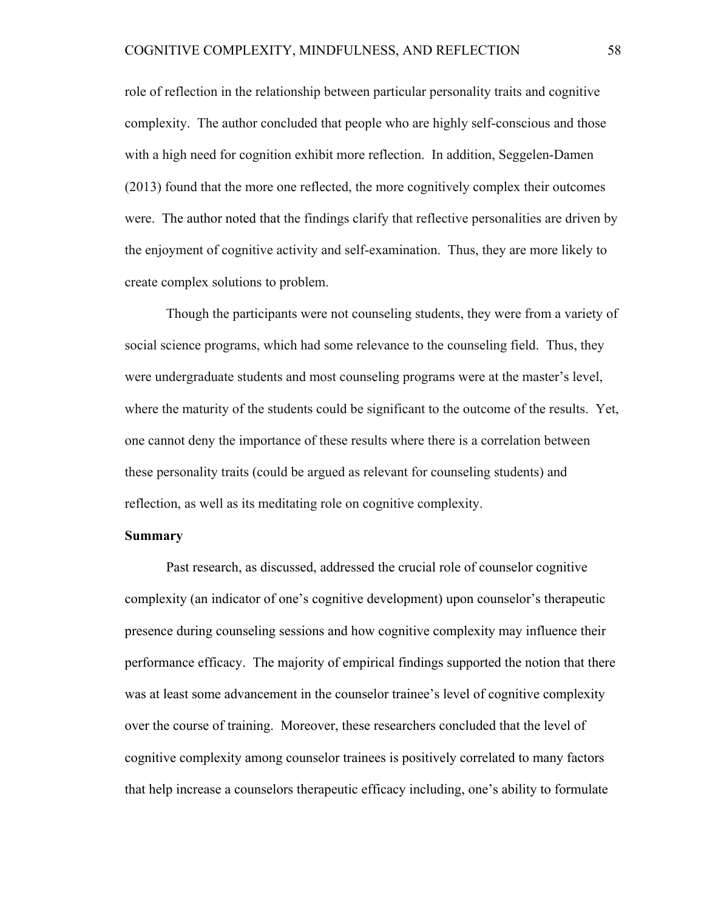role of reflection in the relationship between particular personality traits and cognitive complexity. The author concluded that people who are highly self-conscious and those with a high need for cognition exhibit more reflection. In addition, Seggelen-Damen (2013) found that the more one reflected, the more cognitively complex their outcomes were. The author noted that the findings clarify that reflective personalities are driven by the enjoyment of cognitive activity and self-examination. Thus, they are more likely to create complex solutions to problem.

Though the participants were not counseling students, they were from a variety of social science programs, which had some relevance to the counseling field. Thus, they were undergraduate students and most counseling programs were at the master's level, where the maturity of the students could be significant to the outcome of the results. Yet, one cannot deny the importance of these results where there is a correlation between these personality traits (could be argued as relevant for counseling students) and reflection, as well as its meditating role on cognitive complexity.

# **Summary**

Past research, as discussed, addressed the crucial role of counselor cognitive complexity (an indicator of one's cognitive development) upon counselor's therapeutic presence during counseling sessions and how cognitive complexity may influence their performance efficacy. The majority of empirical findings supported the notion that there was at least some advancement in the counselor trainee's level of cognitive complexity over the course of training. Moreover, these researchers concluded that the level of cognitive complexity among counselor trainees is positively correlated to many factors that help increase a counselors therapeutic efficacy including, one's ability to formulate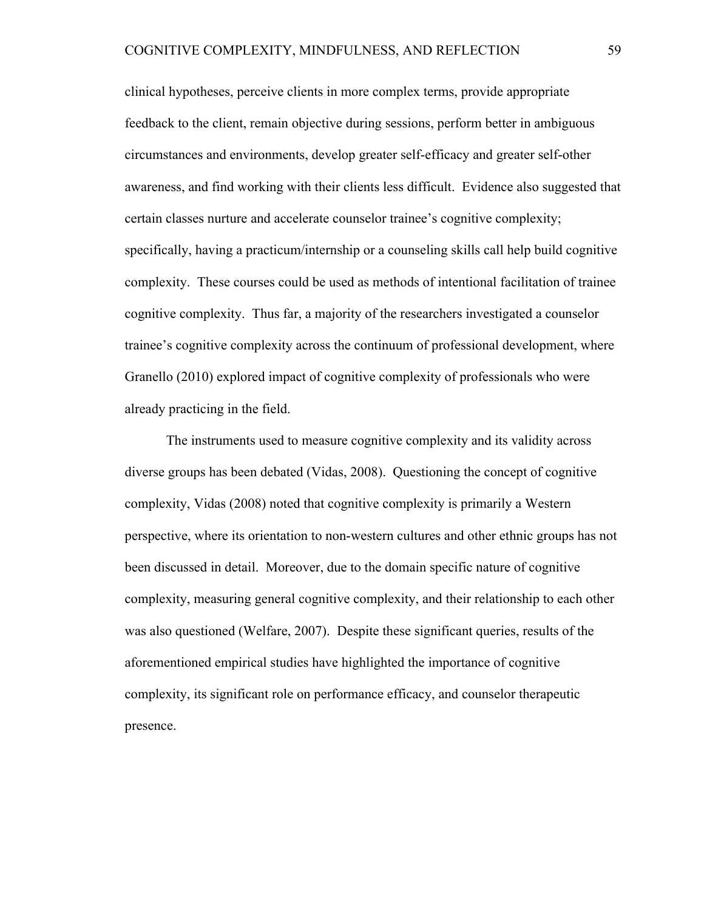clinical hypotheses, perceive clients in more complex terms, provide appropriate feedback to the client, remain objective during sessions, perform better in ambiguous circumstances and environments, develop greater self-efficacy and greater self-other awareness, and find working with their clients less difficult. Evidence also suggested that certain classes nurture and accelerate counselor trainee's cognitive complexity; specifically, having a practicum/internship or a counseling skills call help build cognitive complexity. These courses could be used as methods of intentional facilitation of trainee cognitive complexity. Thus far, a majority of the researchers investigated a counselor trainee's cognitive complexity across the continuum of professional development, where Granello (2010) explored impact of cognitive complexity of professionals who were already practicing in the field.

The instruments used to measure cognitive complexity and its validity across diverse groups has been debated (Vidas, 2008). Questioning the concept of cognitive complexity, Vidas (2008) noted that cognitive complexity is primarily a Western perspective, where its orientation to non-western cultures and other ethnic groups has not been discussed in detail. Moreover, due to the domain specific nature of cognitive complexity, measuring general cognitive complexity, and their relationship to each other was also questioned (Welfare, 2007). Despite these significant queries, results of the aforementioned empirical studies have highlighted the importance of cognitive complexity, its significant role on performance efficacy, and counselor therapeutic presence.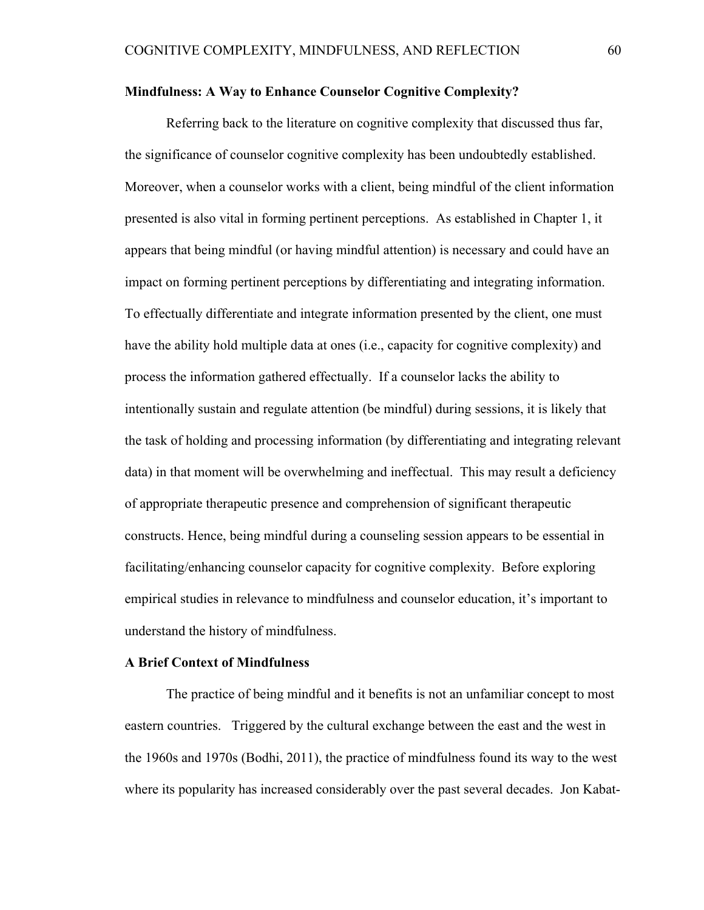### **Mindfulness: A Way to Enhance Counselor Cognitive Complexity?**

Referring back to the literature on cognitive complexity that discussed thus far, the significance of counselor cognitive complexity has been undoubtedly established. Moreover, when a counselor works with a client, being mindful of the client information presented is also vital in forming pertinent perceptions. As established in Chapter 1, it appears that being mindful (or having mindful attention) is necessary and could have an impact on forming pertinent perceptions by differentiating and integrating information. To effectually differentiate and integrate information presented by the client, one must have the ability hold multiple data at ones (i.e., capacity for cognitive complexity) and process the information gathered effectually. If a counselor lacks the ability to intentionally sustain and regulate attention (be mindful) during sessions, it is likely that the task of holding and processing information (by differentiating and integrating relevant data) in that moment will be overwhelming and ineffectual. This may result a deficiency of appropriate therapeutic presence and comprehension of significant therapeutic constructs. Hence, being mindful during a counseling session appears to be essential in facilitating/enhancing counselor capacity for cognitive complexity. Before exploring empirical studies in relevance to mindfulness and counselor education, it's important to understand the history of mindfulness.

### **A Brief Context of Mindfulness**

The practice of being mindful and it benefits is not an unfamiliar concept to most eastern countries. Triggered by the cultural exchange between the east and the west in the 1960s and 1970s (Bodhi, 2011), the practice of mindfulness found its way to the west where its popularity has increased considerably over the past several decades. Jon Kabat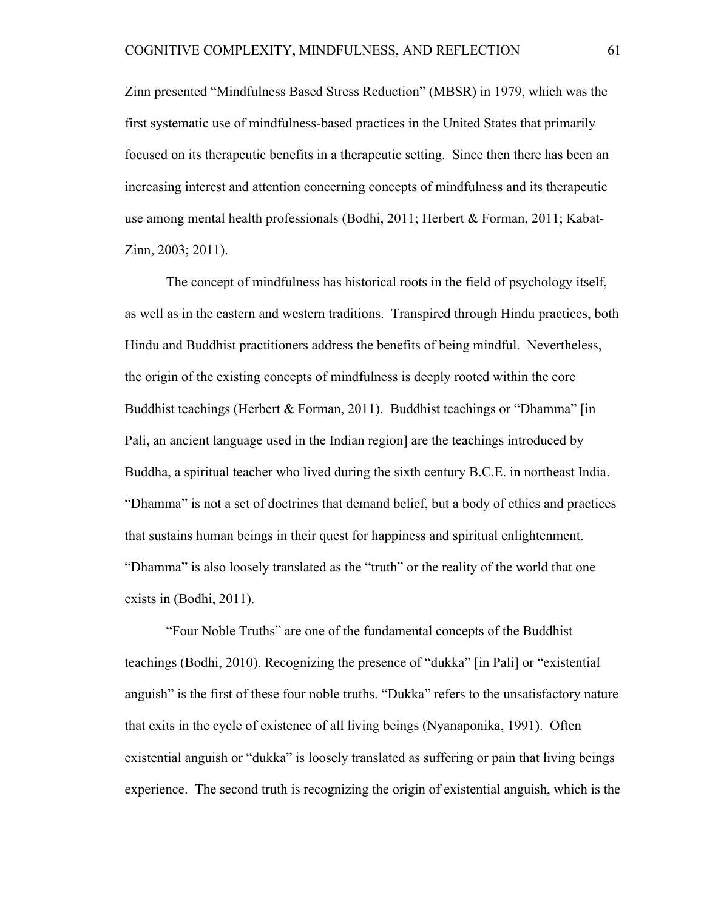Zinn presented "Mindfulness Based Stress Reduction" (MBSR) in 1979, which was the first systematic use of mindfulness-based practices in the United States that primarily focused on its therapeutic benefits in a therapeutic setting. Since then there has been an increasing interest and attention concerning concepts of mindfulness and its therapeutic use among mental health professionals (Bodhi, 2011; Herbert & Forman, 2011; Kabat-Zinn, 2003; 2011).

The concept of mindfulness has historical roots in the field of psychology itself, as well as in the eastern and western traditions. Transpired through Hindu practices, both Hindu and Buddhist practitioners address the benefits of being mindful. Nevertheless, the origin of the existing concepts of mindfulness is deeply rooted within the core Buddhist teachings (Herbert & Forman, 2011). Buddhist teachings or "Dhamma" [in Pali, an ancient language used in the Indian region] are the teachings introduced by Buddha, a spiritual teacher who lived during the sixth century B.C.E. in northeast India. "Dhamma" is not a set of doctrines that demand belief, but a body of ethics and practices that sustains human beings in their quest for happiness and spiritual enlightenment. "Dhamma" is also loosely translated as the "truth" or the reality of the world that one exists in (Bodhi, 2011).

"Four Noble Truths" are one of the fundamental concepts of the Buddhist teachings (Bodhi, 2010). Recognizing the presence of "dukka" [in Pali] or "existential anguish" is the first of these four noble truths. "Dukka" refers to the unsatisfactory nature that exits in the cycle of existence of all living beings (Nyanaponika, 1991). Often existential anguish or "dukka" is loosely translated as suffering or pain that living beings experience. The second truth is recognizing the origin of existential anguish, which is the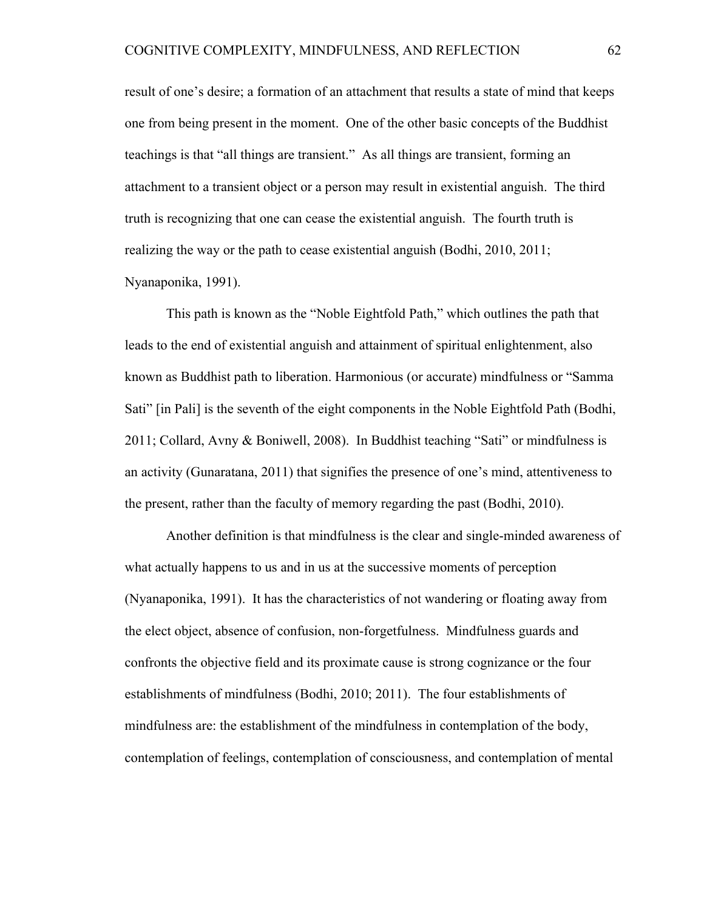result of one's desire; a formation of an attachment that results a state of mind that keeps one from being present in the moment. One of the other basic concepts of the Buddhist teachings is that "all things are transient." As all things are transient, forming an attachment to a transient object or a person may result in existential anguish. The third truth is recognizing that one can cease the existential anguish. The fourth truth is realizing the way or the path to cease existential anguish (Bodhi, 2010, 2011; Nyanaponika, 1991).

This path is known as the "Noble Eightfold Path," which outlines the path that leads to the end of existential anguish and attainment of spiritual enlightenment, also known as Buddhist path to liberation. Harmonious (or accurate) mindfulness or "Samma Sati" [in Pali] is the seventh of the eight components in the Noble Eightfold Path (Bodhi, 2011; Collard, Avny & Boniwell, 2008). In Buddhist teaching "Sati" or mindfulness is an activity (Gunaratana, 2011) that signifies the presence of one's mind, attentiveness to the present, rather than the faculty of memory regarding the past (Bodhi, 2010).

Another definition is that mindfulness is the clear and single-minded awareness of what actually happens to us and in us at the successive moments of perception (Nyanaponika, 1991). It has the characteristics of not wandering or floating away from the elect object, absence of confusion, non-forgetfulness. Mindfulness guards and confronts the objective field and its proximate cause is strong cognizance or the four establishments of mindfulness (Bodhi, 2010; 2011). The four establishments of mindfulness are: the establishment of the mindfulness in contemplation of the body, contemplation of feelings, contemplation of consciousness, and contemplation of mental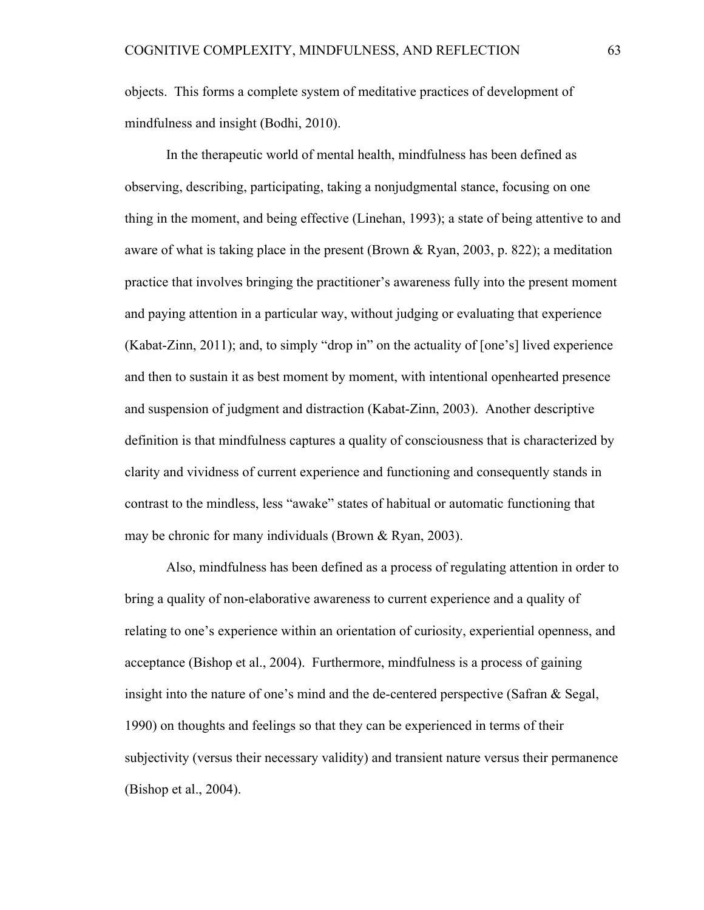objects. This forms a complete system of meditative practices of development of mindfulness and insight (Bodhi, 2010).

In the therapeutic world of mental health, mindfulness has been defined as observing, describing, participating, taking a nonjudgmental stance, focusing on one thing in the moment, and being effective (Linehan, 1993); a state of being attentive to and aware of what is taking place in the present (Brown & Ryan, 2003, p. 822); a meditation practice that involves bringing the practitioner's awareness fully into the present moment and paying attention in a particular way, without judging or evaluating that experience (Kabat-Zinn, 2011); and, to simply "drop in" on the actuality of [one's] lived experience and then to sustain it as best moment by moment, with intentional openhearted presence and suspension of judgment and distraction (Kabat-Zinn, 2003). Another descriptive definition is that mindfulness captures a quality of consciousness that is characterized by clarity and vividness of current experience and functioning and consequently stands in contrast to the mindless, less "awake" states of habitual or automatic functioning that may be chronic for many individuals (Brown & Ryan, 2003).

Also, mindfulness has been defined as a process of regulating attention in order to bring a quality of non-elaborative awareness to current experience and a quality of relating to one's experience within an orientation of curiosity, experiential openness, and acceptance (Bishop et al., 2004). Furthermore, mindfulness is a process of gaining insight into the nature of one's mind and the de-centered perspective (Safran & Segal, 1990) on thoughts and feelings so that they can be experienced in terms of their subjectivity (versus their necessary validity) and transient nature versus their permanence (Bishop et al., 2004).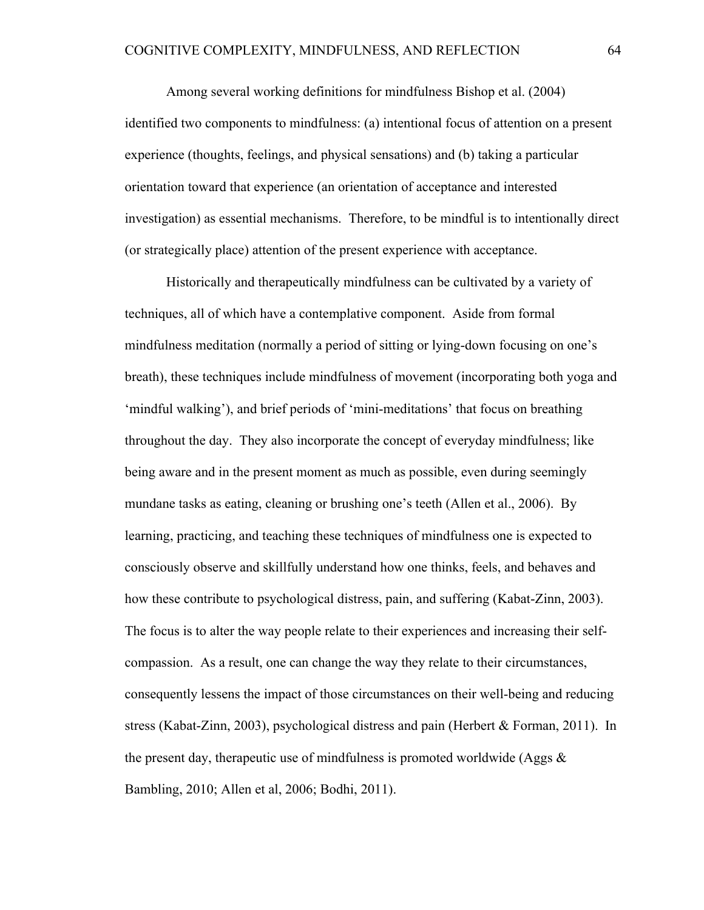Among several working definitions for mindfulness Bishop et al. (2004) identified two components to mindfulness: (a) intentional focus of attention on a present experience (thoughts, feelings, and physical sensations) and (b) taking a particular orientation toward that experience (an orientation of acceptance and interested investigation) as essential mechanisms. Therefore, to be mindful is to intentionally direct (or strategically place) attention of the present experience with acceptance.

Historically and therapeutically mindfulness can be cultivated by a variety of techniques, all of which have a contemplative component. Aside from formal mindfulness meditation (normally a period of sitting or lying-down focusing on one's breath), these techniques include mindfulness of movement (incorporating both yoga and 'mindful walking'), and brief periods of 'mini-meditations' that focus on breathing throughout the day. They also incorporate the concept of everyday mindfulness; like being aware and in the present moment as much as possible, even during seemingly mundane tasks as eating, cleaning or brushing one's teeth (Allen et al., 2006). By learning, practicing, and teaching these techniques of mindfulness one is expected to consciously observe and skillfully understand how one thinks, feels, and behaves and how these contribute to psychological distress, pain, and suffering (Kabat-Zinn, 2003). The focus is to alter the way people relate to their experiences and increasing their selfcompassion. As a result, one can change the way they relate to their circumstances, consequently lessens the impact of those circumstances on their well-being and reducing stress (Kabat-Zinn, 2003), psychological distress and pain (Herbert & Forman, 2011). In the present day, therapeutic use of mindfulness is promoted worldwide (Aggs & Bambling, 2010; Allen et al, 2006; Bodhi, 2011).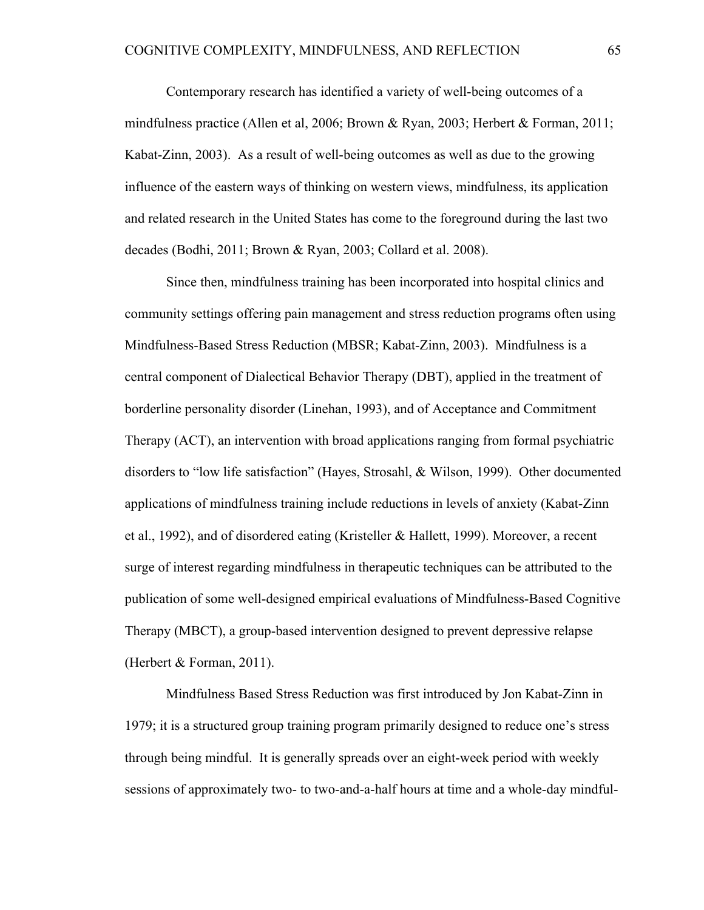Contemporary research has identified a variety of well-being outcomes of a mindfulness practice (Allen et al, 2006; Brown & Ryan, 2003; Herbert & Forman, 2011; Kabat-Zinn, 2003). As a result of well-being outcomes as well as due to the growing influence of the eastern ways of thinking on western views, mindfulness, its application and related research in the United States has come to the foreground during the last two decades (Bodhi, 2011; Brown & Ryan, 2003; Collard et al. 2008).

Since then, mindfulness training has been incorporated into hospital clinics and community settings offering pain management and stress reduction programs often using Mindfulness-Based Stress Reduction (MBSR; Kabat-Zinn, 2003). Mindfulness is a central component of Dialectical Behavior Therapy (DBT), applied in the treatment of borderline personality disorder (Linehan, 1993), and of Acceptance and Commitment Therapy (ACT), an intervention with broad applications ranging from formal psychiatric disorders to "low life satisfaction" (Hayes, Strosahl, & Wilson, 1999). Other documented applications of mindfulness training include reductions in levels of anxiety (Kabat-Zinn et al., 1992), and of disordered eating (Kristeller & Hallett, 1999). Moreover, a recent surge of interest regarding mindfulness in therapeutic techniques can be attributed to the publication of some well-designed empirical evaluations of Mindfulness-Based Cognitive Therapy (MBCT), a group-based intervention designed to prevent depressive relapse (Herbert & Forman, 2011).

Mindfulness Based Stress Reduction was first introduced by Jon Kabat-Zinn in 1979; it is a structured group training program primarily designed to reduce one's stress through being mindful. It is generally spreads over an eight-week period with weekly sessions of approximately two- to two-and-a-half hours at time and a whole-day mindful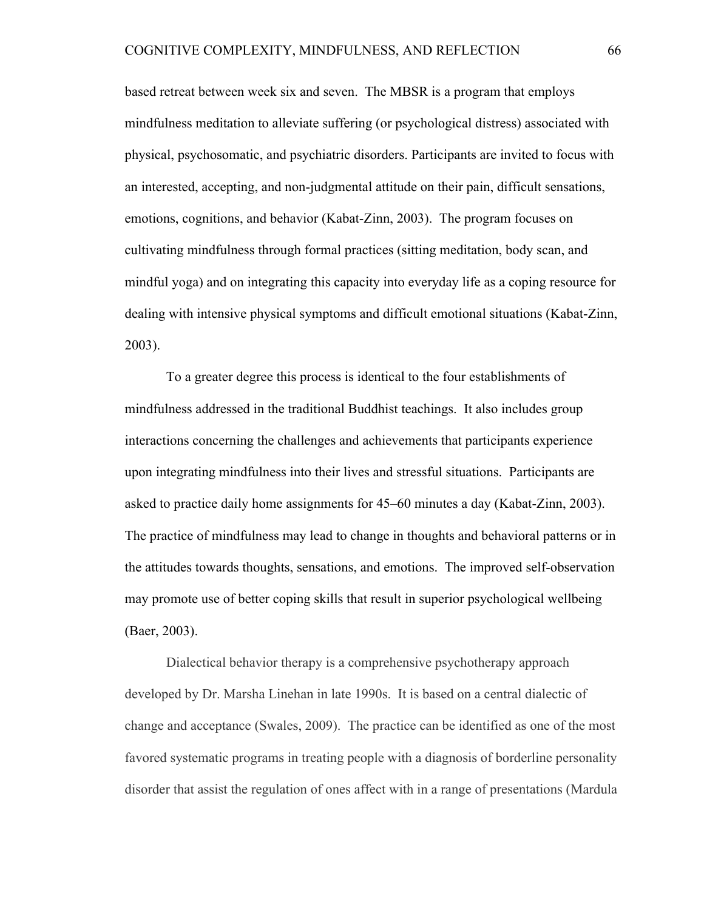based retreat between week six and seven. The MBSR is a program that employs mindfulness meditation to alleviate suffering (or psychological distress) associated with physical, psychosomatic, and psychiatric disorders. Participants are invited to focus with an interested, accepting, and non-judgmental attitude on their pain, difficult sensations, emotions, cognitions, and behavior (Kabat-Zinn, 2003). The program focuses on cultivating mindfulness through formal practices (sitting meditation, body scan, and mindful yoga) and on integrating this capacity into everyday life as a coping resource for dealing with intensive physical symptoms and difficult emotional situations (Kabat-Zinn, 2003).

To a greater degree this process is identical to the four establishments of mindfulness addressed in the traditional Buddhist teachings. It also includes group interactions concerning the challenges and achievements that participants experience upon integrating mindfulness into their lives and stressful situations. Participants are asked to practice daily home assignments for 45–60 minutes a day (Kabat-Zinn, 2003). The practice of mindfulness may lead to change in thoughts and behavioral patterns or in the attitudes towards thoughts, sensations, and emotions. The improved self-observation may promote use of better coping skills that result in superior psychological wellbeing (Baer, 2003).

Dialectical behavior therapy is a comprehensive psychotherapy approach developed by Dr. Marsha Linehan in late 1990s. It is based on a central dialectic of change and acceptance (Swales, 2009). The practice can be identified as one of the most favored systematic programs in treating people with a diagnosis of borderline personality disorder that assist the regulation of ones affect with in a range of presentations (Mardula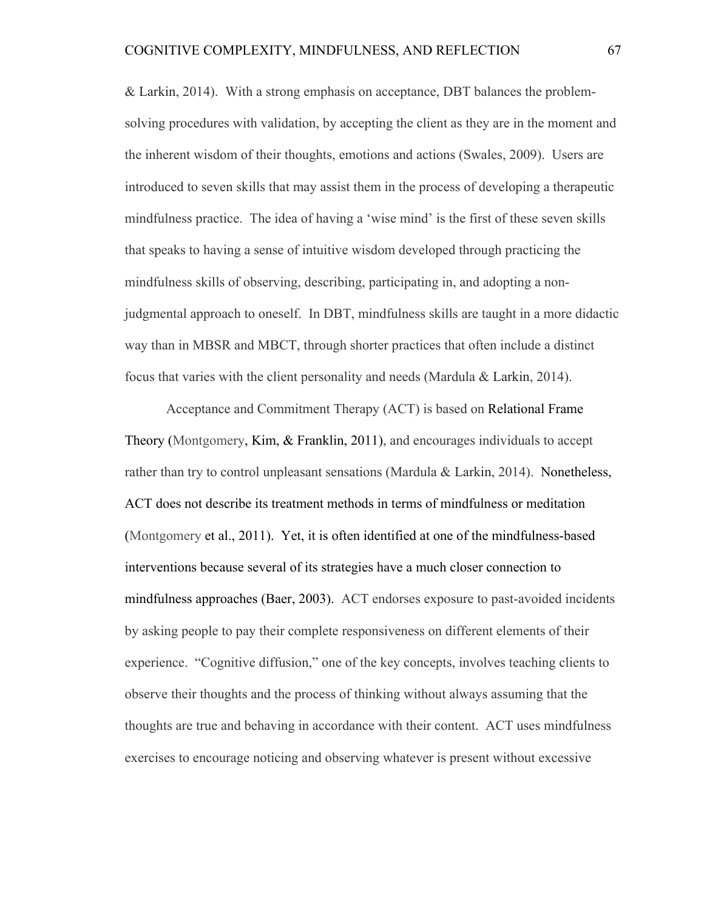& Larkin, 2014). With a strong emphasis on acceptance, DBT balances the problemsolving procedures with validation, by accepting the client as they are in the moment and the inherent wisdom of their thoughts, emotions and actions (Swales, 2009). Users are introduced to seven skills that may assist them in the process of developing a therapeutic mindfulness practice. The idea of having a 'wise mind' is the first of these seven skills that speaks to having a sense of intuitive wisdom developed through practicing the mindfulness skills of observing, describing, participating in, and adopting a nonjudgmental approach to oneself. In DBT, mindfulness skills are taught in a more didactic way than in MBSR and MBCT, through shorter practices that often include a distinct focus that varies with the client personality and needs (Mardula & Larkin, 2014).

Acceptance and Commitment Therapy (ACT) is based on Relational Frame Theory (Montgomery, Kim, & Franklin, 2011), and encourages individuals to accept rather than try to control unpleasant sensations (Mardula & Larkin, 2014). Nonetheless, ACT does not describe its treatment methods in terms of mindfulness or meditation (Montgomery et al., 2011). Yet, it is often identified at one of the mindfulness-based interventions because several of its strategies have a much closer connection to mindfulness approaches (Baer, 2003). ACT endorses exposure to past-avoided incidents by asking people to pay their complete responsiveness on different elements of their experience. "Cognitive diffusion," one of the key concepts, involves teaching clients to observe their thoughts and the process of thinking without always assuming that the thoughts are true and behaving in accordance with their content. ACT uses mindfulness exercises to encourage noticing and observing whatever is present without excessive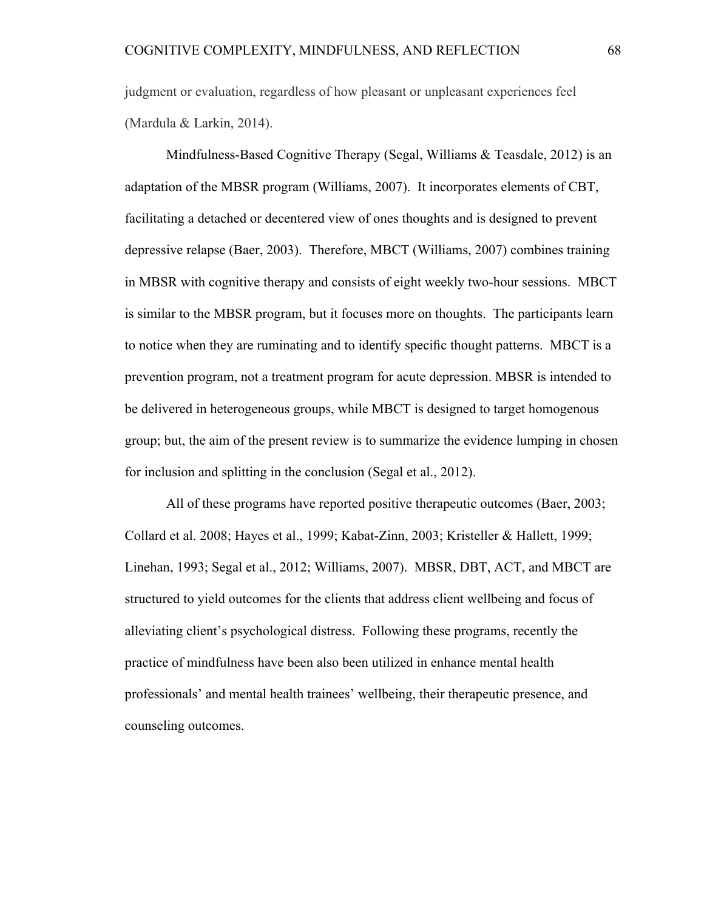judgment or evaluation, regardless of how pleasant or unpleasant experiences feel (Mardula & Larkin, 2014).

Mindfulness-Based Cognitive Therapy (Segal, Williams & Teasdale, 2012) is an adaptation of the MBSR program (Williams, 2007). It incorporates elements of CBT, facilitating a detached or decentered view of ones thoughts and is designed to prevent depressive relapse (Baer, 2003). Therefore, MBCT (Williams, 2007) combines training in MBSR with cognitive therapy and consists of eight weekly two-hour sessions. MBCT is similar to the MBSR program, but it focuses more on thoughts. The participants learn to notice when they are ruminating and to identify specific thought patterns. MBCT is a prevention program, not a treatment program for acute depression. MBSR is intended to be delivered in heterogeneous groups, while MBCT is designed to target homogenous group; but, the aim of the present review is to summarize the evidence lumping in chosen for inclusion and splitting in the conclusion (Segal et al., 2012).

All of these programs have reported positive therapeutic outcomes (Baer, 2003; Collard et al. 2008; Hayes et al., 1999; Kabat-Zinn, 2003; Kristeller & Hallett, 1999; Linehan, 1993; Segal et al., 2012; Williams, 2007). MBSR, DBT, ACT, and MBCT are structured to yield outcomes for the clients that address client wellbeing and focus of alleviating client's psychological distress. Following these programs, recently the practice of mindfulness have been also been utilized in enhance mental health professionals' and mental health trainees' wellbeing, their therapeutic presence, and counseling outcomes.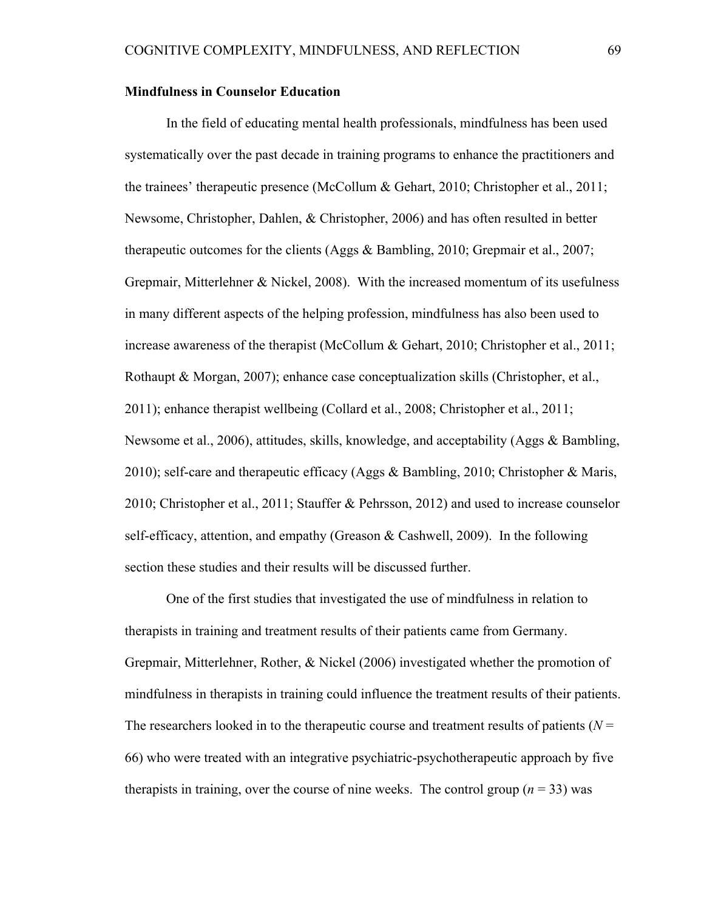# **Mindfulness in Counselor Education**

In the field of educating mental health professionals, mindfulness has been used systematically over the past decade in training programs to enhance the practitioners and the trainees' therapeutic presence (McCollum & Gehart, 2010; Christopher et al., 2011; Newsome, Christopher, Dahlen, & Christopher, 2006) and has often resulted in better therapeutic outcomes for the clients (Aggs & Bambling, 2010; Grepmair et al., 2007; Grepmair, Mitterlehner & Nickel, 2008). With the increased momentum of its usefulness in many different aspects of the helping profession, mindfulness has also been used to increase awareness of the therapist (McCollum & Gehart, 2010; Christopher et al., 2011; Rothaupt & Morgan, 2007); enhance case conceptualization skills (Christopher, et al., 2011); enhance therapist wellbeing (Collard et al., 2008; Christopher et al., 2011; Newsome et al., 2006), attitudes, skills, knowledge, and acceptability (Aggs & Bambling, 2010); self-care and therapeutic efficacy (Aggs & Bambling, 2010; Christopher & Maris, 2010; Christopher et al., 2011; Stauffer & Pehrsson, 2012) and used to increase counselor self-efficacy, attention, and empathy (Greason & Cashwell, 2009). In the following section these studies and their results will be discussed further.

One of the first studies that investigated the use of mindfulness in relation to therapists in training and treatment results of their patients came from Germany. Grepmair, Mitterlehner, Rother, & Nickel (2006) investigated whether the promotion of mindfulness in therapists in training could influence the treatment results of their patients. The researchers looked in to the therapeutic course and treatment results of patients  $(N = 1)$ 66) who were treated with an integrative psychiatric-psychotherapeutic approach by five therapists in training, over the course of nine weeks. The control group  $(n = 33)$  was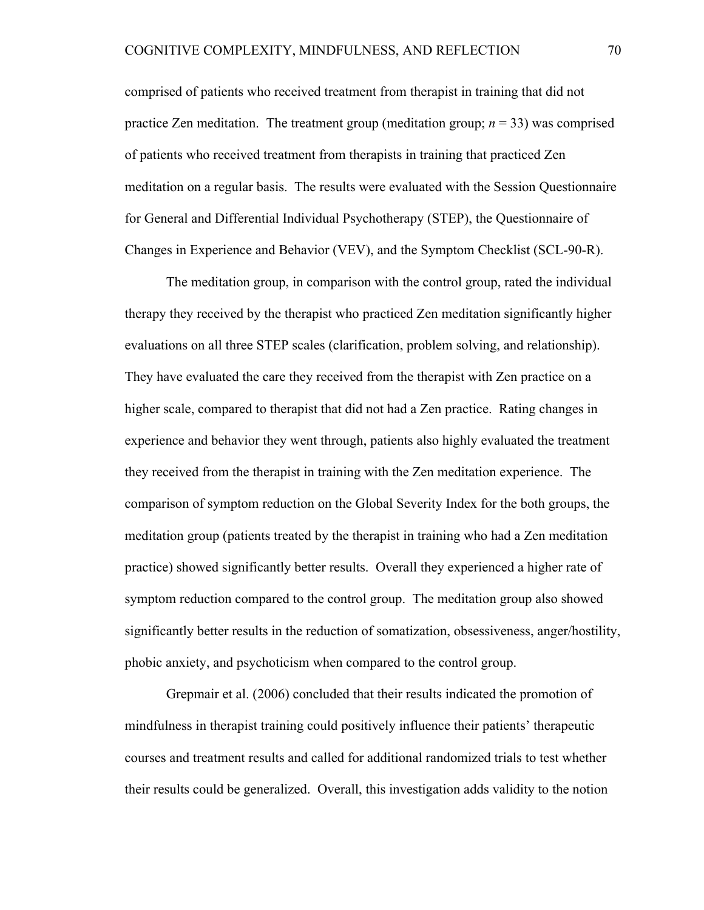comprised of patients who received treatment from therapist in training that did not practice Zen meditation. The treatment group (meditation group;  $n = 33$ ) was comprised of patients who received treatment from therapists in training that practiced Zen meditation on a regular basis. The results were evaluated with the Session Questionnaire for General and Differential Individual Psychotherapy (STEP), the Questionnaire of Changes in Experience and Behavior (VEV), and the Symptom Checklist (SCL-90-R).

The meditation group, in comparison with the control group, rated the individual therapy they received by the therapist who practiced Zen meditation significantly higher evaluations on all three STEP scales (clarification, problem solving, and relationship). They have evaluated the care they received from the therapist with Zen practice on a higher scale, compared to therapist that did not had a Zen practice. Rating changes in experience and behavior they went through, patients also highly evaluated the treatment they received from the therapist in training with the Zen meditation experience. The comparison of symptom reduction on the Global Severity Index for the both groups, the meditation group (patients treated by the therapist in training who had a Zen meditation practice) showed significantly better results. Overall they experienced a higher rate of symptom reduction compared to the control group. The meditation group also showed significantly better results in the reduction of somatization, obsessiveness, anger/hostility, phobic anxiety, and psychoticism when compared to the control group.

Grepmair et al. (2006) concluded that their results indicated the promotion of mindfulness in therapist training could positively influence their patients' therapeutic courses and treatment results and called for additional randomized trials to test whether their results could be generalized. Overall, this investigation adds validity to the notion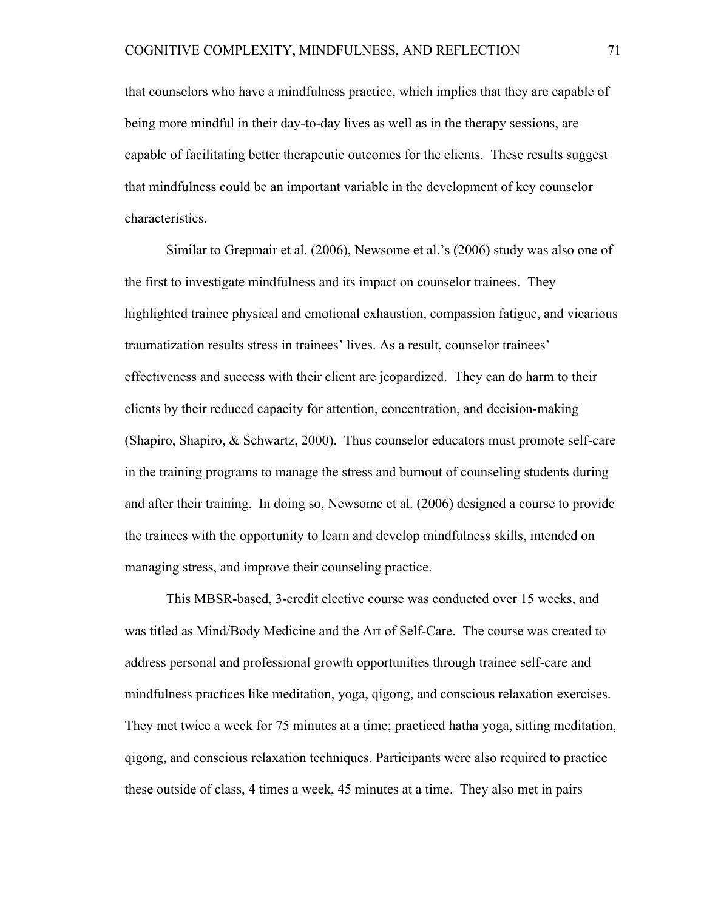that counselors who have a mindfulness practice, which implies that they are capable of being more mindful in their day-to-day lives as well as in the therapy sessions, are capable of facilitating better therapeutic outcomes for the clients. These results suggest that mindfulness could be an important variable in the development of key counselor characteristics.

Similar to Grepmair et al. (2006), Newsome et al.'s (2006) study was also one of the first to investigate mindfulness and its impact on counselor trainees. They highlighted trainee physical and emotional exhaustion, compassion fatigue, and vicarious traumatization results stress in trainees' lives. As a result, counselor trainees' effectiveness and success with their client are jeopardized. They can do harm to their clients by their reduced capacity for attention, concentration, and decision-making (Shapiro, Shapiro, & Schwartz, 2000). Thus counselor educators must promote self-care in the training programs to manage the stress and burnout of counseling students during and after their training. In doing so, Newsome et al. (2006) designed a course to provide the trainees with the opportunity to learn and develop mindfulness skills, intended on managing stress, and improve their counseling practice.

This MBSR-based, 3-credit elective course was conducted over 15 weeks, and was titled as Mind/Body Medicine and the Art of Self-Care. The course was created to address personal and professional growth opportunities through trainee self-care and mindfulness practices like meditation, yoga, qigong, and conscious relaxation exercises. They met twice a week for 75 minutes at a time; practiced hatha yoga, sitting meditation, qigong, and conscious relaxation techniques. Participants were also required to practice these outside of class, 4 times a week, 45 minutes at a time. They also met in pairs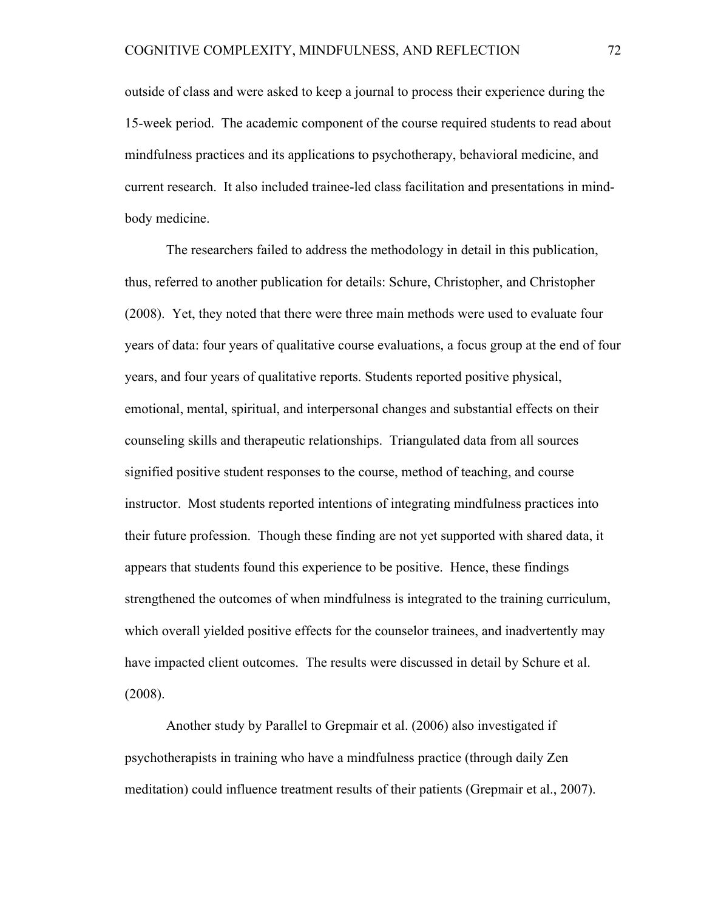outside of class and were asked to keep a journal to process their experience during the 15-week period. The academic component of the course required students to read about mindfulness practices and its applications to psychotherapy, behavioral medicine, and current research. It also included trainee-led class facilitation and presentations in mindbody medicine.

The researchers failed to address the methodology in detail in this publication, thus, referred to another publication for details: Schure, Christopher, and Christopher (2008). Yet, they noted that there were three main methods were used to evaluate four years of data: four years of qualitative course evaluations, a focus group at the end of four years, and four years of qualitative reports. Students reported positive physical, emotional, mental, spiritual, and interpersonal changes and substantial effects on their counseling skills and therapeutic relationships. Triangulated data from all sources signified positive student responses to the course, method of teaching, and course instructor. Most students reported intentions of integrating mindfulness practices into their future profession. Though these finding are not yet supported with shared data, it appears that students found this experience to be positive. Hence, these findings strengthened the outcomes of when mindfulness is integrated to the training curriculum, which overall yielded positive effects for the counselor trainees, and inadvertently may have impacted client outcomes. The results were discussed in detail by Schure et al. (2008).

Another study by Parallel to Grepmair et al. (2006) also investigated if psychotherapists in training who have a mindfulness practice (through daily Zen meditation) could influence treatment results of their patients (Grepmair et al., 2007).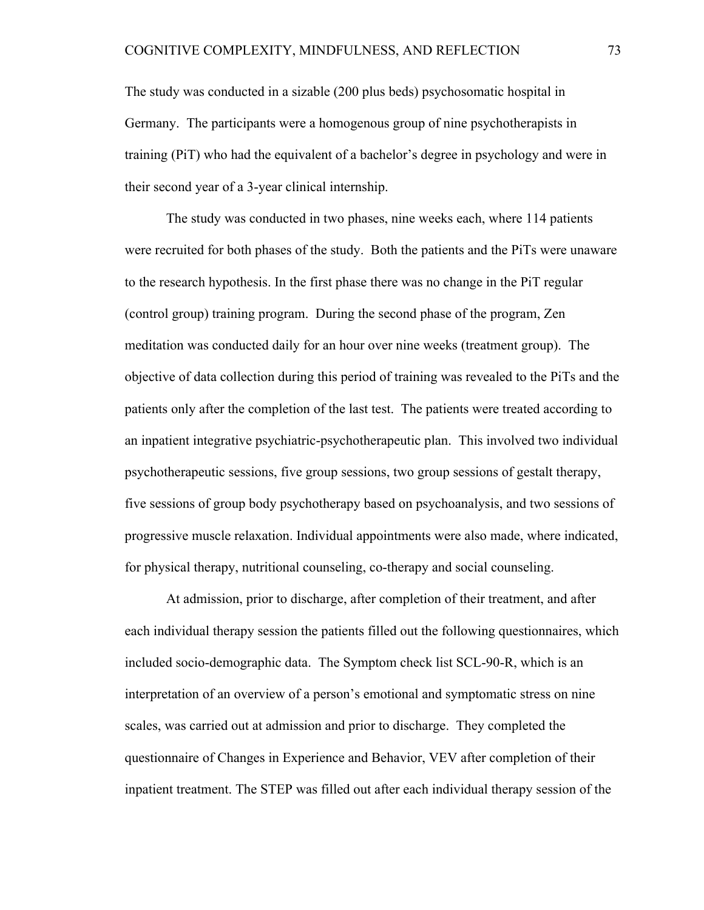The study was conducted in a sizable (200 plus beds) psychosomatic hospital in Germany. The participants were a homogenous group of nine psychotherapists in training (PiT) who had the equivalent of a bachelor's degree in psychology and were in their second year of a 3-year clinical internship.

The study was conducted in two phases, nine weeks each, where 114 patients were recruited for both phases of the study. Both the patients and the PiTs were unaware to the research hypothesis. In the first phase there was no change in the PiT regular (control group) training program. During the second phase of the program, Zen meditation was conducted daily for an hour over nine weeks (treatment group). The objective of data collection during this period of training was revealed to the PiTs and the patients only after the completion of the last test. The patients were treated according to an inpatient integrative psychiatric-psychotherapeutic plan. This involved two individual psychotherapeutic sessions, five group sessions, two group sessions of gestalt therapy, five sessions of group body psychotherapy based on psychoanalysis, and two sessions of progressive muscle relaxation. Individual appointments were also made, where indicated, for physical therapy, nutritional counseling, co-therapy and social counseling.

At admission, prior to discharge, after completion of their treatment, and after each individual therapy session the patients filled out the following questionnaires, which included socio-demographic data. The Symptom check list SCL-90-R, which is an interpretation of an overview of a person's emotional and symptomatic stress on nine scales, was carried out at admission and prior to discharge. They completed the questionnaire of Changes in Experience and Behavior, VEV after completion of their inpatient treatment. The STEP was filled out after each individual therapy session of the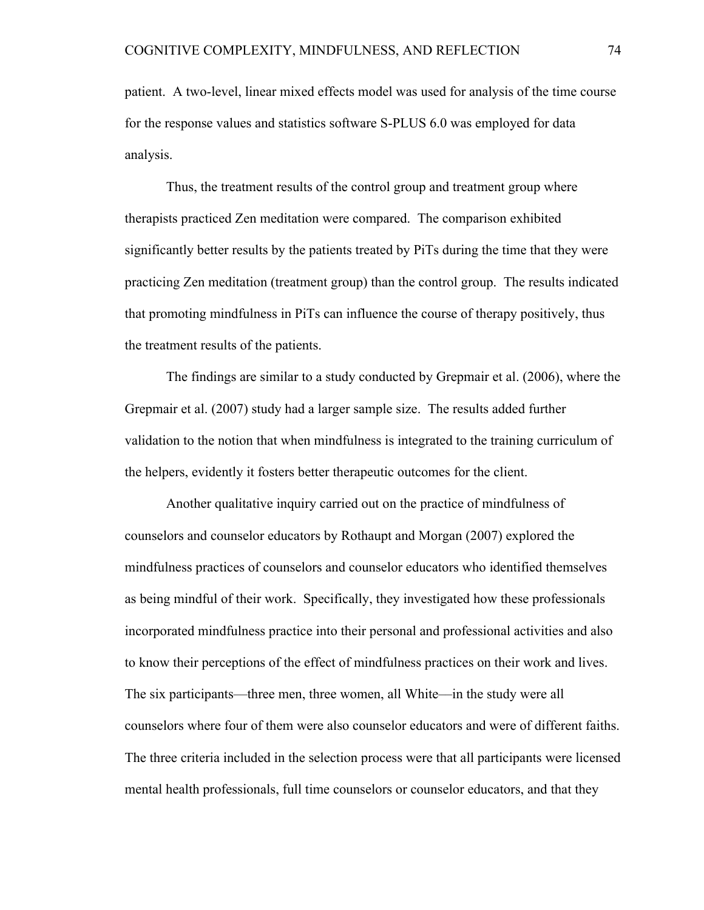patient. A two-level, linear mixed effects model was used for analysis of the time course for the response values and statistics software S-PLUS 6.0 was employed for data analysis.

Thus, the treatment results of the control group and treatment group where therapists practiced Zen meditation were compared. The comparison exhibited significantly better results by the patients treated by PiTs during the time that they were practicing Zen meditation (treatment group) than the control group. The results indicated that promoting mindfulness in PiTs can influence the course of therapy positively, thus the treatment results of the patients.

The findings are similar to a study conducted by Grepmair et al. (2006), where the Grepmair et al. (2007) study had a larger sample size. The results added further validation to the notion that when mindfulness is integrated to the training curriculum of the helpers, evidently it fosters better therapeutic outcomes for the client.

Another qualitative inquiry carried out on the practice of mindfulness of counselors and counselor educators by Rothaupt and Morgan (2007) explored the mindfulness practices of counselors and counselor educators who identified themselves as being mindful of their work. Specifically, they investigated how these professionals incorporated mindfulness practice into their personal and professional activities and also to know their perceptions of the effect of mindfulness practices on their work and lives. The six participants––three men, three women, all White––in the study were all counselors where four of them were also counselor educators and were of different faiths. The three criteria included in the selection process were that all participants were licensed mental health professionals, full time counselors or counselor educators, and that they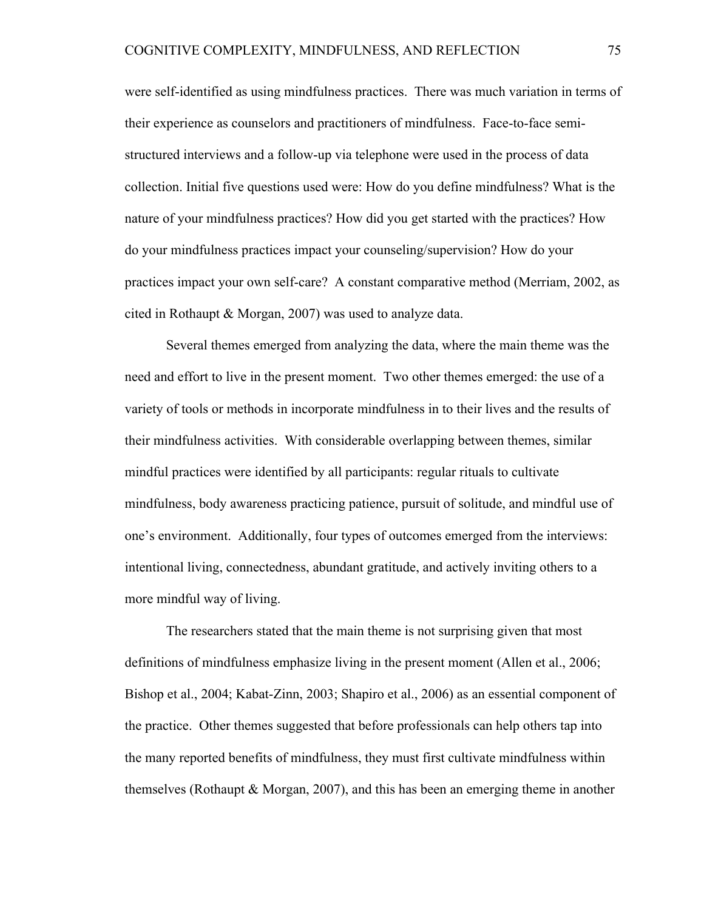were self-identified as using mindfulness practices. There was much variation in terms of their experience as counselors and practitioners of mindfulness. Face-to-face semistructured interviews and a follow-up via telephone were used in the process of data collection. Initial five questions used were: How do you define mindfulness? What is the nature of your mindfulness practices? How did you get started with the practices? How do your mindfulness practices impact your counseling/supervision? How do your practices impact your own self-care? A constant comparative method (Merriam, 2002, as cited in Rothaupt & Morgan, 2007) was used to analyze data.

Several themes emerged from analyzing the data, where the main theme was the need and effort to live in the present moment. Two other themes emerged: the use of a variety of tools or methods in incorporate mindfulness in to their lives and the results of their mindfulness activities. With considerable overlapping between themes, similar mindful practices were identified by all participants: regular rituals to cultivate mindfulness, body awareness practicing patience, pursuit of solitude, and mindful use of one's environment. Additionally, four types of outcomes emerged from the interviews: intentional living, connectedness, abundant gratitude, and actively inviting others to a more mindful way of living.

The researchers stated that the main theme is not surprising given that most definitions of mindfulness emphasize living in the present moment (Allen et al., 2006; Bishop et al., 2004; Kabat-Zinn, 2003; Shapiro et al., 2006) as an essential component of the practice. Other themes suggested that before professionals can help others tap into the many reported benefits of mindfulness, they must first cultivate mindfulness within themselves (Rothaupt & Morgan, 2007), and this has been an emerging theme in another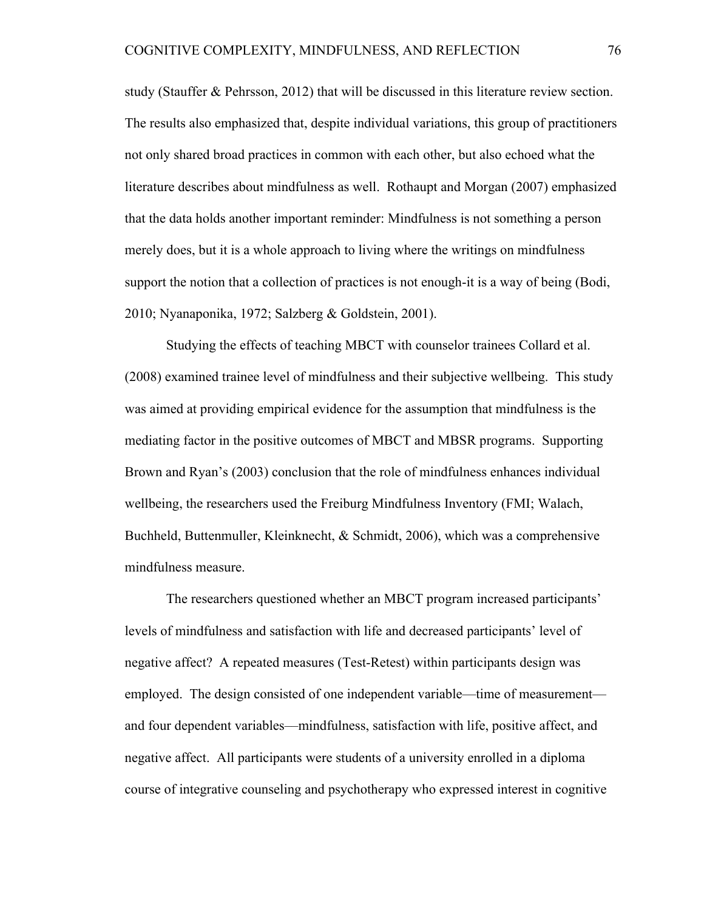study (Stauffer & Pehrsson, 2012) that will be discussed in this literature review section. The results also emphasized that, despite individual variations, this group of practitioners not only shared broad practices in common with each other, but also echoed what the literature describes about mindfulness as well. Rothaupt and Morgan (2007) emphasized that the data holds another important reminder: Mindfulness is not something a person merely does, but it is a whole approach to living where the writings on mindfulness support the notion that a collection of practices is not enough-it is a way of being (Bodi, 2010; Nyanaponika, 1972; Salzberg & Goldstein, 2001).

Studying the effects of teaching MBCT with counselor trainees Collard et al. (2008) examined trainee level of mindfulness and their subjective wellbeing. This study was aimed at providing empirical evidence for the assumption that mindfulness is the mediating factor in the positive outcomes of MBCT and MBSR programs. Supporting Brown and Ryan's (2003) conclusion that the role of mindfulness enhances individual wellbeing, the researchers used the Freiburg Mindfulness Inventory (FMI; Walach, Buchheld, Buttenmuller, Kleinknecht, & Schmidt, 2006), which was a comprehensive mindfulness measure.

The researchers questioned whether an MBCT program increased participants' levels of mindfulness and satisfaction with life and decreased participants' level of negative affect? A repeated measures (Test-Retest) within participants design was employed. The design consisted of one independent variable—time of measurement and four dependent variables––mindfulness, satisfaction with life, positive affect, and negative affect. All participants were students of a university enrolled in a diploma course of integrative counseling and psychotherapy who expressed interest in cognitive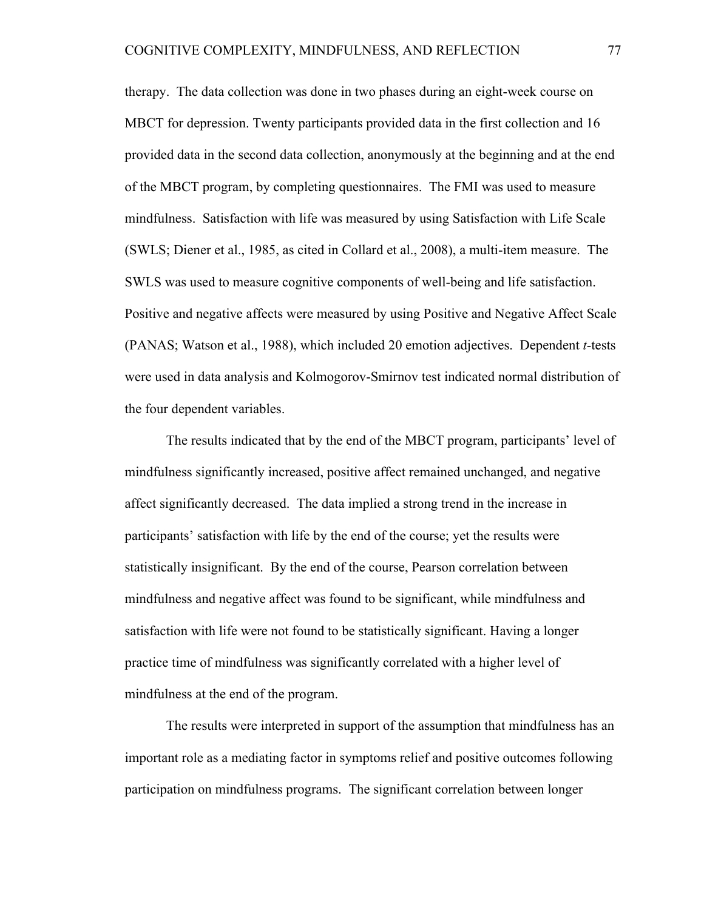therapy. The data collection was done in two phases during an eight-week course on MBCT for depression. Twenty participants provided data in the first collection and 16 provided data in the second data collection, anonymously at the beginning and at the end of the MBCT program, by completing questionnaires. The FMI was used to measure mindfulness. Satisfaction with life was measured by using Satisfaction with Life Scale (SWLS; Diener et al., 1985, as cited in Collard et al., 2008), a multi-item measure. The SWLS was used to measure cognitive components of well-being and life satisfaction. Positive and negative affects were measured by using Positive and Negative Affect Scale (PANAS; Watson et al., 1988), which included 20 emotion adjectives. Dependent *t*-tests were used in data analysis and Kolmogorov-Smirnov test indicated normal distribution of the four dependent variables.

The results indicated that by the end of the MBCT program, participants' level of mindfulness significantly increased, positive affect remained unchanged, and negative affect significantly decreased. The data implied a strong trend in the increase in participants' satisfaction with life by the end of the course; yet the results were statistically insignificant. By the end of the course, Pearson correlation between mindfulness and negative affect was found to be significant, while mindfulness and satisfaction with life were not found to be statistically significant. Having a longer practice time of mindfulness was significantly correlated with a higher level of mindfulness at the end of the program.

The results were interpreted in support of the assumption that mindfulness has an important role as a mediating factor in symptoms relief and positive outcomes following participation on mindfulness programs. The significant correlation between longer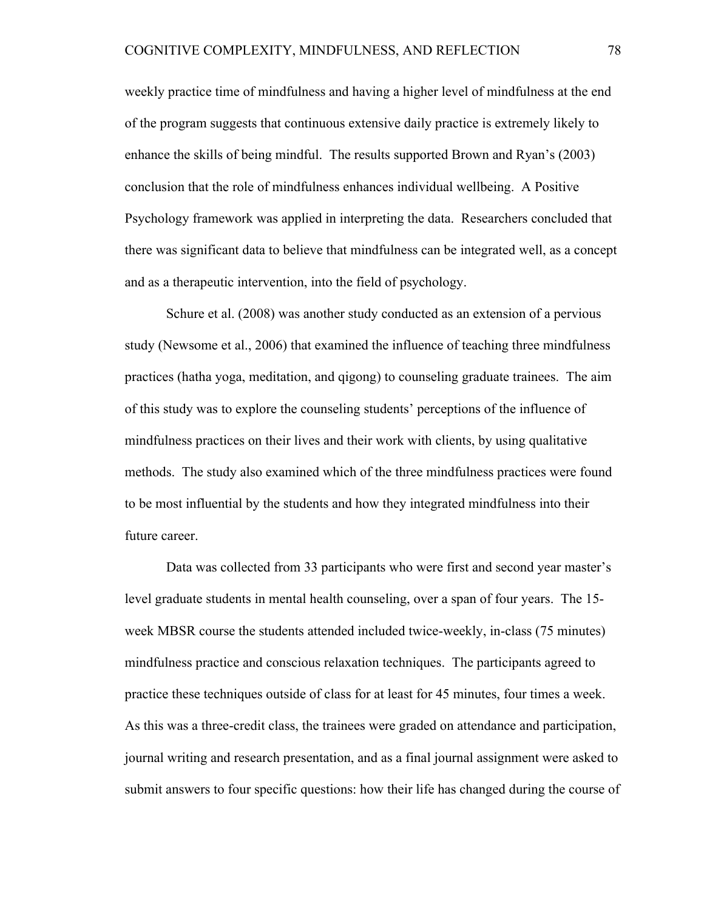weekly practice time of mindfulness and having a higher level of mindfulness at the end of the program suggests that continuous extensive daily practice is extremely likely to enhance the skills of being mindful. The results supported Brown and Ryan's (2003) conclusion that the role of mindfulness enhances individual wellbeing. A Positive Psychology framework was applied in interpreting the data. Researchers concluded that there was significant data to believe that mindfulness can be integrated well, as a concept and as a therapeutic intervention, into the field of psychology.

Schure et al. (2008) was another study conducted as an extension of a pervious study (Newsome et al., 2006) that examined the influence of teaching three mindfulness practices (hatha yoga, meditation, and qigong) to counseling graduate trainees. The aim of this study was to explore the counseling students' perceptions of the influence of mindfulness practices on their lives and their work with clients, by using qualitative methods. The study also examined which of the three mindfulness practices were found to be most influential by the students and how they integrated mindfulness into their future career.

Data was collected from 33 participants who were first and second year master's level graduate students in mental health counseling, over a span of four years. The 15 week MBSR course the students attended included twice-weekly, in-class (75 minutes) mindfulness practice and conscious relaxation techniques. The participants agreed to practice these techniques outside of class for at least for 45 minutes, four times a week. As this was a three-credit class, the trainees were graded on attendance and participation, journal writing and research presentation, and as a final journal assignment were asked to submit answers to four specific questions: how their life has changed during the course of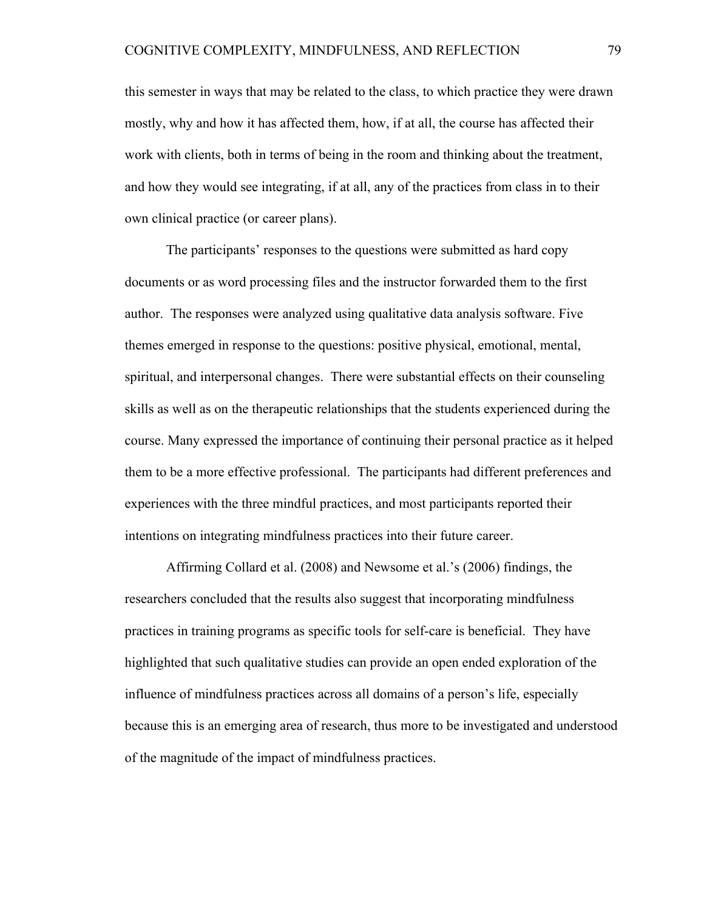this semester in ways that may be related to the class, to which practice they were drawn mostly, why and how it has affected them, how, if at all, the course has affected their work with clients, both in terms of being in the room and thinking about the treatment, and how they would see integrating, if at all, any of the practices from class in to their own clinical practice (or career plans).

The participants' responses to the questions were submitted as hard copy documents or as word processing files and the instructor forwarded them to the first author. The responses were analyzed using qualitative data analysis software. Five themes emerged in response to the questions: positive physical, emotional, mental, spiritual, and interpersonal changes. There were substantial effects on their counseling skills as well as on the therapeutic relationships that the students experienced during the course. Many expressed the importance of continuing their personal practice as it helped them to be a more effective professional. The participants had different preferences and experiences with the three mindful practices, and most participants reported their intentions on integrating mindfulness practices into their future career.

Affirming Collard et al. (2008) and Newsome et al.'s (2006) findings, the researchers concluded that the results also suggest that incorporating mindfulness practices in training programs as specific tools for self-care is beneficial. They have highlighted that such qualitative studies can provide an open ended exploration of the influence of mindfulness practices across all domains of a person's life, especially because this is an emerging area of research, thus more to be investigated and understood of the magnitude of the impact of mindfulness practices.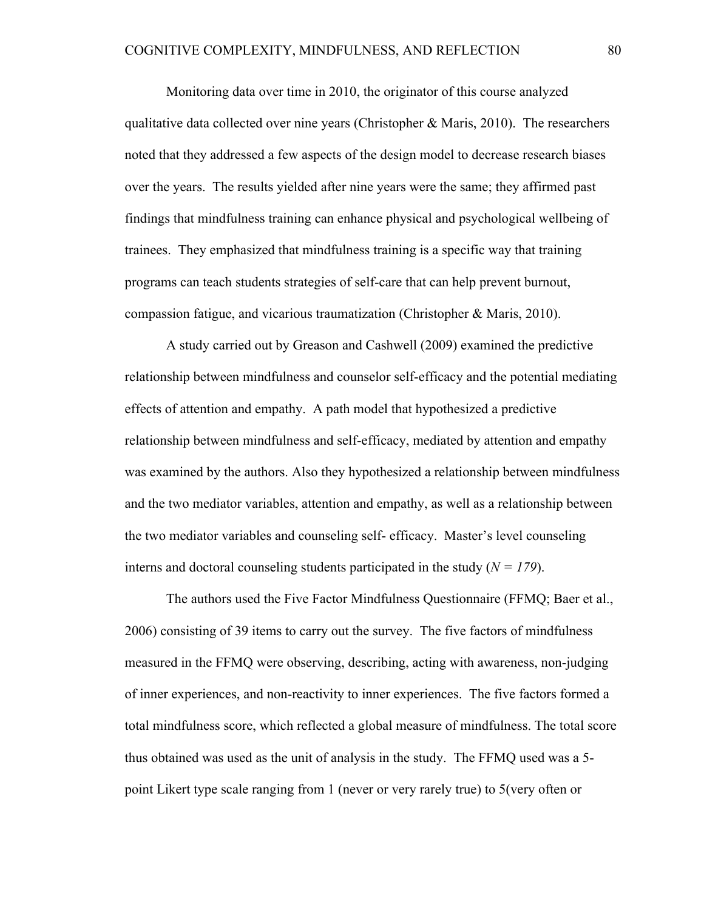Monitoring data over time in 2010, the originator of this course analyzed qualitative data collected over nine years (Christopher & Maris, 2010). The researchers noted that they addressed a few aspects of the design model to decrease research biases over the years. The results yielded after nine years were the same; they affirmed past findings that mindfulness training can enhance physical and psychological wellbeing of trainees. They emphasized that mindfulness training is a specific way that training programs can teach students strategies of self-care that can help prevent burnout, compassion fatigue, and vicarious traumatization (Christopher & Maris, 2010).

A study carried out by Greason and Cashwell (2009) examined the predictive relationship between mindfulness and counselor self-efficacy and the potential mediating effects of attention and empathy. A path model that hypothesized a predictive relationship between mindfulness and self-efficacy, mediated by attention and empathy was examined by the authors. Also they hypothesized a relationship between mindfulness and the two mediator variables, attention and empathy, as well as a relationship between the two mediator variables and counseling self- efficacy. Master's level counseling interns and doctoral counseling students participated in the study  $(N = 179)$ .

The authors used the Five Factor Mindfulness Questionnaire (FFMQ; Baer et al., 2006) consisting of 39 items to carry out the survey. The five factors of mindfulness measured in the FFMQ were observing, describing, acting with awareness, non-judging of inner experiences, and non-reactivity to inner experiences. The five factors formed a total mindfulness score, which reflected a global measure of mindfulness. The total score thus obtained was used as the unit of analysis in the study. The FFMQ used was a 5 point Likert type scale ranging from 1 (never or very rarely true) to 5(very often or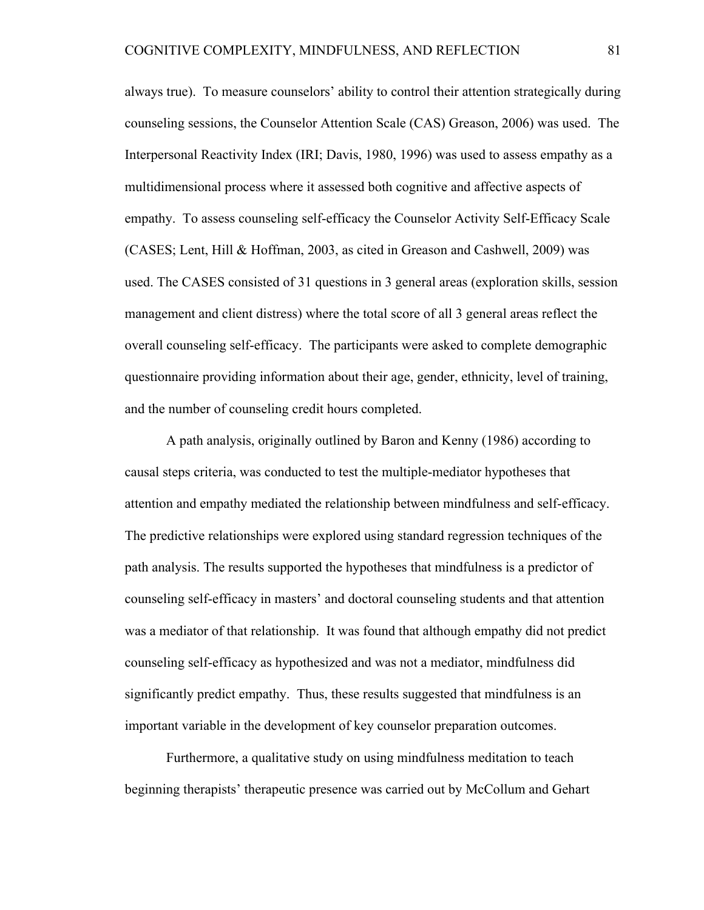always true). To measure counselors' ability to control their attention strategically during counseling sessions, the Counselor Attention Scale (CAS) Greason, 2006) was used. The Interpersonal Reactivity Index (IRI; Davis, 1980, 1996) was used to assess empathy as a multidimensional process where it assessed both cognitive and affective aspects of empathy. To assess counseling self-efficacy the Counselor Activity Self-Efficacy Scale (CASES; Lent, Hill & Hoffman, 2003, as cited in Greason and Cashwell, 2009) was used. The CASES consisted of 31 questions in 3 general areas (exploration skills, session management and client distress) where the total score of all 3 general areas reflect the overall counseling self-efficacy. The participants were asked to complete demographic questionnaire providing information about their age, gender, ethnicity, level of training, and the number of counseling credit hours completed.

A path analysis, originally outlined by Baron and Kenny (1986) according to causal steps criteria, was conducted to test the multiple-mediator hypotheses that attention and empathy mediated the relationship between mindfulness and self-efficacy. The predictive relationships were explored using standard regression techniques of the path analysis. The results supported the hypotheses that mindfulness is a predictor of counseling self-efficacy in masters' and doctoral counseling students and that attention was a mediator of that relationship. It was found that although empathy did not predict counseling self-efficacy as hypothesized and was not a mediator, mindfulness did significantly predict empathy. Thus, these results suggested that mindfulness is an important variable in the development of key counselor preparation outcomes.

Furthermore, a qualitative study on using mindfulness meditation to teach beginning therapists' therapeutic presence was carried out by McCollum and Gehart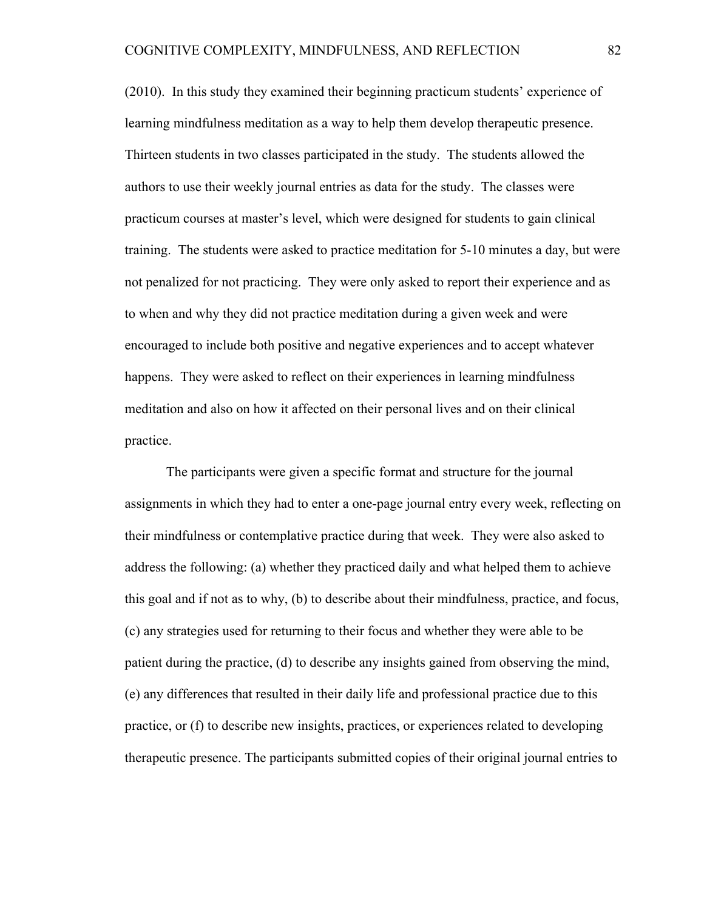(2010). In this study they examined their beginning practicum students' experience of learning mindfulness meditation as a way to help them develop therapeutic presence. Thirteen students in two classes participated in the study. The students allowed the authors to use their weekly journal entries as data for the study. The classes were practicum courses at master's level, which were designed for students to gain clinical training. The students were asked to practice meditation for 5-10 minutes a day, but were not penalized for not practicing. They were only asked to report their experience and as to when and why they did not practice meditation during a given week and were encouraged to include both positive and negative experiences and to accept whatever happens. They were asked to reflect on their experiences in learning mindfulness meditation and also on how it affected on their personal lives and on their clinical practice.

The participants were given a specific format and structure for the journal assignments in which they had to enter a one-page journal entry every week, reflecting on their mindfulness or contemplative practice during that week. They were also asked to address the following: (a) whether they practiced daily and what helped them to achieve this goal and if not as to why, (b) to describe about their mindfulness, practice, and focus, (c) any strategies used for returning to their focus and whether they were able to be patient during the practice, (d) to describe any insights gained from observing the mind, (e) any differences that resulted in their daily life and professional practice due to this practice, or (f) to describe new insights, practices, or experiences related to developing therapeutic presence. The participants submitted copies of their original journal entries to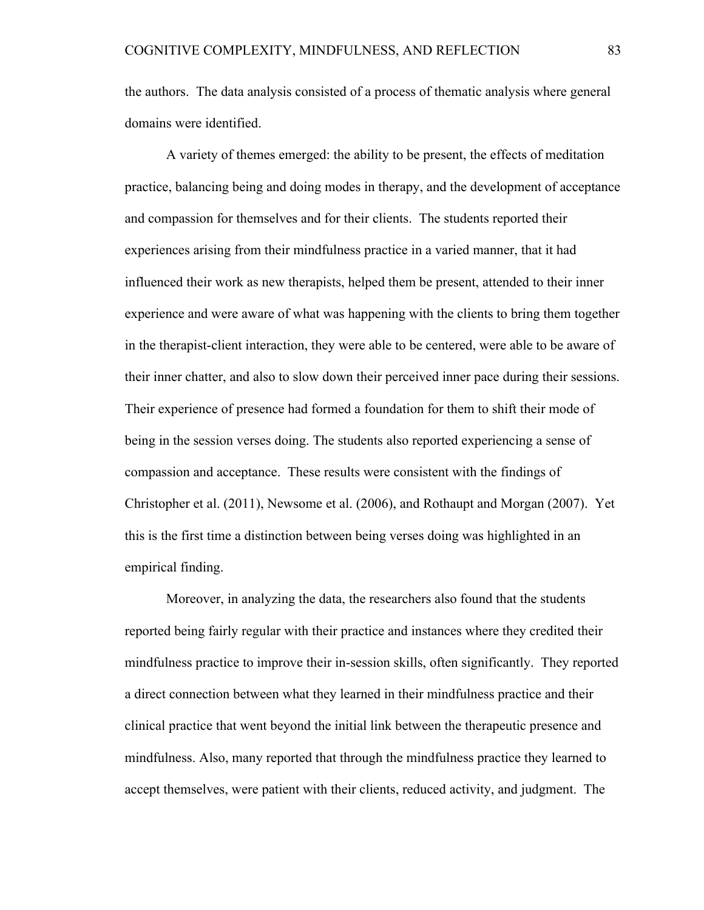the authors. The data analysis consisted of a process of thematic analysis where general domains were identified.

A variety of themes emerged: the ability to be present, the effects of meditation practice, balancing being and doing modes in therapy, and the development of acceptance and compassion for themselves and for their clients. The students reported their experiences arising from their mindfulness practice in a varied manner, that it had influenced their work as new therapists, helped them be present, attended to their inner experience and were aware of what was happening with the clients to bring them together in the therapist-client interaction, they were able to be centered, were able to be aware of their inner chatter, and also to slow down their perceived inner pace during their sessions. Their experience of presence had formed a foundation for them to shift their mode of being in the session verses doing. The students also reported experiencing a sense of compassion and acceptance. These results were consistent with the findings of Christopher et al. (2011), Newsome et al. (2006), and Rothaupt and Morgan (2007). Yet this is the first time a distinction between being verses doing was highlighted in an empirical finding.

Moreover, in analyzing the data, the researchers also found that the students reported being fairly regular with their practice and instances where they credited their mindfulness practice to improve their in-session skills, often significantly. They reported a direct connection between what they learned in their mindfulness practice and their clinical practice that went beyond the initial link between the therapeutic presence and mindfulness. Also, many reported that through the mindfulness practice they learned to accept themselves, were patient with their clients, reduced activity, and judgment. The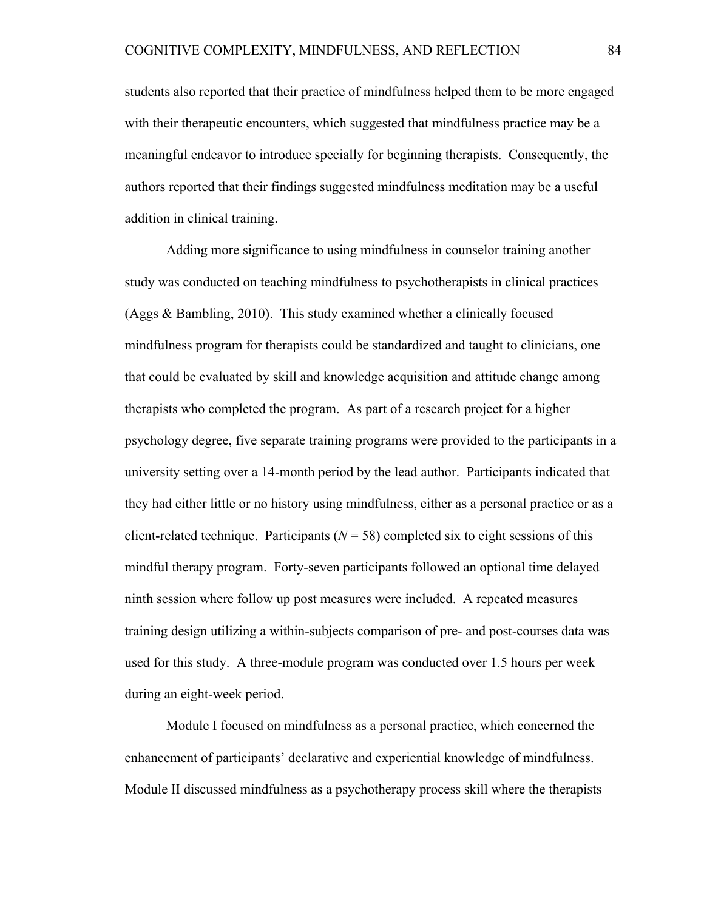students also reported that their practice of mindfulness helped them to be more engaged with their therapeutic encounters, which suggested that mindfulness practice may be a meaningful endeavor to introduce specially for beginning therapists. Consequently, the authors reported that their findings suggested mindfulness meditation may be a useful addition in clinical training.

Adding more significance to using mindfulness in counselor training another study was conducted on teaching mindfulness to psychotherapists in clinical practices (Aggs & Bambling, 2010). This study examined whether a clinically focused mindfulness program for therapists could be standardized and taught to clinicians, one that could be evaluated by skill and knowledge acquisition and attitude change among therapists who completed the program. As part of a research project for a higher psychology degree, five separate training programs were provided to the participants in a university setting over a 14-month period by the lead author. Participants indicated that they had either little or no history using mindfulness, either as a personal practice or as a client-related technique. Participants ( $N = 58$ ) completed six to eight sessions of this mindful therapy program. Forty-seven participants followed an optional time delayed ninth session where follow up post measures were included. A repeated measures training design utilizing a within-subjects comparison of pre- and post-courses data was used for this study. A three-module program was conducted over 1.5 hours per week during an eight-week period.

Module I focused on mindfulness as a personal practice, which concerned the enhancement of participants' declarative and experiential knowledge of mindfulness. Module II discussed mindfulness as a psychotherapy process skill where the therapists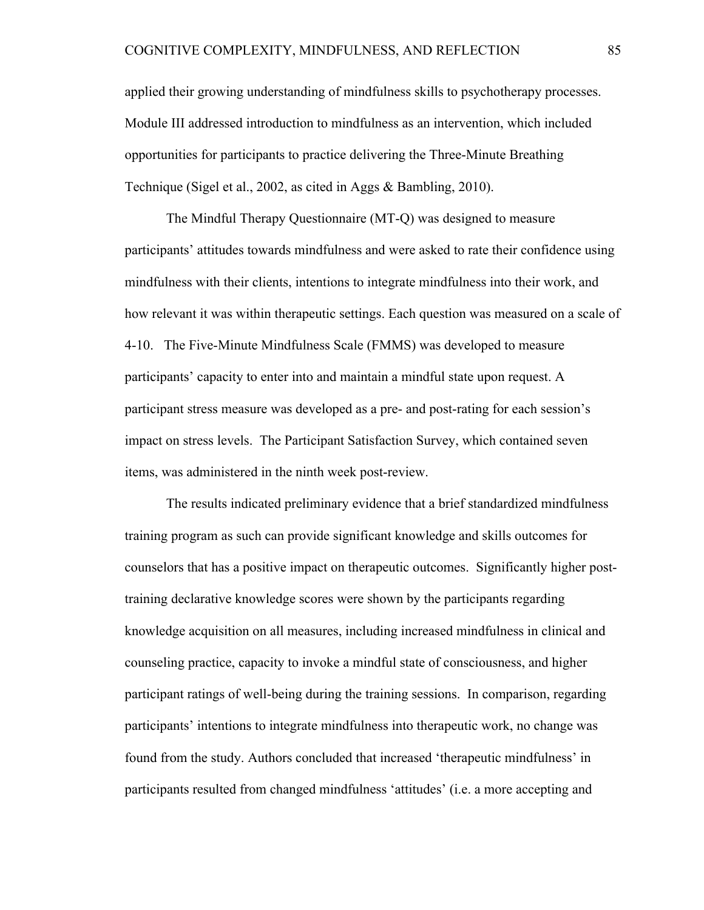applied their growing understanding of mindfulness skills to psychotherapy processes. Module III addressed introduction to mindfulness as an intervention, which included opportunities for participants to practice delivering the Three-Minute Breathing Technique (Sigel et al., 2002, as cited in Aggs & Bambling, 2010).

The Mindful Therapy Questionnaire (MT-Q) was designed to measure participants' attitudes towards mindfulness and were asked to rate their confidence using mindfulness with their clients, intentions to integrate mindfulness into their work, and how relevant it was within therapeutic settings. Each question was measured on a scale of 4-10. The Five-Minute Mindfulness Scale (FMMS) was developed to measure participants' capacity to enter into and maintain a mindful state upon request. A participant stress measure was developed as a pre- and post-rating for each session's impact on stress levels. The Participant Satisfaction Survey, which contained seven items, was administered in the ninth week post-review.

The results indicated preliminary evidence that a brief standardized mindfulness training program as such can provide significant knowledge and skills outcomes for counselors that has a positive impact on therapeutic outcomes. Significantly higher posttraining declarative knowledge scores were shown by the participants regarding knowledge acquisition on all measures, including increased mindfulness in clinical and counseling practice, capacity to invoke a mindful state of consciousness, and higher participant ratings of well-being during the training sessions. In comparison, regarding participants' intentions to integrate mindfulness into therapeutic work, no change was found from the study. Authors concluded that increased 'therapeutic mindfulness' in participants resulted from changed mindfulness 'attitudes' (i.e. a more accepting and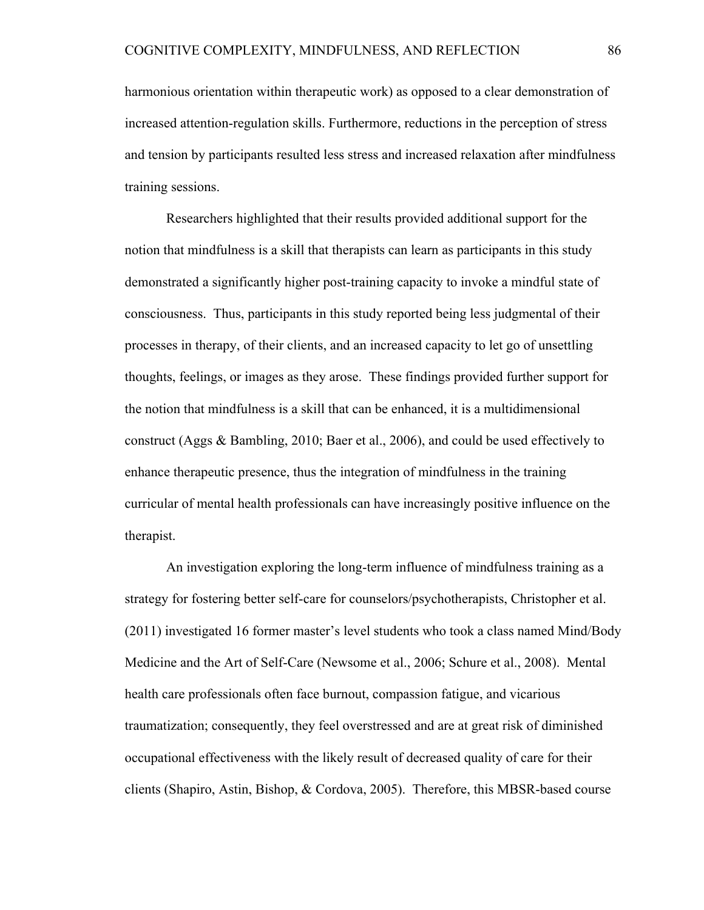harmonious orientation within therapeutic work) as opposed to a clear demonstration of increased attention-regulation skills. Furthermore, reductions in the perception of stress and tension by participants resulted less stress and increased relaxation after mindfulness training sessions.

Researchers highlighted that their results provided additional support for the notion that mindfulness is a skill that therapists can learn as participants in this study demonstrated a significantly higher post-training capacity to invoke a mindful state of consciousness. Thus, participants in this study reported being less judgmental of their processes in therapy, of their clients, and an increased capacity to let go of unsettling thoughts, feelings, or images as they arose. These findings provided further support for the notion that mindfulness is a skill that can be enhanced, it is a multidimensional construct (Aggs & Bambling, 2010; Baer et al., 2006), and could be used effectively to enhance therapeutic presence, thus the integration of mindfulness in the training curricular of mental health professionals can have increasingly positive influence on the therapist.

An investigation exploring the long-term influence of mindfulness training as a strategy for fostering better self-care for counselors/psychotherapists, Christopher et al. (2011) investigated 16 former master's level students who took a class named Mind/Body Medicine and the Art of Self-Care (Newsome et al., 2006; Schure et al., 2008). Mental health care professionals often face burnout, compassion fatigue, and vicarious traumatization; consequently, they feel overstressed and are at great risk of diminished occupational effectiveness with the likely result of decreased quality of care for their clients (Shapiro, Astin, Bishop, & Cordova, 2005). Therefore, this MBSR-based course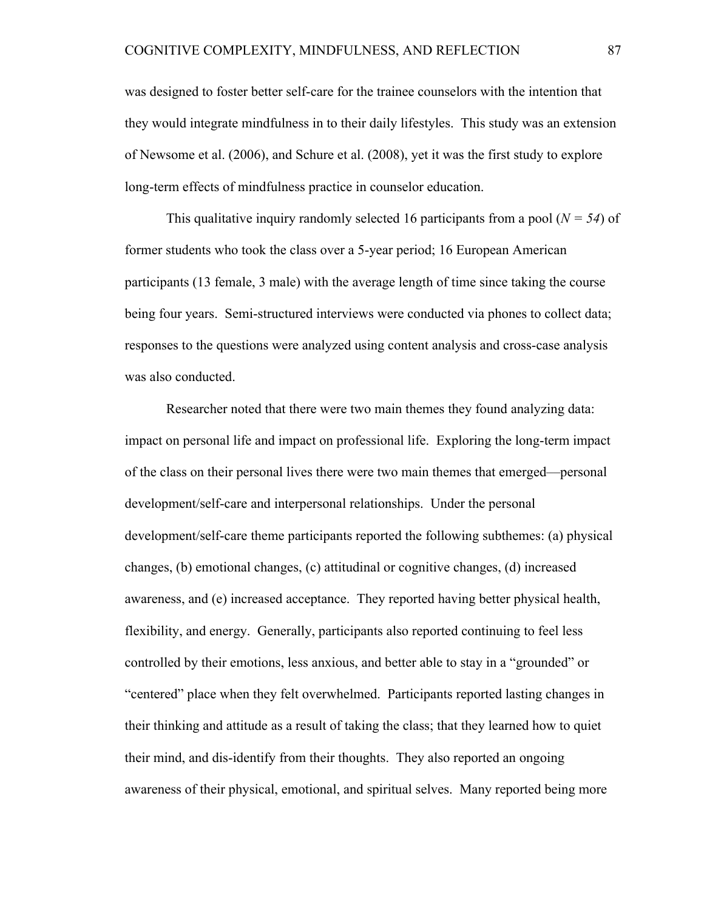was designed to foster better self-care for the trainee counselors with the intention that they would integrate mindfulness in to their daily lifestyles. This study was an extension of Newsome et al. (2006), and Schure et al. (2008), yet it was the first study to explore long-term effects of mindfulness practice in counselor education.

This qualitative inquiry randomly selected 16 participants from a pool  $(N = 54)$  of former students who took the class over a 5-year period; 16 European American participants (13 female, 3 male) with the average length of time since taking the course being four years. Semi-structured interviews were conducted via phones to collect data; responses to the questions were analyzed using content analysis and cross-case analysis was also conducted.

Researcher noted that there were two main themes they found analyzing data: impact on personal life and impact on professional life. Exploring the long-term impact of the class on their personal lives there were two main themes that emerged––personal development/self-care and interpersonal relationships. Under the personal development/self-care theme participants reported the following subthemes: (a) physical changes, (b) emotional changes, (c) attitudinal or cognitive changes, (d) increased awareness, and (e) increased acceptance. They reported having better physical health, flexibility, and energy. Generally, participants also reported continuing to feel less controlled by their emotions, less anxious, and better able to stay in a "grounded" or "centered" place when they felt overwhelmed. Participants reported lasting changes in their thinking and attitude as a result of taking the class; that they learned how to quiet their mind, and dis-identify from their thoughts. They also reported an ongoing awareness of their physical, emotional, and spiritual selves. Many reported being more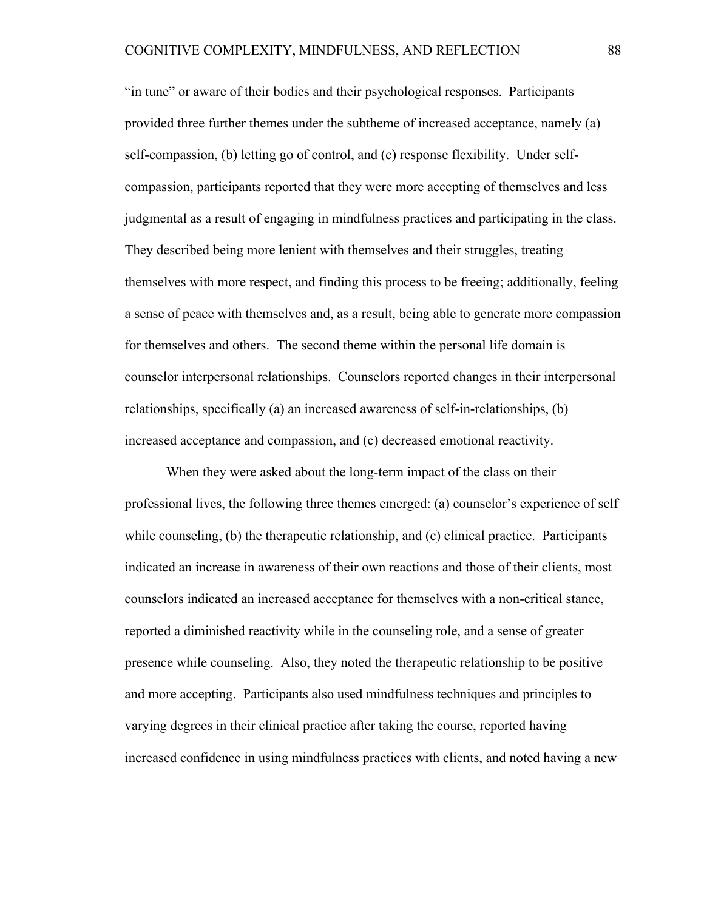"in tune" or aware of their bodies and their psychological responses. Participants provided three further themes under the subtheme of increased acceptance, namely (a) self-compassion, (b) letting go of control, and (c) response flexibility. Under selfcompassion, participants reported that they were more accepting of themselves and less judgmental as a result of engaging in mindfulness practices and participating in the class. They described being more lenient with themselves and their struggles, treating themselves with more respect, and finding this process to be freeing; additionally, feeling a sense of peace with themselves and, as a result, being able to generate more compassion for themselves and others. The second theme within the personal life domain is counselor interpersonal relationships. Counselors reported changes in their interpersonal relationships, specifically (a) an increased awareness of self-in-relationships, (b) increased acceptance and compassion, and (c) decreased emotional reactivity.

When they were asked about the long-term impact of the class on their professional lives, the following three themes emerged: (a) counselor's experience of self while counseling, (b) the therapeutic relationship, and (c) clinical practice. Participants indicated an increase in awareness of their own reactions and those of their clients, most counselors indicated an increased acceptance for themselves with a non-critical stance, reported a diminished reactivity while in the counseling role, and a sense of greater presence while counseling. Also, they noted the therapeutic relationship to be positive and more accepting. Participants also used mindfulness techniques and principles to varying degrees in their clinical practice after taking the course, reported having increased confidence in using mindfulness practices with clients, and noted having a new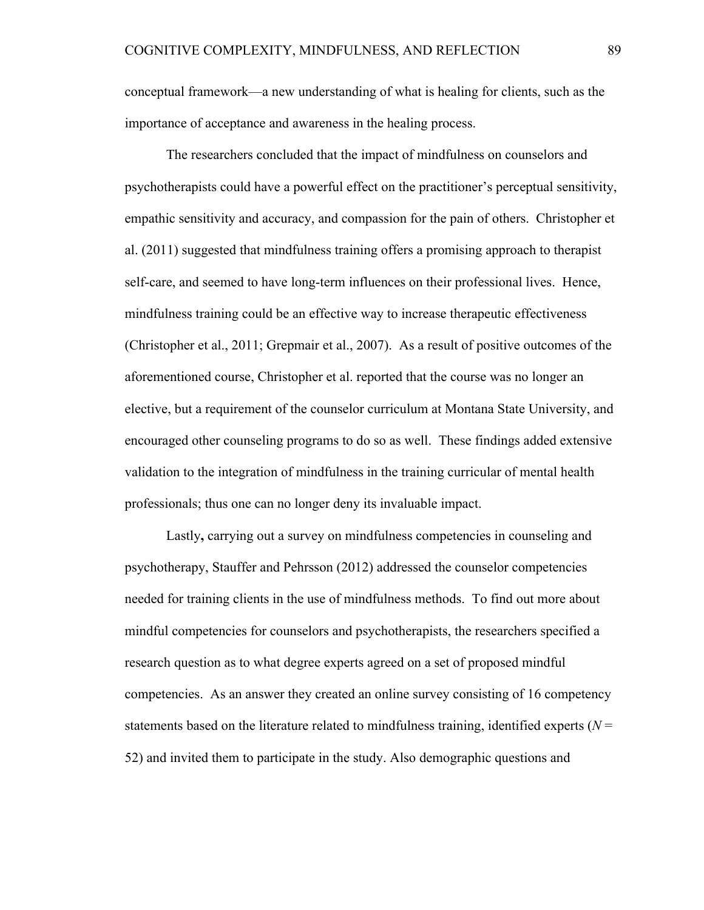conceptual framework––a new understanding of what is healing for clients, such as the importance of acceptance and awareness in the healing process.

The researchers concluded that the impact of mindfulness on counselors and psychotherapists could have a powerful effect on the practitioner's perceptual sensitivity, empathic sensitivity and accuracy, and compassion for the pain of others. Christopher et al. (2011) suggested that mindfulness training offers a promising approach to therapist self-care, and seemed to have long-term influences on their professional lives. Hence, mindfulness training could be an effective way to increase therapeutic effectiveness (Christopher et al., 2011; Grepmair et al., 2007). As a result of positive outcomes of the aforementioned course, Christopher et al. reported that the course was no longer an elective, but a requirement of the counselor curriculum at Montana State University, and encouraged other counseling programs to do so as well. These findings added extensive validation to the integration of mindfulness in the training curricular of mental health professionals; thus one can no longer deny its invaluable impact.

Lastly**,** carrying out a survey on mindfulness competencies in counseling and psychotherapy, Stauffer and Pehrsson (2012) addressed the counselor competencies needed for training clients in the use of mindfulness methods. To find out more about mindful competencies for counselors and psychotherapists, the researchers specified a research question as to what degree experts agreed on a set of proposed mindful competencies. As an answer they created an online survey consisting of 16 competency statements based on the literature related to mindfulness training, identified experts  $(N =$ 52) and invited them to participate in the study. Also demographic questions and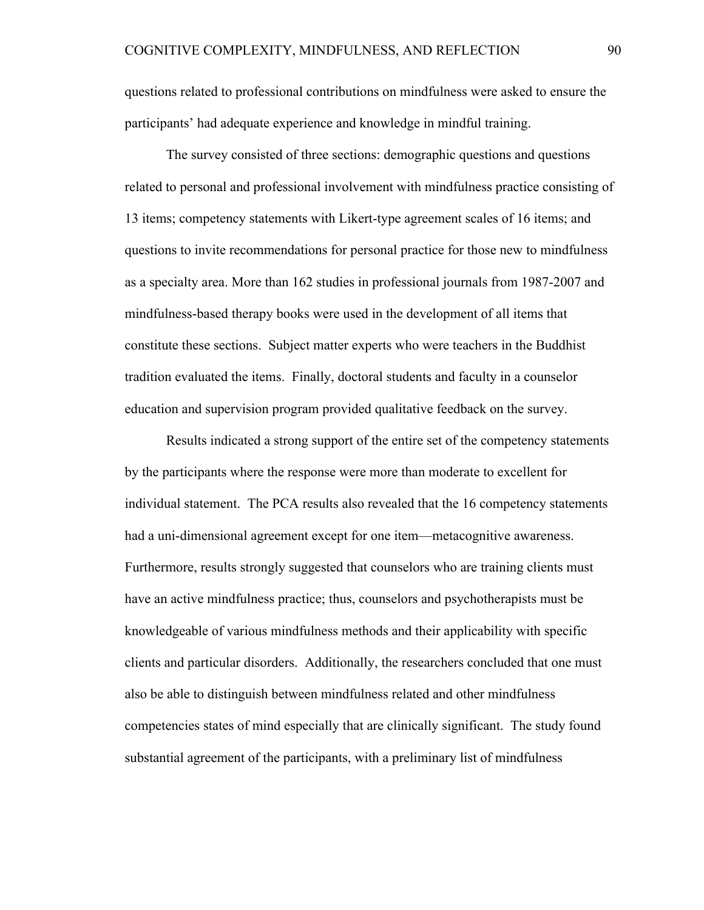questions related to professional contributions on mindfulness were asked to ensure the participants' had adequate experience and knowledge in mindful training.

The survey consisted of three sections: demographic questions and questions related to personal and professional involvement with mindfulness practice consisting of 13 items; competency statements with Likert-type agreement scales of 16 items; and questions to invite recommendations for personal practice for those new to mindfulness as a specialty area. More than 162 studies in professional journals from 1987-2007 and mindfulness-based therapy books were used in the development of all items that constitute these sections. Subject matter experts who were teachers in the Buddhist tradition evaluated the items. Finally, doctoral students and faculty in a counselor education and supervision program provided qualitative feedback on the survey.

Results indicated a strong support of the entire set of the competency statements by the participants where the response were more than moderate to excellent for individual statement. The PCA results also revealed that the 16 competency statements had a uni-dimensional agreement except for one item––metacognitive awareness. Furthermore, results strongly suggested that counselors who are training clients must have an active mindfulness practice; thus, counselors and psychotherapists must be knowledgeable of various mindfulness methods and their applicability with specific clients and particular disorders. Additionally, the researchers concluded that one must also be able to distinguish between mindfulness related and other mindfulness competencies states of mind especially that are clinically significant. The study found substantial agreement of the participants, with a preliminary list of mindfulness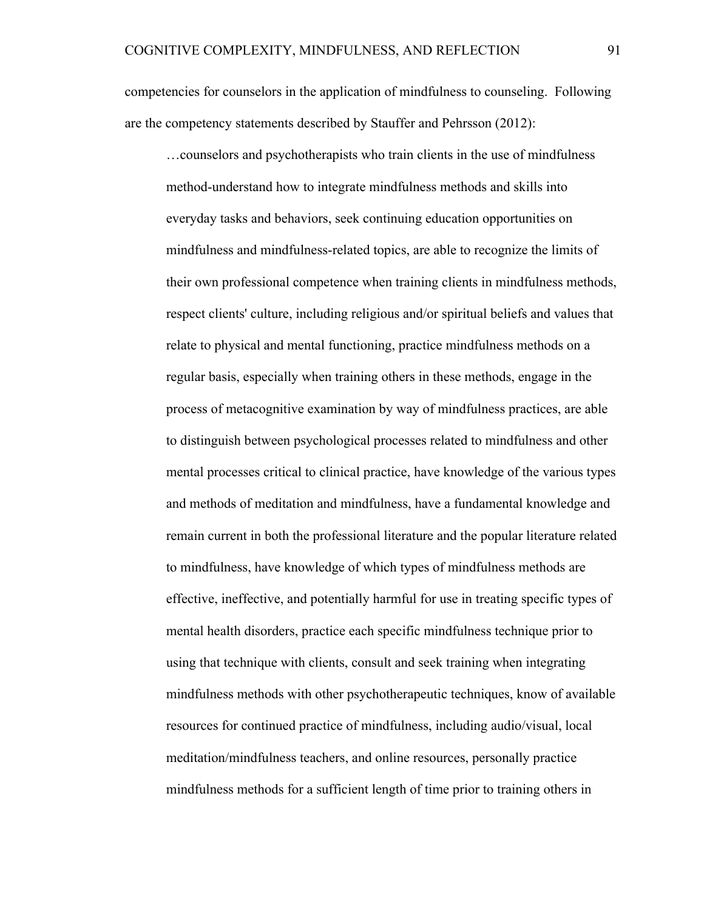competencies for counselors in the application of mindfulness to counseling. Following are the competency statements described by Stauffer and Pehrsson (2012):

…counselors and psychotherapists who train clients in the use of mindfulness method-understand how to integrate mindfulness methods and skills into everyday tasks and behaviors, seek continuing education opportunities on mindfulness and mindfulness-related topics, are able to recognize the limits of their own professional competence when training clients in mindfulness methods, respect clients' culture, including religious and/or spiritual beliefs and values that relate to physical and mental functioning, practice mindfulness methods on a regular basis, especially when training others in these methods, engage in the process of metacognitive examination by way of mindfulness practices, are able to distinguish between psychological processes related to mindfulness and other mental processes critical to clinical practice, have knowledge of the various types and methods of meditation and mindfulness, have a fundamental knowledge and remain current in both the professional literature and the popular literature related to mindfulness, have knowledge of which types of mindfulness methods are effective, ineffective, and potentially harmful for use in treating specific types of mental health disorders, practice each specific mindfulness technique prior to using that technique with clients, consult and seek training when integrating mindfulness methods with other psychotherapeutic techniques, know of available resources for continued practice of mindfulness, including audio/visual, local meditation/mindfulness teachers, and online resources, personally practice mindfulness methods for a sufficient length of time prior to training others in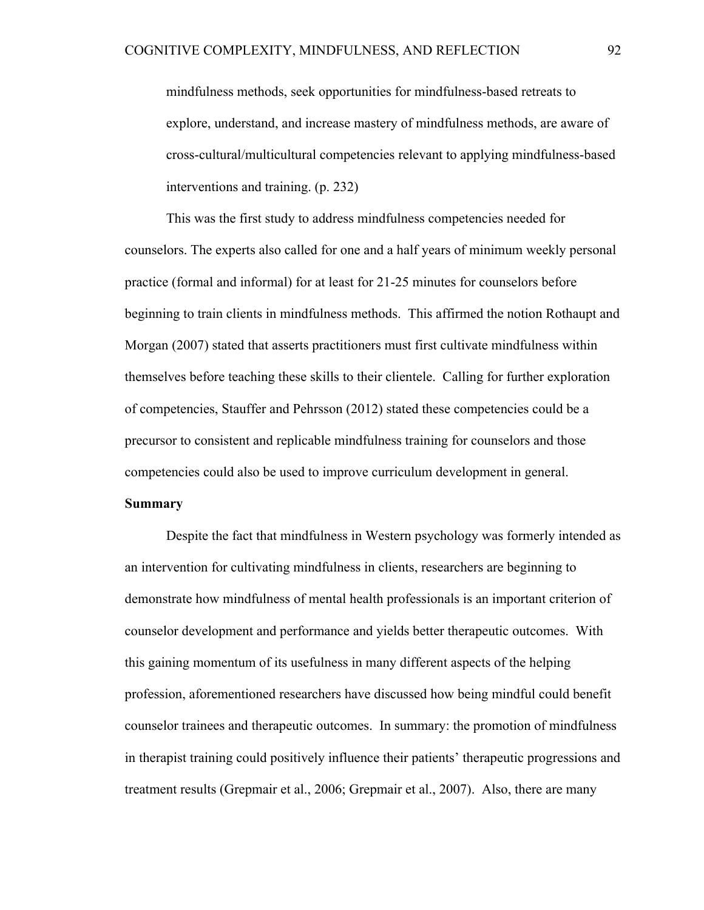mindfulness methods, seek opportunities for mindfulness-based retreats to explore, understand, and increase mastery of mindfulness methods, are aware of cross-cultural/multicultural competencies relevant to applying mindfulness-based interventions and training. (p. 232)

This was the first study to address mindfulness competencies needed for counselors. The experts also called for one and a half years of minimum weekly personal practice (formal and informal) for at least for 21-25 minutes for counselors before beginning to train clients in mindfulness methods. This affirmed the notion Rothaupt and Morgan (2007) stated that asserts practitioners must first cultivate mindfulness within themselves before teaching these skills to their clientele. Calling for further exploration of competencies, Stauffer and Pehrsson (2012) stated these competencies could be a precursor to consistent and replicable mindfulness training for counselors and those competencies could also be used to improve curriculum development in general.

### **Summary**

Despite the fact that mindfulness in Western psychology was formerly intended as an intervention for cultivating mindfulness in clients, researchers are beginning to demonstrate how mindfulness of mental health professionals is an important criterion of counselor development and performance and yields better therapeutic outcomes. With this gaining momentum of its usefulness in many different aspects of the helping profession, aforementioned researchers have discussed how being mindful could benefit counselor trainees and therapeutic outcomes. In summary: the promotion of mindfulness in therapist training could positively influence their patients' therapeutic progressions and treatment results (Grepmair et al., 2006; Grepmair et al., 2007). Also, there are many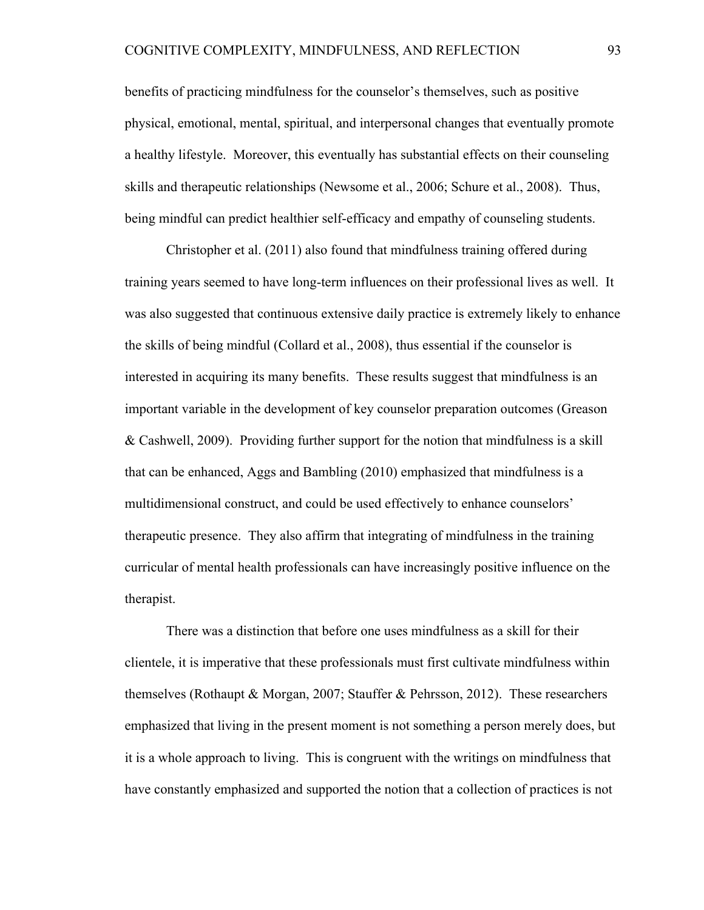benefits of practicing mindfulness for the counselor's themselves, such as positive physical, emotional, mental, spiritual, and interpersonal changes that eventually promote a healthy lifestyle. Moreover, this eventually has substantial effects on their counseling skills and therapeutic relationships (Newsome et al., 2006; Schure et al., 2008). Thus, being mindful can predict healthier self-efficacy and empathy of counseling students.

Christopher et al. (2011) also found that mindfulness training offered during training years seemed to have long-term influences on their professional lives as well. It was also suggested that continuous extensive daily practice is extremely likely to enhance the skills of being mindful (Collard et al., 2008), thus essential if the counselor is interested in acquiring its many benefits. These results suggest that mindfulness is an important variable in the development of key counselor preparation outcomes (Greason & Cashwell, 2009). Providing further support for the notion that mindfulness is a skill that can be enhanced, Aggs and Bambling (2010) emphasized that mindfulness is a multidimensional construct, and could be used effectively to enhance counselors' therapeutic presence. They also affirm that integrating of mindfulness in the training curricular of mental health professionals can have increasingly positive influence on the therapist.

There was a distinction that before one uses mindfulness as a skill for their clientele, it is imperative that these professionals must first cultivate mindfulness within themselves (Rothaupt & Morgan, 2007; Stauffer & Pehrsson, 2012). These researchers emphasized that living in the present moment is not something a person merely does, but it is a whole approach to living. This is congruent with the writings on mindfulness that have constantly emphasized and supported the notion that a collection of practices is not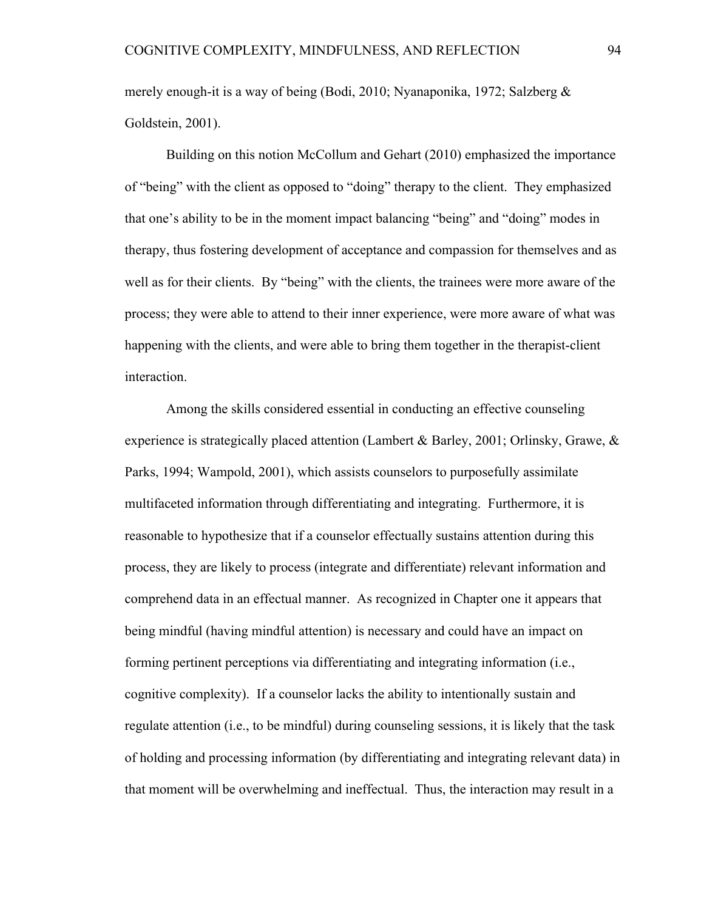merely enough-it is a way of being (Bodi, 2010; Nyanaponika, 1972; Salzberg & Goldstein, 2001).

Building on this notion McCollum and Gehart (2010) emphasized the importance of "being" with the client as opposed to "doing" therapy to the client. They emphasized that one's ability to be in the moment impact balancing "being" and "doing" modes in therapy, thus fostering development of acceptance and compassion for themselves and as well as for their clients. By "being" with the clients, the trainees were more aware of the process; they were able to attend to their inner experience, were more aware of what was happening with the clients, and were able to bring them together in the therapist-client interaction.

Among the skills considered essential in conducting an effective counseling experience is strategically placed attention (Lambert & Barley, 2001; Orlinsky, Grawe, & Parks, 1994; Wampold, 2001), which assists counselors to purposefully assimilate multifaceted information through differentiating and integrating. Furthermore, it is reasonable to hypothesize that if a counselor effectually sustains attention during this process, they are likely to process (integrate and differentiate) relevant information and comprehend data in an effectual manner. As recognized in Chapter one it appears that being mindful (having mindful attention) is necessary and could have an impact on forming pertinent perceptions via differentiating and integrating information (i.e., cognitive complexity). If a counselor lacks the ability to intentionally sustain and regulate attention (i.e., to be mindful) during counseling sessions, it is likely that the task of holding and processing information (by differentiating and integrating relevant data) in that moment will be overwhelming and ineffectual. Thus, the interaction may result in a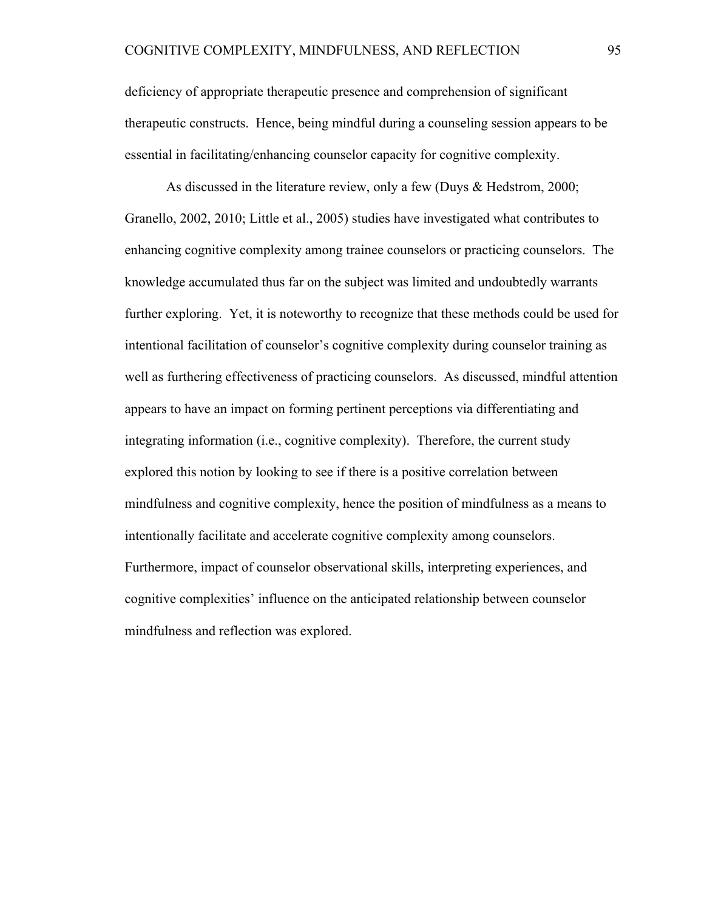deficiency of appropriate therapeutic presence and comprehension of significant therapeutic constructs. Hence, being mindful during a counseling session appears to be essential in facilitating/enhancing counselor capacity for cognitive complexity.

As discussed in the literature review, only a few (Duys & Hedstrom, 2000; Granello, 2002, 2010; Little et al., 2005) studies have investigated what contributes to enhancing cognitive complexity among trainee counselors or practicing counselors. The knowledge accumulated thus far on the subject was limited and undoubtedly warrants further exploring. Yet, it is noteworthy to recognize that these methods could be used for intentional facilitation of counselor's cognitive complexity during counselor training as well as furthering effectiveness of practicing counselors. As discussed, mindful attention appears to have an impact on forming pertinent perceptions via differentiating and integrating information (i.e., cognitive complexity). Therefore, the current study explored this notion by looking to see if there is a positive correlation between mindfulness and cognitive complexity, hence the position of mindfulness as a means to intentionally facilitate and accelerate cognitive complexity among counselors. Furthermore, impact of counselor observational skills, interpreting experiences, and cognitive complexities' influence on the anticipated relationship between counselor mindfulness and reflection was explored.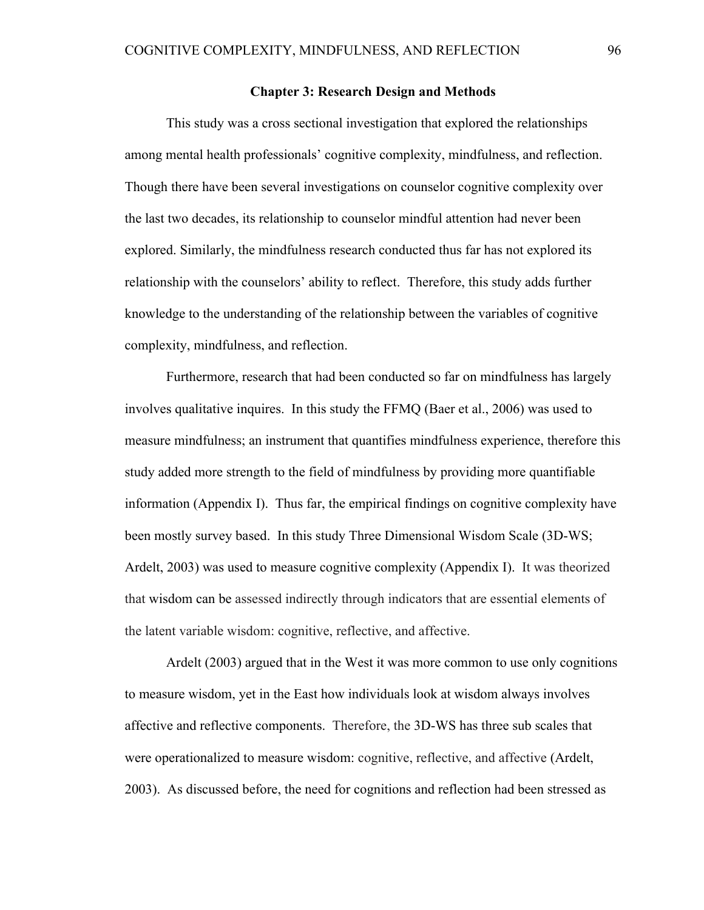### **Chapter 3: Research Design and Methods**

This study was a cross sectional investigation that explored the relationships among mental health professionals' cognitive complexity, mindfulness, and reflection. Though there have been several investigations on counselor cognitive complexity over the last two decades, its relationship to counselor mindful attention had never been explored. Similarly, the mindfulness research conducted thus far has not explored its relationship with the counselors' ability to reflect. Therefore, this study adds further knowledge to the understanding of the relationship between the variables of cognitive complexity, mindfulness, and reflection.

Furthermore, research that had been conducted so far on mindfulness has largely involves qualitative inquires. In this study the FFMQ (Baer et al., 2006) was used to measure mindfulness; an instrument that quantifies mindfulness experience, therefore this study added more strength to the field of mindfulness by providing more quantifiable information (Appendix I). Thus far, the empirical findings on cognitive complexity have been mostly survey based. In this study Three Dimensional Wisdom Scale (3D-WS; Ardelt, 2003) was used to measure cognitive complexity (Appendix I). It was theorized that wisdom can be assessed indirectly through indicators that are essential elements of the latent variable wisdom: cognitive, reflective, and affective.

Ardelt (2003) argued that in the West it was more common to use only cognitions to measure wisdom, yet in the East how individuals look at wisdom always involves affective and reflective components. Therefore, the 3D-WS has three sub scales that were operationalized to measure wisdom: cognitive, reflective, and affective (Ardelt, 2003). As discussed before, the need for cognitions and reflection had been stressed as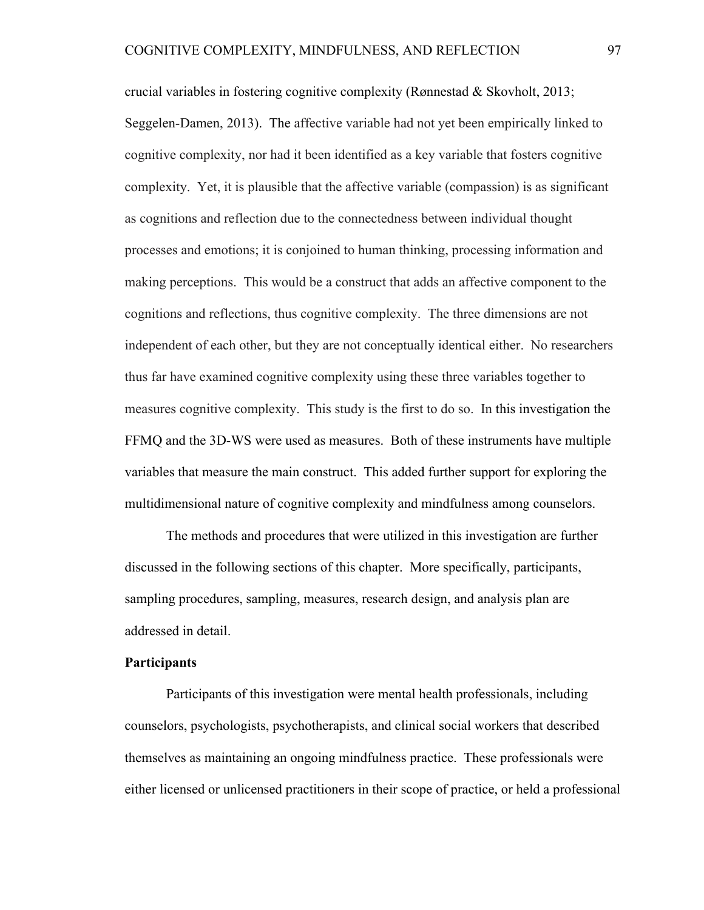crucial variables in fostering cognitive complexity (Rønnestad & Skovholt, 2013; Seggelen-Damen, 2013). The affective variable had not yet been empirically linked to cognitive complexity, nor had it been identified as a key variable that fosters cognitive complexity. Yet, it is plausible that the affective variable (compassion) is as significant as cognitions and reflection due to the connectedness between individual thought processes and emotions; it is conjoined to human thinking, processing information and making perceptions. This would be a construct that adds an affective component to the cognitions and reflections, thus cognitive complexity. The three dimensions are not independent of each other, but they are not conceptually identical either. No researchers thus far have examined cognitive complexity using these three variables together to measures cognitive complexity. This study is the first to do so. In this investigation the FFMQ and the 3D-WS were used as measures. Both of these instruments have multiple variables that measure the main construct. This added further support for exploring the multidimensional nature of cognitive complexity and mindfulness among counselors.

The methods and procedures that were utilized in this investigation are further discussed in the following sections of this chapter. More specifically, participants, sampling procedures, sampling, measures, research design, and analysis plan are addressed in detail.

# **Participants**

Participants of this investigation were mental health professionals, including counselors, psychologists, psychotherapists, and clinical social workers that described themselves as maintaining an ongoing mindfulness practice. These professionals were either licensed or unlicensed practitioners in their scope of practice, or held a professional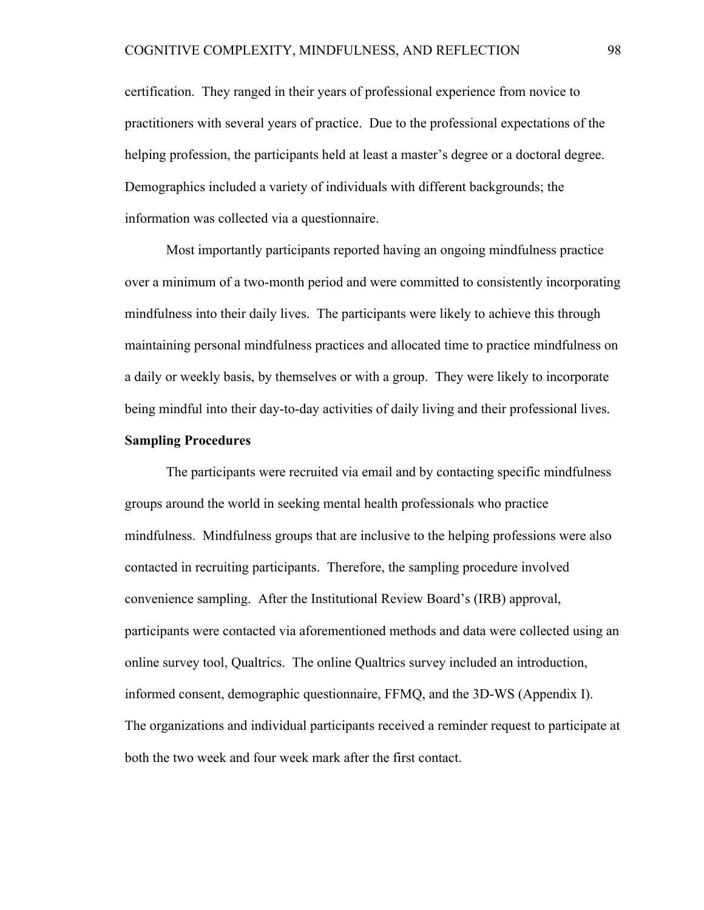certification. They ranged in their years of professional experience from novice to practitioners with several years of practice. Due to the professional expectations of the helping profession, the participants held at least a master's degree or a doctoral degree. Demographics included a variety of individuals with different backgrounds; the information was collected via a questionnaire.

Most importantly participants reported having an ongoing mindfulness practice over a minimum of a two-month period and were committed to consistently incorporating mindfulness into their daily lives. The participants were likely to achieve this through maintaining personal mindfulness practices and allocated time to practice mindfulness on a daily or weekly basis, by themselves or with a group. They were likely to incorporate being mindful into their day-to-day activities of daily living and their professional lives.

#### **Sampling Procedures**

The participants were recruited via email and by contacting specific mindfulness groups around the world in seeking mental health professionals who practice mindfulness. Mindfulness groups that are inclusive to the helping professions were also contacted in recruiting participants. Therefore, the sampling procedure involved convenience sampling. After the Institutional Review Board's (IRB) approval, participants were contacted via aforementioned methods and data were collected using an online survey tool, Qualtrics. The online Qualtrics survey included an introduction, informed consent, demographic questionnaire, FFMQ, and the 3D-WS (Appendix I). The organizations and individual participants received a reminder request to participate at both the two week and four week mark after the first contact.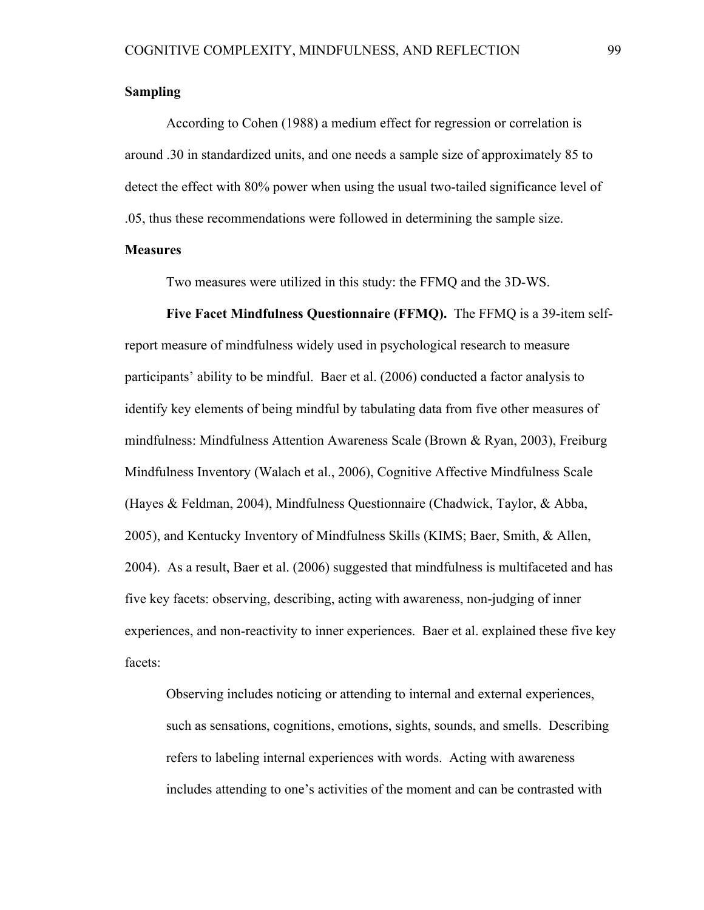## **Sampling**

According to Cohen (1988) a medium effect for regression or correlation is around .30 in standardized units, and one needs a sample size of approximately 85 to detect the effect with 80% power when using the usual two-tailed significance level of .05, thus these recommendations were followed in determining the sample size.

## **Measures**

Two measures were utilized in this study: the FFMQ and the 3D-WS.

**Five Facet Mindfulness Questionnaire (FFMQ).** The FFMQ is a 39-item selfreport measure of mindfulness widely used in psychological research to measure participants' ability to be mindful. Baer et al. (2006) conducted a factor analysis to identify key elements of being mindful by tabulating data from five other measures of mindfulness: Mindfulness Attention Awareness Scale (Brown & Ryan, 2003), Freiburg Mindfulness Inventory (Walach et al., 2006), Cognitive Affective Mindfulness Scale (Hayes & Feldman, 2004), Mindfulness Questionnaire (Chadwick, Taylor, & Abba, 2005), and Kentucky Inventory of Mindfulness Skills (KIMS; Baer, Smith, & Allen, 2004). As a result, Baer et al. (2006) suggested that mindfulness is multifaceted and has five key facets: observing, describing, acting with awareness, non-judging of inner experiences, and non-reactivity to inner experiences. Baer et al. explained these five key facets:

Observing includes noticing or attending to internal and external experiences, such as sensations, cognitions, emotions, sights, sounds, and smells. Describing refers to labeling internal experiences with words. Acting with awareness includes attending to one's activities of the moment and can be contrasted with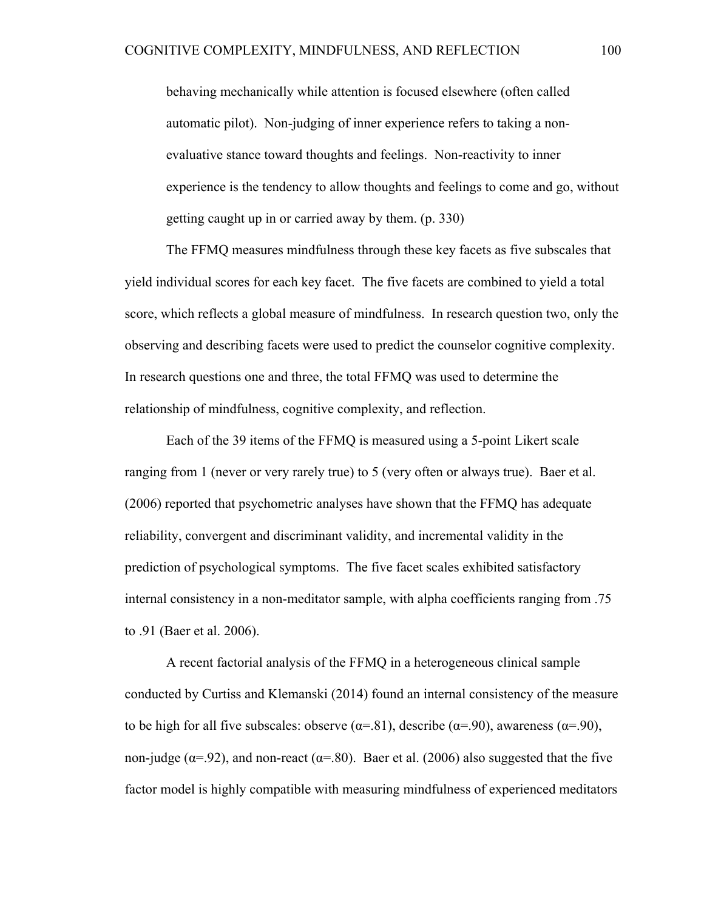behaving mechanically while attention is focused elsewhere (often called automatic pilot). Non-judging of inner experience refers to taking a nonevaluative stance toward thoughts and feelings. Non-reactivity to inner experience is the tendency to allow thoughts and feelings to come and go, without getting caught up in or carried away by them. (p. 330)

The FFMQ measures mindfulness through these key facets as five subscales that yield individual scores for each key facet. The five facets are combined to yield a total score, which reflects a global measure of mindfulness. In research question two, only the observing and describing facets were used to predict the counselor cognitive complexity. In research questions one and three, the total FFMQ was used to determine the relationship of mindfulness, cognitive complexity, and reflection.

Each of the 39 items of the FFMQ is measured using a 5-point Likert scale ranging from 1 (never or very rarely true) to 5 (very often or always true). Baer et al. (2006) reported that psychometric analyses have shown that the FFMQ has adequate reliability, convergent and discriminant validity, and incremental validity in the prediction of psychological symptoms. The five facet scales exhibited satisfactory internal consistency in a non-meditator sample, with alpha coefficients ranging from .75 to .91 (Baer et al. 2006).

A recent factorial analysis of the FFMQ in a heterogeneous clinical sample conducted by Curtiss and Klemanski (2014) found an internal consistency of the measure to be high for all five subscales: observe ( $\alpha$ =.81), describe ( $\alpha$ =.90), awareness ( $\alpha$ =.90), non-judge ( $\alpha$ =.92), and non-react ( $\alpha$ =.80). Baer et al. (2006) also suggested that the five factor model is highly compatible with measuring mindfulness of experienced meditators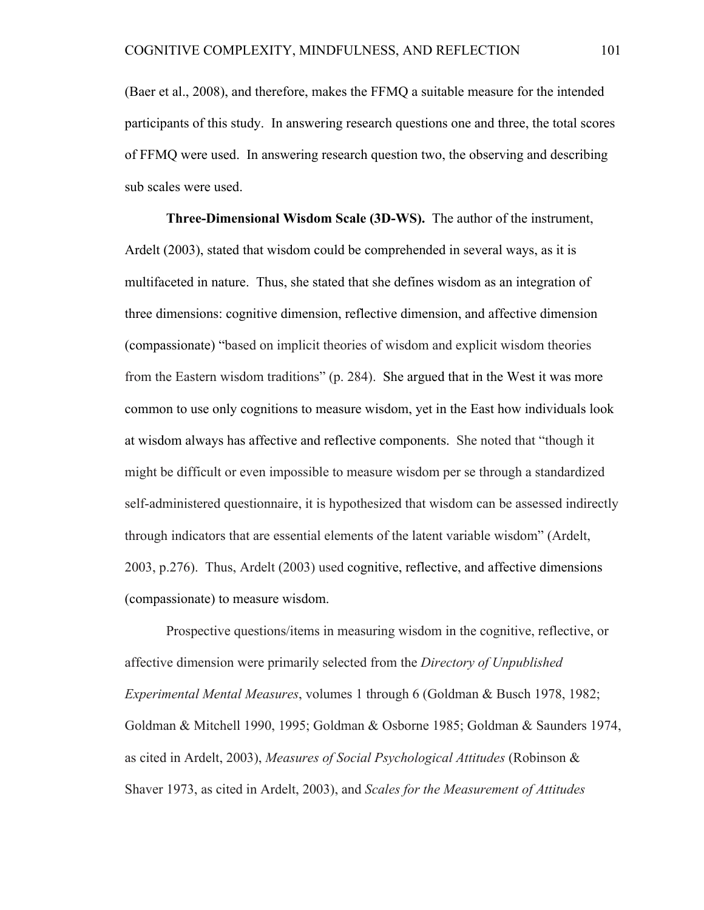(Baer et al., 2008), and therefore, makes the FFMQ a suitable measure for the intended participants of this study. In answering research questions one and three, the total scores of FFMQ were used. In answering research question two, the observing and describing sub scales were used.

**Three-Dimensional Wisdom Scale (3D-WS).** The author of the instrument, Ardelt (2003), stated that wisdom could be comprehended in several ways, as it is multifaceted in nature. Thus, she stated that she defines wisdom as an integration of three dimensions: cognitive dimension, reflective dimension, and affective dimension (compassionate) "based on implicit theories of wisdom and explicit wisdom theories from the Eastern wisdom traditions" (p. 284). She argued that in the West it was more common to use only cognitions to measure wisdom, yet in the East how individuals look at wisdom always has affective and reflective components. She noted that "though it might be difficult or even impossible to measure wisdom per se through a standardized self-administered questionnaire, it is hypothesized that wisdom can be assessed indirectly through indicators that are essential elements of the latent variable wisdom" (Ardelt, 2003, p.276). Thus, Ardelt (2003) used cognitive, reflective, and affective dimensions (compassionate) to measure wisdom.

Prospective questions/items in measuring wisdom in the cognitive, reflective, or affective dimension were primarily selected from the *Directory of Unpublished Experimental Mental Measures*, volumes 1 through 6 (Goldman & Busch 1978, 1982; Goldman & Mitchell 1990, 1995; Goldman & Osborne 1985; Goldman & Saunders 1974, as cited in Ardelt, 2003), *Measures of Social Psychological Attitudes* (Robinson & Shaver 1973, as cited in Ardelt, 2003), and *Scales for the Measurement of Attitudes*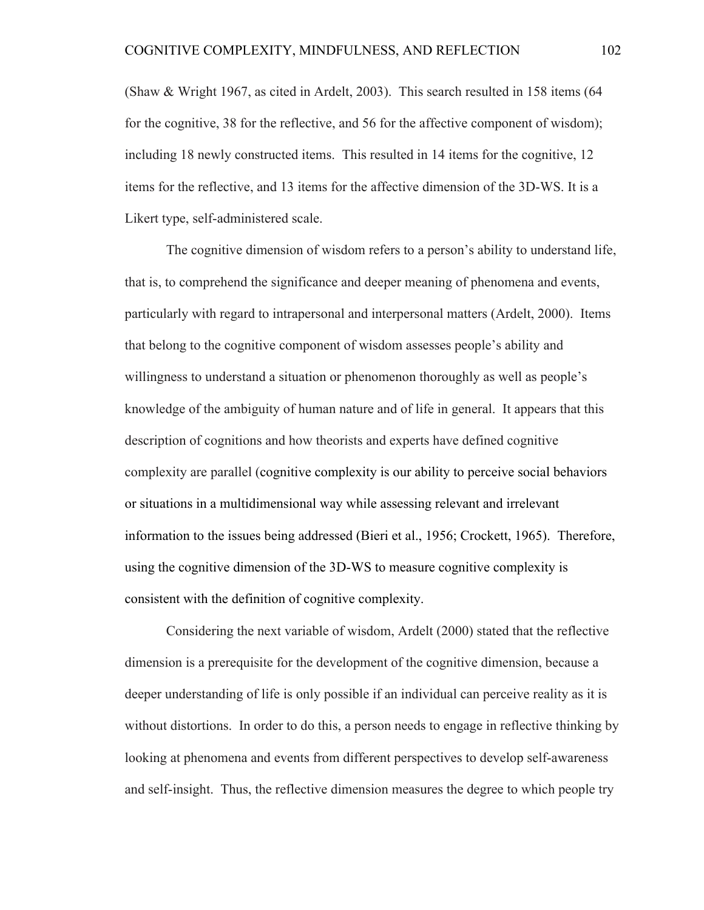(Shaw & Wright 1967, as cited in Ardelt, 2003). This search resulted in 158 items (64 for the cognitive, 38 for the reflective, and 56 for the affective component of wisdom); including 18 newly constructed items. This resulted in 14 items for the cognitive, 12 items for the reflective, and 13 items for the affective dimension of the 3D-WS. It is a Likert type, self-administered scale.

The cognitive dimension of wisdom refers to a person's ability to understand life, that is, to comprehend the significance and deeper meaning of phenomena and events, particularly with regard to intrapersonal and interpersonal matters (Ardelt, 2000). Items that belong to the cognitive component of wisdom assesses people's ability and willingness to understand a situation or phenomenon thoroughly as well as people's knowledge of the ambiguity of human nature and of life in general. It appears that this description of cognitions and how theorists and experts have defined cognitive complexity are parallel (cognitive complexity is our ability to perceive social behaviors or situations in a multidimensional way while assessing relevant and irrelevant information to the issues being addressed (Bieri et al., 1956; Crockett, 1965). Therefore, using the cognitive dimension of the 3D-WS to measure cognitive complexity is consistent with the definition of cognitive complexity.

Considering the next variable of wisdom, Ardelt (2000) stated that the reflective dimension is a prerequisite for the development of the cognitive dimension, because a deeper understanding of life is only possible if an individual can perceive reality as it is without distortions. In order to do this, a person needs to engage in reflective thinking by looking at phenomena and events from different perspectives to develop self-awareness and self-insight. Thus, the reflective dimension measures the degree to which people try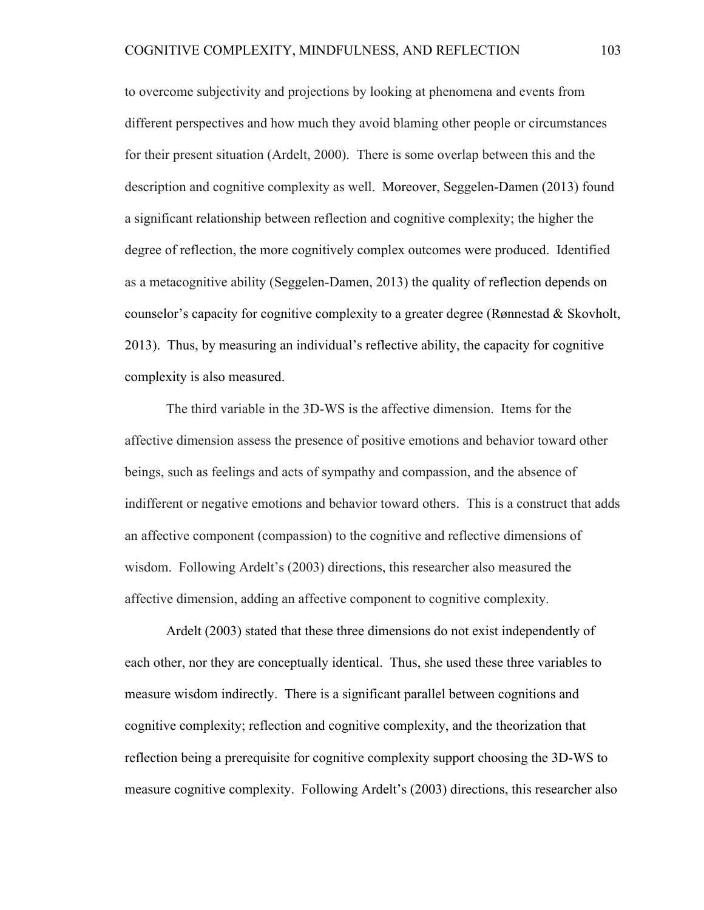to overcome subjectivity and projections by looking at phenomena and events from different perspectives and how much they avoid blaming other people or circumstances for their present situation (Ardelt, 2000). There is some overlap between this and the description and cognitive complexity as well. Moreover, Seggelen-Damen (2013) found a significant relationship between reflection and cognitive complexity; the higher the degree of reflection, the more cognitively complex outcomes were produced. Identified as a metacognitive ability (Seggelen-Damen, 2013) the quality of reflection depends on counselor's capacity for cognitive complexity to a greater degree (Rønnestad & Skovholt, 2013). Thus, by measuring an individual's reflective ability, the capacity for cognitive complexity is also measured.

The third variable in the 3D-WS is the affective dimension. Items for the affective dimension assess the presence of positive emotions and behavior toward other beings, such as feelings and acts of sympathy and compassion, and the absence of indifferent or negative emotions and behavior toward others. This is a construct that adds an affective component (compassion) to the cognitive and reflective dimensions of wisdom. Following Ardelt's (2003) directions, this researcher also measured the affective dimension, adding an affective component to cognitive complexity.

Ardelt (2003) stated that these three dimensions do not exist independently of each other, nor they are conceptually identical. Thus, she used these three variables to measure wisdom indirectly. There is a significant parallel between cognitions and cognitive complexity; reflection and cognitive complexity, and the theorization that reflection being a prerequisite for cognitive complexity support choosing the 3D-WS to measure cognitive complexity. Following Ardelt's (2003) directions, this researcher also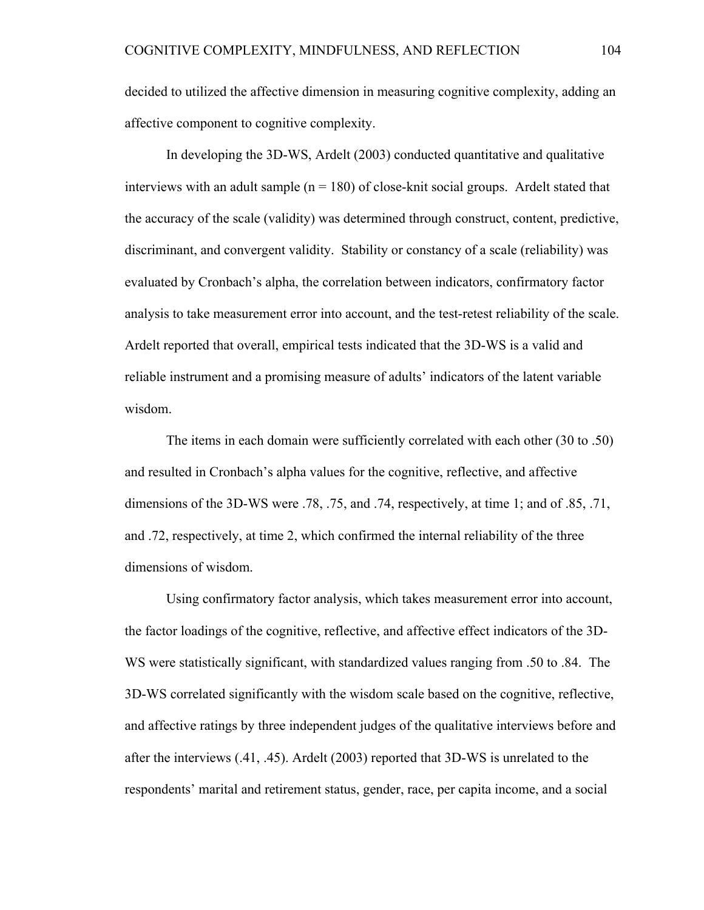decided to utilized the affective dimension in measuring cognitive complexity, adding an affective component to cognitive complexity.

In developing the 3D-WS, Ardelt (2003) conducted quantitative and qualitative interviews with an adult sample  $(n = 180)$  of close-knit social groups. Ardelt stated that the accuracy of the scale (validity) was determined through construct, content, predictive, discriminant, and convergent validity. Stability or constancy of a scale (reliability) was evaluated by Cronbach's alpha, the correlation between indicators, confirmatory factor analysis to take measurement error into account, and the test-retest reliability of the scale. Ardelt reported that overall, empirical tests indicated that the 3D-WS is a valid and reliable instrument and a promising measure of adults' indicators of the latent variable wisdom.

The items in each domain were sufficiently correlated with each other (30 to .50) and resulted in Cronbach's alpha values for the cognitive, reflective, and affective dimensions of the 3D-WS were .78, .75, and .74, respectively, at time 1; and of .85, .71, and .72, respectively, at time 2, which confirmed the internal reliability of the three dimensions of wisdom.

Using confirmatory factor analysis, which takes measurement error into account, the factor loadings of the cognitive, reflective, and affective effect indicators of the 3D-WS were statistically significant, with standardized values ranging from .50 to .84. The 3D-WS correlated significantly with the wisdom scale based on the cognitive, reflective, and affective ratings by three independent judges of the qualitative interviews before and after the interviews (.41, .45). Ardelt (2003) reported that 3D-WS is unrelated to the respondents' marital and retirement status, gender, race, per capita income, and a social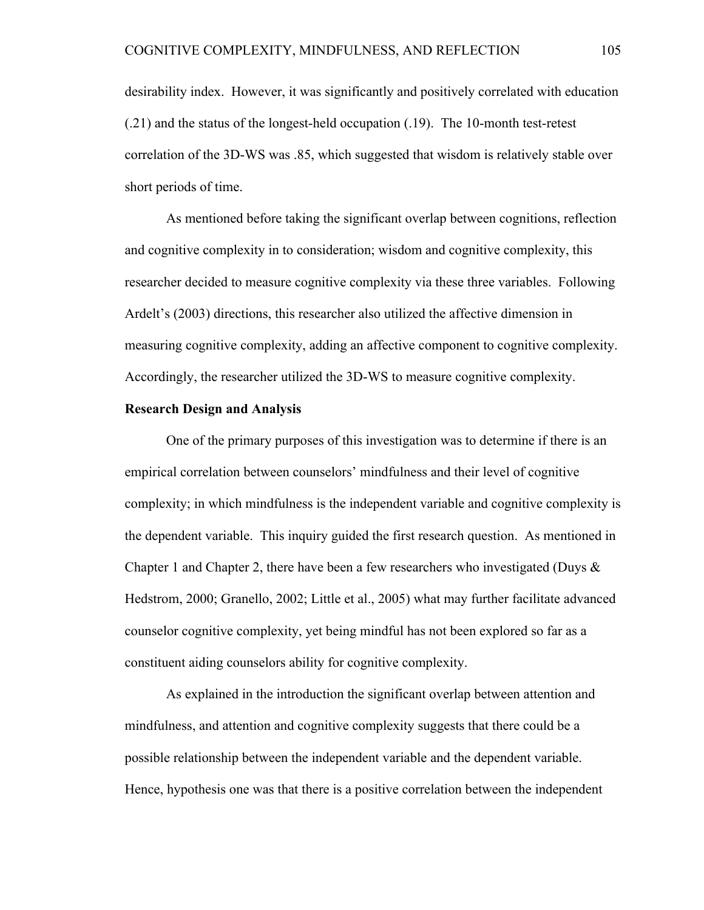desirability index. However, it was significantly and positively correlated with education (.21) and the status of the longest-held occupation (.19). The 10-month test-retest correlation of the 3D-WS was .85, which suggested that wisdom is relatively stable over short periods of time.

As mentioned before taking the significant overlap between cognitions, reflection and cognitive complexity in to consideration; wisdom and cognitive complexity, this researcher decided to measure cognitive complexity via these three variables. Following Ardelt's (2003) directions, this researcher also utilized the affective dimension in measuring cognitive complexity, adding an affective component to cognitive complexity. Accordingly, the researcher utilized the 3D-WS to measure cognitive complexity.

#### **Research Design and Analysis**

One of the primary purposes of this investigation was to determine if there is an empirical correlation between counselors' mindfulness and their level of cognitive complexity; in which mindfulness is the independent variable and cognitive complexity is the dependent variable. This inquiry guided the first research question. As mentioned in Chapter 1 and Chapter 2, there have been a few researchers who investigated (Duys  $\&$ Hedstrom, 2000; Granello, 2002; Little et al., 2005) what may further facilitate advanced counselor cognitive complexity, yet being mindful has not been explored so far as a constituent aiding counselors ability for cognitive complexity.

As explained in the introduction the significant overlap between attention and mindfulness, and attention and cognitive complexity suggests that there could be a possible relationship between the independent variable and the dependent variable. Hence, hypothesis one was that there is a positive correlation between the independent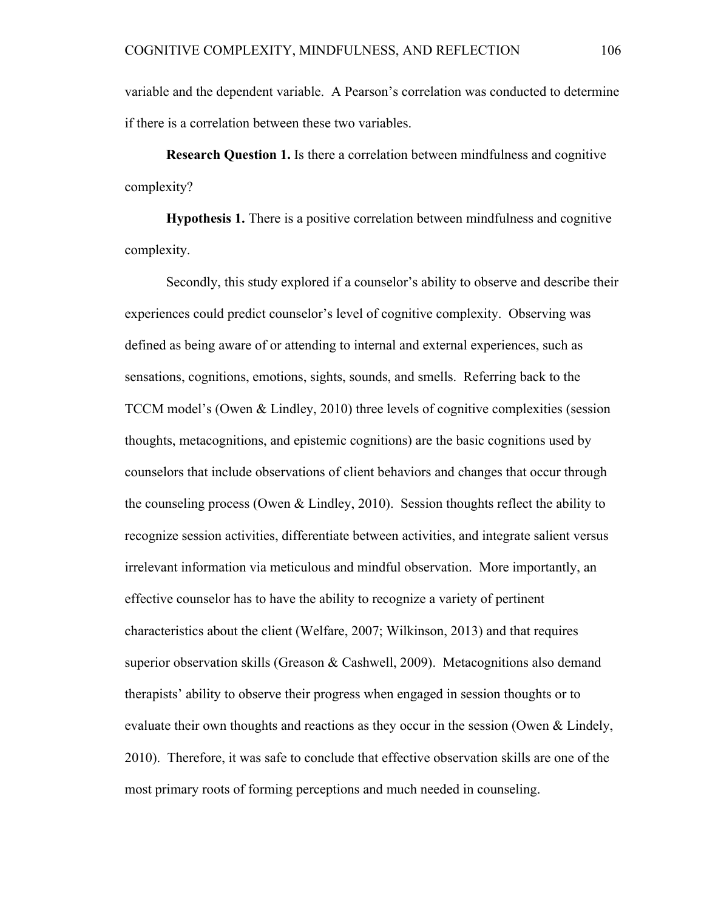variable and the dependent variable. A Pearson's correlation was conducted to determine if there is a correlation between these two variables.

**Research Question 1.** Is there a correlation between mindfulness and cognitive complexity?

**Hypothesis 1.** There is a positive correlation between mindfulness and cognitive complexity.

Secondly, this study explored if a counselor's ability to observe and describe their experiences could predict counselor's level of cognitive complexity. Observing was defined as being aware of or attending to internal and external experiences, such as sensations, cognitions, emotions, sights, sounds, and smells. Referring back to the TCCM model's (Owen & Lindley, 2010) three levels of cognitive complexities (session thoughts, metacognitions, and epistemic cognitions) are the basic cognitions used by counselors that include observations of client behaviors and changes that occur through the counseling process (Owen  $&$  Lindley, 2010). Session thoughts reflect the ability to recognize session activities, differentiate between activities, and integrate salient versus irrelevant information via meticulous and mindful observation. More importantly, an effective counselor has to have the ability to recognize a variety of pertinent characteristics about the client (Welfare, 2007; Wilkinson, 2013) and that requires superior observation skills (Greason & Cashwell, 2009). Metacognitions also demand therapists' ability to observe their progress when engaged in session thoughts or to evaluate their own thoughts and reactions as they occur in the session (Owen & Lindely, 2010). Therefore, it was safe to conclude that effective observation skills are one of the most primary roots of forming perceptions and much needed in counseling.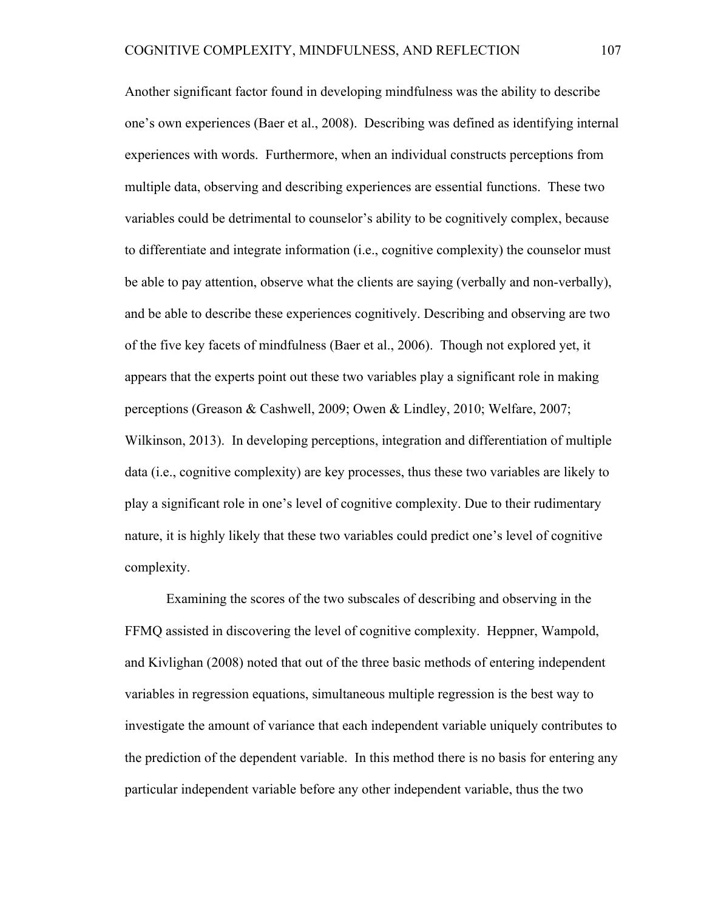Another significant factor found in developing mindfulness was the ability to describe one's own experiences (Baer et al., 2008). Describing was defined as identifying internal experiences with words. Furthermore, when an individual constructs perceptions from multiple data, observing and describing experiences are essential functions. These two variables could be detrimental to counselor's ability to be cognitively complex, because to differentiate and integrate information (i.e., cognitive complexity) the counselor must be able to pay attention, observe what the clients are saying (verbally and non-verbally), and be able to describe these experiences cognitively. Describing and observing are two of the five key facets of mindfulness (Baer et al., 2006). Though not explored yet, it appears that the experts point out these two variables play a significant role in making perceptions (Greason & Cashwell, 2009; Owen & Lindley, 2010; Welfare, 2007; Wilkinson, 2013). In developing perceptions, integration and differentiation of multiple data (i.e., cognitive complexity) are key processes, thus these two variables are likely to play a significant role in one's level of cognitive complexity. Due to their rudimentary nature, it is highly likely that these two variables could predict one's level of cognitive complexity.

Examining the scores of the two subscales of describing and observing in the FFMQ assisted in discovering the level of cognitive complexity. Heppner, Wampold, and Kivlighan (2008) noted that out of the three basic methods of entering independent variables in regression equations, simultaneous multiple regression is the best way to investigate the amount of variance that each independent variable uniquely contributes to the prediction of the dependent variable. In this method there is no basis for entering any particular independent variable before any other independent variable, thus the two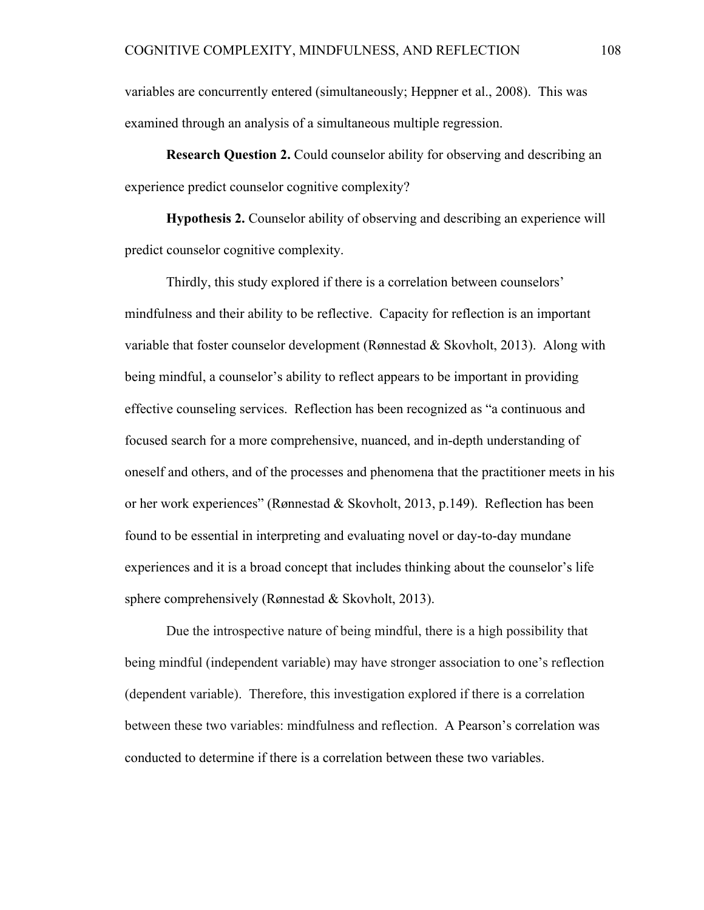variables are concurrently entered (simultaneously; Heppner et al., 2008). This was examined through an analysis of a simultaneous multiple regression.

**Research Question 2.** Could counselor ability for observing and describing an experience predict counselor cognitive complexity?

**Hypothesis 2.** Counselor ability of observing and describing an experience will predict counselor cognitive complexity.

Thirdly, this study explored if there is a correlation between counselors' mindfulness and their ability to be reflective. Capacity for reflection is an important variable that foster counselor development (Rønnestad & Skovholt, 2013). Along with being mindful, a counselor's ability to reflect appears to be important in providing effective counseling services. Reflection has been recognized as "a continuous and focused search for a more comprehensive, nuanced, and in-depth understanding of oneself and others, and of the processes and phenomena that the practitioner meets in his or her work experiences" (Rønnestad & Skovholt, 2013, p.149). Reflection has been found to be essential in interpreting and evaluating novel or day-to-day mundane experiences and it is a broad concept that includes thinking about the counselor's life sphere comprehensively (Rønnestad & Skovholt, 2013).

Due the introspective nature of being mindful, there is a high possibility that being mindful (independent variable) may have stronger association to one's reflection (dependent variable). Therefore, this investigation explored if there is a correlation between these two variables: mindfulness and reflection. A Pearson's correlation was conducted to determine if there is a correlation between these two variables.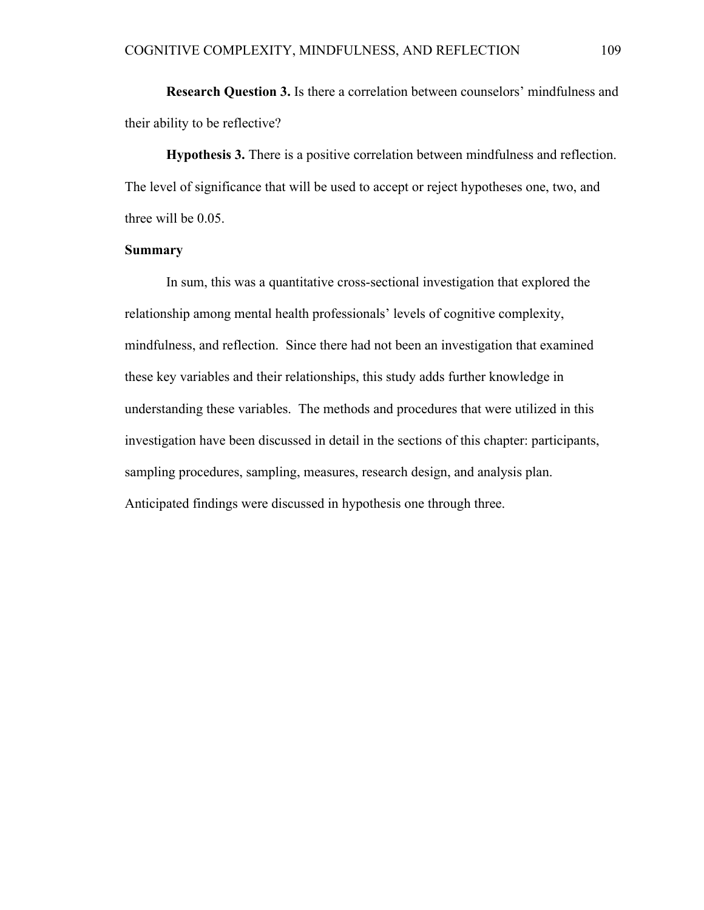**Research Question 3.** Is there a correlation between counselors' mindfulness and their ability to be reflective?

**Hypothesis 3.** There is a positive correlation between mindfulness and reflection. The level of significance that will be used to accept or reject hypotheses one, two, and three will be 0.05.

# **Summary**

In sum, this was a quantitative cross-sectional investigation that explored the relationship among mental health professionals' levels of cognitive complexity, mindfulness, and reflection. Since there had not been an investigation that examined these key variables and their relationships, this study adds further knowledge in understanding these variables. The methods and procedures that were utilized in this investigation have been discussed in detail in the sections of this chapter: participants, sampling procedures, sampling, measures, research design, and analysis plan. Anticipated findings were discussed in hypothesis one through three.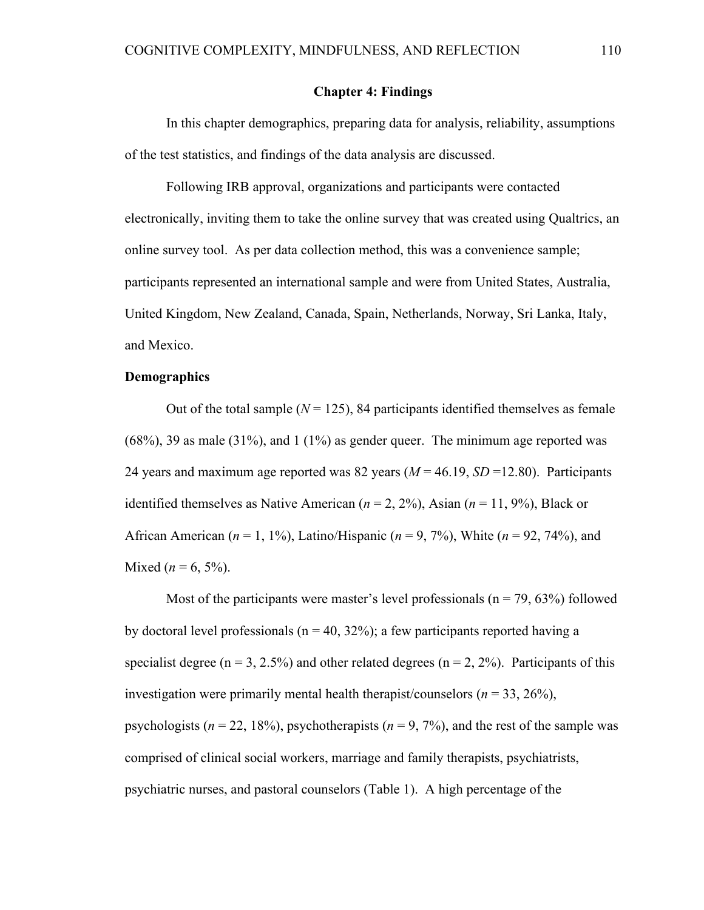# **Chapter 4: Findings**

In this chapter demographics, preparing data for analysis, reliability, assumptions of the test statistics, and findings of the data analysis are discussed.

Following IRB approval, organizations and participants were contacted electronically, inviting them to take the online survey that was created using Qualtrics, an online survey tool. As per data collection method, this was a convenience sample; participants represented an international sample and were from United States, Australia, United Kingdom, New Zealand, Canada, Spain, Netherlands, Norway, Sri Lanka, Italy, and Mexico.

# **Demographics**

Out of the total sample  $(N = 125)$ , 84 participants identified themselves as female  $(68\%)$ , 39 as male  $(31\%)$ , and  $(1\%)$  as gender queer. The minimum age reported was 24 years and maximum age reported was 82 years  $(M = 46.19, SD = 12.80)$ . Participants identified themselves as Native American  $(n = 2, 2\%)$ , Asian  $(n = 11, 9\%)$ , Black or African American ( $n = 1, 1\%$ ), Latino/Hispanic ( $n = 9, 7\%$ ), White ( $n = 92, 74\%$ ), and Mixed ( $n = 6, 5\%$ ).

Most of the participants were master's level professionals ( $n = 79, 63\%$ ) followed by doctoral level professionals ( $n = 40, 32\%$ ); a few participants reported having a specialist degree ( $n = 3, 2.5\%$ ) and other related degrees ( $n = 2, 2\%$ ). Participants of this investigation were primarily mental health therapist/counselors (*n* = 33, 26%), psychologists ( $n = 22, 18\%$ ), psychotherapists ( $n = 9, 7\%$ ), and the rest of the sample was comprised of clinical social workers, marriage and family therapists, psychiatrists, psychiatric nurses, and pastoral counselors (Table 1). A high percentage of the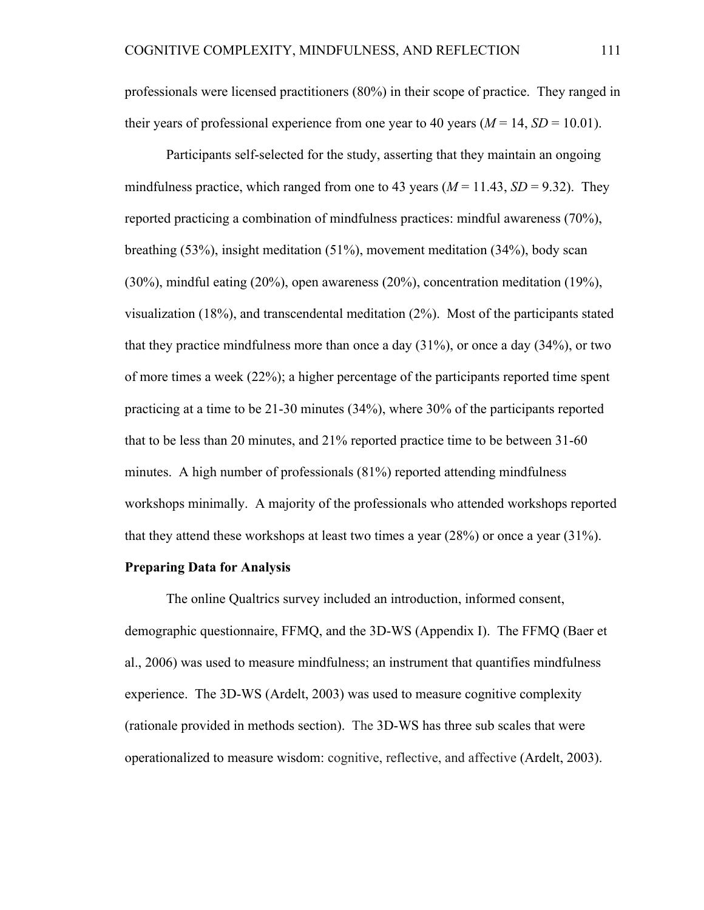professionals were licensed practitioners (80%) in their scope of practice. They ranged in their years of professional experience from one year to 40 years  $(M = 14, SD = 10.01)$ .

Participants self-selected for the study, asserting that they maintain an ongoing mindfulness practice, which ranged from one to 43 years  $(M = 11.43, SD = 9.32)$ . They reported practicing a combination of mindfulness practices: mindful awareness (70%), breathing (53%), insight meditation (51%), movement meditation (34%), body scan (30%), mindful eating (20%), open awareness (20%), concentration meditation (19%), visualization (18%), and transcendental meditation (2%). Most of the participants stated that they practice mindfulness more than once a day (31%), or once a day (34%), or two of more times a week (22%); a higher percentage of the participants reported time spent practicing at a time to be 21-30 minutes (34%), where 30% of the participants reported that to be less than 20 minutes, and 21% reported practice time to be between 31-60 minutes. A high number of professionals (81%) reported attending mindfulness workshops minimally. A majority of the professionals who attended workshops reported that they attend these workshops at least two times a year (28%) or once a year (31%).

### **Preparing Data for Analysis**

The online Qualtrics survey included an introduction, informed consent, demographic questionnaire, FFMQ, and the 3D-WS (Appendix I). The FFMQ (Baer et al., 2006) was used to measure mindfulness; an instrument that quantifies mindfulness experience. The 3D-WS (Ardelt, 2003) was used to measure cognitive complexity (rationale provided in methods section). The 3D-WS has three sub scales that were operationalized to measure wisdom: cognitive, reflective, and affective (Ardelt, 2003).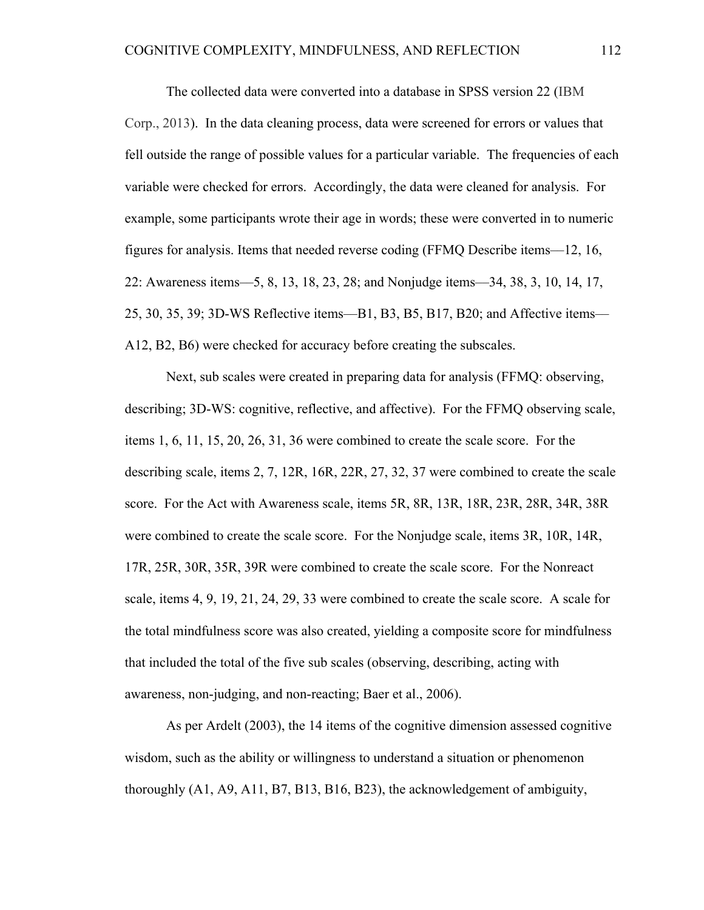The collected data were converted into a database in SPSS version 22 (IBM Corp., 2013). In the data cleaning process, data were screened for errors or values that fell outside the range of possible values for a particular variable. The frequencies of each variable were checked for errors. Accordingly, the data were cleaned for analysis. For example, some participants wrote their age in words; these were converted in to numeric figures for analysis. Items that needed reverse coding (FFMQ Describe items––12, 16, 22: Awareness items––5, 8, 13, 18, 23, 28; and Nonjudge items––34, 38, 3, 10, 14, 17, 25, 30, 35, 39; 3D-WS Reflective items––B1, B3, B5, B17, B20; and Affective items–– A12, B2, B6) were checked for accuracy before creating the subscales.

Next, sub scales were created in preparing data for analysis (FFMQ: observing, describing; 3D-WS: cognitive, reflective, and affective). For the FFMQ observing scale, items 1, 6, 11, 15, 20, 26, 31, 36 were combined to create the scale score. For the describing scale, items 2, 7, 12R, 16R, 22R, 27, 32, 37 were combined to create the scale score. For the Act with Awareness scale, items 5R, 8R, 13R, 18R, 23R, 28R, 34R, 38R were combined to create the scale score. For the Nonjudge scale, items 3R, 10R, 14R, 17R, 25R, 30R, 35R, 39R were combined to create the scale score. For the Nonreact scale, items 4, 9, 19, 21, 24, 29, 33 were combined to create the scale score. A scale for the total mindfulness score was also created, yielding a composite score for mindfulness that included the total of the five sub scales (observing, describing, acting with awareness, non-judging, and non-reacting; Baer et al., 2006).

As per Ardelt (2003), the 14 items of the cognitive dimension assessed cognitive wisdom, such as the ability or willingness to understand a situation or phenomenon thoroughly (A1, A9, A11, B7, B13, B16, B23), the acknowledgement of ambiguity,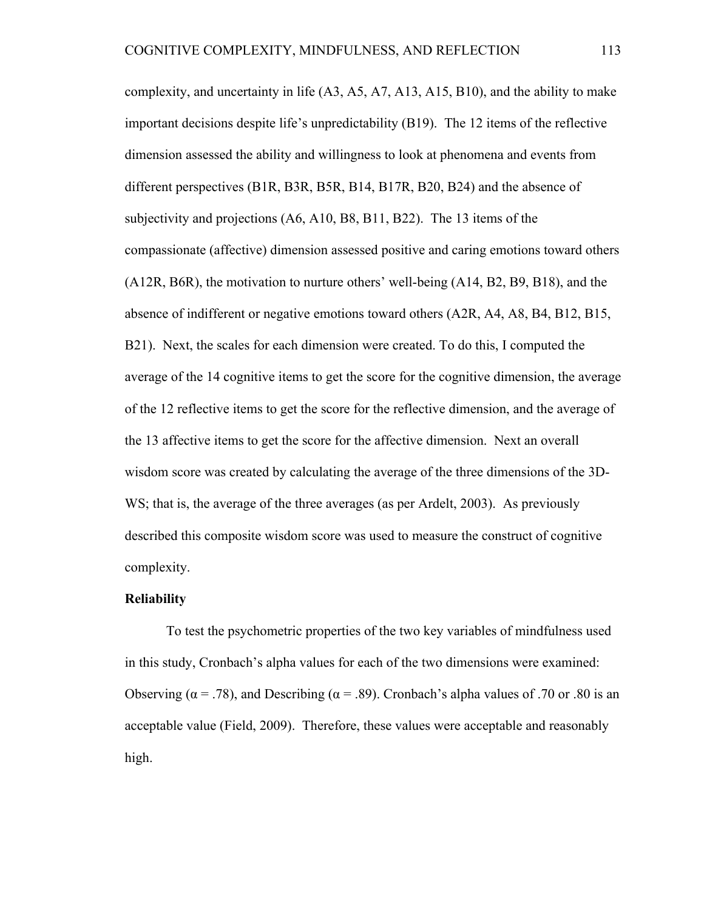complexity, and uncertainty in life (A3, A5, A7, A13, A15, B10), and the ability to make important decisions despite life's unpredictability (B19). The 12 items of the reflective dimension assessed the ability and willingness to look at phenomena and events from different perspectives (B1R, B3R, B5R, B14, B17R, B20, B24) and the absence of subjectivity and projections (A6, A10, B8, B11, B22). The 13 items of the compassionate (affective) dimension assessed positive and caring emotions toward others (A12R, B6R), the motivation to nurture others' well-being (A14, B2, B9, B18), and the absence of indifferent or negative emotions toward others (A2R, A4, A8, B4, B12, B15, B21). Next, the scales for each dimension were created. To do this, I computed the average of the 14 cognitive items to get the score for the cognitive dimension, the average of the 12 reflective items to get the score for the reflective dimension, and the average of the 13 affective items to get the score for the affective dimension. Next an overall wisdom score was created by calculating the average of the three dimensions of the 3D-WS; that is, the average of the three averages (as per Ardelt, 2003). As previously described this composite wisdom score was used to measure the construct of cognitive complexity.

#### **Reliability**

To test the psychometric properties of the two key variables of mindfulness used in this study, Cronbach's alpha values for each of the two dimensions were examined: Observing ( $\alpha$  = .78), and Describing ( $\alpha$  = .89). Cronbach's alpha values of .70 or .80 is an acceptable value (Field, 2009). Therefore, these values were acceptable and reasonably high.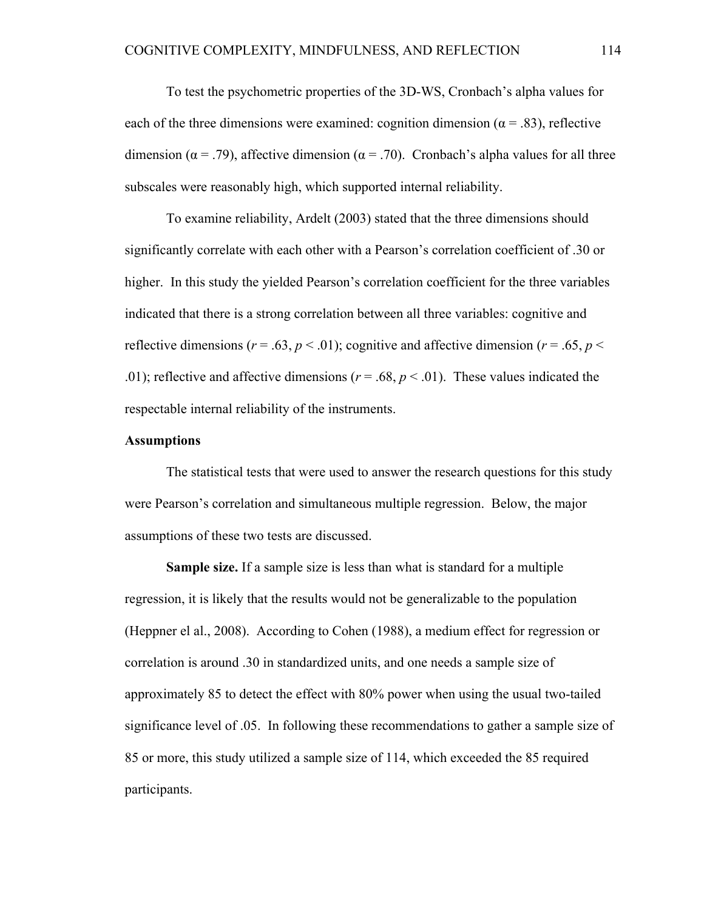To test the psychometric properties of the 3D-WS, Cronbach's alpha values for each of the three dimensions were examined: cognition dimension ( $\alpha$  = .83), reflective dimension ( $\alpha$  = .79), affective dimension ( $\alpha$  = .70). Cronbach's alpha values for all three subscales were reasonably high, which supported internal reliability.

To examine reliability, Ardelt (2003) stated that the three dimensions should significantly correlate with each other with a Pearson's correlation coefficient of .30 or higher. In this study the yielded Pearson's correlation coefficient for the three variables indicated that there is a strong correlation between all three variables: cognitive and reflective dimensions ( $r = .63$ ,  $p < .01$ ); cognitive and affective dimension ( $r = .65$ ,  $p <$ .01); reflective and affective dimensions ( $r = .68$ ,  $p < .01$ ). These values indicated the respectable internal reliability of the instruments.

#### **Assumptions**

The statistical tests that were used to answer the research questions for this study were Pearson's correlation and simultaneous multiple regression. Below, the major assumptions of these two tests are discussed.

**Sample size.** If a sample size is less than what is standard for a multiple regression, it is likely that the results would not be generalizable to the population (Heppner el al., 2008). According to Cohen (1988), a medium effect for regression or correlation is around .30 in standardized units, and one needs a sample size of approximately 85 to detect the effect with 80% power when using the usual two-tailed significance level of .05. In following these recommendations to gather a sample size of 85 or more, this study utilized a sample size of 114, which exceeded the 85 required participants.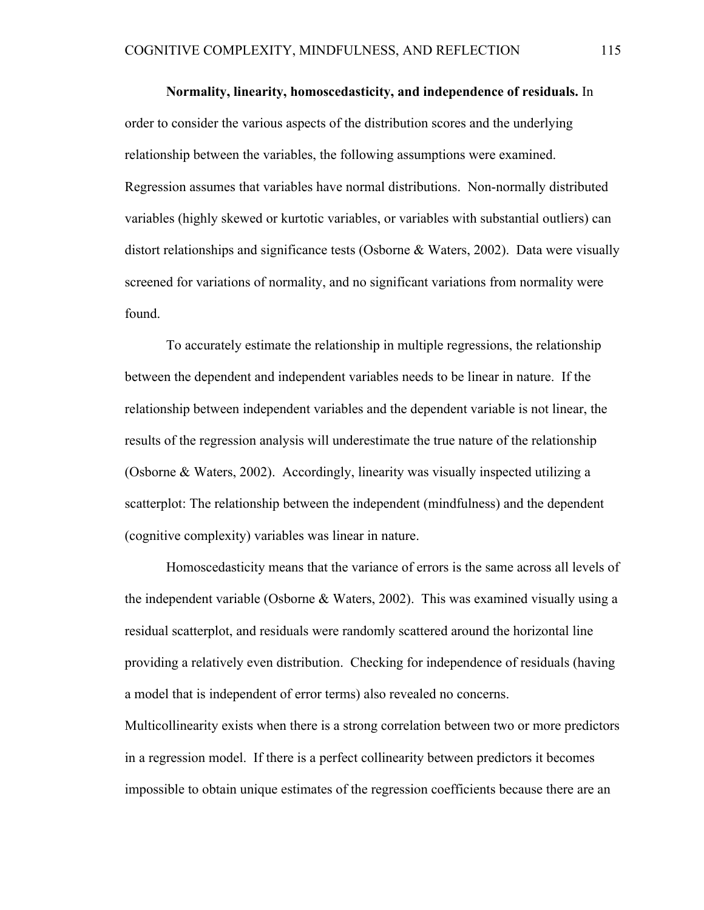**Normality, linearity, homoscedasticity, and independence of residuals.** In order to consider the various aspects of the distribution scores and the underlying relationship between the variables, the following assumptions were examined. Regression assumes that variables have normal distributions. Non-normally distributed variables (highly skewed or kurtotic variables, or variables with substantial outliers) can distort relationships and significance tests (Osborne & Waters, 2002). Data were visually screened for variations of normality, and no significant variations from normality were found.

To accurately estimate the relationship in multiple regressions, the relationship between the dependent and independent variables needs to be linear in nature. If the relationship between independent variables and the dependent variable is not linear, the results of the regression analysis will underestimate the true nature of the relationship (Osborne & Waters, 2002). Accordingly, linearity was visually inspected utilizing a scatterplot: The relationship between the independent (mindfulness) and the dependent (cognitive complexity) variables was linear in nature.

Homoscedasticity means that the variance of errors is the same across all levels of the independent variable (Osborne & Waters, 2002). This was examined visually using a residual scatterplot, and residuals were randomly scattered around the horizontal line providing a relatively even distribution. Checking for independence of residuals (having a model that is independent of error terms) also revealed no concerns.

Multicollinearity exists when there is a strong correlation between two or more predictors in a regression model. If there is a perfect collinearity between predictors it becomes impossible to obtain unique estimates of the regression coefficients because there are an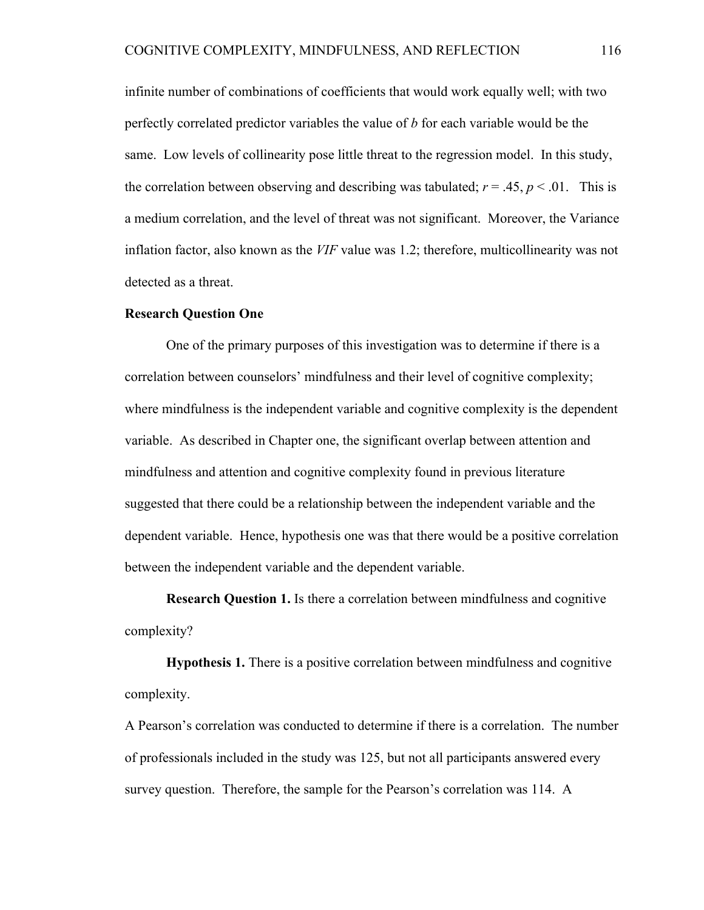infinite number of combinations of coefficients that would work equally well; with two perfectly correlated predictor variables the value of *b* for each variable would be the same. Low levels of collinearity pose little threat to the regression model. In this study, the correlation between observing and describing was tabulated;  $r = .45$ ,  $p < .01$ . This is a medium correlation, and the level of threat was not significant. Moreover, the Variance inflation factor, also known as the *VIF* value was 1.2; therefore, multicollinearity was not detected as a threat.

### **Research Question One**

One of the primary purposes of this investigation was to determine if there is a correlation between counselors' mindfulness and their level of cognitive complexity; where mindfulness is the independent variable and cognitive complexity is the dependent variable. As described in Chapter one, the significant overlap between attention and mindfulness and attention and cognitive complexity found in previous literature suggested that there could be a relationship between the independent variable and the dependent variable. Hence, hypothesis one was that there would be a positive correlation between the independent variable and the dependent variable.

**Research Question 1.** Is there a correlation between mindfulness and cognitive complexity?

**Hypothesis 1.** There is a positive correlation between mindfulness and cognitive complexity.

A Pearson's correlation was conducted to determine if there is a correlation. The number of professionals included in the study was 125, but not all participants answered every survey question. Therefore, the sample for the Pearson's correlation was 114. A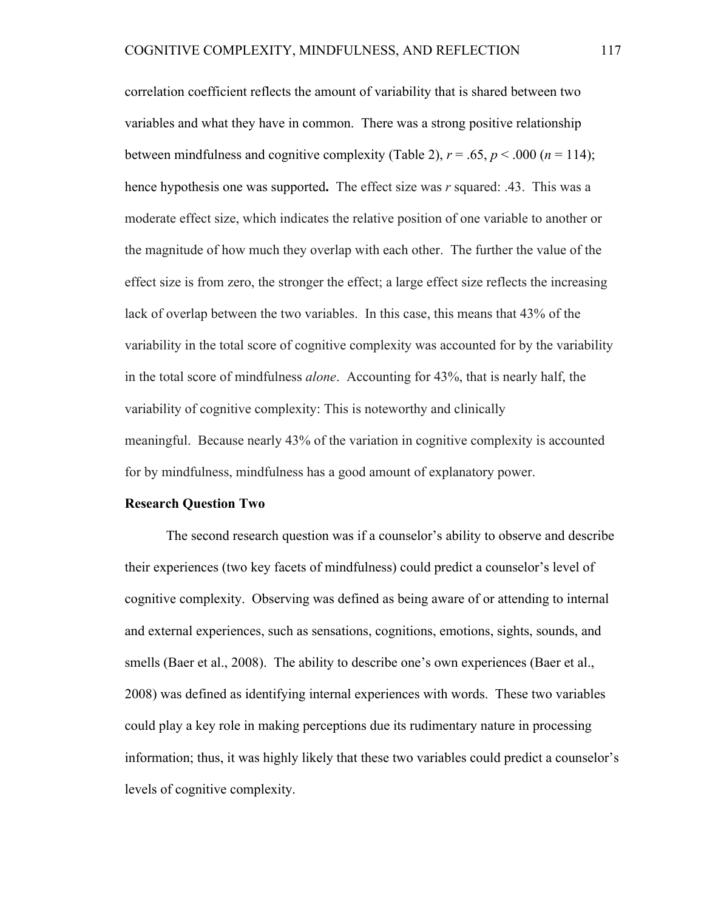correlation coefficient reflects the amount of variability that is shared between two variables and what they have in common. There was a strong positive relationship between mindfulness and cognitive complexity (Table 2),  $r = .65$ ,  $p < .000$  ( $n = 114$ ); hence hypothesis one was supported**.** The effect size was *r* squared: .43. This was a moderate effect size, which indicates the relative position of one variable to another or the magnitude of how much they overlap with each other. The further the value of the effect size is from zero, the stronger the effect; a large effect size reflects the increasing lack of overlap between the two variables. In this case, this means that 43% of the variability in the total score of cognitive complexity was accounted for by the variability in the total score of mindfulness *alone*. Accounting for 43%, that is nearly half, the variability of cognitive complexity: This is noteworthy and clinically meaningful. Because nearly 43% of the variation in cognitive complexity is accounted for by mindfulness, mindfulness has a good amount of explanatory power.

## **Research Question Two**

The second research question was if a counselor's ability to observe and describe their experiences (two key facets of mindfulness) could predict a counselor's level of cognitive complexity. Observing was defined as being aware of or attending to internal and external experiences, such as sensations, cognitions, emotions, sights, sounds, and smells (Baer et al., 2008). The ability to describe one's own experiences (Baer et al., 2008) was defined as identifying internal experiences with words. These two variables could play a key role in making perceptions due its rudimentary nature in processing information; thus, it was highly likely that these two variables could predict a counselor's levels of cognitive complexity.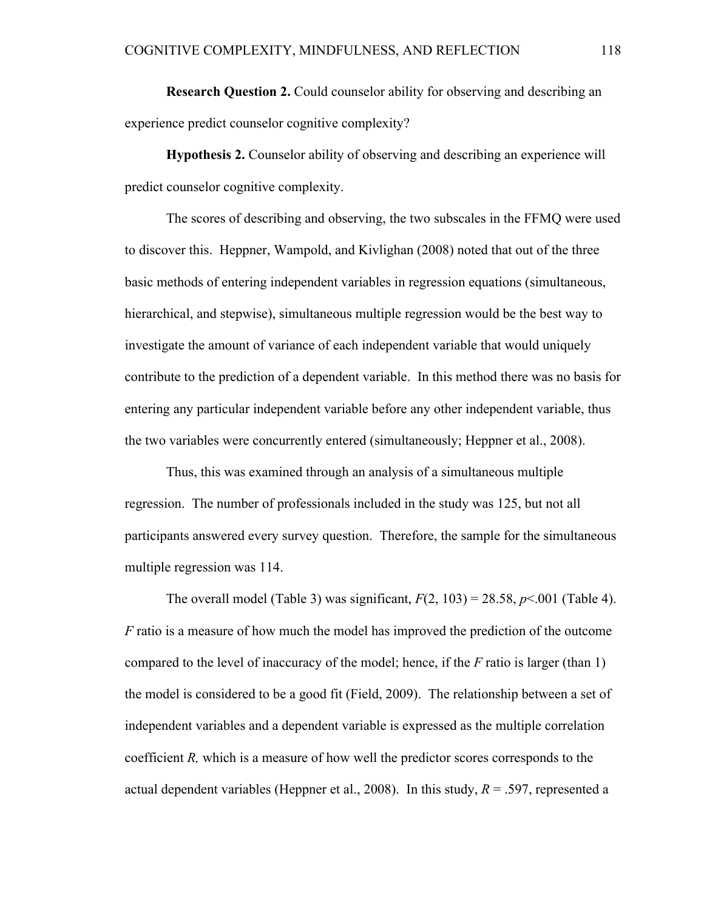**Research Ouestion 2.** Could counselor ability for observing and describing an experience predict counselor cognitive complexity?

**Hypothesis 2.** Counselor ability of observing and describing an experience will predict counselor cognitive complexity.

The scores of describing and observing, the two subscales in the FFMQ were used to discover this. Heppner, Wampold, and Kivlighan (2008) noted that out of the three basic methods of entering independent variables in regression equations (simultaneous, hierarchical, and stepwise), simultaneous multiple regression would be the best way to investigate the amount of variance of each independent variable that would uniquely contribute to the prediction of a dependent variable. In this method there was no basis for entering any particular independent variable before any other independent variable, thus the two variables were concurrently entered (simultaneously; Heppner et al., 2008).

Thus, this was examined through an analysis of a simultaneous multiple regression. The number of professionals included in the study was 125, but not all participants answered every survey question. Therefore, the sample for the simultaneous multiple regression was 114.

The overall model (Table 3) was significant,  $F(2, 103) = 28.58$ ,  $p \le 0.001$  (Table 4). *F* ratio is a measure of how much the model has improved the prediction of the outcome compared to the level of inaccuracy of the model; hence, if the *F* ratio is larger (than 1) the model is considered to be a good fit (Field, 2009). The relationship between a set of independent variables and a dependent variable is expressed as the multiple correlation coefficient *R,* which is a measure of how well the predictor scores corresponds to the actual dependent variables (Heppner et al., 2008). In this study,  $R = 0.597$ , represented a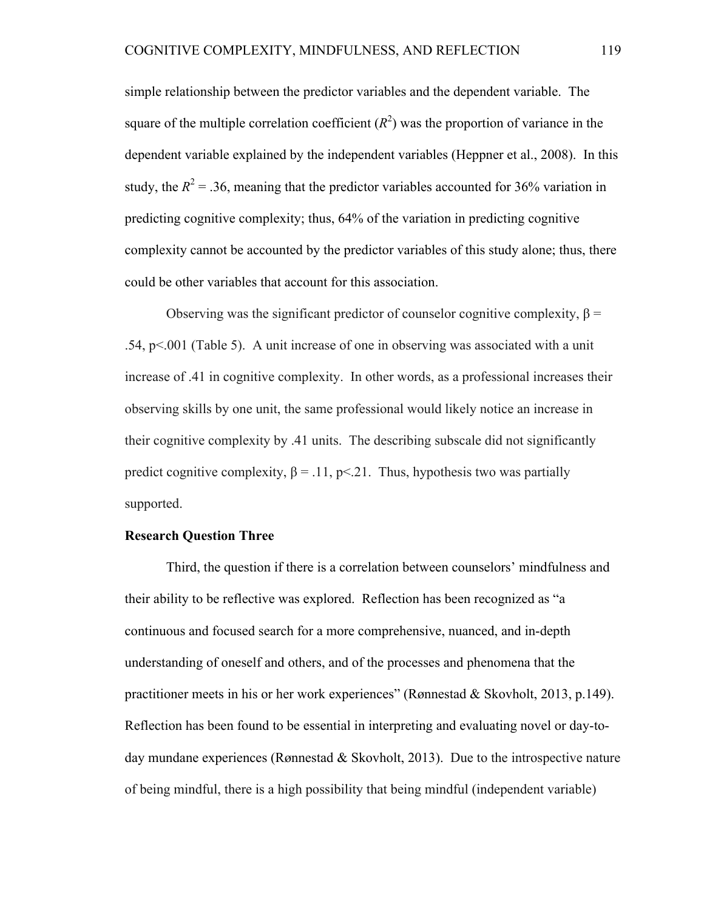simple relationship between the predictor variables and the dependent variable. The square of the multiple correlation coefficient  $(R^2)$  was the proportion of variance in the dependent variable explained by the independent variables (Heppner et al., 2008). In this study, the  $R^2 = 0.36$ , meaning that the predictor variables accounted for 36% variation in predicting cognitive complexity; thus, 64% of the variation in predicting cognitive complexity cannot be accounted by the predictor variables of this study alone; thus, there could be other variables that account for this association.

Observing was the significant predictor of counselor cognitive complexity,  $\beta$  = .54, p<.001 (Table 5). A unit increase of one in observing was associated with a unit increase of .41 in cognitive complexity. In other words, as a professional increases their observing skills by one unit, the same professional would likely notice an increase in their cognitive complexity by .41 units. The describing subscale did not significantly predict cognitive complexity,  $\beta = 0.11$ , p<.21. Thus, hypothesis two was partially supported.

#### **Research Question Three**

Third, the question if there is a correlation between counselors' mindfulness and their ability to be reflective was explored. Reflection has been recognized as "a continuous and focused search for a more comprehensive, nuanced, and in-depth understanding of oneself and others, and of the processes and phenomena that the practitioner meets in his or her work experiences" (Rønnestad & Skovholt, 2013, p.149). Reflection has been found to be essential in interpreting and evaluating novel or day-today mundane experiences (Rønnestad & Skovholt, 2013). Due to the introspective nature of being mindful, there is a high possibility that being mindful (independent variable)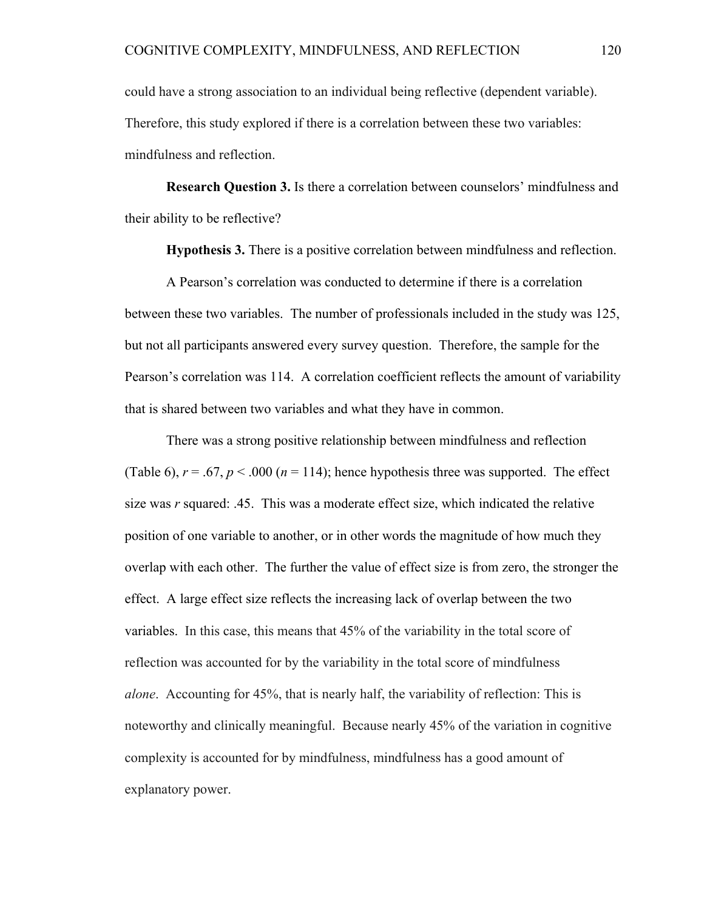could have a strong association to an individual being reflective (dependent variable). Therefore, this study explored if there is a correlation between these two variables: mindfulness and reflection.

**Research Question 3.** Is there a correlation between counselors' mindfulness and their ability to be reflective?

**Hypothesis 3.** There is a positive correlation between mindfulness and reflection.

A Pearson's correlation was conducted to determine if there is a correlation between these two variables. The number of professionals included in the study was 125, but not all participants answered every survey question. Therefore, the sample for the Pearson's correlation was 114. A correlation coefficient reflects the amount of variability that is shared between two variables and what they have in common.

There was a strong positive relationship between mindfulness and reflection (Table 6),  $r = .67$ ,  $p < .000$  ( $n = 114$ ); hence hypothesis three was supported. The effect size was *r* squared: .45. This was a moderate effect size, which indicated the relative position of one variable to another, or in other words the magnitude of how much they overlap with each other. The further the value of effect size is from zero, the stronger the effect. A large effect size reflects the increasing lack of overlap between the two variables. In this case, this means that 45% of the variability in the total score of reflection was accounted for by the variability in the total score of mindfulness *alone*. Accounting for 45%, that is nearly half, the variability of reflection: This is noteworthy and clinically meaningful. Because nearly 45% of the variation in cognitive complexity is accounted for by mindfulness, mindfulness has a good amount of explanatory power.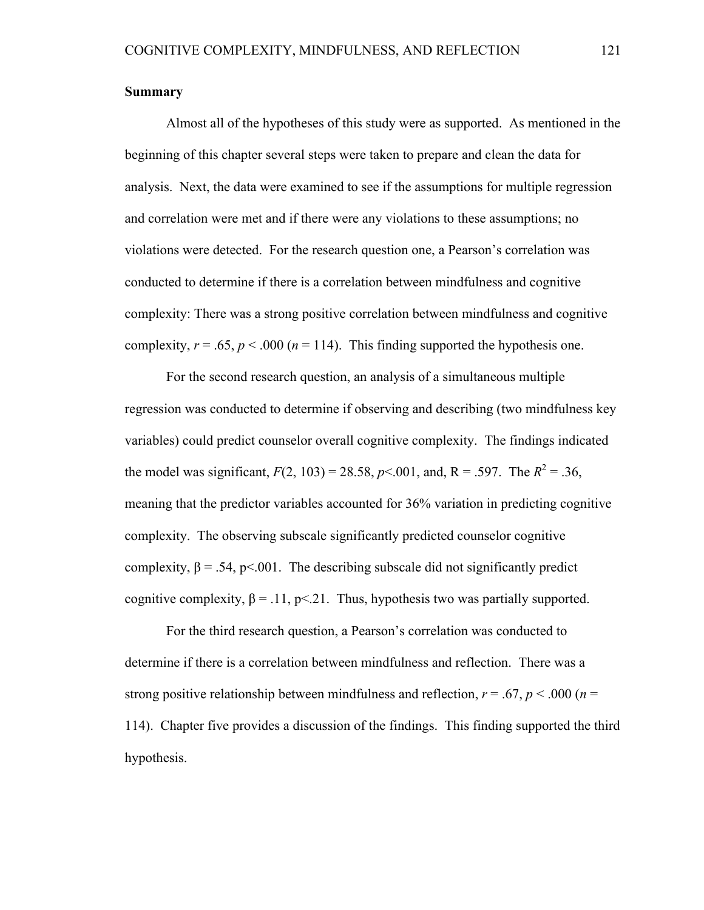# **Summary**

Almost all of the hypotheses of this study were as supported. As mentioned in the beginning of this chapter several steps were taken to prepare and clean the data for analysis. Next, the data were examined to see if the assumptions for multiple regression and correlation were met and if there were any violations to these assumptions; no violations were detected. For the research question one, a Pearson's correlation was conducted to determine if there is a correlation between mindfulness and cognitive complexity: There was a strong positive correlation between mindfulness and cognitive complexity,  $r = .65$ ,  $p < .000$  ( $n = 114$ ). This finding supported the hypothesis one.

For the second research question, an analysis of a simultaneous multiple regression was conducted to determine if observing and describing (two mindfulness key variables) could predict counselor overall cognitive complexity. The findings indicated the model was significant,  $F(2, 103) = 28.58$ ,  $p < .001$ , and, R = .597. The  $R^2 = .36$ , meaning that the predictor variables accounted for 36% variation in predicting cognitive complexity. The observing subscale significantly predicted counselor cognitive complexity,  $\beta = .54$ , p<.001. The describing subscale did not significantly predict cognitive complexity,  $\beta = 0.11$ , p< 21. Thus, hypothesis two was partially supported.

For the third research question, a Pearson's correlation was conducted to determine if there is a correlation between mindfulness and reflection. There was a strong positive relationship between mindfulness and reflection,  $r = .67$ ,  $p < .000$  ( $n =$ 114). Chapter five provides a discussion of the findings. This finding supported the third hypothesis.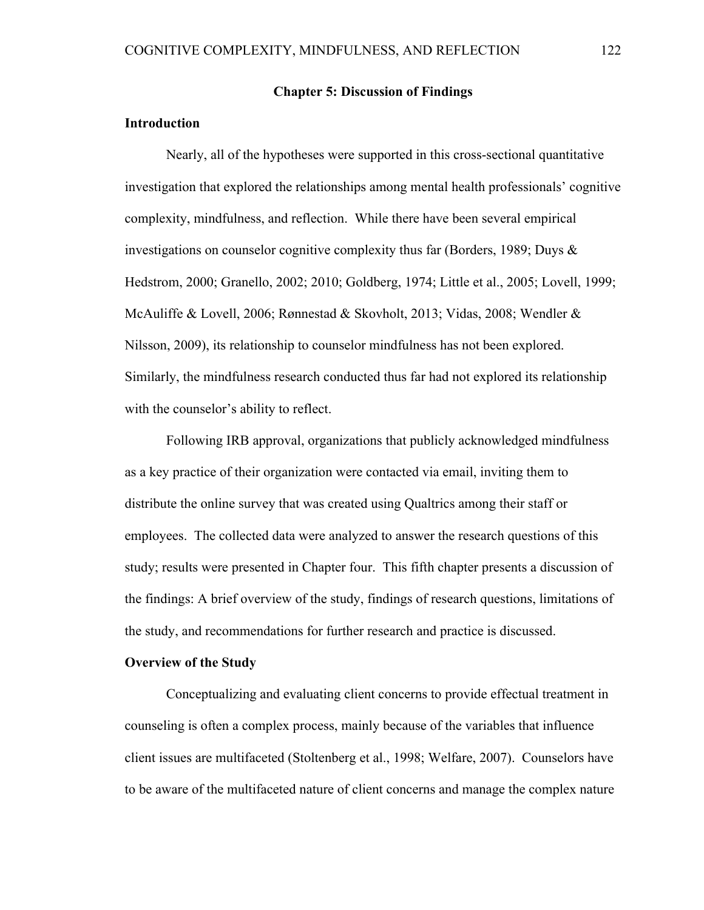# **Chapter 5: Discussion of Findings**

# **Introduction**

Nearly, all of the hypotheses were supported in this cross-sectional quantitative investigation that explored the relationships among mental health professionals' cognitive complexity, mindfulness, and reflection. While there have been several empirical investigations on counselor cognitive complexity thus far (Borders, 1989; Duys & Hedstrom, 2000; Granello, 2002; 2010; Goldberg, 1974; Little et al., 2005; Lovell, 1999; McAuliffe & Lovell, 2006; Rønnestad & Skovholt, 2013; Vidas, 2008; Wendler & Nilsson, 2009), its relationship to counselor mindfulness has not been explored. Similarly, the mindfulness research conducted thus far had not explored its relationship with the counselor's ability to reflect.

Following IRB approval, organizations that publicly acknowledged mindfulness as a key practice of their organization were contacted via email, inviting them to distribute the online survey that was created using Qualtrics among their staff or employees. The collected data were analyzed to answer the research questions of this study; results were presented in Chapter four. This fifth chapter presents a discussion of the findings: A brief overview of the study, findings of research questions, limitations of the study, and recommendations for further research and practice is discussed.

## **Overview of the Study**

Conceptualizing and evaluating client concerns to provide effectual treatment in counseling is often a complex process, mainly because of the variables that influence client issues are multifaceted (Stoltenberg et al., 1998; Welfare, 2007). Counselors have to be aware of the multifaceted nature of client concerns and manage the complex nature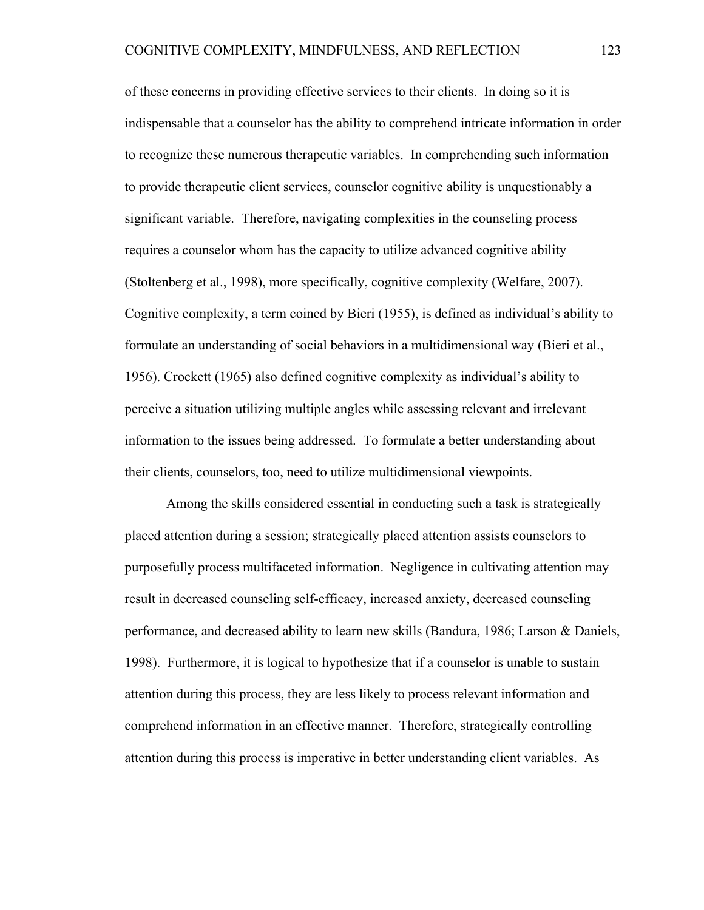of these concerns in providing effective services to their clients. In doing so it is indispensable that a counselor has the ability to comprehend intricate information in order to recognize these numerous therapeutic variables. In comprehending such information to provide therapeutic client services, counselor cognitive ability is unquestionably a significant variable. Therefore, navigating complexities in the counseling process requires a counselor whom has the capacity to utilize advanced cognitive ability (Stoltenberg et al., 1998), more specifically, cognitive complexity (Welfare, 2007). Cognitive complexity, a term coined by Bieri (1955), is defined as individual's ability to formulate an understanding of social behaviors in a multidimensional way (Bieri et al., 1956). Crockett (1965) also defined cognitive complexity as individual's ability to perceive a situation utilizing multiple angles while assessing relevant and irrelevant information to the issues being addressed. To formulate a better understanding about their clients, counselors, too, need to utilize multidimensional viewpoints.

Among the skills considered essential in conducting such a task is strategically placed attention during a session; strategically placed attention assists counselors to purposefully process multifaceted information. Negligence in cultivating attention may result in decreased counseling self-efficacy, increased anxiety, decreased counseling performance, and decreased ability to learn new skills (Bandura, 1986; Larson & Daniels, 1998). Furthermore, it is logical to hypothesize that if a counselor is unable to sustain attention during this process, they are less likely to process relevant information and comprehend information in an effective manner. Therefore, strategically controlling attention during this process is imperative in better understanding client variables. As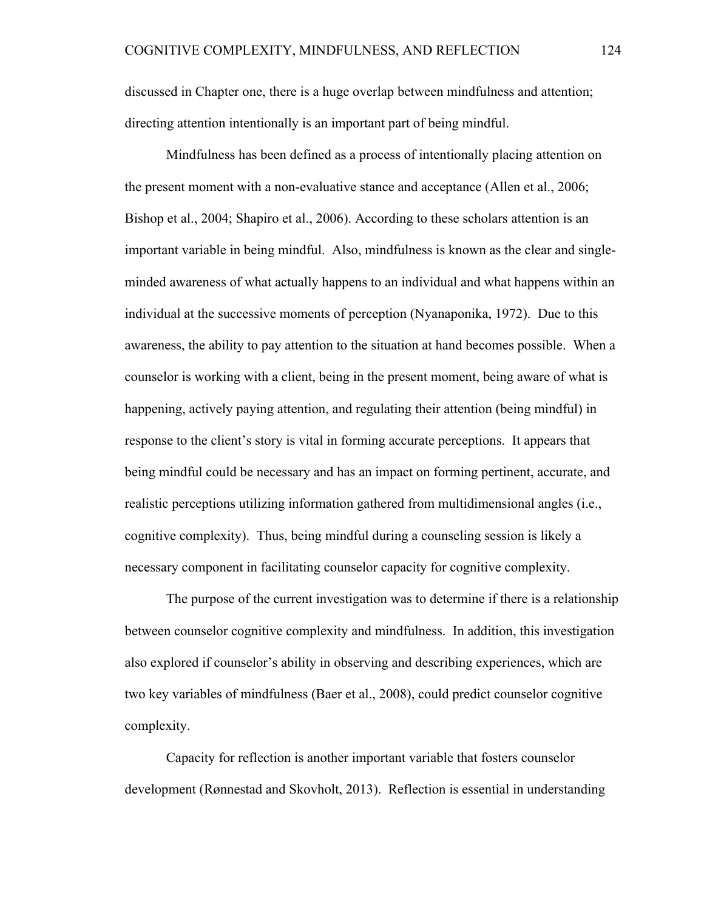discussed in Chapter one, there is a huge overlap between mindfulness and attention; directing attention intentionally is an important part of being mindful.

Mindfulness has been defined as a process of intentionally placing attention on the present moment with a non-evaluative stance and acceptance (Allen et al., 2006; Bishop et al., 2004; Shapiro et al., 2006). According to these scholars attention is an important variable in being mindful. Also, mindfulness is known as the clear and singleminded awareness of what actually happens to an individual and what happens within an individual at the successive moments of perception (Nyanaponika, 1972). Due to this awareness, the ability to pay attention to the situation at hand becomes possible. When a counselor is working with a client, being in the present moment, being aware of what is happening, actively paying attention, and regulating their attention (being mindful) in response to the client's story is vital in forming accurate perceptions. It appears that being mindful could be necessary and has an impact on forming pertinent, accurate, and realistic perceptions utilizing information gathered from multidimensional angles (i.e., cognitive complexity). Thus, being mindful during a counseling session is likely a necessary component in facilitating counselor capacity for cognitive complexity.

The purpose of the current investigation was to determine if there is a relationship between counselor cognitive complexity and mindfulness. In addition, this investigation also explored if counselor's ability in observing and describing experiences, which are two key variables of mindfulness (Baer et al., 2008), could predict counselor cognitive complexity.

Capacity for reflection is another important variable that fosters counselor development (Rønnestad and Skovholt, 2013). Reflection is essential in understanding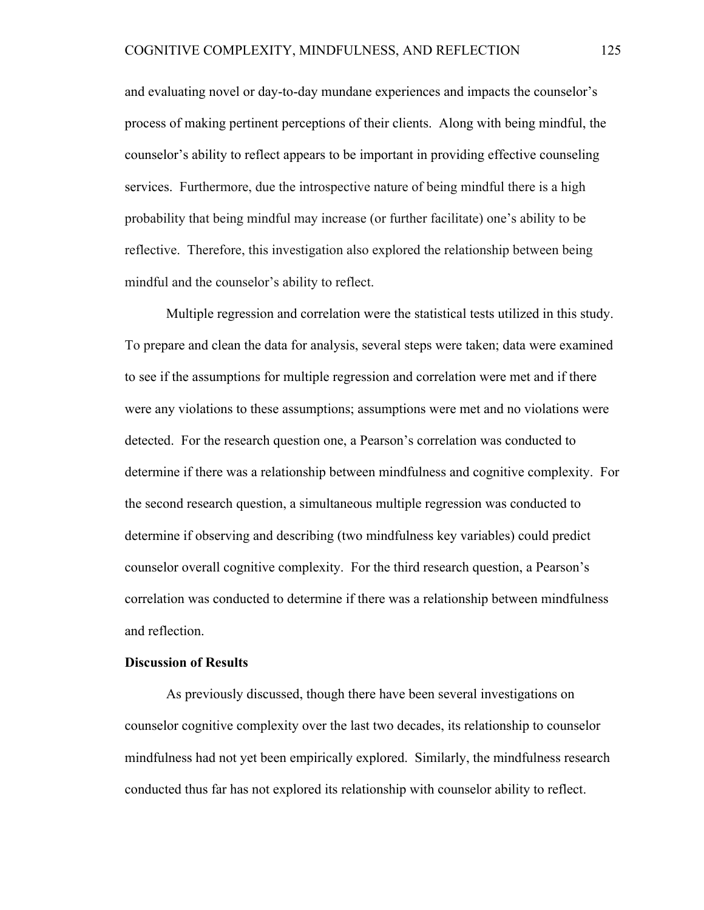and evaluating novel or day-to-day mundane experiences and impacts the counselor's process of making pertinent perceptions of their clients. Along with being mindful, the counselor's ability to reflect appears to be important in providing effective counseling services. Furthermore, due the introspective nature of being mindful there is a high probability that being mindful may increase (or further facilitate) one's ability to be reflective. Therefore, this investigation also explored the relationship between being mindful and the counselor's ability to reflect.

Multiple regression and correlation were the statistical tests utilized in this study. To prepare and clean the data for analysis, several steps were taken; data were examined to see if the assumptions for multiple regression and correlation were met and if there were any violations to these assumptions; assumptions were met and no violations were detected. For the research question one, a Pearson's correlation was conducted to determine if there was a relationship between mindfulness and cognitive complexity. For the second research question, a simultaneous multiple regression was conducted to determine if observing and describing (two mindfulness key variables) could predict counselor overall cognitive complexity. For the third research question, a Pearson's correlation was conducted to determine if there was a relationship between mindfulness and reflection.

## **Discussion of Results**

As previously discussed, though there have been several investigations on counselor cognitive complexity over the last two decades, its relationship to counselor mindfulness had not yet been empirically explored. Similarly, the mindfulness research conducted thus far has not explored its relationship with counselor ability to reflect.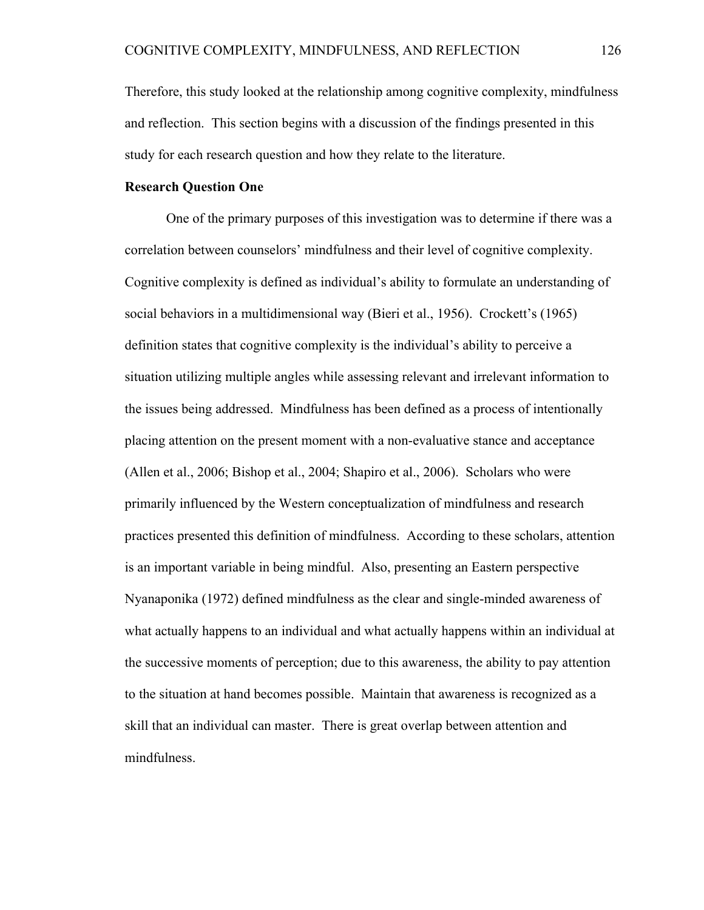Therefore, this study looked at the relationship among cognitive complexity, mindfulness and reflection. This section begins with a discussion of the findings presented in this study for each research question and how they relate to the literature.

# **Research Question One**

One of the primary purposes of this investigation was to determine if there was a correlation between counselors' mindfulness and their level of cognitive complexity. Cognitive complexity is defined as individual's ability to formulate an understanding of social behaviors in a multidimensional way (Bieri et al., 1956). Crockett's (1965) definition states that cognitive complexity is the individual's ability to perceive a situation utilizing multiple angles while assessing relevant and irrelevant information to the issues being addressed. Mindfulness has been defined as a process of intentionally placing attention on the present moment with a non-evaluative stance and acceptance (Allen et al., 2006; Bishop et al., 2004; Shapiro et al., 2006). Scholars who were primarily influenced by the Western conceptualization of mindfulness and research practices presented this definition of mindfulness. According to these scholars, attention is an important variable in being mindful. Also, presenting an Eastern perspective Nyanaponika (1972) defined mindfulness as the clear and single-minded awareness of what actually happens to an individual and what actually happens within an individual at the successive moments of perception; due to this awareness, the ability to pay attention to the situation at hand becomes possible. Maintain that awareness is recognized as a skill that an individual can master. There is great overlap between attention and mindfulness.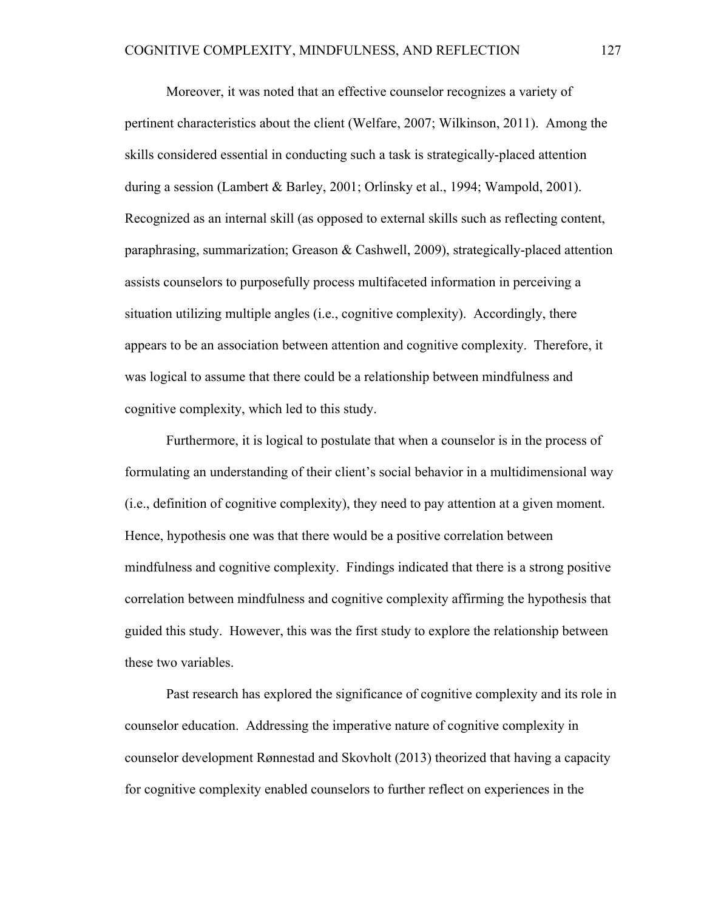Moreover, it was noted that an effective counselor recognizes a variety of pertinent characteristics about the client (Welfare, 2007; Wilkinson, 2011). Among the skills considered essential in conducting such a task is strategically-placed attention during a session (Lambert & Barley, 2001; Orlinsky et al., 1994; Wampold, 2001). Recognized as an internal skill (as opposed to external skills such as reflecting content, paraphrasing, summarization; Greason & Cashwell, 2009), strategically-placed attention assists counselors to purposefully process multifaceted information in perceiving a situation utilizing multiple angles (i.e., cognitive complexity). Accordingly, there appears to be an association between attention and cognitive complexity. Therefore, it was logical to assume that there could be a relationship between mindfulness and cognitive complexity, which led to this study.

Furthermore, it is logical to postulate that when a counselor is in the process of formulating an understanding of their client's social behavior in a multidimensional way (i.e., definition of cognitive complexity), they need to pay attention at a given moment. Hence, hypothesis one was that there would be a positive correlation between mindfulness and cognitive complexity. Findings indicated that there is a strong positive correlation between mindfulness and cognitive complexity affirming the hypothesis that guided this study. However, this was the first study to explore the relationship between these two variables.

Past research has explored the significance of cognitive complexity and its role in counselor education. Addressing the imperative nature of cognitive complexity in counselor development Rønnestad and Skovholt (2013) theorized that having a capacity for cognitive complexity enabled counselors to further reflect on experiences in the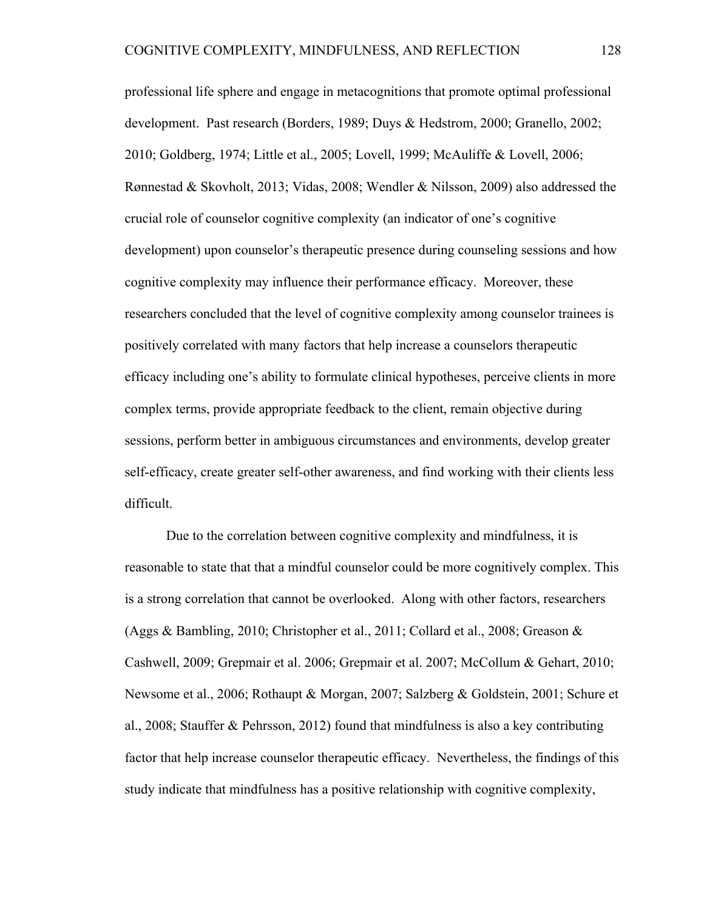professional life sphere and engage in metacognitions that promote optimal professional development. Past research (Borders, 1989; Duys & Hedstrom, 2000; Granello, 2002; 2010; Goldberg, 1974; Little et al., 2005; Lovell, 1999; McAuliffe & Lovell, 2006; Rønnestad & Skovholt, 2013; Vidas, 2008; Wendler & Nilsson, 2009) also addressed the crucial role of counselor cognitive complexity (an indicator of one's cognitive development) upon counselor's therapeutic presence during counseling sessions and how cognitive complexity may influence their performance efficacy. Moreover, these researchers concluded that the level of cognitive complexity among counselor trainees is positively correlated with many factors that help increase a counselors therapeutic efficacy including one's ability to formulate clinical hypotheses, perceive clients in more complex terms, provide appropriate feedback to the client, remain objective during sessions, perform better in ambiguous circumstances and environments, develop greater self-efficacy, create greater self-other awareness, and find working with their clients less difficult.

Due to the correlation between cognitive complexity and mindfulness, it is reasonable to state that that a mindful counselor could be more cognitively complex. This is a strong correlation that cannot be overlooked. Along with other factors, researchers (Aggs & Bambling, 2010; Christopher et al., 2011; Collard et al., 2008; Greason & Cashwell, 2009; Grepmair et al. 2006; Grepmair et al. 2007; McCollum & Gehart, 2010; Newsome et al., 2006; Rothaupt & Morgan, 2007; Salzberg & Goldstein, 2001; Schure et al., 2008; Stauffer & Pehrsson, 2012) found that mindfulness is also a key contributing factor that help increase counselor therapeutic efficacy. Nevertheless, the findings of this study indicate that mindfulness has a positive relationship with cognitive complexity,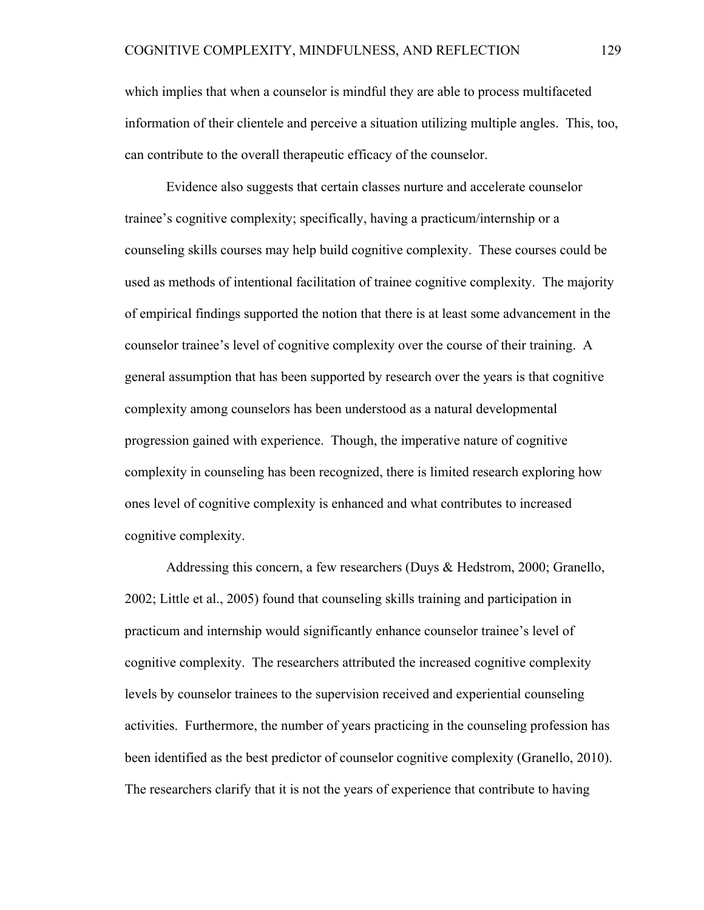which implies that when a counselor is mindful they are able to process multifaceted information of their clientele and perceive a situation utilizing multiple angles. This, too, can contribute to the overall therapeutic efficacy of the counselor.

Evidence also suggests that certain classes nurture and accelerate counselor trainee's cognitive complexity; specifically, having a practicum/internship or a counseling skills courses may help build cognitive complexity. These courses could be used as methods of intentional facilitation of trainee cognitive complexity. The majority of empirical findings supported the notion that there is at least some advancement in the counselor trainee's level of cognitive complexity over the course of their training. A general assumption that has been supported by research over the years is that cognitive complexity among counselors has been understood as a natural developmental progression gained with experience. Though, the imperative nature of cognitive complexity in counseling has been recognized, there is limited research exploring how ones level of cognitive complexity is enhanced and what contributes to increased cognitive complexity.

Addressing this concern, a few researchers (Duys & Hedstrom, 2000; Granello, 2002; Little et al., 2005) found that counseling skills training and participation in practicum and internship would significantly enhance counselor trainee's level of cognitive complexity. The researchers attributed the increased cognitive complexity levels by counselor trainees to the supervision received and experiential counseling activities. Furthermore, the number of years practicing in the counseling profession has been identified as the best predictor of counselor cognitive complexity (Granello, 2010). The researchers clarify that it is not the years of experience that contribute to having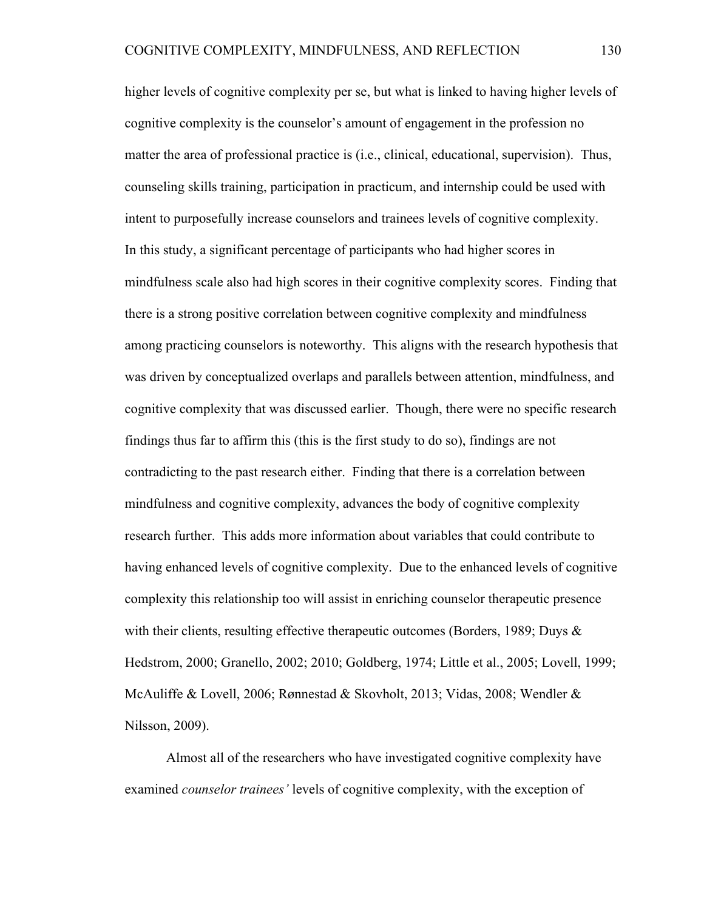higher levels of cognitive complexity per se, but what is linked to having higher levels of cognitive complexity is the counselor's amount of engagement in the profession no matter the area of professional practice is (i.e., clinical, educational, supervision). Thus, counseling skills training, participation in practicum, and internship could be used with intent to purposefully increase counselors and trainees levels of cognitive complexity. In this study, a significant percentage of participants who had higher scores in mindfulness scale also had high scores in their cognitive complexity scores. Finding that there is a strong positive correlation between cognitive complexity and mindfulness among practicing counselors is noteworthy. This aligns with the research hypothesis that was driven by conceptualized overlaps and parallels between attention, mindfulness, and cognitive complexity that was discussed earlier. Though, there were no specific research findings thus far to affirm this (this is the first study to do so), findings are not contradicting to the past research either. Finding that there is a correlation between mindfulness and cognitive complexity, advances the body of cognitive complexity research further. This adds more information about variables that could contribute to having enhanced levels of cognitive complexity. Due to the enhanced levels of cognitive complexity this relationship too will assist in enriching counselor therapeutic presence with their clients, resulting effective therapeutic outcomes (Borders, 1989; Duys  $\&$ Hedstrom, 2000; Granello, 2002; 2010; Goldberg, 1974; Little et al., 2005; Lovell, 1999; McAuliffe & Lovell, 2006; Rønnestad & Skovholt, 2013; Vidas, 2008; Wendler & Nilsson, 2009).

Almost all of the researchers who have investigated cognitive complexity have examined *counselor trainees'* levels of cognitive complexity, with the exception of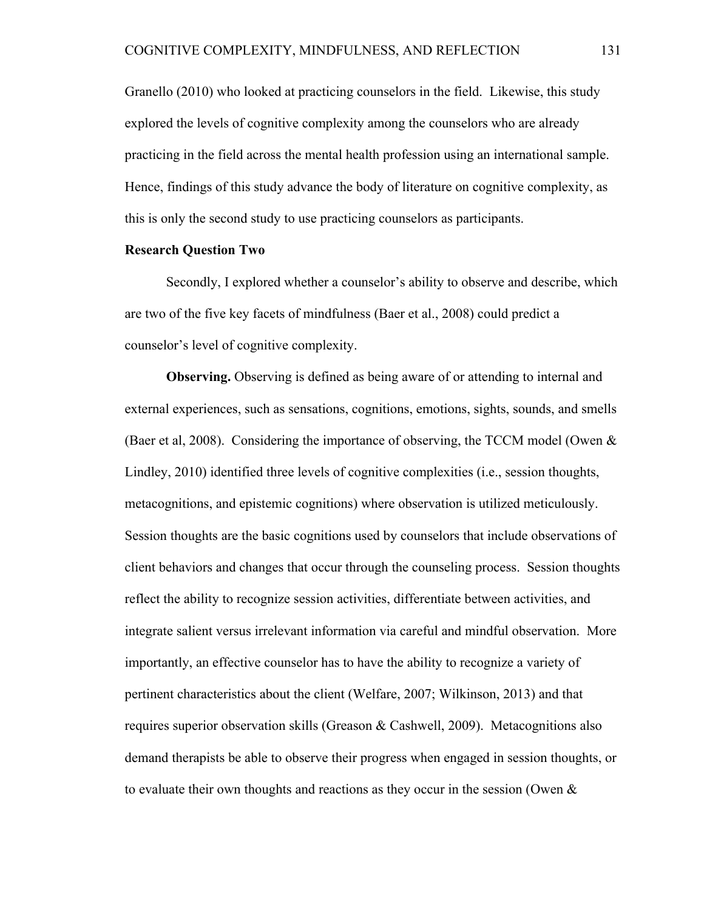Granello (2010) who looked at practicing counselors in the field. Likewise, this study explored the levels of cognitive complexity among the counselors who are already practicing in the field across the mental health profession using an international sample. Hence, findings of this study advance the body of literature on cognitive complexity, as this is only the second study to use practicing counselors as participants.

# **Research Question Two**

Secondly, I explored whether a counselor's ability to observe and describe, which are two of the five key facets of mindfulness (Baer et al., 2008) could predict a counselor's level of cognitive complexity.

**Observing.** Observing is defined as being aware of or attending to internal and external experiences, such as sensations, cognitions, emotions, sights, sounds, and smells (Baer et al, 2008). Considering the importance of observing, the TCCM model (Owen & Lindley, 2010) identified three levels of cognitive complexities (i.e., session thoughts, metacognitions, and epistemic cognitions) where observation is utilized meticulously. Session thoughts are the basic cognitions used by counselors that include observations of client behaviors and changes that occur through the counseling process. Session thoughts reflect the ability to recognize session activities, differentiate between activities, and integrate salient versus irrelevant information via careful and mindful observation. More importantly, an effective counselor has to have the ability to recognize a variety of pertinent characteristics about the client (Welfare, 2007; Wilkinson, 2013) and that requires superior observation skills (Greason & Cashwell, 2009). Metacognitions also demand therapists be able to observe their progress when engaged in session thoughts, or to evaluate their own thoughts and reactions as they occur in the session (Owen &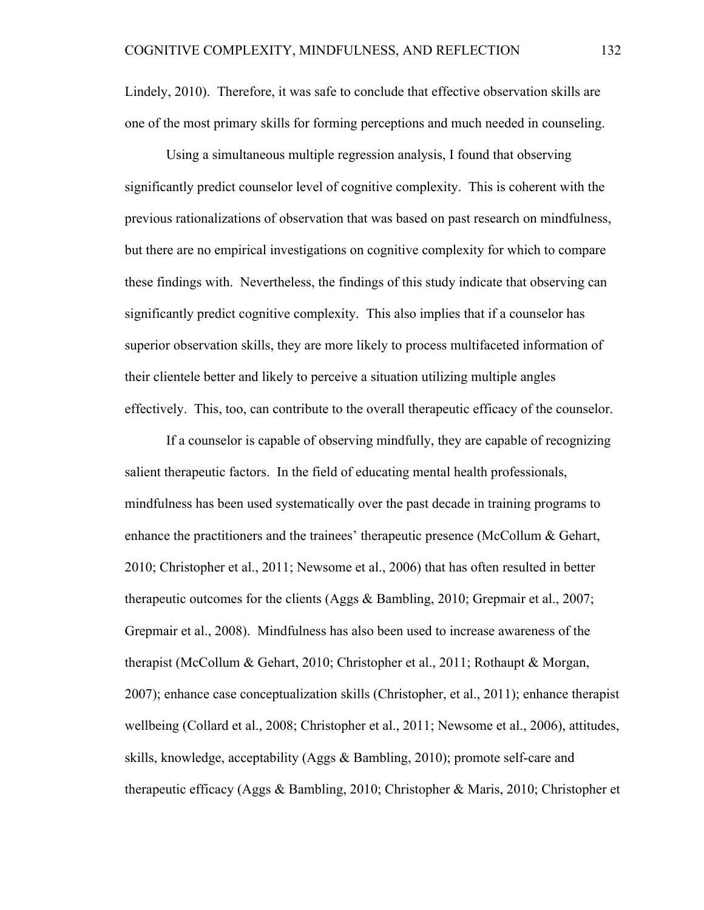Lindely, 2010). Therefore, it was safe to conclude that effective observation skills are one of the most primary skills for forming perceptions and much needed in counseling.

Using a simultaneous multiple regression analysis, I found that observing significantly predict counselor level of cognitive complexity. This is coherent with the previous rationalizations of observation that was based on past research on mindfulness, but there are no empirical investigations on cognitive complexity for which to compare these findings with. Nevertheless, the findings of this study indicate that observing can significantly predict cognitive complexity. This also implies that if a counselor has superior observation skills, they are more likely to process multifaceted information of their clientele better and likely to perceive a situation utilizing multiple angles effectively. This, too, can contribute to the overall therapeutic efficacy of the counselor.

If a counselor is capable of observing mindfully, they are capable of recognizing salient therapeutic factors. In the field of educating mental health professionals, mindfulness has been used systematically over the past decade in training programs to enhance the practitioners and the trainees' therapeutic presence (McCollum & Gehart, 2010; Christopher et al., 2011; Newsome et al., 2006) that has often resulted in better therapeutic outcomes for the clients (Aggs & Bambling, 2010; Grepmair et al., 2007; Grepmair et al., 2008). Mindfulness has also been used to increase awareness of the therapist (McCollum & Gehart, 2010; Christopher et al., 2011; Rothaupt & Morgan, 2007); enhance case conceptualization skills (Christopher, et al., 2011); enhance therapist wellbeing (Collard et al., 2008; Christopher et al., 2011; Newsome et al., 2006), attitudes, skills, knowledge, acceptability (Aggs & Bambling, 2010); promote self-care and therapeutic efficacy (Aggs & Bambling, 2010; Christopher & Maris, 2010; Christopher et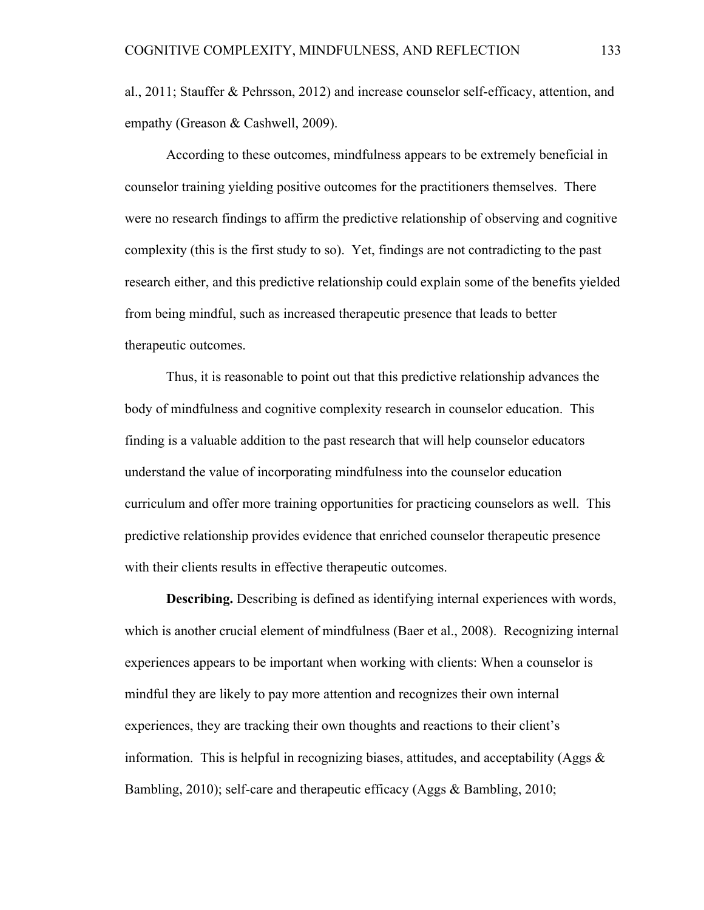al., 2011; Stauffer & Pehrsson, 2012) and increase counselor self-efficacy, attention, and empathy (Greason & Cashwell, 2009).

According to these outcomes, mindfulness appears to be extremely beneficial in counselor training yielding positive outcomes for the practitioners themselves. There were no research findings to affirm the predictive relationship of observing and cognitive complexity (this is the first study to so). Yet, findings are not contradicting to the past research either, and this predictive relationship could explain some of the benefits yielded from being mindful, such as increased therapeutic presence that leads to better therapeutic outcomes.

Thus, it is reasonable to point out that this predictive relationship advances the body of mindfulness and cognitive complexity research in counselor education. This finding is a valuable addition to the past research that will help counselor educators understand the value of incorporating mindfulness into the counselor education curriculum and offer more training opportunities for practicing counselors as well. This predictive relationship provides evidence that enriched counselor therapeutic presence with their clients results in effective therapeutic outcomes.

**Describing.** Describing is defined as identifying internal experiences with words, which is another crucial element of mindfulness (Baer et al., 2008). Recognizing internal experiences appears to be important when working with clients: When a counselor is mindful they are likely to pay more attention and recognizes their own internal experiences, they are tracking their own thoughts and reactions to their client's information. This is helpful in recognizing biases, attitudes, and acceptability (Aggs  $\&$ Bambling, 2010); self-care and therapeutic efficacy (Aggs & Bambling, 2010;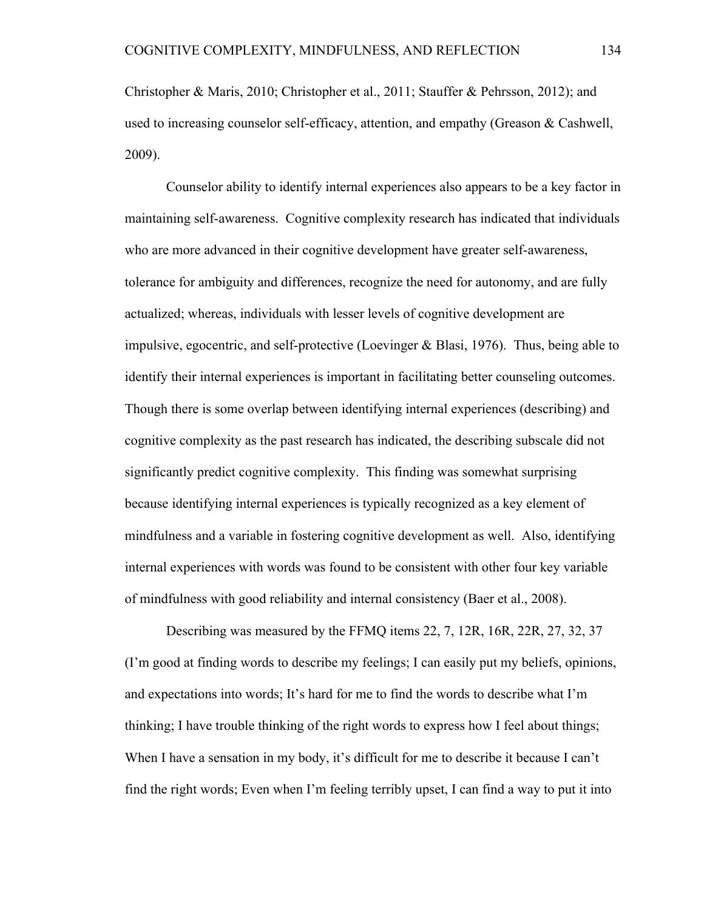Christopher & Maris, 2010; Christopher et al., 2011; Stauffer & Pehrsson, 2012); and used to increasing counselor self-efficacy, attention, and empathy (Greason & Cashwell, 2009).

Counselor ability to identify internal experiences also appears to be a key factor in maintaining self-awareness. Cognitive complexity research has indicated that individuals who are more advanced in their cognitive development have greater self-awareness, tolerance for ambiguity and differences, recognize the need for autonomy, and are fully actualized; whereas, individuals with lesser levels of cognitive development are impulsive, egocentric, and self-protective (Loevinger & Blasi, 1976). Thus, being able to identify their internal experiences is important in facilitating better counseling outcomes. Though there is some overlap between identifying internal experiences (describing) and cognitive complexity as the past research has indicated, the describing subscale did not significantly predict cognitive complexity. This finding was somewhat surprising because identifying internal experiences is typically recognized as a key element of mindfulness and a variable in fostering cognitive development as well. Also, identifying internal experiences with words was found to be consistent with other four key variable of mindfulness with good reliability and internal consistency (Baer et al., 2008).

Describing was measured by the FFMQ items 22, 7, 12R, 16R, 22R, 27, 32, 37 (I'm good at finding words to describe my feelings; I can easily put my beliefs, opinions, and expectations into words; It's hard for me to find the words to describe what I'm thinking; I have trouble thinking of the right words to express how I feel about things; When I have a sensation in my body, it's difficult for me to describe it because I can't find the right words; Even when I'm feeling terribly upset, I can find a way to put it into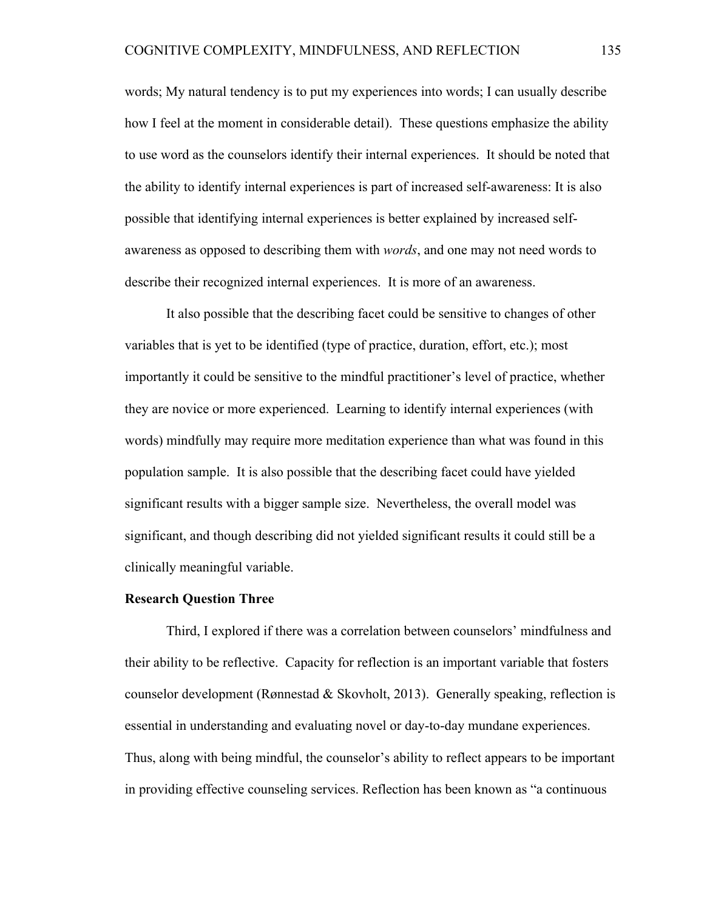words; My natural tendency is to put my experiences into words; I can usually describe how I feel at the moment in considerable detail). These questions emphasize the ability to use word as the counselors identify their internal experiences. It should be noted that the ability to identify internal experiences is part of increased self-awareness: It is also possible that identifying internal experiences is better explained by increased selfawareness as opposed to describing them with *words*, and one may not need words to describe their recognized internal experiences. It is more of an awareness.

It also possible that the describing facet could be sensitive to changes of other variables that is yet to be identified (type of practice, duration, effort, etc.); most importantly it could be sensitive to the mindful practitioner's level of practice, whether they are novice or more experienced. Learning to identify internal experiences (with words) mindfully may require more meditation experience than what was found in this population sample. It is also possible that the describing facet could have yielded significant results with a bigger sample size. Nevertheless, the overall model was significant, and though describing did not yielded significant results it could still be a clinically meaningful variable.

### **Research Question Three**

Third, I explored if there was a correlation between counselors' mindfulness and their ability to be reflective. Capacity for reflection is an important variable that fosters counselor development (Rønnestad & Skovholt, 2013). Generally speaking, reflection is essential in understanding and evaluating novel or day-to-day mundane experiences. Thus, along with being mindful, the counselor's ability to reflect appears to be important in providing effective counseling services. Reflection has been known as "a continuous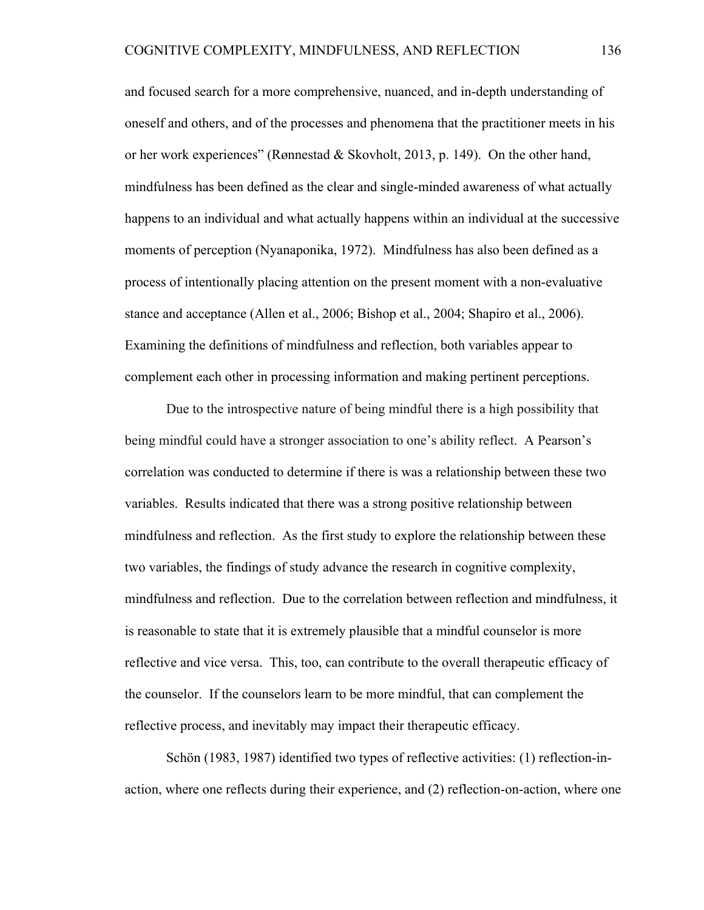and focused search for a more comprehensive, nuanced, and in-depth understanding of oneself and others, and of the processes and phenomena that the practitioner meets in his or her work experiences" (Rønnestad & Skovholt, 2013, p. 149). On the other hand, mindfulness has been defined as the clear and single-minded awareness of what actually happens to an individual and what actually happens within an individual at the successive moments of perception (Nyanaponika, 1972). Mindfulness has also been defined as a process of intentionally placing attention on the present moment with a non-evaluative stance and acceptance (Allen et al., 2006; Bishop et al., 2004; Shapiro et al., 2006). Examining the definitions of mindfulness and reflection, both variables appear to complement each other in processing information and making pertinent perceptions.

Due to the introspective nature of being mindful there is a high possibility that being mindful could have a stronger association to one's ability reflect. A Pearson's correlation was conducted to determine if there is was a relationship between these two variables. Results indicated that there was a strong positive relationship between mindfulness and reflection. As the first study to explore the relationship between these two variables, the findings of study advance the research in cognitive complexity, mindfulness and reflection. Due to the correlation between reflection and mindfulness, it is reasonable to state that it is extremely plausible that a mindful counselor is more reflective and vice versa. This, too, can contribute to the overall therapeutic efficacy of the counselor. If the counselors learn to be more mindful, that can complement the reflective process, and inevitably may impact their therapeutic efficacy.

Schön (1983, 1987) identified two types of reflective activities: (1) reflection-inaction, where one reflects during their experience, and (2) reflection-on-action, where one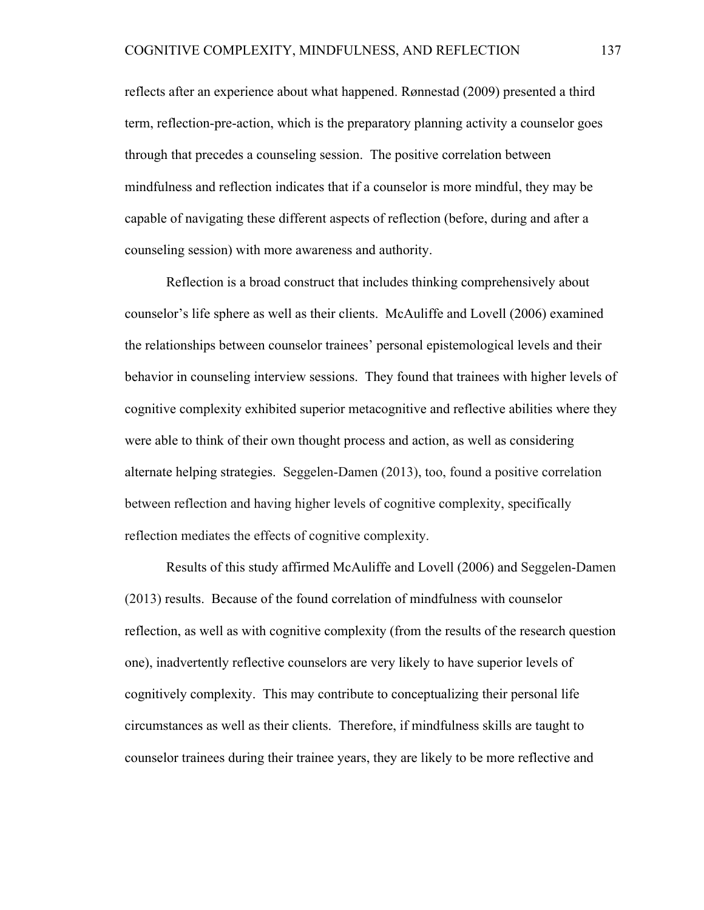reflects after an experience about what happened. Rønnestad (2009) presented a third term, reflection-pre-action, which is the preparatory planning activity a counselor goes through that precedes a counseling session. The positive correlation between mindfulness and reflection indicates that if a counselor is more mindful, they may be capable of navigating these different aspects of reflection (before, during and after a counseling session) with more awareness and authority.

Reflection is a broad construct that includes thinking comprehensively about counselor's life sphere as well as their clients. McAuliffe and Lovell (2006) examined the relationships between counselor trainees' personal epistemological levels and their behavior in counseling interview sessions. They found that trainees with higher levels of cognitive complexity exhibited superior metacognitive and reflective abilities where they were able to think of their own thought process and action, as well as considering alternate helping strategies. Seggelen-Damen (2013), too, found a positive correlation between reflection and having higher levels of cognitive complexity, specifically reflection mediates the effects of cognitive complexity.

Results of this study affirmed McAuliffe and Lovell (2006) and Seggelen-Damen (2013) results. Because of the found correlation of mindfulness with counselor reflection, as well as with cognitive complexity (from the results of the research question one), inadvertently reflective counselors are very likely to have superior levels of cognitively complexity. This may contribute to conceptualizing their personal life circumstances as well as their clients. Therefore, if mindfulness skills are taught to counselor trainees during their trainee years, they are likely to be more reflective and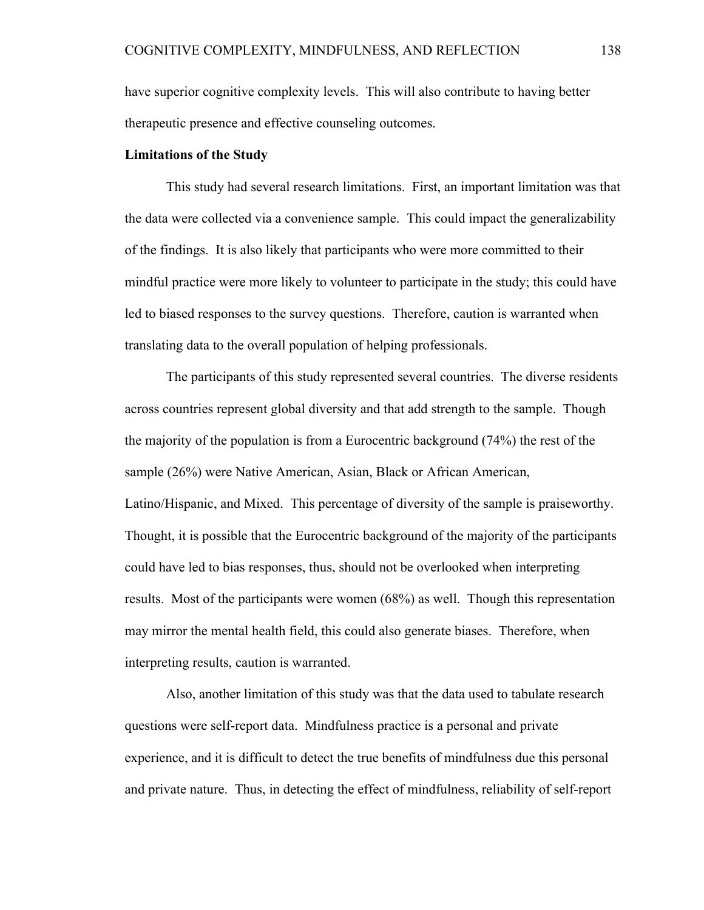have superior cognitive complexity levels. This will also contribute to having better therapeutic presence and effective counseling outcomes.

# **Limitations of the Study**

This study had several research limitations. First, an important limitation was that the data were collected via a convenience sample. This could impact the generalizability of the findings. It is also likely that participants who were more committed to their mindful practice were more likely to volunteer to participate in the study; this could have led to biased responses to the survey questions. Therefore, caution is warranted when translating data to the overall population of helping professionals.

The participants of this study represented several countries. The diverse residents across countries represent global diversity and that add strength to the sample. Though the majority of the population is from a Eurocentric background (74%) the rest of the sample (26%) were Native American, Asian, Black or African American, Latino/Hispanic, and Mixed. This percentage of diversity of the sample is praiseworthy. Thought, it is possible that the Eurocentric background of the majority of the participants could have led to bias responses, thus, should not be overlooked when interpreting results. Most of the participants were women (68%) as well. Though this representation may mirror the mental health field, this could also generate biases. Therefore, when interpreting results, caution is warranted.

Also, another limitation of this study was that the data used to tabulate research questions were self-report data. Mindfulness practice is a personal and private experience, and it is difficult to detect the true benefits of mindfulness due this personal and private nature. Thus, in detecting the effect of mindfulness, reliability of self-report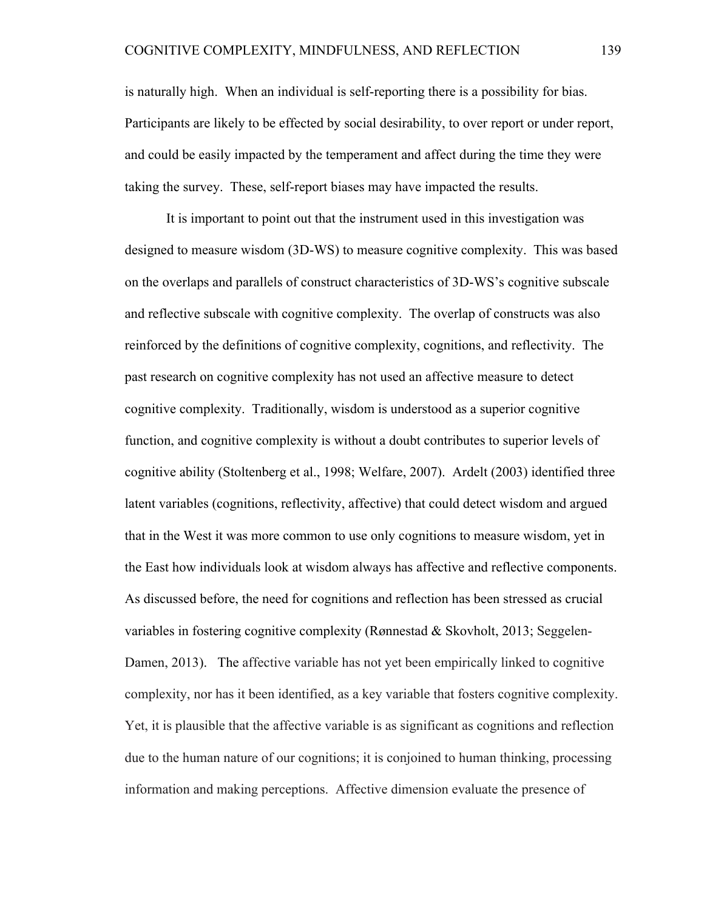is naturally high. When an individual is self-reporting there is a possibility for bias. Participants are likely to be effected by social desirability, to over report or under report, and could be easily impacted by the temperament and affect during the time they were taking the survey. These, self-report biases may have impacted the results.

It is important to point out that the instrument used in this investigation was designed to measure wisdom (3D-WS) to measure cognitive complexity. This was based on the overlaps and parallels of construct characteristics of 3D-WS's cognitive subscale and reflective subscale with cognitive complexity. The overlap of constructs was also reinforced by the definitions of cognitive complexity, cognitions, and reflectivity. The past research on cognitive complexity has not used an affective measure to detect cognitive complexity. Traditionally, wisdom is understood as a superior cognitive function, and cognitive complexity is without a doubt contributes to superior levels of cognitive ability (Stoltenberg et al., 1998; Welfare, 2007). Ardelt (2003) identified three latent variables (cognitions, reflectivity, affective) that could detect wisdom and argued that in the West it was more common to use only cognitions to measure wisdom, yet in the East how individuals look at wisdom always has affective and reflective components. As discussed before, the need for cognitions and reflection has been stressed as crucial variables in fostering cognitive complexity (Rønnestad & Skovholt, 2013; Seggelen-Damen, 2013). The affective variable has not yet been empirically linked to cognitive complexity, nor has it been identified, as a key variable that fosters cognitive complexity. Yet, it is plausible that the affective variable is as significant as cognitions and reflection due to the human nature of our cognitions; it is conjoined to human thinking, processing information and making perceptions. Affective dimension evaluate the presence of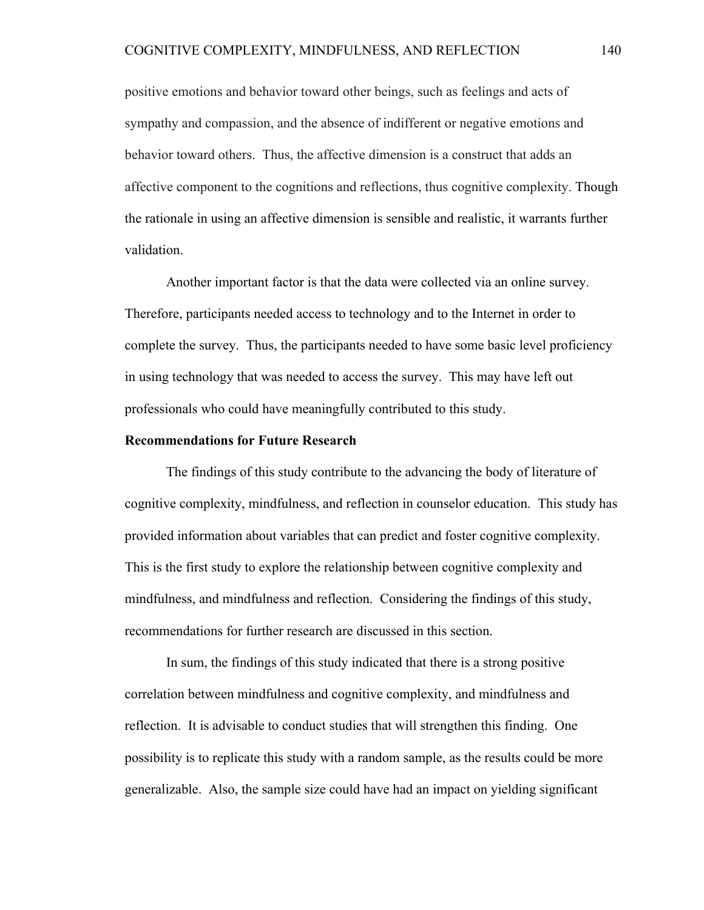positive emotions and behavior toward other beings, such as feelings and acts of sympathy and compassion, and the absence of indifferent or negative emotions and behavior toward others. Thus, the affective dimension is a construct that adds an affective component to the cognitions and reflections, thus cognitive complexity. Though the rationale in using an affective dimension is sensible and realistic, it warrants further validation.

Another important factor is that the data were collected via an online survey. Therefore, participants needed access to technology and to the Internet in order to complete the survey. Thus, the participants needed to have some basic level proficiency in using technology that was needed to access the survey. This may have left out professionals who could have meaningfully contributed to this study.

#### **Recommendations for Future Research**

The findings of this study contribute to the advancing the body of literature of cognitive complexity, mindfulness, and reflection in counselor education. This study has provided information about variables that can predict and foster cognitive complexity. This is the first study to explore the relationship between cognitive complexity and mindfulness, and mindfulness and reflection. Considering the findings of this study, recommendations for further research are discussed in this section.

In sum, the findings of this study indicated that there is a strong positive correlation between mindfulness and cognitive complexity, and mindfulness and reflection. It is advisable to conduct studies that will strengthen this finding. One possibility is to replicate this study with a random sample, as the results could be more generalizable. Also, the sample size could have had an impact on yielding significant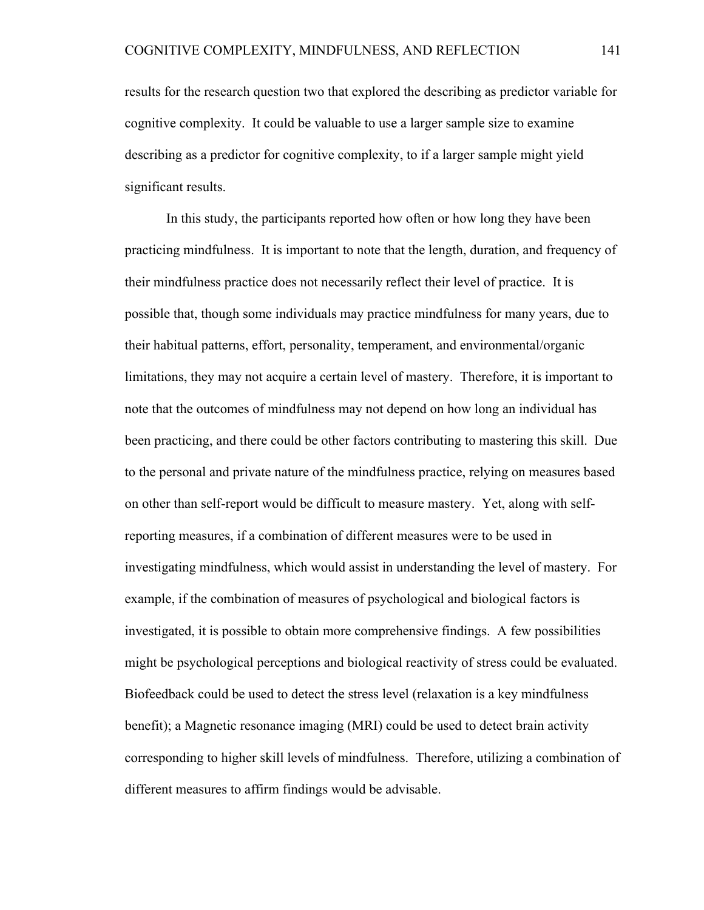results for the research question two that explored the describing as predictor variable for cognitive complexity. It could be valuable to use a larger sample size to examine describing as a predictor for cognitive complexity, to if a larger sample might yield significant results.

In this study, the participants reported how often or how long they have been practicing mindfulness. It is important to note that the length, duration, and frequency of their mindfulness practice does not necessarily reflect their level of practice. It is possible that, though some individuals may practice mindfulness for many years, due to their habitual patterns, effort, personality, temperament, and environmental/organic limitations, they may not acquire a certain level of mastery. Therefore, it is important to note that the outcomes of mindfulness may not depend on how long an individual has been practicing, and there could be other factors contributing to mastering this skill. Due to the personal and private nature of the mindfulness practice, relying on measures based on other than self-report would be difficult to measure mastery. Yet, along with selfreporting measures, if a combination of different measures were to be used in investigating mindfulness, which would assist in understanding the level of mastery. For example, if the combination of measures of psychological and biological factors is investigated, it is possible to obtain more comprehensive findings. A few possibilities might be psychological perceptions and biological reactivity of stress could be evaluated. Biofeedback could be used to detect the stress level (relaxation is a key mindfulness benefit); a Magnetic resonance imaging (MRI) could be used to detect brain activity corresponding to higher skill levels of mindfulness. Therefore, utilizing a combination of different measures to affirm findings would be advisable.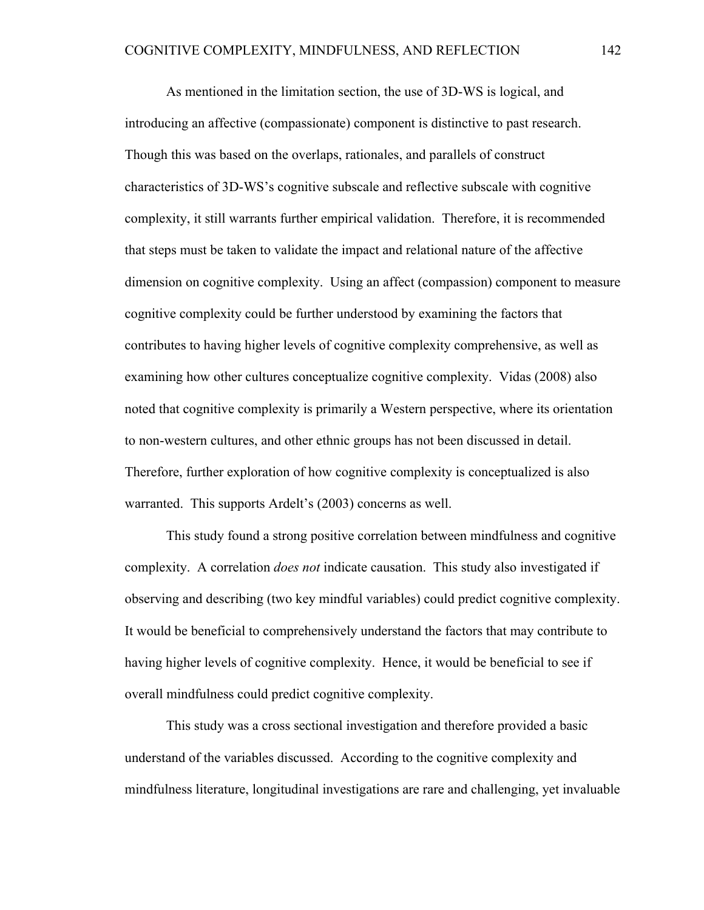As mentioned in the limitation section, the use of 3D-WS is logical, and introducing an affective (compassionate) component is distinctive to past research. Though this was based on the overlaps, rationales, and parallels of construct characteristics of 3D-WS's cognitive subscale and reflective subscale with cognitive complexity, it still warrants further empirical validation. Therefore, it is recommended that steps must be taken to validate the impact and relational nature of the affective dimension on cognitive complexity. Using an affect (compassion) component to measure cognitive complexity could be further understood by examining the factors that contributes to having higher levels of cognitive complexity comprehensive, as well as examining how other cultures conceptualize cognitive complexity. Vidas (2008) also noted that cognitive complexity is primarily a Western perspective, where its orientation to non-western cultures, and other ethnic groups has not been discussed in detail. Therefore, further exploration of how cognitive complexity is conceptualized is also warranted. This supports Ardelt's (2003) concerns as well.

This study found a strong positive correlation between mindfulness and cognitive complexity. A correlation *does not* indicate causation. This study also investigated if observing and describing (two key mindful variables) could predict cognitive complexity. It would be beneficial to comprehensively understand the factors that may contribute to having higher levels of cognitive complexity. Hence, it would be beneficial to see if overall mindfulness could predict cognitive complexity.

This study was a cross sectional investigation and therefore provided a basic understand of the variables discussed. According to the cognitive complexity and mindfulness literature, longitudinal investigations are rare and challenging, yet invaluable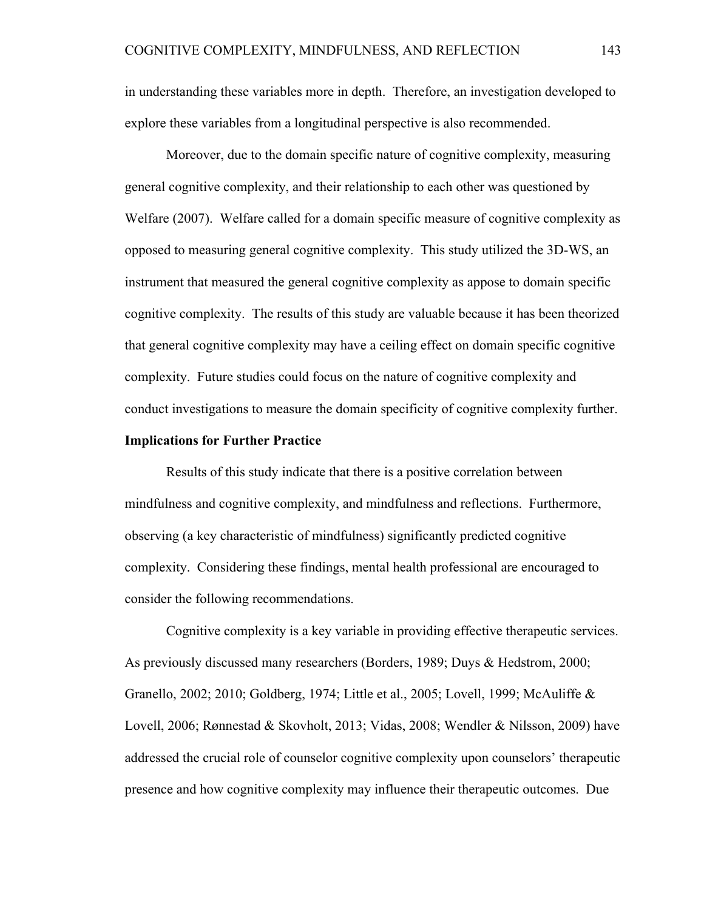in understanding these variables more in depth. Therefore, an investigation developed to explore these variables from a longitudinal perspective is also recommended.

Moreover, due to the domain specific nature of cognitive complexity, measuring general cognitive complexity, and their relationship to each other was questioned by Welfare (2007). Welfare called for a domain specific measure of cognitive complexity as opposed to measuring general cognitive complexity. This study utilized the 3D-WS, an instrument that measured the general cognitive complexity as appose to domain specific cognitive complexity. The results of this study are valuable because it has been theorized that general cognitive complexity may have a ceiling effect on domain specific cognitive complexity. Future studies could focus on the nature of cognitive complexity and conduct investigations to measure the domain specificity of cognitive complexity further.

#### **Implications for Further Practice**

Results of this study indicate that there is a positive correlation between mindfulness and cognitive complexity, and mindfulness and reflections. Furthermore, observing (a key characteristic of mindfulness) significantly predicted cognitive complexity. Considering these findings, mental health professional are encouraged to consider the following recommendations.

Cognitive complexity is a key variable in providing effective therapeutic services. As previously discussed many researchers (Borders, 1989; Duys & Hedstrom, 2000; Granello, 2002; 2010; Goldberg, 1974; Little et al., 2005; Lovell, 1999; McAuliffe & Lovell, 2006; Rønnestad & Skovholt, 2013; Vidas, 2008; Wendler & Nilsson, 2009) have addressed the crucial role of counselor cognitive complexity upon counselors' therapeutic presence and how cognitive complexity may influence their therapeutic outcomes. Due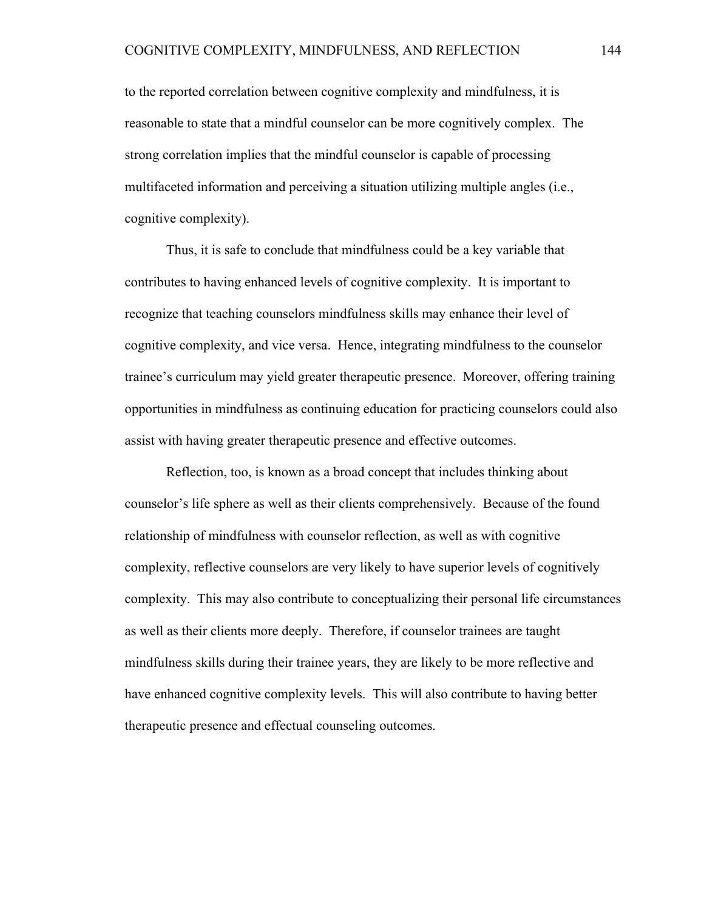to the reported correlation between cognitive complexity and mindfulness, it is reasonable to state that a mindful counselor can be more cognitively complex. The strong correlation implies that the mindful counselor is capable of processing multifaceted information and perceiving a situation utilizing multiple angles (i.e., cognitive complexity).

Thus, it is safe to conclude that mindfulness could be a key variable that contributes to having enhanced levels of cognitive complexity. It is important to recognize that teaching counselors mindfulness skills may enhance their level of cognitive complexity, and vice versa. Hence, integrating mindfulness to the counselor trainee's curriculum may yield greater therapeutic presence. Moreover, offering training opportunities in mindfulness as continuing education for practicing counselors could also assist with having greater therapeutic presence and effective outcomes.

Reflection, too, is known as a broad concept that includes thinking about counselor's life sphere as well as their clients comprehensively. Because of the found relationship of mindfulness with counselor reflection, as well as with cognitive complexity, reflective counselors are very likely to have superior levels of cognitively complexity. This may also contribute to conceptualizing their personal life circumstances as well as their clients more deeply. Therefore, if counselor trainees are taught mindfulness skills during their trainee years, they are likely to be more reflective and have enhanced cognitive complexity levels. This will also contribute to having better therapeutic presence and effectual counseling outcomes.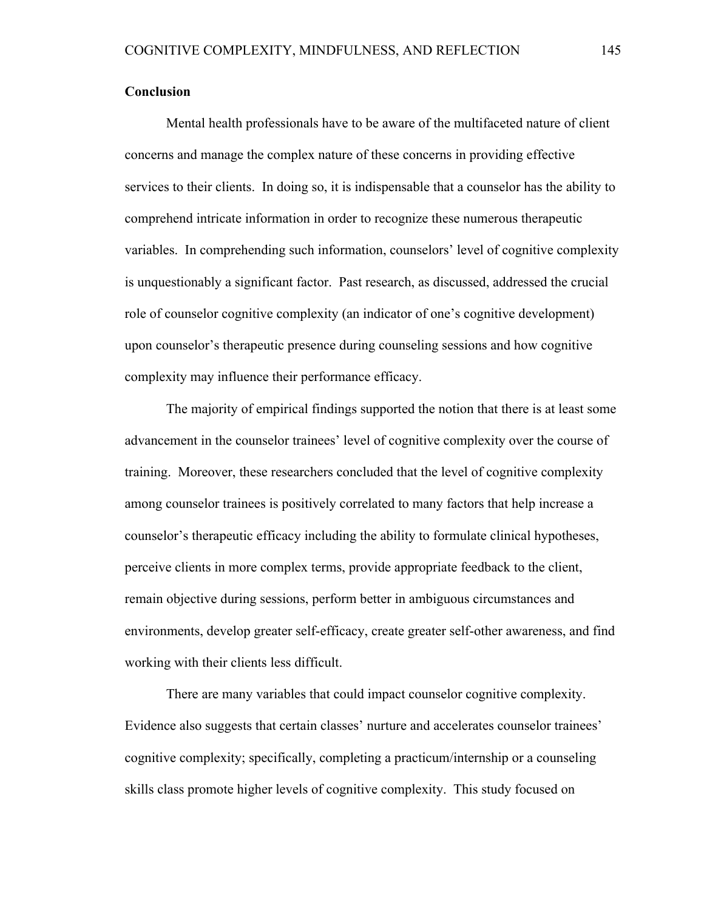#### **Conclusion**

Mental health professionals have to be aware of the multifaceted nature of client concerns and manage the complex nature of these concerns in providing effective services to their clients. In doing so, it is indispensable that a counselor has the ability to comprehend intricate information in order to recognize these numerous therapeutic variables. In comprehending such information, counselors' level of cognitive complexity is unquestionably a significant factor. Past research, as discussed, addressed the crucial role of counselor cognitive complexity (an indicator of one's cognitive development) upon counselor's therapeutic presence during counseling sessions and how cognitive complexity may influence their performance efficacy.

The majority of empirical findings supported the notion that there is at least some advancement in the counselor trainees' level of cognitive complexity over the course of training. Moreover, these researchers concluded that the level of cognitive complexity among counselor trainees is positively correlated to many factors that help increase a counselor's therapeutic efficacy including the ability to formulate clinical hypotheses, perceive clients in more complex terms, provide appropriate feedback to the client, remain objective during sessions, perform better in ambiguous circumstances and environments, develop greater self-efficacy, create greater self-other awareness, and find working with their clients less difficult.

There are many variables that could impact counselor cognitive complexity. Evidence also suggests that certain classes' nurture and accelerates counselor trainees' cognitive complexity; specifically, completing a practicum/internship or a counseling skills class promote higher levels of cognitive complexity. This study focused on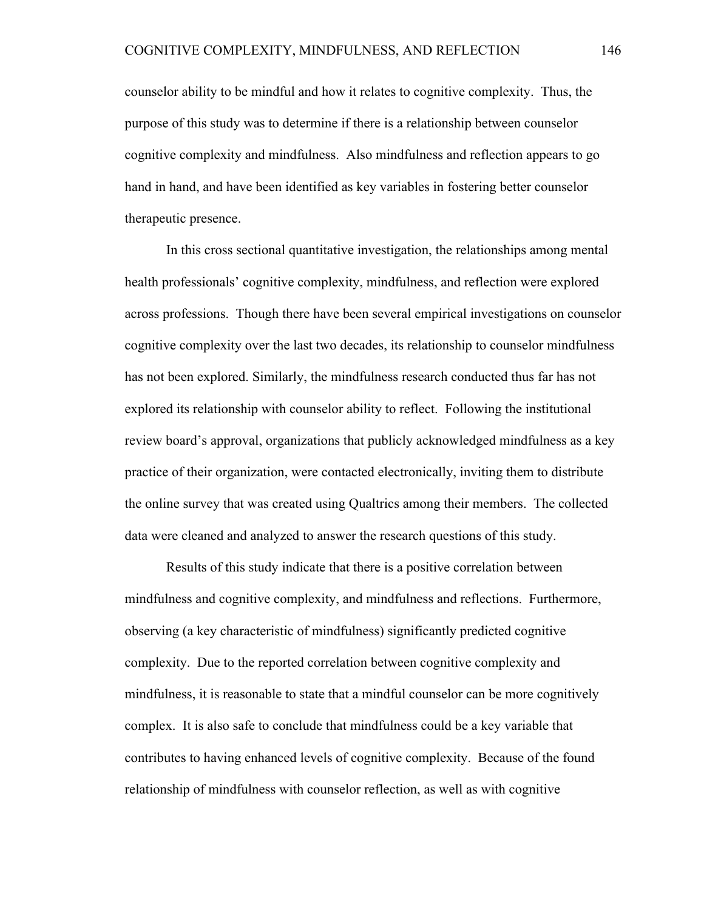counselor ability to be mindful and how it relates to cognitive complexity. Thus, the purpose of this study was to determine if there is a relationship between counselor cognitive complexity and mindfulness. Also mindfulness and reflection appears to go hand in hand, and have been identified as key variables in fostering better counselor therapeutic presence.

In this cross sectional quantitative investigation, the relationships among mental health professionals' cognitive complexity, mindfulness, and reflection were explored across professions. Though there have been several empirical investigations on counselor cognitive complexity over the last two decades, its relationship to counselor mindfulness has not been explored. Similarly, the mindfulness research conducted thus far has not explored its relationship with counselor ability to reflect. Following the institutional review board's approval, organizations that publicly acknowledged mindfulness as a key practice of their organization, were contacted electronically, inviting them to distribute the online survey that was created using Qualtrics among their members. The collected data were cleaned and analyzed to answer the research questions of this study.

Results of this study indicate that there is a positive correlation between mindfulness and cognitive complexity, and mindfulness and reflections. Furthermore, observing (a key characteristic of mindfulness) significantly predicted cognitive complexity. Due to the reported correlation between cognitive complexity and mindfulness, it is reasonable to state that a mindful counselor can be more cognitively complex. It is also safe to conclude that mindfulness could be a key variable that contributes to having enhanced levels of cognitive complexity. Because of the found relationship of mindfulness with counselor reflection, as well as with cognitive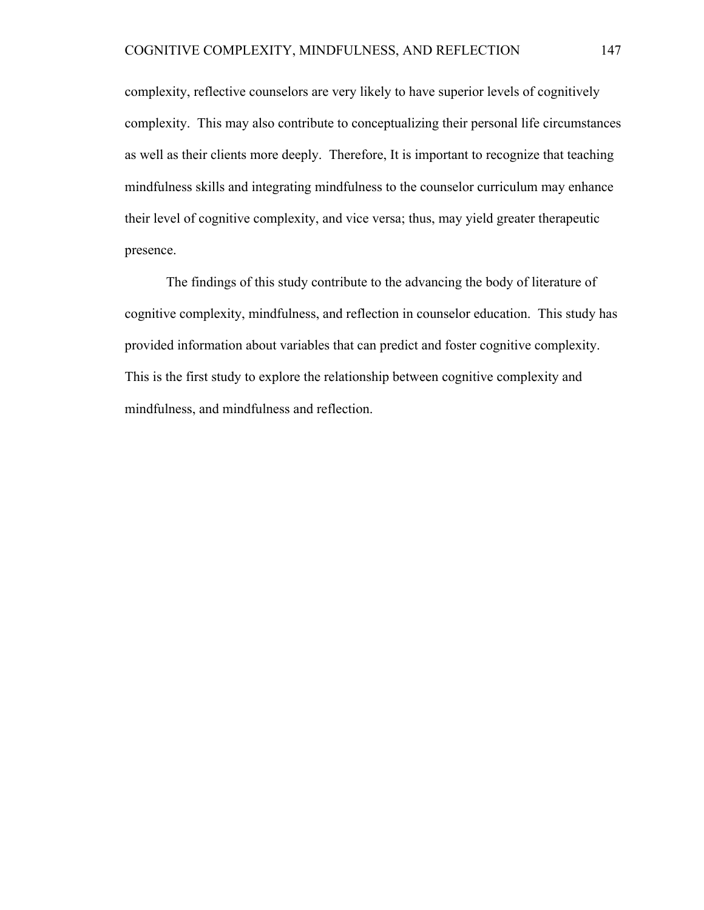complexity, reflective counselors are very likely to have superior levels of cognitively complexity. This may also contribute to conceptualizing their personal life circumstances as well as their clients more deeply. Therefore, It is important to recognize that teaching mindfulness skills and integrating mindfulness to the counselor curriculum may enhance their level of cognitive complexity, and vice versa; thus, may yield greater therapeutic presence.

The findings of this study contribute to the advancing the body of literature of cognitive complexity, mindfulness, and reflection in counselor education. This study has provided information about variables that can predict and foster cognitive complexity. This is the first study to explore the relationship between cognitive complexity and mindfulness, and mindfulness and reflection.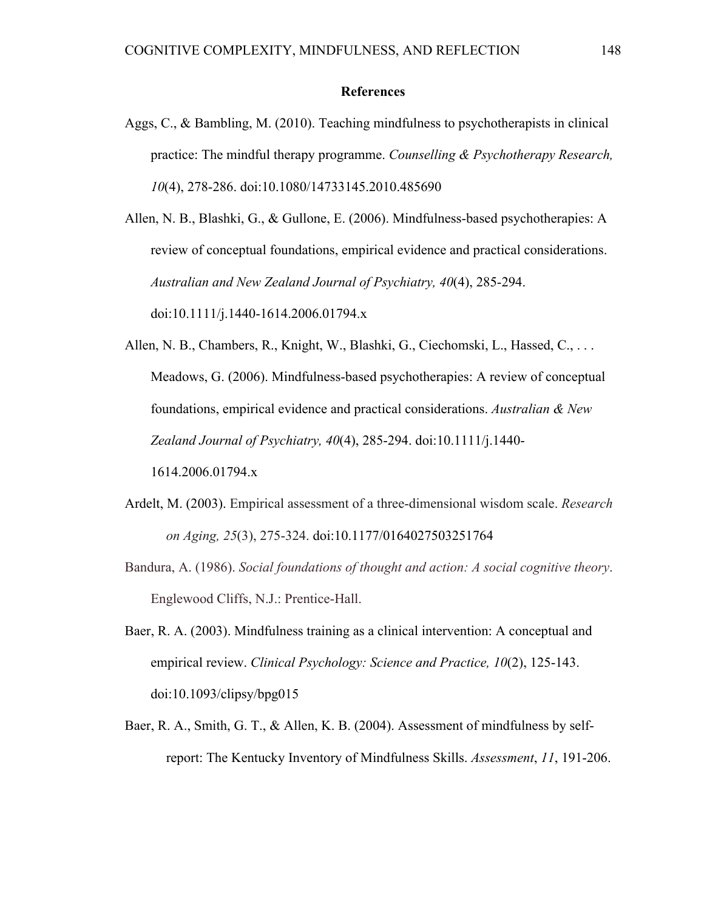#### **References**

Aggs, C., & Bambling, M. (2010). Teaching mindfulness to psychotherapists in clinical practice: The mindful therapy programme. *Counselling & Psychotherapy Research, 10*(4), 278-286. doi:10.1080/14733145.2010.485690

Allen, N. B., Blashki, G., & Gullone, E. (2006). Mindfulness-based psychotherapies: A review of conceptual foundations, empirical evidence and practical considerations. *Australian and New Zealand Journal of Psychiatry, 40*(4), 285-294. doi:10.1111/j.1440-1614.2006.01794.x

Allen, N. B., Chambers, R., Knight, W., Blashki, G., Ciechomski, L., Hassed, C., . . . Meadows, G. (2006). Mindfulness-based psychotherapies: A review of conceptual foundations, empirical evidence and practical considerations. *Australian & New Zealand Journal of Psychiatry, 40*(4), 285-294. doi:10.1111/j.1440- 1614.2006.01794.x

- Ardelt, M. (2003). Empirical assessment of a three-dimensional wisdom scale. *Research on Aging, 25*(3), 275-324. doi:10.1177/0164027503251764
- Bandura, A. (1986). *Social foundations of thought and action: A social cognitive theory*. Englewood Cliffs, N.J.: Prentice-Hall.
- Baer, R. A. (2003). Mindfulness training as a clinical intervention: A conceptual and empirical review. *Clinical Psychology: Science and Practice, 10*(2), 125-143. doi:10.1093/clipsy/bpg015
- Baer, R. A., Smith, G. T., & Allen, K. B. (2004). Assessment of mindfulness by selfreport: The Kentucky Inventory of Mindfulness Skills. *Assessment*, *11*, 191-206.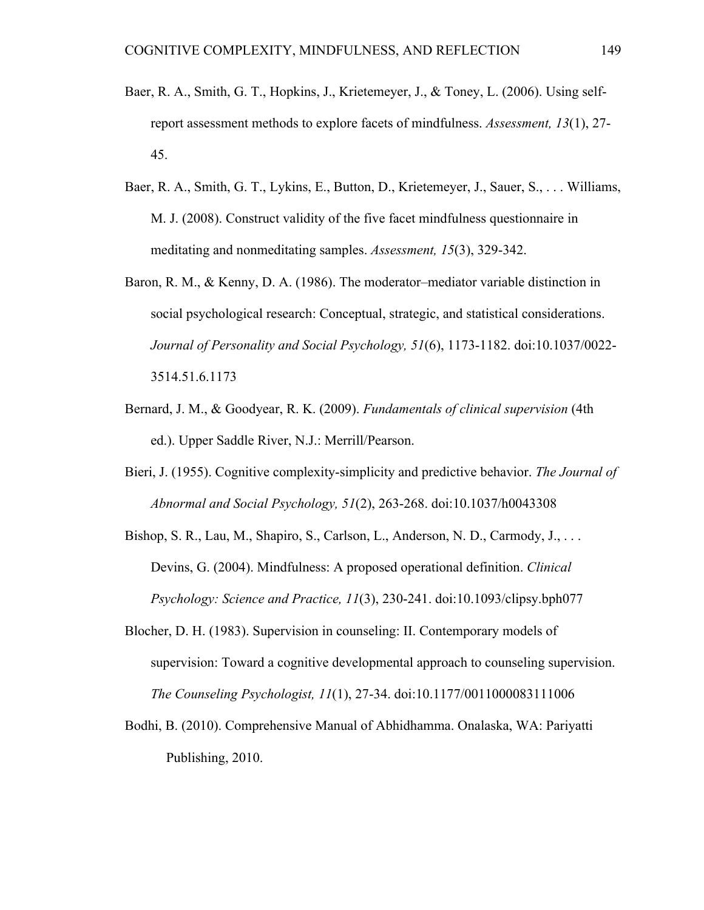- Baer, R. A., Smith, G. T., Hopkins, J., Krietemeyer, J., & Toney, L. (2006). Using selfreport assessment methods to explore facets of mindfulness. *Assessment, 13*(1), 27- 45.
- Baer, R. A., Smith, G. T., Lykins, E., Button, D., Krietemeyer, J., Sauer, S., . . . Williams, M. J. (2008). Construct validity of the five facet mindfulness questionnaire in meditating and nonmeditating samples. *Assessment, 15*(3), 329-342.
- Baron, R. M., & Kenny, D. A. (1986). The moderator–mediator variable distinction in social psychological research: Conceptual, strategic, and statistical considerations. *Journal of Personality and Social Psychology, 51*(6), 1173-1182. doi:10.1037/0022- 3514.51.6.1173
- Bernard, J. M., & Goodyear, R. K. (2009). *Fundamentals of clinical supervision* (4th ed.). Upper Saddle River, N.J.: Merrill/Pearson.
- Bieri, J. (1955). Cognitive complexity-simplicity and predictive behavior. *The Journal of Abnormal and Social Psychology, 51*(2), 263-268. doi:10.1037/h0043308
- Bishop, S. R., Lau, M., Shapiro, S., Carlson, L., Anderson, N. D., Carmody, J., ... Devins, G. (2004). Mindfulness: A proposed operational definition. *Clinical Psychology: Science and Practice, 11*(3), 230-241. doi:10.1093/clipsy.bph077
- Blocher, D. H. (1983). Supervision in counseling: II. Contemporary models of supervision: Toward a cognitive developmental approach to counseling supervision. *The Counseling Psychologist, 11*(1), 27-34. doi:10.1177/0011000083111006
- Bodhi, B. (2010). Comprehensive Manual of Abhidhamma. Onalaska, WA: Pariyatti Publishing, 2010.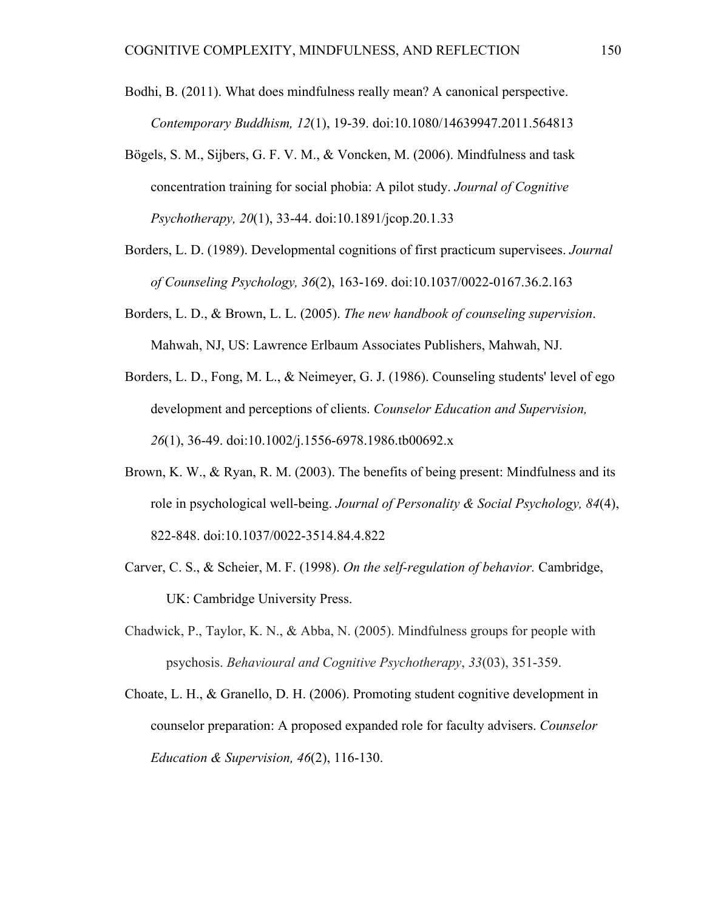Bodhi, B. (2011). What does mindfulness really mean? A canonical perspective. *Contemporary Buddhism, 12*(1), 19-39. doi:10.1080/14639947.2011.564813

- Bögels, S. M., Sijbers, G. F. V. M., & Voncken, M. (2006). Mindfulness and task concentration training for social phobia: A pilot study. *Journal of Cognitive Psychotherapy, 20*(1), 33-44. doi:10.1891/jcop.20.1.33
- Borders, L. D. (1989). Developmental cognitions of first practicum supervisees. *Journal of Counseling Psychology, 36*(2), 163-169. doi:10.1037/0022-0167.36.2.163
- Borders, L. D., & Brown, L. L. (2005). *The new handbook of counseling supervision*. Mahwah, NJ, US: Lawrence Erlbaum Associates Publishers, Mahwah, NJ.
- Borders, L. D., Fong, M. L., & Neimeyer, G. J. (1986). Counseling students' level of ego development and perceptions of clients. *Counselor Education and Supervision, 26*(1), 36-49. doi:10.1002/j.1556-6978.1986.tb00692.x
- Brown, K. W., & Ryan, R. M. (2003). The benefits of being present: Mindfulness and its role in psychological well-being. *Journal of Personality & Social Psychology, 84*(4), 822-848. doi:10.1037/0022-3514.84.4.822
- Carver, C. S., & Scheier, M. F. (1998). *On the self-regulation of behavior.* Cambridge, UK: Cambridge University Press.
- Chadwick, P., Taylor, K. N., & Abba, N. (2005). Mindfulness groups for people with psychosis. *Behavioural and Cognitive Psychotherapy*, *33*(03), 351-359.
- Choate, L. H., & Granello, D. H. (2006). Promoting student cognitive development in counselor preparation: A proposed expanded role for faculty advisers. *Counselor Education & Supervision, 46*(2), 116-130.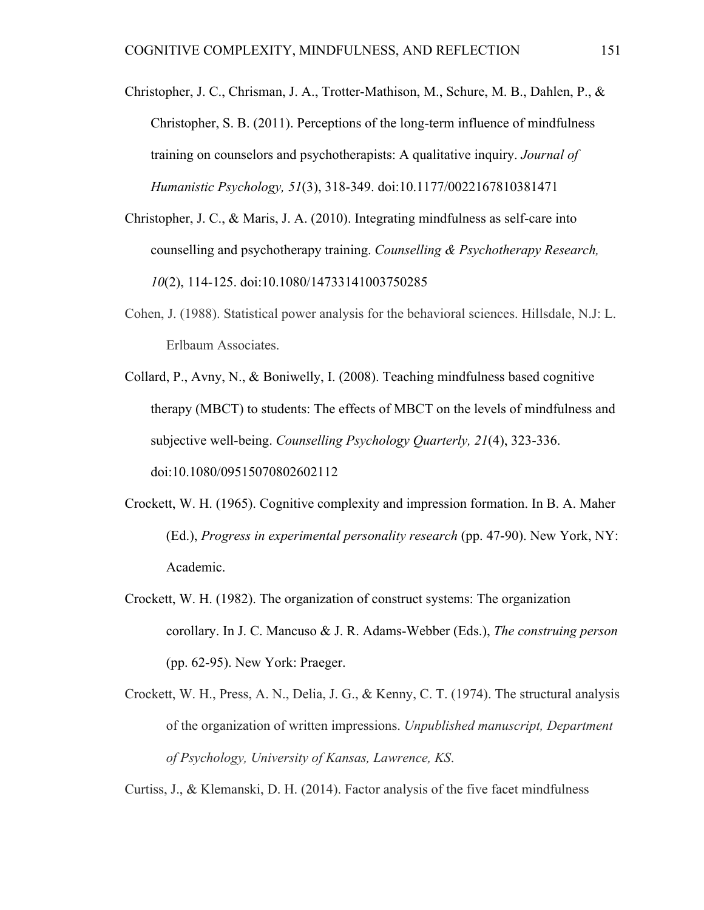- Christopher, J. C., Chrisman, J. A., Trotter-Mathison, M., Schure, M. B., Dahlen, P., & Christopher, S. B. (2011). Perceptions of the long-term influence of mindfulness training on counselors and psychotherapists: A qualitative inquiry. *Journal of Humanistic Psychology, 51*(3), 318-349. doi:10.1177/0022167810381471
- Christopher, J. C., & Maris, J. A. (2010). Integrating mindfulness as self-care into counselling and psychotherapy training. *Counselling & Psychotherapy Research, 10*(2), 114-125. doi:10.1080/14733141003750285
- Cohen, J. (1988). Statistical power analysis for the behavioral sciences. Hillsdale, N.J: L. Erlbaum Associates.
- Collard, P., Avny, N., & Boniwelly, I. (2008). Teaching mindfulness based cognitive therapy (MBCT) to students: The effects of MBCT on the levels of mindfulness and subjective well-being. *Counselling Psychology Quarterly, 21*(4), 323-336. doi:10.1080/09515070802602112
- Crockett, W. H. (1965). Cognitive complexity and impression formation. In B. A. Maher (Ed.), *Progress in experimental personality research* (pp. 47-90). New York, NY: Academic.
- Crockett, W. H. (1982). The organization of construct systems: The organization corollary. In J. C. Mancuso & J. R. Adams-Webber (Eds.), *The construing person*  (pp. 62-95). New York: Praeger.
- Crockett, W. H., Press, A. N., Delia, J. G., & Kenny, C. T. (1974). The structural analysis of the organization of written impressions. *Unpublished manuscript, Department of Psychology, University of Kansas, Lawrence, KS*.

Curtiss, J., & Klemanski, D. H. (2014). Factor analysis of the five facet mindfulness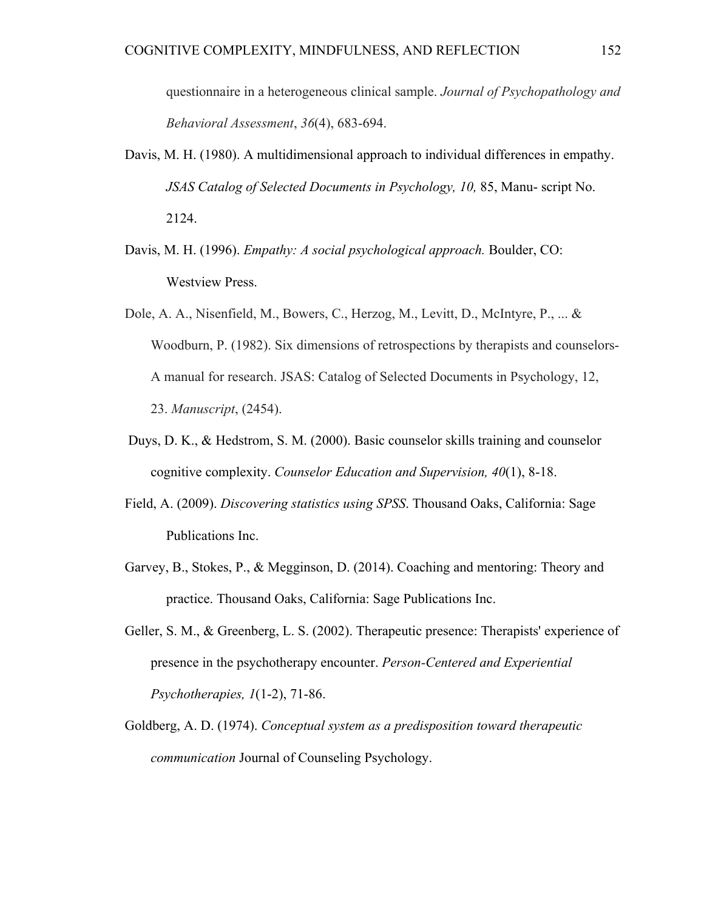questionnaire in a heterogeneous clinical sample. *Journal of Psychopathology and Behavioral Assessment*, *36*(4), 683-694.

- Davis, M. H. (1980). A multidimensional approach to individual differences in empathy. *JSAS Catalog of Selected Documents in Psychology, 10,* 85, Manu- script No. 2124.
- Davis, M. H. (1996). *Empathy: A social psychological approach.* Boulder, CO: Westview Press.
- Dole, A. A., Nisenfield, M., Bowers, C., Herzog, M., Levitt, D., McIntyre, P., ... & Woodburn, P. (1982). Six dimensions of retrospections by therapists and counselors-A manual for research. JSAS: Catalog of Selected Documents in Psychology, 12, 23. *Manuscript*, (2454).
- Duys, D. K., & Hedstrom, S. M. (2000). Basic counselor skills training and counselor cognitive complexity. *Counselor Education and Supervision, 40*(1), 8-18.
- Field, A. (2009). *Discovering statistics using SPSS*. Thousand Oaks, California: Sage Publications Inc.
- Garvey, B., Stokes, P., & Megginson, D. (2014). Coaching and mentoring: Theory and practice. Thousand Oaks, California: Sage Publications Inc.
- Geller, S. M., & Greenberg, L. S. (2002). Therapeutic presence: Therapists' experience of presence in the psychotherapy encounter. *Person-Centered and Experiential Psychotherapies, 1*(1-2), 71-86.
- Goldberg, A. D. (1974). *Conceptual system as a predisposition toward therapeutic communication* Journal of Counseling Psychology.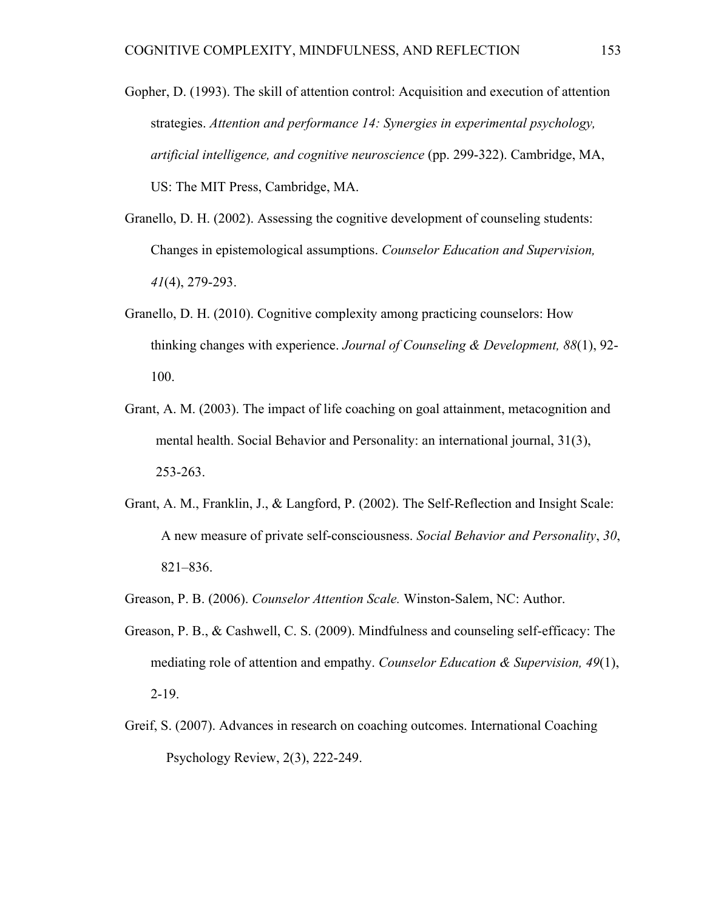- Gopher, D. (1993). The skill of attention control: Acquisition and execution of attention strategies. *Attention and performance 14: Synergies in experimental psychology, artificial intelligence, and cognitive neuroscience* (pp. 299-322). Cambridge, MA, US: The MIT Press, Cambridge, MA.
- Granello, D. H. (2002). Assessing the cognitive development of counseling students: Changes in epistemological assumptions. *Counselor Education and Supervision, 41*(4), 279-293.
- Granello, D. H. (2010). Cognitive complexity among practicing counselors: How thinking changes with experience. *Journal of Counseling & Development, 88*(1), 92- 100.
- Grant, A. M. (2003). The impact of life coaching on goal attainment, metacognition and mental health. Social Behavior and Personality: an international journal, 31(3), 253-263.
- Grant, A. M., Franklin, J., & Langford, P. (2002). The Self-Reflection and Insight Scale: A new measure of private self-consciousness. *Social Behavior and Personality*, *30*, 821–836.
- Greason, P. B. (2006). *Counselor Attention Scale.* Winston-Salem, NC: Author.
- Greason, P. B., & Cashwell, C. S. (2009). Mindfulness and counseling self-efficacy: The mediating role of attention and empathy. *Counselor Education & Supervision, 49*(1), 2-19.
- Greif, S. (2007). Advances in research on coaching outcomes. International Coaching Psychology Review, 2(3), 222-249.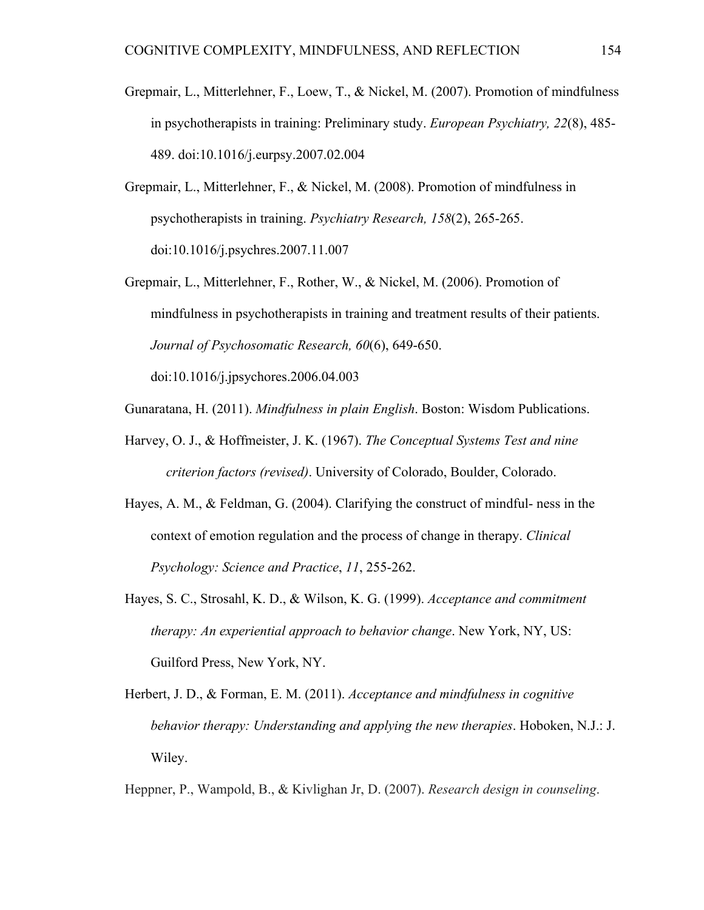- Grepmair, L., Mitterlehner, F., Loew, T., & Nickel, M. (2007). Promotion of mindfulness in psychotherapists in training: Preliminary study. *European Psychiatry, 22*(8), 485- 489. doi:10.1016/j.eurpsy.2007.02.004
- Grepmair, L., Mitterlehner, F., & Nickel, M. (2008). Promotion of mindfulness in psychotherapists in training. *Psychiatry Research, 158*(2), 265-265. doi:10.1016/j.psychres.2007.11.007
- Grepmair, L., Mitterlehner, F., Rother, W., & Nickel, M. (2006). Promotion of mindfulness in psychotherapists in training and treatment results of their patients. *Journal of Psychosomatic Research, 60*(6), 649-650.

doi:10.1016/j.jpsychores.2006.04.003

Gunaratana, H. (2011). *Mindfulness in plain English*. Boston: Wisdom Publications.

- Harvey, O. J., & Hoffmeister, J. K. (1967). *The Conceptual Systems Test and nine criterion factors (revised)*. University of Colorado, Boulder, Colorado.
- Hayes, A. M., & Feldman, G. (2004). Clarifying the construct of mindful- ness in the context of emotion regulation and the process of change in therapy. *Clinical Psychology: Science and Practice*, *11*, 255-262.
- Hayes, S. C., Strosahl, K. D., & Wilson, K. G. (1999). *Acceptance and commitment therapy: An experiential approach to behavior change*. New York, NY, US: Guilford Press, New York, NY.
- Herbert, J. D., & Forman, E. M. (2011). *Acceptance and mindfulness in cognitive behavior therapy: Understanding and applying the new therapies*. Hoboken, N.J.: J. Wiley.

Heppner, P., Wampold, B., & Kivlighan Jr, D. (2007). *Research design in counseling*.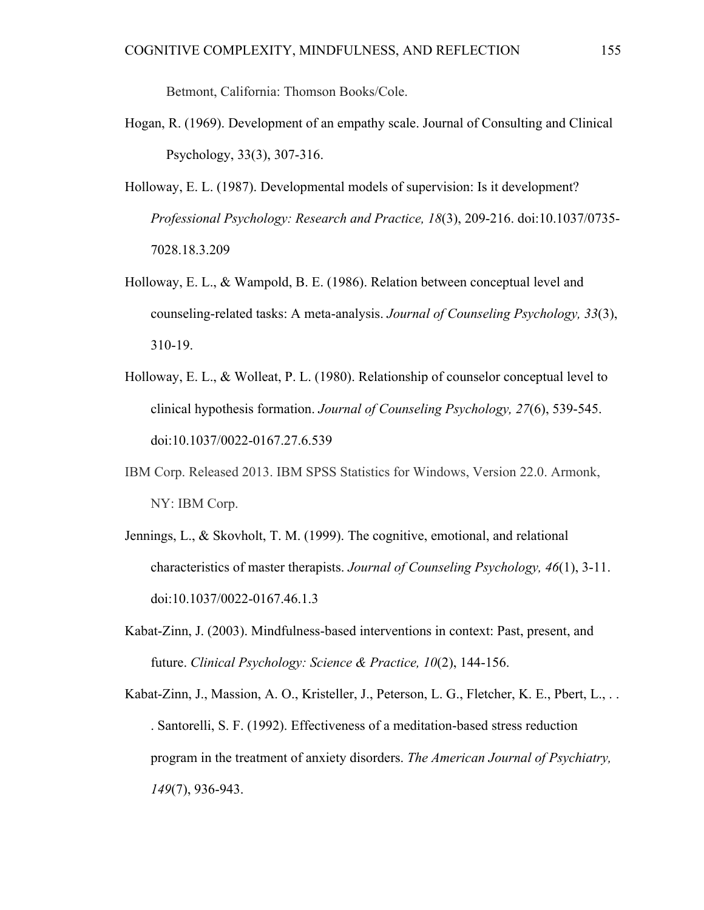Betmont, California: Thomson Books/Cole.

- Hogan, R. (1969). Development of an empathy scale. Journal of Consulting and Clinical Psychology, 33(3), 307-316.
- Holloway, E. L. (1987). Developmental models of supervision: Is it development? *Professional Psychology: Research and Practice, 18*(3), 209-216. doi:10.1037/0735- 7028.18.3.209
- Holloway, E. L., & Wampold, B. E. (1986). Relation between conceptual level and counseling-related tasks: A meta-analysis. *Journal of Counseling Psychology, 33*(3), 310-19.
- Holloway, E. L., & Wolleat, P. L. (1980). Relationship of counselor conceptual level to clinical hypothesis formation. *Journal of Counseling Psychology, 27*(6), 539-545. doi:10.1037/0022-0167.27.6.539
- IBM Corp. Released 2013. IBM SPSS Statistics for Windows, Version 22.0. Armonk, NY: IBM Corp.
- Jennings, L., & Skovholt, T. M. (1999). The cognitive, emotional, and relational characteristics of master therapists. *Journal of Counseling Psychology, 46*(1), 3-11. doi:10.1037/0022-0167.46.1.3
- Kabat-Zinn, J. (2003). Mindfulness-based interventions in context: Past, present, and future. *Clinical Psychology: Science & Practice, 10*(2), 144-156.
- Kabat-Zinn, J., Massion, A. O., Kristeller, J., Peterson, L. G., Fletcher, K. E., Pbert, L., . . . Santorelli, S. F. (1992). Effectiveness of a meditation-based stress reduction program in the treatment of anxiety disorders. *The American Journal of Psychiatry, 149*(7), 936-943.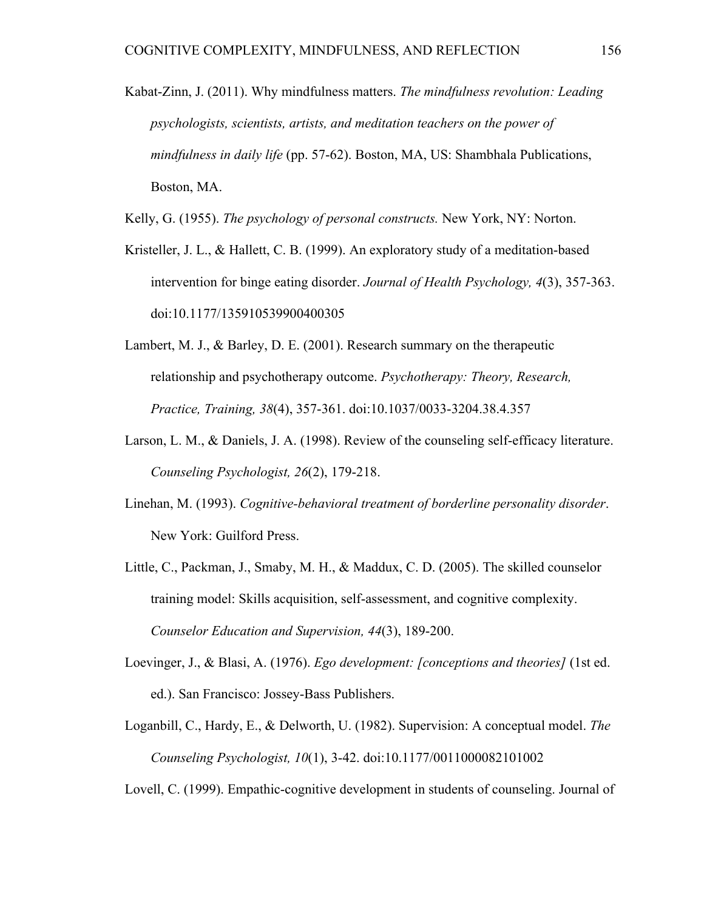Kabat-Zinn, J. (2011). Why mindfulness matters. *The mindfulness revolution: Leading psychologists, scientists, artists, and meditation teachers on the power of mindfulness in daily life* (pp. 57-62). Boston, MA, US: Shambhala Publications, Boston, MA.

Kelly, G. (1955). *The psychology of personal constructs.* New York, NY: Norton.

- Kristeller, J. L., & Hallett, C. B. (1999). An exploratory study of a meditation-based intervention for binge eating disorder. *Journal of Health Psychology, 4*(3), 357-363. doi:10.1177/135910539900400305
- Lambert, M. J., & Barley, D. E. (2001). Research summary on the therapeutic relationship and psychotherapy outcome. *Psychotherapy: Theory, Research, Practice, Training, 38*(4), 357-361. doi:10.1037/0033-3204.38.4.357
- Larson, L. M., & Daniels, J. A. (1998). Review of the counseling self-efficacy literature. *Counseling Psychologist, 26*(2), 179-218.
- Linehan, M. (1993). *Cognitive-behavioral treatment of borderline personality disorder*. New York: Guilford Press.
- Little, C., Packman, J., Smaby, M. H., & Maddux, C. D. (2005). The skilled counselor training model: Skills acquisition, self-assessment, and cognitive complexity. *Counselor Education and Supervision, 44*(3), 189-200.
- Loevinger, J., & Blasi, A. (1976). *Ego development: [conceptions and theories]* (1st ed. ed.). San Francisco: Jossey-Bass Publishers.
- Loganbill, C., Hardy, E., & Delworth, U. (1982). Supervision: A conceptual model. *The Counseling Psychologist, 10*(1), 3-42. doi:10.1177/0011000082101002

Lovell, C. (1999). Empathic-cognitive development in students of counseling. Journal of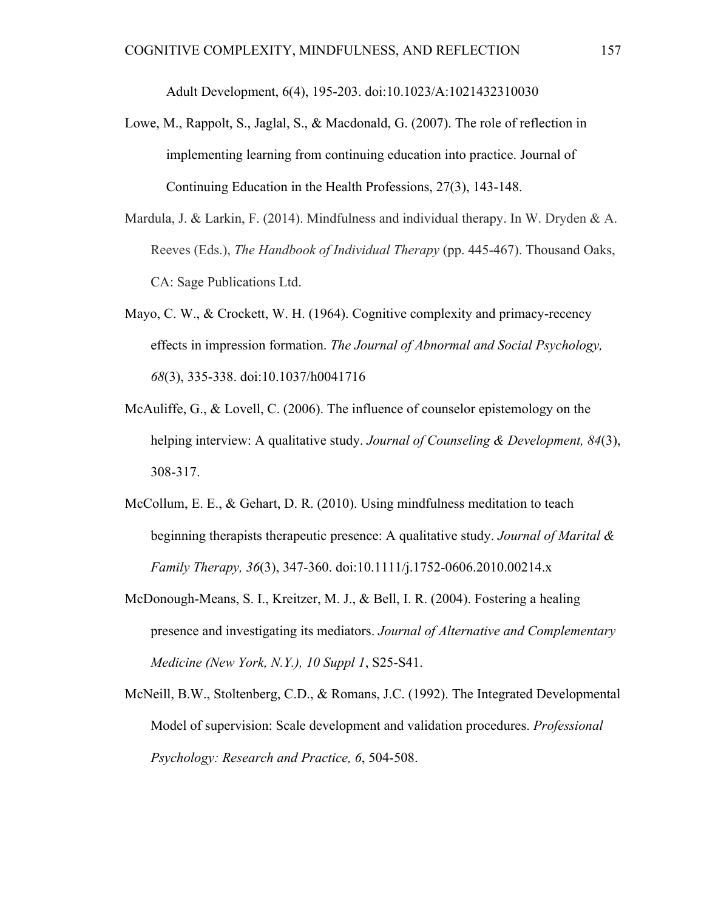Adult Development, 6(4), 195-203. doi:10.1023/A:1021432310030

- Lowe, M., Rappolt, S., Jaglal, S., & Macdonald, G. (2007). The role of reflection in implementing learning from continuing education into practice. Journal of Continuing Education in the Health Professions, 27(3), 143-148.
- Mardula, J. & Larkin, F. (2014). Mindfulness and individual therapy. In W. Dryden & A. Reeves (Eds.), *The Handbook of Individual Therapy* (pp. 445-467). Thousand Oaks, CA: Sage Publications Ltd.
- Mayo, C. W., & Crockett, W. H. (1964). Cognitive complexity and primacy-recency effects in impression formation. *The Journal of Abnormal and Social Psychology, 68*(3), 335-338. doi:10.1037/h0041716
- McAuliffe, G., & Lovell, C. (2006). The influence of counselor epistemology on the helping interview: A qualitative study. *Journal of Counseling & Development, 84*(3), 308-317.
- McCollum, E. E., & Gehart, D. R. (2010). Using mindfulness meditation to teach beginning therapists therapeutic presence: A qualitative study. *Journal of Marital & Family Therapy, 36*(3), 347-360. doi:10.1111/j.1752-0606.2010.00214.x
- McDonough-Means, S. I., Kreitzer, M. J., & Bell, I. R. (2004). Fostering a healing presence and investigating its mediators. *Journal of Alternative and Complementary Medicine (New York, N.Y.), 10 Suppl 1*, S25-S41.
- McNeill, B.W., Stoltenberg, C.D., & Romans, J.C. (1992). The Integrated Developmental Model of supervision: Scale development and validation procedures. *Professional Psychology: Research and Practice, 6*, 504-508.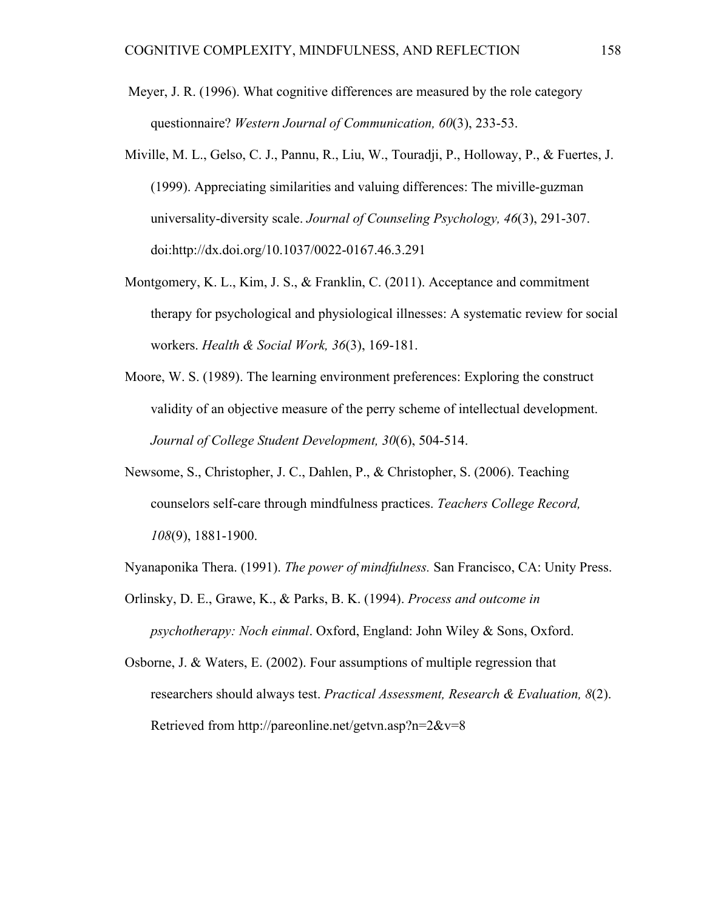- Meyer, J. R. (1996). What cognitive differences are measured by the role category questionnaire? *Western Journal of Communication, 60*(3), 233-53.
- Miville, M. L., Gelso, C. J., Pannu, R., Liu, W., Touradji, P., Holloway, P., & Fuertes, J. (1999). Appreciating similarities and valuing differences: The miville-guzman universality-diversity scale. *Journal of Counseling Psychology, 46*(3), 291-307. doi:http://dx.doi.org/10.1037/0022-0167.46.3.291
- Montgomery, K. L., Kim, J. S., & Franklin, C. (2011). Acceptance and commitment therapy for psychological and physiological illnesses: A systematic review for social workers. *Health & Social Work, 36*(3), 169-181.
- Moore, W. S. (1989). The learning environment preferences: Exploring the construct validity of an objective measure of the perry scheme of intellectual development. *Journal of College Student Development, 30*(6), 504-514.
- Newsome, S., Christopher, J. C., Dahlen, P., & Christopher, S. (2006). Teaching counselors self-care through mindfulness practices. *Teachers College Record, 108*(9), 1881-1900.
- Nyanaponika Thera. (1991). *The power of mindfulness.* San Francisco, CA: Unity Press.
- Orlinsky, D. E., Grawe, K., & Parks, B. K. (1994). *Process and outcome in psychotherapy: Noch einmal*. Oxford, England: John Wiley & Sons, Oxford.
- Osborne, J. & Waters, E. (2002). Four assumptions of multiple regression that researchers should always test. *Practical Assessment, Research & Evaluation, 8*(2). Retrieved from http://pareonline.net/getvn.asp?n=2&v=8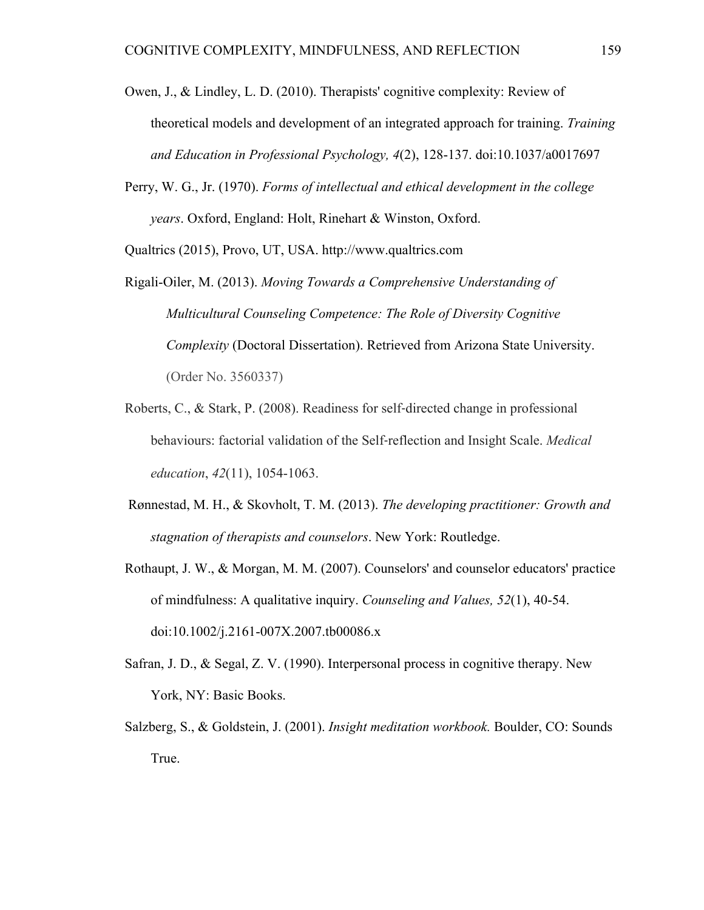- Owen, J., & Lindley, L. D. (2010). Therapists' cognitive complexity: Review of theoretical models and development of an integrated approach for training. *Training and Education in Professional Psychology, 4*(2), 128-137. doi:10.1037/a0017697
- Perry, W. G., Jr. (1970). *Forms of intellectual and ethical development in the college years*. Oxford, England: Holt, Rinehart & Winston, Oxford.

Qualtrics (2015), Provo, UT, USA. http://www.qualtrics.com

- Rigali-Oiler, M. (2013). *Moving Towards a Comprehensive Understanding of Multicultural Counseling Competence: The Role of Diversity Cognitive Complexity* (Doctoral Dissertation). Retrieved from Arizona State University. (Order No. 3560337)
- Roberts, C., & Stark, P. (2008). Readiness for self‐directed change in professional behaviours: factorial validation of the Self‐reflection and Insight Scale. *Medical education*, *42*(11), 1054-1063.
- Rønnestad, M. H., & Skovholt, T. M. (2013). *The developing practitioner: Growth and stagnation of therapists and counselors*. New York: Routledge.
- Rothaupt, J. W., & Morgan, M. M. (2007). Counselors' and counselor educators' practice of mindfulness: A qualitative inquiry. *Counseling and Values, 52*(1), 40-54. doi:10.1002/j.2161-007X.2007.tb00086.x
- Safran, J. D., & Segal, Z. V. (1990). Interpersonal process in cognitive therapy. New York, NY: Basic Books.
- Salzberg, S., & Goldstein, J. (2001). *Insight meditation workbook.* Boulder, CO: Sounds True.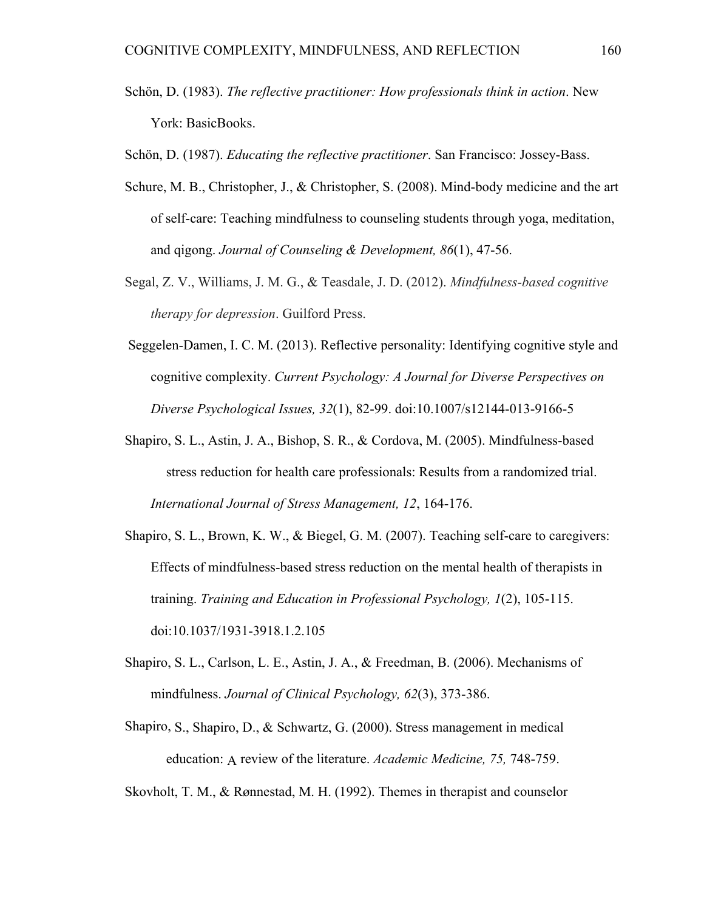- Schön, D. (1983). *The reflective practitioner: How professionals think in action*. New York: BasicBooks.
- Schön, D. (1987). *Educating the reflective practitioner*. San Francisco: Jossey-Bass.
- Schure, M. B., Christopher, J., & Christopher, S. (2008). Mind-body medicine and the art of self-care: Teaching mindfulness to counseling students through yoga, meditation, and qigong. *Journal of Counseling & Development, 86*(1), 47-56.
- Segal, Z. V., Williams, J. M. G., & Teasdale, J. D. (2012). *Mindfulness-based cognitive therapy for depression*. Guilford Press.
- Seggelen-Damen, I. C. M. (2013). Reflective personality: Identifying cognitive style and cognitive complexity. *Current Psychology: A Journal for Diverse Perspectives on Diverse Psychological Issues, 32*(1), 82-99. doi:10.1007/s12144-013-9166-5
- Shapiro, S. L., Astin, J. A., Bishop, S. R., & Cordova, M. (2005). Mindfulness-based stress reduction for health care professionals: Results from a randomized trial. *International Journal of Stress Management, 12*, 164-176.
- Shapiro, S. L., Brown, K. W., & Biegel, G. M. (2007). Teaching self-care to caregivers: Effects of mindfulness-based stress reduction on the mental health of therapists in training. *Training and Education in Professional Psychology, 1*(2), 105-115. doi:10.1037/1931-3918.1.2.105
- Shapiro, S. L., Carlson, L. E., Astin, J. A., & Freedman, B. (2006). Mechanisms of mindfulness. *Journal of Clinical Psychology, 62*(3), 373-386.
- Shapiro, S., Shapiro, D., & Schwartz, G. (2000). Stress management in medical education: A review of the literature. *Academic Medicine, 75,* 748-759.

Skovholt, T. M., & Rønnestad, M. H. (1992). Themes in therapist and counselor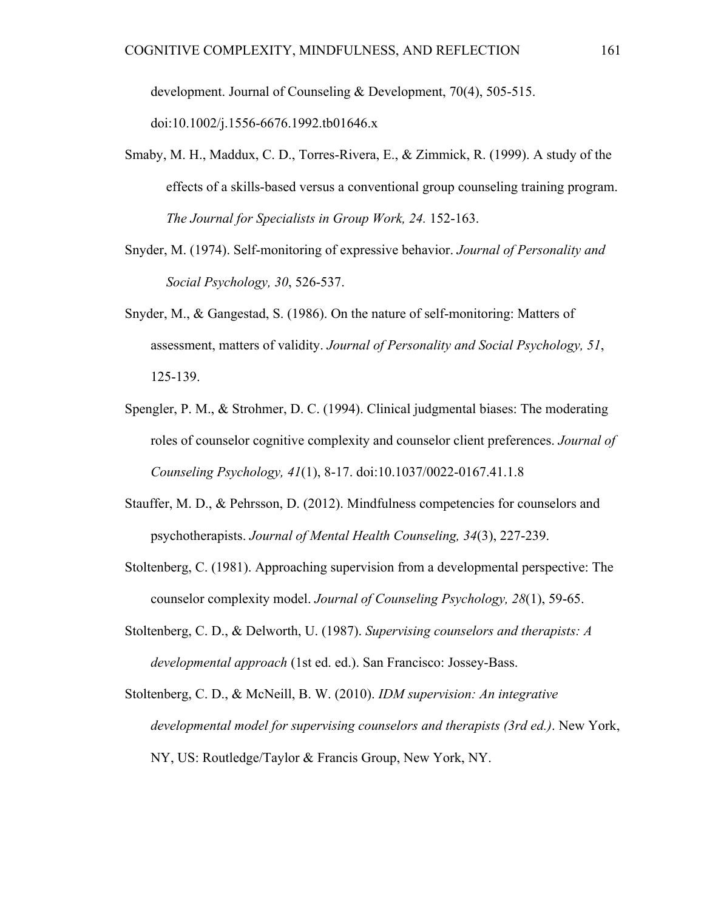development. Journal of Counseling & Development, 70(4), 505-515.

doi:10.1002/j.1556-6676.1992.tb01646.x

- Smaby, M. H., Maddux, C. D., Torres-Rivera, E., & Zimmick, R. (1999). A study of the effects of a skills-based versus a conventional group counseling training program. *The Journal for Specialists in Group Work, 24.* 152-163.
- Snyder, M. (1974). Self-monitoring of expressive behavior. *Journal of Personality and Social Psychology, 30*, 526-537.
- Snyder, M., & Gangestad, S. (1986). On the nature of self-monitoring: Matters of assessment, matters of validity. *Journal of Personality and Social Psychology, 51*, 125-139.
- Spengler, P. M., & Strohmer, D. C. (1994). Clinical judgmental biases: The moderating roles of counselor cognitive complexity and counselor client preferences. *Journal of Counseling Psychology, 41*(1), 8-17. doi:10.1037/0022-0167.41.1.8
- Stauffer, M. D., & Pehrsson, D. (2012). Mindfulness competencies for counselors and psychotherapists. *Journal of Mental Health Counseling, 34*(3), 227-239.
- Stoltenberg, C. (1981). Approaching supervision from a developmental perspective: The counselor complexity model. *Journal of Counseling Psychology, 28*(1), 59-65.
- Stoltenberg, C. D., & Delworth, U. (1987). *Supervising counselors and therapists: A developmental approach* (1st ed. ed.). San Francisco: Jossey-Bass.
- Stoltenberg, C. D., & McNeill, B. W. (2010). *IDM supervision: An integrative developmental model for supervising counselors and therapists (3rd ed.)*. New York, NY, US: Routledge/Taylor & Francis Group, New York, NY.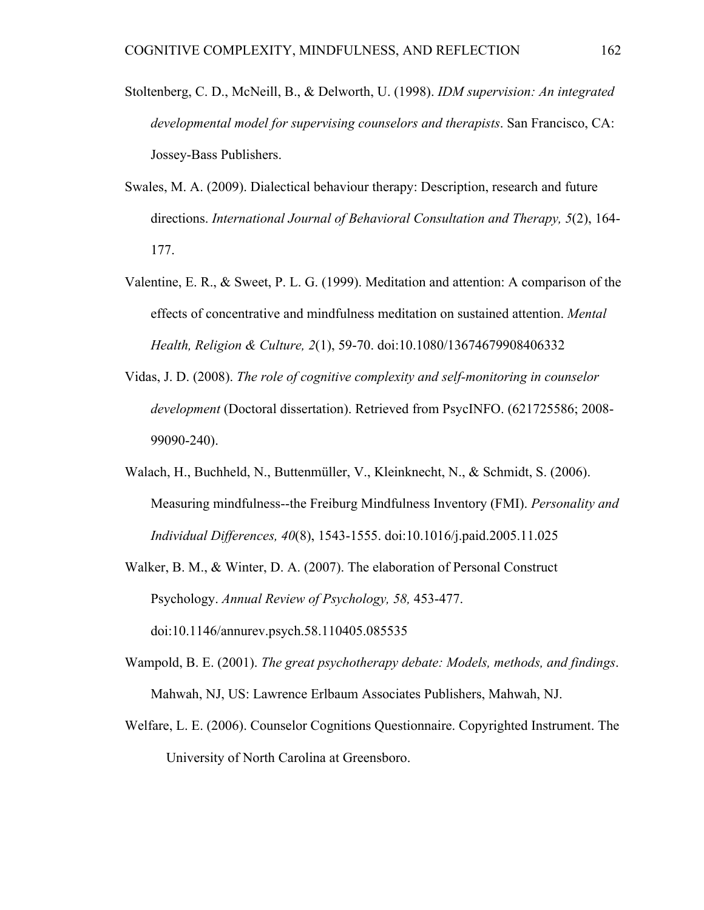- Stoltenberg, C. D., McNeill, B., & Delworth, U. (1998). *IDM supervision: An integrated developmental model for supervising counselors and therapists*. San Francisco, CA: Jossey-Bass Publishers.
- Swales, M. A. (2009). Dialectical behaviour therapy: Description, research and future directions. *International Journal of Behavioral Consultation and Therapy, 5*(2), 164- 177.
- Valentine, E. R., & Sweet, P. L. G. (1999). Meditation and attention: A comparison of the effects of concentrative and mindfulness meditation on sustained attention. *Mental Health, Religion & Culture, 2*(1), 59-70. doi:10.1080/13674679908406332
- Vidas, J. D. (2008). *The role of cognitive complexity and self-monitoring in counselor development* (Doctoral dissertation). Retrieved from PsycINFO. (621725586; 2008- 99090-240).
- Walach, H., Buchheld, N., Buttenmüller, V., Kleinknecht, N., & Schmidt, S. (2006). Measuring mindfulness--the Freiburg Mindfulness Inventory (FMI). *Personality and Individual Differences, 40*(8), 1543-1555. doi:10.1016/j.paid.2005.11.025
- Walker, B. M., & Winter, D. A. (2007). The elaboration of Personal Construct Psychology. *Annual Review of Psychology, 58,* 453-477. doi:10.1146/annurev.psych.58.110405.085535
- Wampold, B. E. (2001). *The great psychotherapy debate: Models, methods, and findings*. Mahwah, NJ, US: Lawrence Erlbaum Associates Publishers, Mahwah, NJ.
- Welfare, L. E. (2006). Counselor Cognitions Questionnaire. Copyrighted Instrument. The University of North Carolina at Greensboro.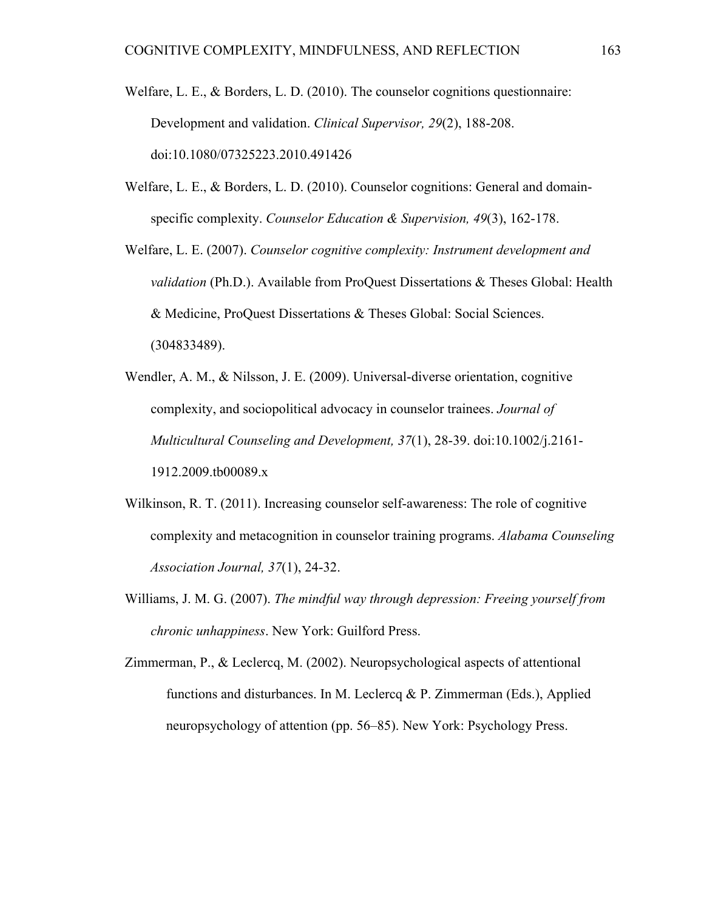- Welfare, L. E., & Borders, L. D. (2010). The counselor cognitions questionnaire: Development and validation. *Clinical Supervisor, 29*(2), 188-208. doi:10.1080/07325223.2010.491426
- Welfare, L. E., & Borders, L. D. (2010). Counselor cognitions: General and domainspecific complexity. *Counselor Education & Supervision, 49*(3), 162-178.
- Welfare, L. E. (2007). *Counselor cognitive complexity: Instrument development and validation* (Ph.D.). Available from ProQuest Dissertations & Theses Global: Health & Medicine, ProQuest Dissertations & Theses Global: Social Sciences. (304833489).
- Wendler, A. M., & Nilsson, J. E. (2009). Universal-diverse orientation, cognitive complexity, and sociopolitical advocacy in counselor trainees. *Journal of Multicultural Counseling and Development, 37*(1), 28-39. doi:10.1002/j.2161- 1912.2009.tb00089.x
- Wilkinson, R. T. (2011). Increasing counselor self-awareness: The role of cognitive complexity and metacognition in counselor training programs. *Alabama Counseling Association Journal, 37*(1), 24-32.
- Williams, J. M. G. (2007). *The mindful way through depression: Freeing yourself from chronic unhappiness*. New York: Guilford Press.
- Zimmerman, P., & Leclercq, M. (2002). Neuropsychological aspects of attentional functions and disturbances. In M. Leclercq & P. Zimmerman (Eds.), Applied neuropsychology of attention (pp. 56–85). New York: Psychology Press.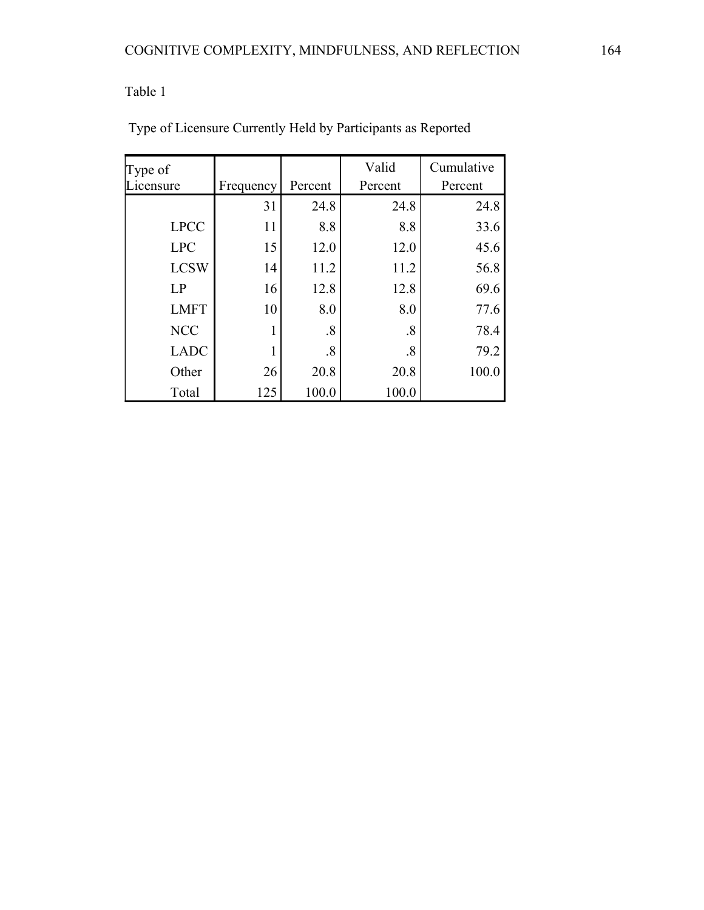| Type of     |           |                   | Valid             | Cumulative |  |
|-------------|-----------|-------------------|-------------------|------------|--|
| icensure    | Frequency | Percent           | Percent           | Percent    |  |
|             | 31        | 24.8              | 24.8              | 24.8       |  |
| <b>LPCC</b> | 11        | 8.8               | 8.8               | 33.6       |  |
| <b>LPC</b>  | 15        | 12.0              | 12.0              | 45.6       |  |
| <b>LCSW</b> | 14        | 11.2              | 11.2<br>12.8      | 56.8       |  |
| LP          | 16        | 12.8              |                   | 69.6       |  |
| <b>LMFT</b> | 10        | 8.0               | 8.0               | 77.6       |  |
| <b>NCC</b>  |           | $\boldsymbol{.8}$ | $\boldsymbol{.8}$ | 78.4       |  |
| <b>LADC</b> |           | .8                | $\boldsymbol{.8}$ | 79.2       |  |
| Other       | 26        | 20.8              | 20.8              | 100.0      |  |
| Total       | 125       | 100.0             | 100.0             |            |  |

Type of Licensure Currently Held by Participants as Reported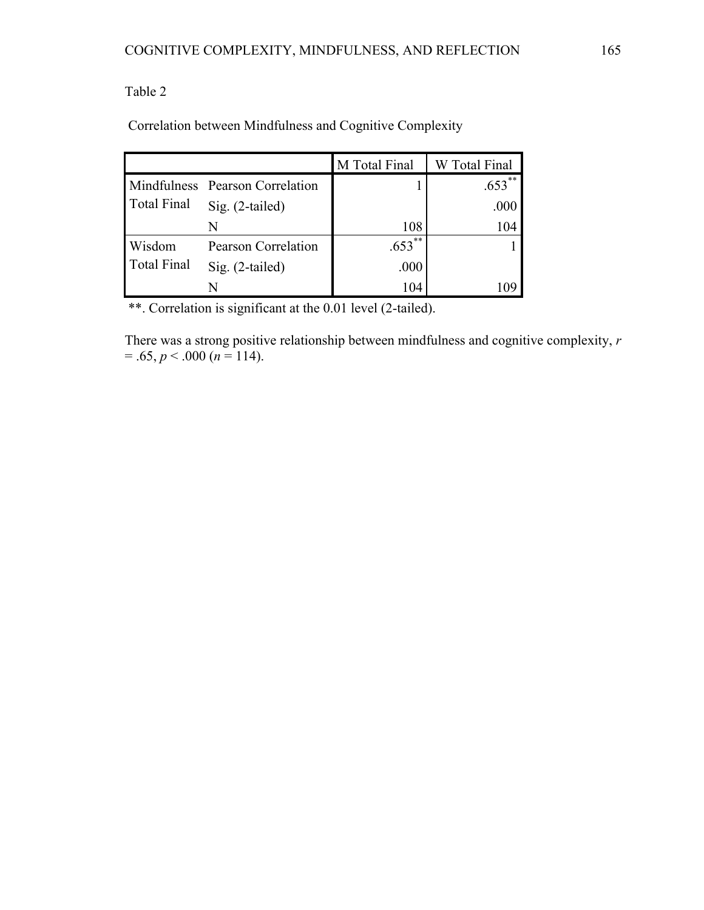Correlation between Mindfulness and Cognitive Complexity

|             |                                 | M Total Final | W Total Final |
|-------------|---------------------------------|---------------|---------------|
|             | Mindfulness Pearson Correlation |               | $653***$      |
| Total Final | Sig. (2-tailed)                 |               | .000          |
|             | N                               | 108           | 104           |
| Wisdom      | Pearson Correlation             | **<br>.653    |               |
| Total Final | Sig. (2-tailed)                 | .000          |               |
|             | N                               | 104           |               |

\*\*. Correlation is significant at the 0.01 level (2-tailed).

There was a strong positive relationship between mindfulness and cognitive complexity, *r*   $= .65, p < .000 (n = 114).$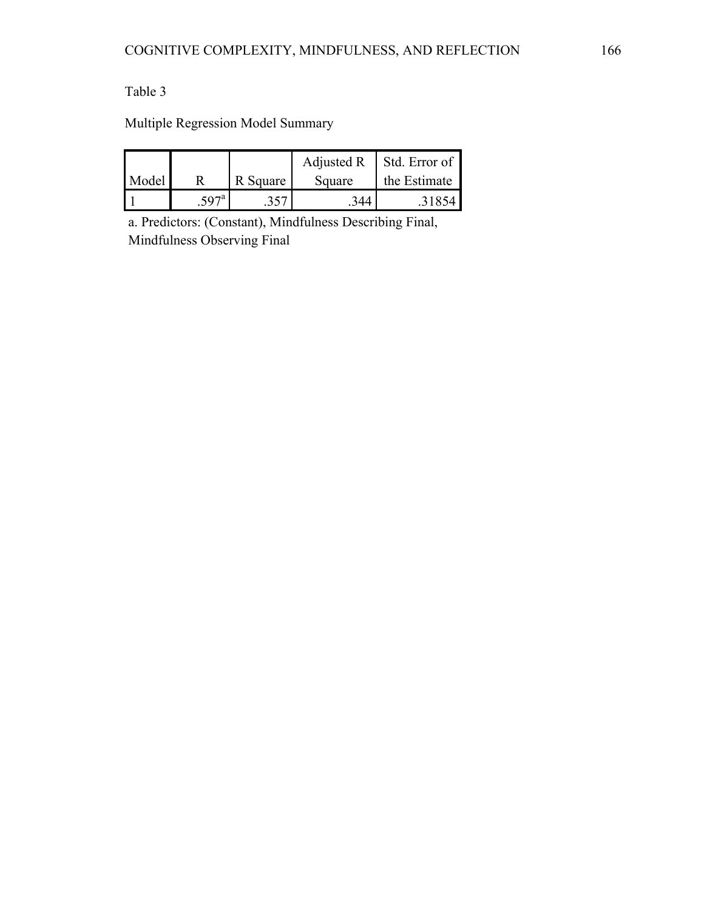Multiple Regression Model Summary

|       |      |          | Adjusted R | Std. Error of |
|-------|------|----------|------------|---------------|
| Model |      | R Square | Square     | the Estimate  |
|       | 597a | 357      |            |               |

a. Predictors: (Constant), Mindfulness Describing Final, Mindfulness Observing Final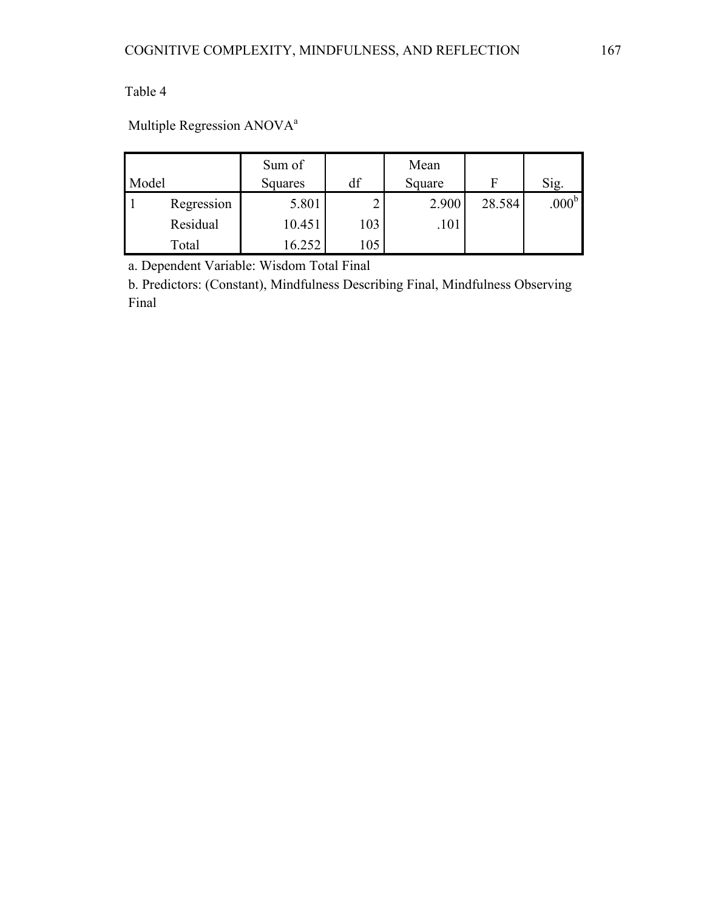# Multiple Regression ANOVA<sup>a</sup>

|       |            | Sum of        |     | Mean   |        |                   |
|-------|------------|---------------|-----|--------|--------|-------------------|
| Model |            | df<br>Squares |     | Square | F      | Sig.              |
|       | Regression | 5.801         |     | 2.900  | 28.584 | .000 <sup>b</sup> |
|       | Residual   | 10.451        | 103 | .101   |        |                   |
|       | Total      | 6.252         | 105 |        |        |                   |

a. Dependent Variable: Wisdom Total Final

b. Predictors: (Constant), Mindfulness Describing Final, Mindfulness Observing Final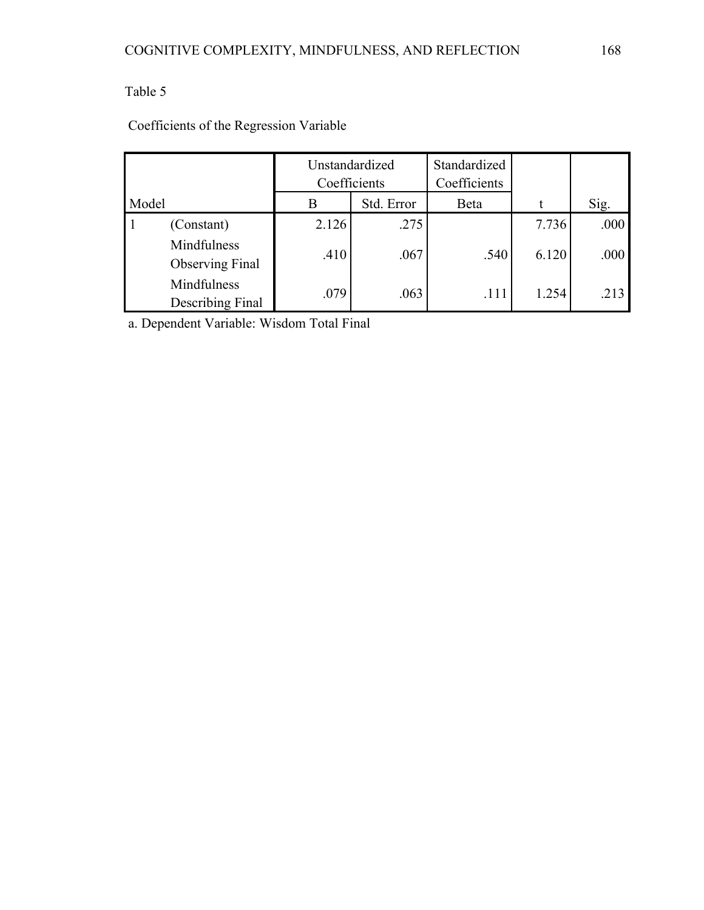|                                       | Unstandardized<br>Coefficients |            | Standardized<br>Coefficients |       |      |
|---------------------------------------|--------------------------------|------------|------------------------------|-------|------|
| Model                                 | B                              | Std. Error | Beta                         |       | Sig. |
| (Constant)                            | 2.126                          | .275       |                              | 7.736 | .000 |
| Mindfulness<br><b>Observing Final</b> | .410                           | .067       | .540                         | 6.120 | .000 |
| Mindfulness<br>Describing Final       | .079                           | .063       | .111                         | 1.254 | .213 |

### Coefficients of the Regression Variable

a. Dependent Variable: Wisdom Total Final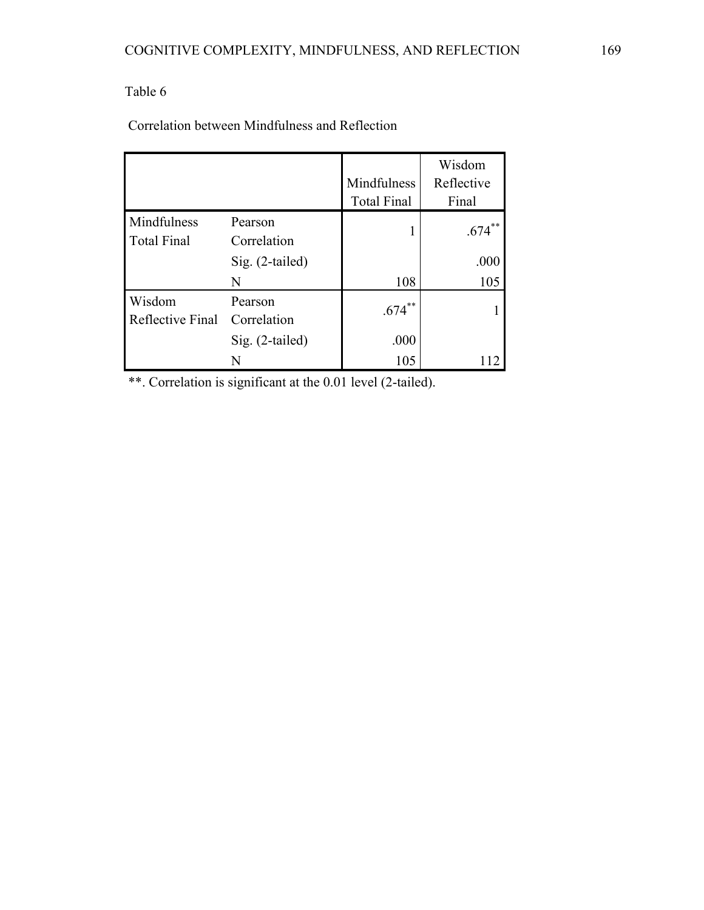Correlation between Mindfulness and Reflection

|                                   |                        | Mindfulness<br><b>Total Final</b> | Wisdom<br>Reflective<br>Final |
|-----------------------------------|------------------------|-----------------------------------|-------------------------------|
| Mindfulness<br><b>Total Final</b> | Pearson<br>Correlation |                                   | **<br>.674                    |
|                                   | Sig. (2-tailed)        |                                   | .000                          |
|                                   | N                      | 108                               | 105                           |
| Wisdom<br>Reflective Final        | Pearson<br>Correlation | **<br>.674                        |                               |
|                                   | $Sig. (2-tailed)$      | .000                              |                               |
|                                   |                        | 105                               |                               |

\*\*. Correlation is significant at the 0.01 level (2-tailed).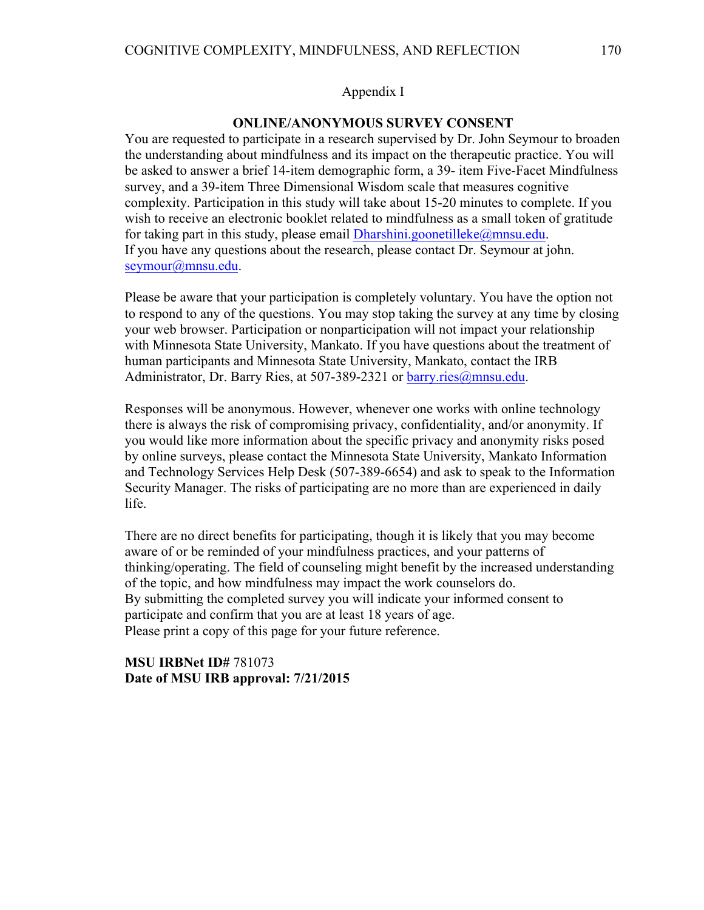#### Appendix I

#### **ONLINE/ANONYMOUS SURVEY CONSENT**

You are requested to participate in a research supervised by Dr. John Seymour to broaden the understanding about mindfulness and its impact on the therapeutic practice. You will be asked to answer a brief 14-item demographic form, a 39- item Five-Facet Mindfulness survey, and a 39-item Three Dimensional Wisdom scale that measures cognitive complexity. Participation in this study will take about 15-20 minutes to complete. If you wish to receive an electronic booklet related to mindfulness as a small token of gratitude for taking part in this study, please email Dharshini.goonetilleke@mnsu.edu. If you have any questions about the research, please contact Dr. Seymour at john. seymour@mnsu.edu.

Please be aware that your participation is completely voluntary. You have the option not to respond to any of the questions. You may stop taking the survey at any time by closing your web browser. Participation or nonparticipation will not impact your relationship with Minnesota State University, Mankato. If you have questions about the treatment of human participants and Minnesota State University, Mankato, contact the IRB Administrator, Dr. Barry Ries, at 507-389-2321 or barry.ries@mnsu.edu.

Responses will be anonymous. However, whenever one works with online technology there is always the risk of compromising privacy, confidentiality, and/or anonymity. If you would like more information about the specific privacy and anonymity risks posed by online surveys, please contact the Minnesota State University, Mankato Information and Technology Services Help Desk (507-389-6654) and ask to speak to the Information Security Manager. The risks of participating are no more than are experienced in daily life.

There are no direct benefits for participating, though it is likely that you may become aware of or be reminded of your mindfulness practices, and your patterns of thinking/operating. The field of counseling might benefit by the increased understanding of the topic, and how mindfulness may impact the work counselors do. By submitting the completed survey you will indicate your informed consent to participate and confirm that you are at least 18 years of age. Please print a copy of this page for your future reference.

#### **MSU IRBNet ID#** 781073 **Date of MSU IRB approval: 7/21/2015**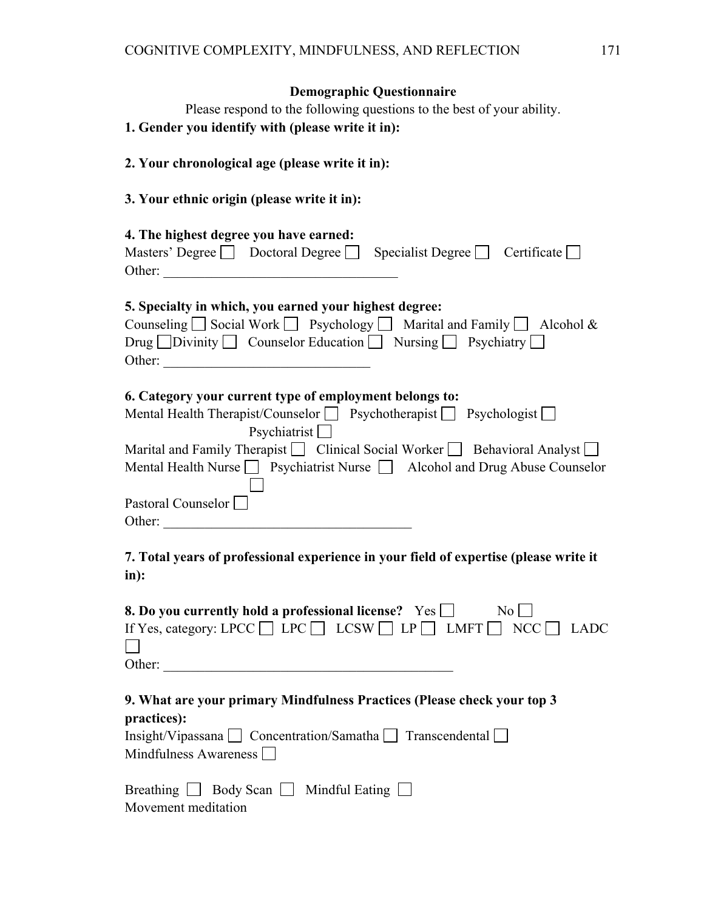### **Demographic Questionnaire**

Please respond to the following questions to the best of your ability. **1. Gender you identify with (please write it in): 2. Your chronological age (please write it in):**

### **3. Your ethnic origin (please write it in):**

| 4. The highest degree you have earned:<br>Masters' Degree $\Box$ Doctoral Degree $\Box$ Specialist Degree $\Box$ Certificate $\Box$                                                                                                                                                                                                                                                                                                                                                                                                                                                                |
|----------------------------------------------------------------------------------------------------------------------------------------------------------------------------------------------------------------------------------------------------------------------------------------------------------------------------------------------------------------------------------------------------------------------------------------------------------------------------------------------------------------------------------------------------------------------------------------------------|
| 5. Specialty in which, you earned your highest degree:<br>Counseling $\Box$ Social Work $\Box$ Psychology $\Box$ Marital and Family $\Box$ Alcohol &<br>Drug $\Box$ Divinity $\Box$ Counselor Education $\Box$ Nursing $\Box$ Psychiatry $\Box$                                                                                                                                                                                                                                                                                                                                                    |
| 6. Category your current type of employment belongs to:<br>Mental Health Therapist/Counselor □ Psychotherapist □ Psychologist □<br>$P$ sychiatrist<br>Marital and Family Therapist $\Box$ Clinical Social Worker $\Box$ Behavioral Analyst $\Box$<br>Mental Health Nurse $\Box$ Psychiatrist Nurse $\Box$ Alcohol and Drug Abuse Counselor<br>Pastoral Counselor<br>Other: and the contract of the contract of the contract of the contract of the contract of the contract of the contract of the contract of the contract of the contract of the contract of the contract of the contract of the |
| 7. Total years of professional experience in your field of expertise (please write it<br>in):                                                                                                                                                                                                                                                                                                                                                                                                                                                                                                      |
| 8. Do you currently hold a professional license? $\;$ Yes $\Box$ $\;$ No $\Box$<br>If Yes, category: LPCC $\Box$ LPC $\Box$ LCSW $\Box$ LP $\Box$ LMFT $\Box$ NCC $\Box$ LADC<br>Other: and the contract of the contract of the contract of the contract of the contract of the contract of the contract of the contract of the contract of the contract of the contract of the contract of the contract of the                                                                                                                                                                                    |
| 9. What are your primary Mindfulness Practices (Please check your top 3<br>practices):<br>Insight/Vipassana □ Concentration/Samatha □ Transcendental □<br>Mindfulness Awareness $\Box$                                                                                                                                                                                                                                                                                                                                                                                                             |
| Breathing $\Box$ Body Scan $\Box$ Mindful Eating $\Box$<br>Movement meditation                                                                                                                                                                                                                                                                                                                                                                                                                                                                                                                     |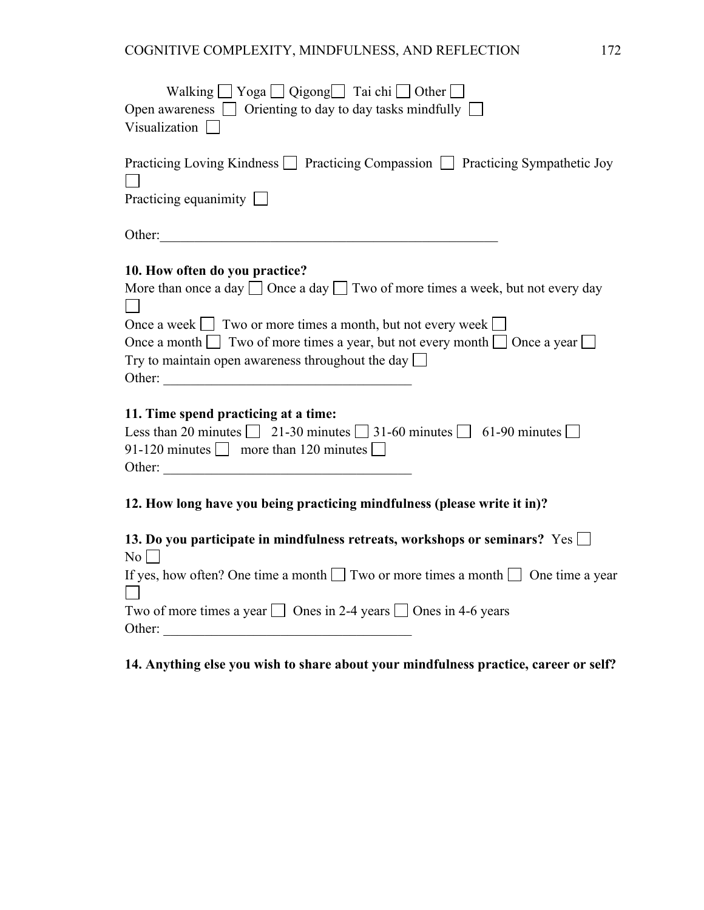| Walking $\Box$ Yoga $\Box$ Qigong $\Box$ Tai chi $\Box$ Other $\Box$<br>Open awareness $\Box$ Orienting to day to day tasks mindfully $\Box$<br>Visualization $\Box$                                                                                                                                                                                                           |
|--------------------------------------------------------------------------------------------------------------------------------------------------------------------------------------------------------------------------------------------------------------------------------------------------------------------------------------------------------------------------------|
| Practicing Loving Kindness □ Practicing Compassion □ Practicing Sympathetic Joy<br>Practicing equanimity                                                                                                                                                                                                                                                                       |
| Other:                                                                                                                                                                                                                                                                                                                                                                         |
| 10. How often do you practice?<br>More than once a day $\Box$ Once a day $\Box$ Two of more times a week, but not every day<br>Once a week $\Box$ Two or more times a month, but not every week $\Box$<br>Once a month $\Box$ Two of more times a year, but not every month $\Box$ Once a year $\Box$<br>Try to maintain open awareness throughout the day $\square$<br>Other: |
| 11. Time spend practicing at a time:<br>Less than 20 minutes $\boxed{21-30}$ minutes $\boxed{31-60}$ minutes $\boxed{0}$ 61-90 minutes $\boxed{0}$<br>91-120 minutes $\Box$ more than 120 minutes $\Box$                                                                                                                                                                       |
| 12. How long have you being practicing mindfulness (please write it in)?                                                                                                                                                                                                                                                                                                       |
| 13. Do you participate in mindfulness retreats, workshops or seminars? $Yes \Box$<br>No                                                                                                                                                                                                                                                                                        |
| If yes, how often? One time a month $\Box$ Two or more times a month $\Box$ One time a year<br>Two of more times a year $\Box$ Ones in 2-4 years $\Box$ Ones in 4-6 years<br>Other:                                                                                                                                                                                            |

### **14. Anything else you wish to share about your mindfulness practice, career or self?**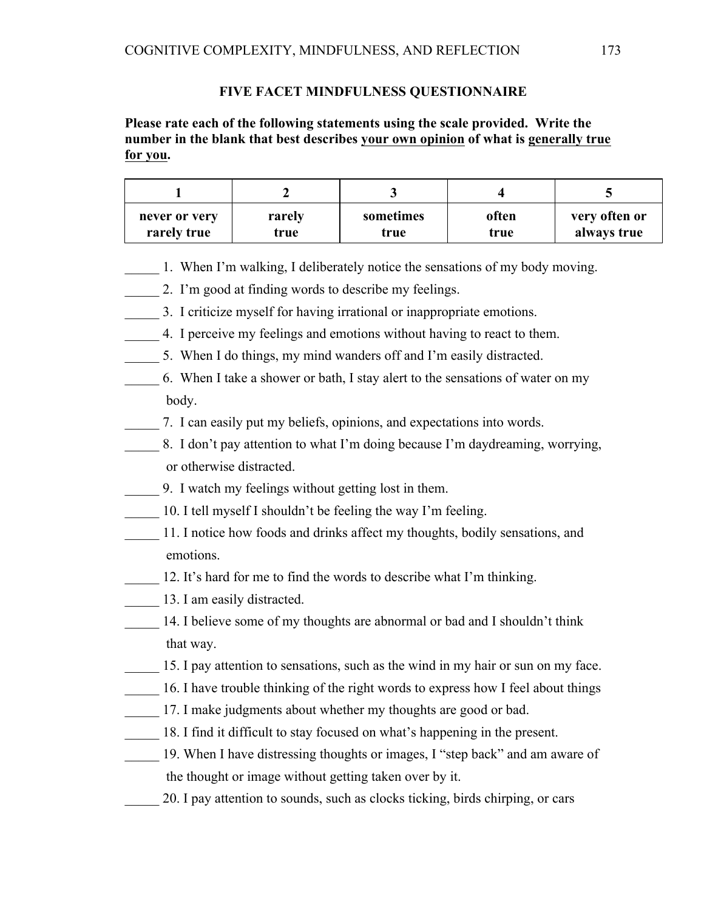#### **FIVE FACET MINDFULNESS QUESTIONNAIRE**

### **Please rate each of the following statements using the scale provided. Write the number in the blank that best describes your own opinion of what is generally true for you.**

| never or very | rarely | sometimes | often | very often or |
|---------------|--------|-----------|-------|---------------|
| rarely true   | true   | true      | true  | always true   |

- 1. When I'm walking, I deliberately notice the sensations of my body moving.
- 2. I'm good at finding words to describe my feelings.
- \_\_\_\_\_ 3. I criticize myself for having irrational or inappropriate emotions.
- \_\_\_\_\_ 4. I perceive my feelings and emotions without having to react to them.
- \_\_\_\_\_ 5. When I do things, my mind wanders off and I'm easily distracted.
- \_\_\_\_\_ 6. When I take a shower or bath, I stay alert to the sensations of water on my body.
- \_\_\_\_\_ 7. I can easily put my beliefs, opinions, and expectations into words.
- \_\_\_\_\_ 8. I don't pay attention to what I'm doing because I'm daydreaming, worrying, or otherwise distracted.
- \_\_\_\_\_ 9. I watch my feelings without getting lost in them.
- \_\_\_\_\_ 10. I tell myself I shouldn't be feeling the way I'm feeling.
- 11. I notice how foods and drinks affect my thoughts, bodily sensations, and emotions.
- 12. It's hard for me to find the words to describe what I'm thinking.
- **\_\_\_\_\_** 13. I am easily distracted.
- \_\_\_\_\_ 14. I believe some of my thoughts are abnormal or bad and I shouldn't think that way.
- 15. I pay attention to sensations, such as the wind in my hair or sun on my face.
- 16. I have trouble thinking of the right words to express how I feel about things
- \_\_\_\_\_ 17. I make judgments about whether my thoughts are good or bad.
- \_\_\_\_\_ 18. I find it difficult to stay focused on what's happening in the present.
- \_\_\_\_\_ 19. When I have distressing thoughts or images, I "step back" and am aware of the thought or image without getting taken over by it.
- \_\_\_\_\_ 20. I pay attention to sounds, such as clocks ticking, birds chirping, or cars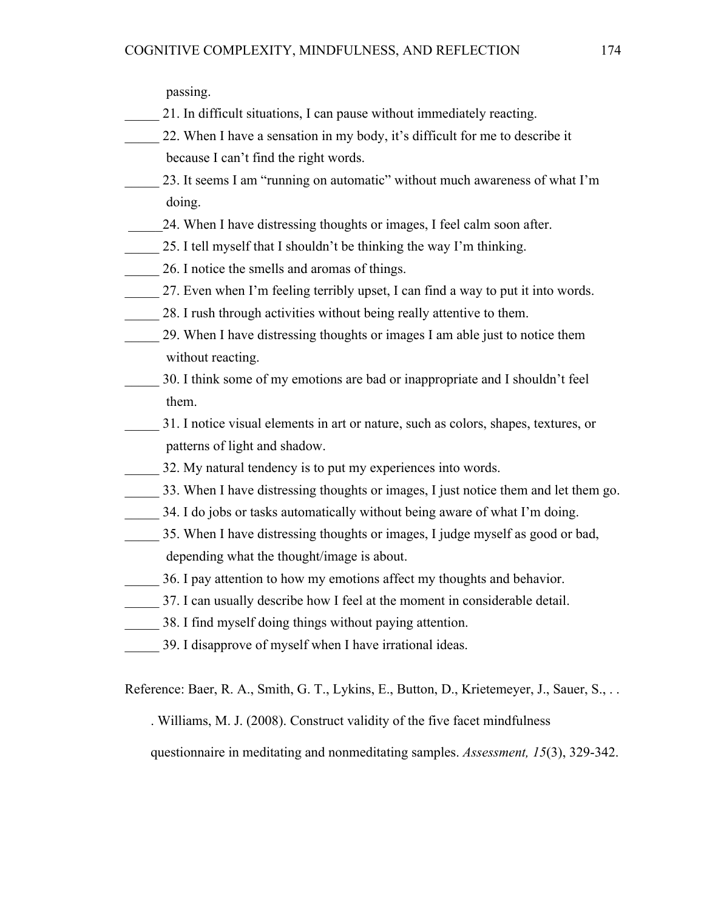passing.

- \_\_\_\_\_ 21. In difficult situations, I can pause without immediately reacting.
- \_\_\_\_\_ 22. When I have a sensation in my body, it's difficult for me to describe it because I can't find the right words.
- \_\_\_\_\_ 23. It seems I am "running on automatic" without much awareness of what I'm doing.
- \_\_\_\_\_24. When I have distressing thoughts or images, I feel calm soon after.
- \_\_\_\_\_ 25. I tell myself that I shouldn't be thinking the way I'm thinking.
- 26. I notice the smells and aromas of things.
- 27. Even when I'm feeling terribly upset, I can find a way to put it into words.
	- 28. I rush through activities without being really attentive to them.
- \_\_\_\_\_ 29. When I have distressing thoughts or images I am able just to notice them without reacting.
- \_\_\_\_\_ 30. I think some of my emotions are bad or inappropriate and I shouldn't feel them.
- \_\_\_\_\_ 31. I notice visual elements in art or nature, such as colors, shapes, textures, or patterns of light and shadow.
	- 32. My natural tendency is to put my experiences into words.
- \_\_\_\_\_ 33. When I have distressing thoughts or images, I just notice them and let them go.
- 34. I do jobs or tasks automatically without being aware of what I'm doing.
- \_\_\_\_\_ 35. When I have distressing thoughts or images, I judge myself as good or bad, depending what the thought/image is about.
- \_\_\_\_\_ 36. I pay attention to how my emotions affect my thoughts and behavior.
- 37. I can usually describe how I feel at the moment in considerable detail.
- \_\_\_\_\_ 38. I find myself doing things without paying attention.
- \_\_\_\_\_ 39. I disapprove of myself when I have irrational ideas.

Reference: Baer, R. A., Smith, G. T., Lykins, E., Button, D., Krietemeyer, J., Sauer, S., . .

. Williams, M. J. (2008). Construct validity of the five facet mindfulness

questionnaire in meditating and nonmeditating samples. *Assessment, 15*(3), 329-342.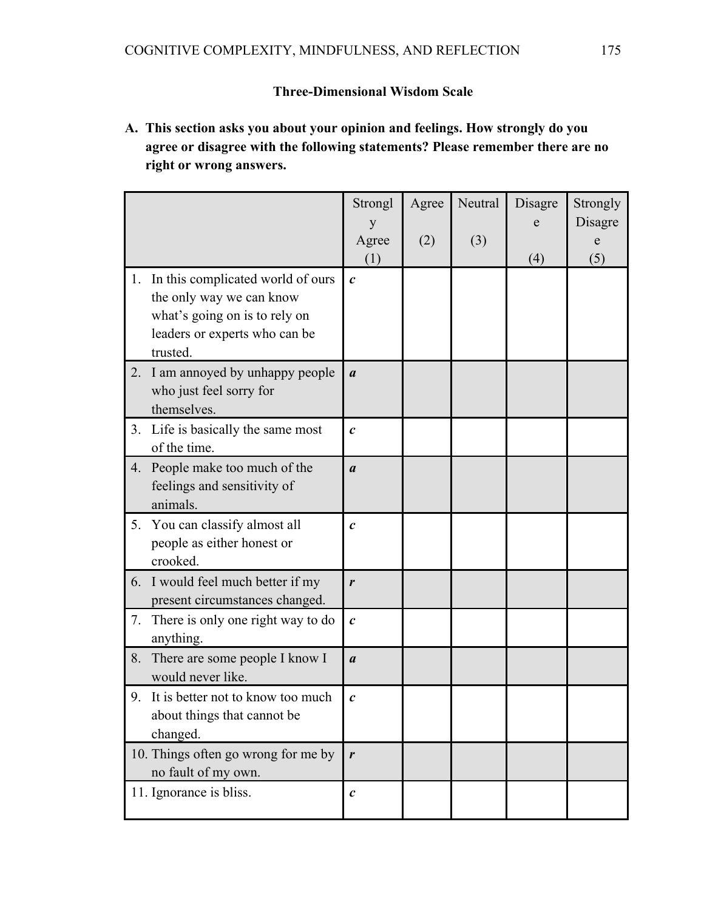### **Three-Dimensional Wisdom Scale**

**A. This section asks you about your opinion and feelings. How strongly do you agree or disagree with the following statements? Please remember there are no right or wrong answers.**

|    |                                                                                                                                             | Strongl           | Agree | Neutral | Disagre | Strongly |
|----|---------------------------------------------------------------------------------------------------------------------------------------------|-------------------|-------|---------|---------|----------|
|    |                                                                                                                                             |                   |       |         | e       | Disagre  |
|    |                                                                                                                                             | Agree<br>(1)      | (2)   | (3)     |         | e        |
| 1. | In this complicated world of ours<br>the only way we can know<br>what's going on is to rely on<br>leaders or experts who can be<br>trusted. | $\boldsymbol{c}$  |       |         | (4)     | (5)      |
| 2. | I am annoyed by unhappy people<br>who just feel sorry for<br>themselves.                                                                    | $\boldsymbol{a}$  |       |         |         |          |
| 3. | Life is basically the same most<br>of the time.                                                                                             | $\mathcal{C}_{0}$ |       |         |         |          |
| 4. | People make too much of the<br>feelings and sensitivity of<br>animals.                                                                      | $\boldsymbol{a}$  |       |         |         |          |
| 5. | You can classify almost all<br>people as either honest or<br>crooked.                                                                       | $\boldsymbol{c}$  |       |         |         |          |
|    | 6. I would feel much better if my<br>present circumstances changed.                                                                         | r                 |       |         |         |          |
| 7. | There is only one right way to do<br>anything.                                                                                              | $\mathcal{C}_{0}$ |       |         |         |          |
| 8. | There are some people I know I<br>would never like.                                                                                         | $\boldsymbol{a}$  |       |         |         |          |
|    | 9. It is better not to know too much<br>about things that cannot be<br>changed.                                                             | $\boldsymbol{c}$  |       |         |         |          |
|    | 10. Things often go wrong for me by<br>no fault of my own.                                                                                  | r                 |       |         |         |          |
|    | 11. Ignorance is bliss.                                                                                                                     | $\boldsymbol{c}$  |       |         |         |          |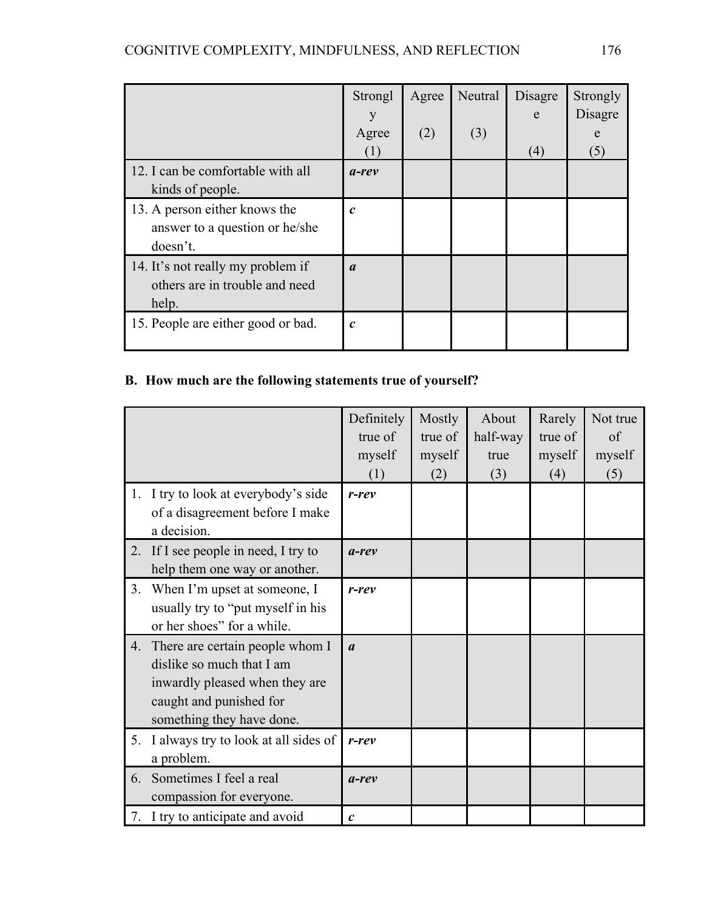|                                                                              | Strongl<br>у                | Agree | Neutral | Disagre<br>e | Strongly<br>Disagre |
|------------------------------------------------------------------------------|-----------------------------|-------|---------|--------------|---------------------|
|                                                                              | Agree<br>(1)                | (2)   | (3)     | (4)          | e<br>(5)            |
| 12. I can be comfortable with all<br>kinds of people.                        | $a$ -rev                    |       |         |              |                     |
| 13. A person either knows the<br>answer to a question or he/she<br>doesn't.  | $\mathcal{C}_{\mathcal{C}}$ |       |         |              |                     |
| 14. It's not really my problem if<br>others are in trouble and need<br>help. | $\boldsymbol{a}$            |       |         |              |                     |
| 15. People are either good or bad.                                           | $\mathcal{C}_{0}$           |       |         |              |                     |

# **B. How much are the following statements true of yourself?**

|    |                                                                                                                                                        | Definitely<br>true of<br>myself<br>(1) | Mostly<br>true of<br>myself<br>(2) | About<br>half-way<br>true<br>(3) | Rarely<br>true of<br>myself<br>(4) | Not true<br>of<br>myself<br>(5) |
|----|--------------------------------------------------------------------------------------------------------------------------------------------------------|----------------------------------------|------------------------------------|----------------------------------|------------------------------------|---------------------------------|
|    | 1. I try to look at everybody's side<br>of a disagreement before I make<br>a decision.                                                                 | $r$ -rev                               |                                    |                                  |                                    |                                 |
| 2. | If I see people in need, I try to<br>help them one way or another.                                                                                     | $a$ -rev                               |                                    |                                  |                                    |                                 |
| 3. | When I'm upset at someone, I<br>usually try to "put myself in his<br>or her shoes" for a while.                                                        | $r$ - $rev$                            |                                    |                                  |                                    |                                 |
| 4. | There are certain people whom I<br>dislike so much that I am<br>inwardly pleased when they are<br>caught and punished for<br>something they have done. | $\boldsymbol{a}$                       |                                    |                                  |                                    |                                 |
| 5. | I always try to look at all sides of<br>a problem.                                                                                                     | $r$ - $rev$                            |                                    |                                  |                                    |                                 |
| 6. | Sometimes I feel a real<br>compassion for everyone.                                                                                                    | $a$ -rev                               |                                    |                                  |                                    |                                 |
|    | 7. I try to anticipate and avoid                                                                                                                       | $\boldsymbol{c}$                       |                                    |                                  |                                    |                                 |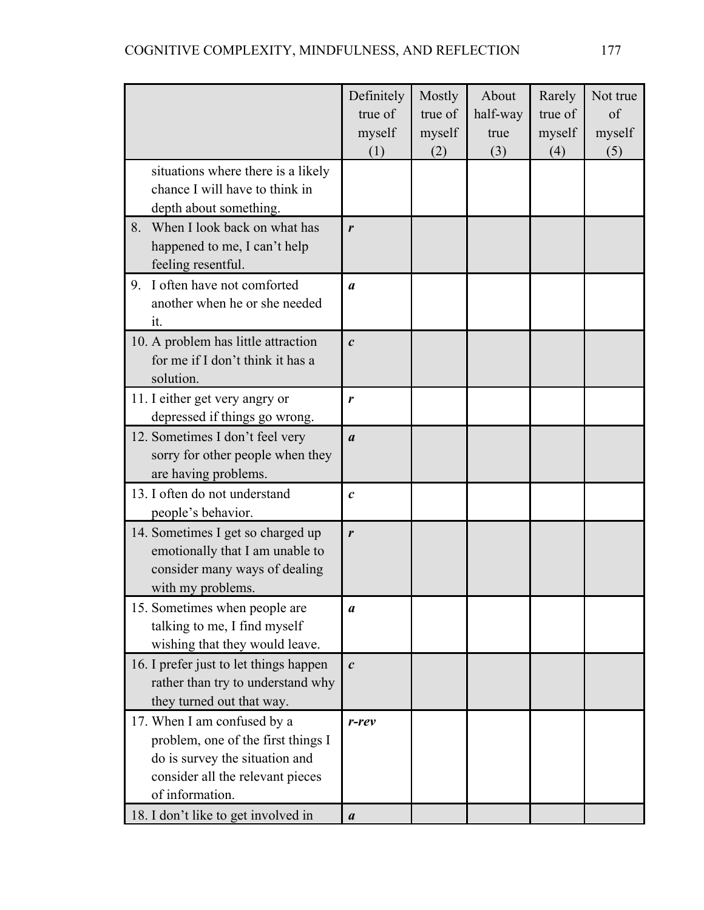|                                                                      | Definitely        | Mostly  | About    | Rarely  | Not true |
|----------------------------------------------------------------------|-------------------|---------|----------|---------|----------|
|                                                                      | true of           | true of | half-way | true of | of       |
|                                                                      | myself            | myself  | true     | myself  | myself   |
|                                                                      | (1)               | (2)     | (3)      | (4)     | (5)      |
| situations where there is a likely                                   |                   |         |          |         |          |
| chance I will have to think in                                       |                   |         |          |         |          |
| depth about something.                                               |                   |         |          |         |          |
| When I look back on what has<br>8.                                   | r                 |         |          |         |          |
| happened to me, I can't help                                         |                   |         |          |         |          |
| feeling resentful.                                                   |                   |         |          |         |          |
| I often have not comforted<br>9.                                     | $\boldsymbol{a}$  |         |          |         |          |
| another when he or she needed                                        |                   |         |          |         |          |
| it.                                                                  |                   |         |          |         |          |
| 10. A problem has little attraction                                  | $\mathcal{C}_{0}$ |         |          |         |          |
| for me if I don't think it has a                                     |                   |         |          |         |          |
| solution.                                                            |                   |         |          |         |          |
| 11. I either get very angry or                                       | r                 |         |          |         |          |
| depressed if things go wrong.                                        |                   |         |          |         |          |
| 12. Sometimes I don't feel very                                      | $\boldsymbol{a}$  |         |          |         |          |
| sorry for other people when they                                     |                   |         |          |         |          |
| are having problems.                                                 |                   |         |          |         |          |
| 13. I often do not understand                                        | $\mathcal{C}_{0}$ |         |          |         |          |
| people's behavior.                                                   |                   |         |          |         |          |
| 14. Sometimes I get so charged up                                    | r                 |         |          |         |          |
| emotionally that I am unable to                                      |                   |         |          |         |          |
| consider many ways of dealing                                        |                   |         |          |         |          |
| with my problems.                                                    |                   |         |          |         |          |
| 15. Sometimes when people are                                        | a                 |         |          |         |          |
| talking to me, I find myself                                         |                   |         |          |         |          |
| wishing that they would leave.                                       |                   |         |          |         |          |
| 16. I prefer just to let things happen                               | $\mathcal{C}$     |         |          |         |          |
| rather than try to understand why<br>they turned out that way.       |                   |         |          |         |          |
|                                                                      |                   |         |          |         |          |
| 17. When I am confused by a                                          | $r$ - $rev$       |         |          |         |          |
| problem, one of the first things I<br>do is survey the situation and |                   |         |          |         |          |
| consider all the relevant pieces                                     |                   |         |          |         |          |
| of information.                                                      |                   |         |          |         |          |
| 18. I don't like to get involved in                                  | $\boldsymbol{a}$  |         |          |         |          |
|                                                                      |                   |         |          |         |          |